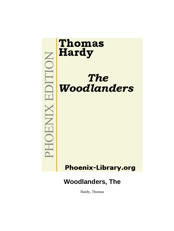

Hardy, Thomas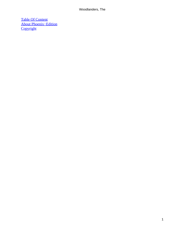[Table Of Content](#page-319-0) [About Phoenix−Edition](#page-322-0) **[Copyright](#page-323-0)**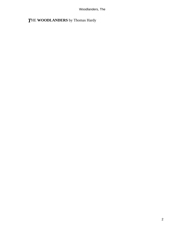# *T*HE **WOODLANDERS** by Thomas Hardy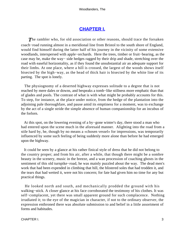## **[CHAPTER I.](#page-319-0)**

**The rambler who, for old association or other reasons, should trace the forsaken** coach−road running almost in a meridional line from Bristol to the south shore of England, would find himself during the latter half of his journey in the vicinity of some extensive woodlands, interspersed with apple−orchards. Here the trees, timber or fruit−bearing, as the case may be, make the way− side hedges ragged by their drip and shade, stretching over the road with easeful horizontality, as if they found the unsubstantial air an adequate support for their limbs. At one place, where a hill is crossed, the largest of the woods shows itself bisected by the high−way, as the head of thick hair is bisected by the white line of its parting. The spot is lonely.

 The physiognomy of a deserted highway expresses solitude to a degree that is not reached by mere dales or downs, and bespeaks a tomb−like stillness more emphatic than that of glades and pools. The contrast of what is with what might be probably accounts for this. To step, for instance, at the place under notice, from the hedge of the plantation into the adjoining pale thoroughfare, and pause amid its emptiness for a moment, was to exchange by the act of a single stride the simple absence of human companionship for an incubus of the forlorn.

 At this spot, on the lowering evening of a by−gone winter's day, there stood a man who had entered upon the scene much in the aforesaid manner. Alighting into the road from a stile hard by, he, though by no means a «chosen vessel» for impressions, was temporarily influenced by some such feeling of being suddenly more alone than before he had emerged upon the highway.

 It could be seen by a glance at his rather finical style of dress that he did not belong to the country proper; and from his air, after a while, that though there might be a sombre beauty in the scenery, music in the breeze, and a wan procession of coaching ghosts in the sentiment of this old turnpike−road, he was mainly puzzled about the way. The dead men's work that had been expended in climbing that hill, the blistered soles that had trodden it, and the tears that had wetted it, were not his concern; for fate had given him no time for any but practical things.

 He looked north and south, and mechanically prodded the ground with his walking−stick. A closer glance at his face corroborated the testimony of his clothes. It was self−complacent, yet there was small apparent ground for such complacence. Nothing irradiated it; to the eye of the magician in character, if not to the ordinary observer, the expression enthroned there was absolute submission to and belief in a little assortment of forms and habitudes.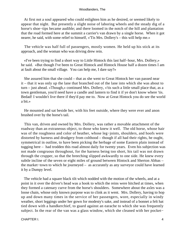At first not a soul appeared who could enlighten him as he desired, or seemed likely to appear that night. But presently a slight noise of laboring wheels and the steady dig of a horse's shoe−tips became audible; and there loomed in the notch of the hill and plantation that the road formed here at the summit a carrier's van drawn by a single horse. When it got nearer, he said, with some relief to himself, «'Tis Mrs. Dollery's – this will help me.»

 The vehicle was half full of passengers, mostly women. He held up his stick at its approach, and the woman who was driving drew rein.

 «I've been trying to find a short way to Little Hintock this last half−hour, Mrs. Dollery,» he said. «But though I've been to Great Hintock and Hintock House half a dozen times I am at fault about the small village. You can help me, I dare say?»

 She assured him that she could – that as she went to Great Hintock her van passed near it – that it was only up the lane that branched out of the lane into which she was about to turn – just ahead. «Though,» continued Mrs. Dollery, «'tis such a little small place that, as a town gentleman, you'd need have a candle and lantern to find it if ye don't know where 'tis. Bedad! I wouldn't live there if they'd pay me to. Now at Great Hintock you do see the world a bit.»

 He mounted and sat beside her, with his feet outside, where they were ever and anon brushed over by the horse's tail.

 This van, driven and owned by Mrs. Dollery, was rather a movable attachment of the roadway than an extraneous object, to those who knew it well. The old horse, whose hair was of the roughness and color of heather, whose leg−joints, shoulders, and hoofs were distorted by harness and drudgery from colthood – though if all had their rights, he ought, symmetrical in outline, to have been picking the herbage of some Eastern plain instead of tugging here – had trodden this road almost daily for twenty years. Even his subjection was not made congruous throughout, for the harness being too short, his tail was not drawn through the crupper, so that the breeching slipped awkwardly to one side. He knew every subtle incline of the seven or eight miles of ground between Hintock and Sherton Abbas – the market−town to which he journeyed – as accurately as any surveyor could have learned it by a Dumpy level.

 The vehicle had a square black tilt which nodded with the motion of the wheels, and at a point in it over the driver's head was a hook to which the reins were hitched at times, when they formed a catenary curve from the horse's shoulders. Somewhere about the axles was a loose chain, whose only known purpose was to clink as it went. Mrs. Dollery, having to hop up and down many times in the service of her passengers, wore, especially in windy weather, short leggings under her gown for modesty's sake, and instead of a bonnet a felt hat tied down with a handkerchief, to guard against an earache to which she was frequently subject. In the rear of the van was a glass window, which she cleaned with her pocket−

CHAPTER I. 4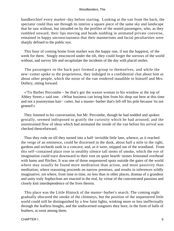handkerchief every market−day before starting. Looking at the van from the back, the spectator could thus see through its interior a square piece of the same sky and landscape that he saw without, but intruded on by the profiles of the seated passengers, who, as they rumbled onward, their lips moving and heads nodding in animated private converse, remained in happy unconsciousness that their mannerisms and facial peculiarities were sharply defined to the public eye.

 This hour of coming home from market was the happy one, if not the happiest, of the week for them. Snugly ensconced under the tilt, they could forget the sorrows of the world without, and survey life and recapitulate the incidents of the day with placid smiles.

 The passengers in the back part formed a group to themselves, and while the new−comer spoke to the proprietress, they indulged in a confidential chat about him as about other people, which the noise of the van rendered inaudible to himself and Mrs. Dollery, sitting forward.

 «'Tis Barber Percombe – he that's got the waxen woman in his window at the top of Abbey Street,» said one. «What business can bring him from his shop out here at this time and not a journeyman hair− cutter, but a master−barber that's left off his pole because 'tis not genteel!»

 They listened to his conversation, but Mr. Percombe, though he had nodded and spoken genially, seemed indisposed to gratify the curiosity which he had aroused; and the unrestrained flow of ideas which had animated the inside of the van before his arrival was checked thenceforward.

 Thus they rode on till they turned into a half−invisible little lane, whence, as it reached the verge of an eminence, could be discerned in the dusk, about half a mile to the right, gardens and orchards sunk in a concave, and, as it were, snipped out of the woodland. From this self−contained place rose in stealthy silence tall stems of smoke, which the eye of imagination could trace downward to their root on quiet hearth−stones festooned overhead with hams and flitches. It was one of those sequestered spots outside the gates of the world where may usually be found more meditation than action, and more passivity than meditation; where reasoning proceeds on narrow premises, and results in inferences wildly imaginative; yet where, from time to time, no less than in other places, dramas of a grandeur and unity truly Sophoclean are enacted in the real, by virtue of the concentrated passions and closely knit interdependence of the lives therein.

 This place was the Little Hintock of the master−barber's search. The coming night gradually obscured the smoke of the chimneys, but the position of the sequestered little world could still be distinguished by a few faint lights, winking more or less ineffectually through the leafless boughs, and the undiscerned songsters they bore, in the form of balls of feathers, at roost among them.

CHAPTER I. 5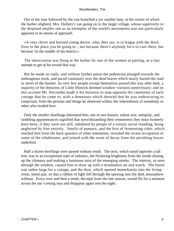Out of the lane followed by the van branched a yet smaller lane, at the corner of which the barber alighted, Mrs. Dollery's van going on to the larger village, whose superiority to the despised smaller one as an exemplar of the world's movements was not particularly apparent in its means of approach.

 «A very clever and learned young doctor, who, they say, is in league with the devil, lives in the place you be going to – not because there's anybody for'n to cure there, but because 'tis the middle of his district.»

 The observation was flung at the barber by one of the women at parting, as a last attempt to get at his errand that way.

 But he made no reply, and without further pause the pedestrian plunged towards the umbrageous nook, and paced cautiously over the dead leaves which nearly buried the road or street of the hamlet. As very few people except themselves passed this way after dark, a majority of the denizens of Little Hintock deemed window−curtains unnecessary; and on this account Mr. Percombe made it his business to stop opposite the casements of each cottage that he came to, with a demeanor which showed that he was endeavoring to conjecture, from the persons and things he observed within, the whereabouts of somebody or other who resided here.

 Only the smaller dwellings interested him; one or two houses, whose size, antiquity, and rambling appurtenances signified that notwithstanding their remoteness they must formerly have been, if they were not still, inhabited by people of a certain social standing, being neglected by him entirely. Smells of pomace, and the hiss of fermenting cider, which reached him from the back quarters of other tenements, revealed the recent occupation of some of the inhabitants, and joined with the scent of decay from the perishing leaves underfoot.

 Half a dozen dwellings were passed without result. The next, which stood opposite a tall tree, was in an exceptional state of radiance, the flickering brightness from the inside shining up the chimney and making a luminous mist of the emerging smoke. The interior, as seen through the window, caused him to draw up with a terminative air and watch. The house was rather large for a cottage, and the door, which opened immediately into the living− room, stood ajar, so that a ribbon of light fell through the opening into the dark atmosphere without. Every now and then a moth, decrepit from the late season, would flit for a moment across the out−coming rays and disappear again into the night.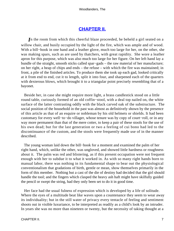### **[CHAPTER II.](#page-319-0)**

*I*n the room from which this cheerful blaze proceeded, he beheld a girl seated on a willow chair, and busily occupied by the light of the fire, which was ample and of wood. With a bill−hook in one hand and a leather glove, much too large for her, on the other, she was making spars, such as are used by thatchers, with great rapidity. She wore a leather apron for this purpose, which was also much too large for her figure. On her left hand lay a bundle of the straight, smooth sticks called spar−gads – the raw material of her manufacture; on her right, a heap of chips and ends – the refuse – with which the fire was maintained; in front, a pile of the finished articles. To produce them she took up each gad, looked critically at it from end to end, cut it to length, split it into four, and sharpened each of the quarters with dexterous blows, which brought it to a triangular point precisely resembling that of a bayonet.

 Beside her, in case she might require more light, a brass candlestick stood on a little round table, curiously formed of an old coffin−stool, with a deal top nailed on, the white surface of the latter contrasting oddly with the black carved oak of the substructure. The social position of the household in the past was almost as definitively shown by the presence of this article as that of an esquire or nobleman by his old helmets or shields. It had been customary for every well−to−do villager, whose tenure was by copy of court−roll, or in any way more permanent than that of the mere cotter, to keep a pair of these stools for the use of his own dead; but for the last generation or two a feeling of cui bono had led to the discontinuance of the custom, and the stools were frequently made use of in the manner described.

 The young woman laid down the bill−hook for a moment and examined the palm of her right hand, which, unlike the other, was ungloved, and showed little hardness or roughness about it. The palm was red and blistering, as if this present occupation were not frequent enough with her to subdue it to what it worked in. As with so many right hands born to manual labor, there was nothing in its fundamental shape to bear out the physiological conventionalism that gradations of birth, gentle or mean, show themselves primarily in the form of this member. Nothing but a cast of the die of destiny had decided that the girl should handle the tool; and the fingers which clasped the heavy ash haft might have skilfully guided the pencil or swept the string, had they only been set to do it in good time.

 Her face had the usual fulness of expression which is developed by a life of solitude. Where the eyes of a multitude beat like waves upon a countenance they seem to wear away its individuality; but in the still water of privacy every tentacle of feeling and sentiment shoots out in visible luxuriance, to be interpreted as readily as a child's look by an intruder. In years she was no more than nineteen or twenty, but the necessity of taking thought at a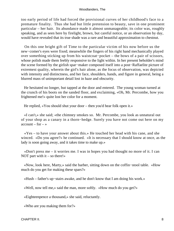too early period of life had forced the provisional curves of her childhood's face to a premature finality. Thus she had but little pretension to beauty, save in one prominent particular – her hair. Its abundance made it almost unmanageable; its color was, roughly speaking, and as seen here by firelight, brown, but careful notice, or an observation by day, would have revealed that its true shade was a rare and beautiful approximation to chestnut.

 On this one bright gift of Time to the particular victim of his now before us the new−comer's eyes were fixed; meanwhile the fingers of his right hand mechanically played over something sticking up from his waistcoat−pocket – the bows of a pair of scissors, whose polish made them feebly responsive to the light within. In her present beholder's mind the scene formed by the girlish spar−maker composed itself into a post−Raffaelite picture of extremest quality, wherein the girl's hair alone, as the focus of observation, was depicted with intensity and distinctness, and her face, shoulders, hands, and figure in general, being a blurred mass of unimportant detail lost in haze and obscurity.

 He hesitated no longer, but tapped at the door and entered. The young woman turned at the crunch of his boots on the sanded floor, and exclaiming, «Oh, Mr. Percombe, how you frightened me!» quite lost her color for a moment.

He replied, «You should shut your door – then you'd hear folk open it.»

 «I can't,» she said; «the chimney smokes so. Mr. Percombe, you look as unnatural out of your shop as a canary in a thorn−hedge. Surely you have not come out here on my  $account - for -$ 

 «Yes – to have your answer about this.» He touched her head with his cane, and she winced. «Do you agree?» he continued. «It is necessary that I should know at once, as the lady is soon going away, and it takes time to make up.»

 «Don't press me – it worries me. I was in hopes you had thought no more of it. I can NOT part with it  $-$  so there!»

 «Now, look here, Marty,» said the barber, sitting down on the coffin−stool table. «How much do you get for making these spars?»

«Hush – father's up−stairs awake, and he don't know that I am doing his work.»

«Well, now tell me,» said the man, more softly. «How much do you get?»

«Eighteenpence a thousand,» she said, reluctantly.

«Who are you making them for?»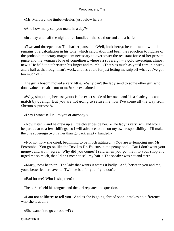«Mr. Melbury, the timber−dealer, just below here.»

«And how many can you make in a day?»

«In a day and half the night, three bundles – that's a thousand and a half.»

 «Two and threepence.» The barber paused. «Well, look here,» he continued, with the remains of a calculation in his tone, which calculation had been the reduction to figures of the probable monetary magnetism necessary to overpower the resistant force of her present purse and the woman's love of comeliness, «here's a sovereign – a gold sovereign, almost new.» He held it out between his finger and thumb. «That's as much as you'd earn in a week and a half at that rough man's work, and it's yours for just letting me snip off what you've got too much of.»

 The girl's bosom moved a very little. «Why can't the lady send to some other girl who don't value her hair – not to me?» she exclaimed.

 «Why, simpleton, because yours is the exact shade of her own, and 'tis a shade you can't match by dyeing. But you are not going to refuse me now I've come all the way from Sherton o' purpose?»

«I say I won't sell it – to you or anybody.»

 «Now listen,» and he drew up a little closer beside her. «The lady is very rich, and won't be particular to a few shillings; so I will advance to this on my own responsibility – I'll make the one sovereign two, rather than go back empty−handed.»

 «No, no, no!» she cried, beginning to be much agitated. «You are a−tempting me, Mr. Percombe. You go on like the Devil to Dr. Faustus in the penny book. But I don't want your money, and won't agree. Why did you come? I said when you got me into your shop and urged me so much, that I didn't mean to sell my hair!» The speaker was hot and stern.

 «Marty, now hearken. The lady that wants it wants it badly. And, between you and me, you'd better let her have it. 'Twill be bad for you if you don't.»

«Bad for me? Who is she, then?»

The barber held his tongue, and the girl repeated the question.

 «I am not at liberty to tell you. And as she is going abroad soon it makes no difference who she is at all.»

«She wants it to go abroad wi'?»

CHAPTER II. 9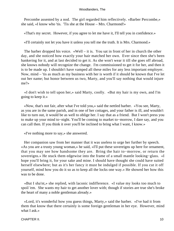Percombe assented by a nod. The girl regarded him reflectively. «Barber Percombe,» she said, «I know who 'tis. 'Tis she at the House – Mrs. Charmond!»

«That's my secret. However, if you agree to let me have it, I'll tell you in confidence.»

«I'll certainly not let you have it unless you tell me the truth. It is Mrs. Charmond.»

 The barber dropped his voice. «Well – it is. You sat in front of her in church the other day, and she noticed how exactly your hair matched her own. Ever since then she's been hankering for it, and at last decided to get it. As she won't wear it till she goes off abroad, she knows nobody will recognize the change. I'm commissioned to get it for her, and then it is to be made up. I shouldn't have vamped all these miles for any less important employer. Now, mind – 'tis as much as my business with her is worth if it should be known that I've let out her name; but honor between us two, Marty, and you'll say nothing that would injure me?»

 «I don't wish to tell upon her,» said Marty, coolly. «But my hair is my own, and I'm going to keep it.»

 «Now, that's not fair, after what I've told you,» said the nettled barber. «You see, Marty, as you are in the same parish, and in one of her cottages, and your father is ill, and wouldn't like to turn out, it would be as well to oblige her. I say that as a friend. But I won't press you to make up your mind to−night. You'll be coming to market to−morrow, I dare say, and you can call then. If you think it over you'll be inclined to bring what I want, I know.»

«I've nothing more to say,» she answered.

 Her companion saw from her manner that it was useless to urge her further by speech. «As you are a trusty young woman,» he said, «I'll put these sovereigns up here for ornament, that you may see how handsome they are. Bring the hair to−morrow, or return the sovereigns.» He stuck them edgewise into the frame of a small mantle looking−glass. «I hope you'll bring it, for your sake and mine. I should have thought she could have suited herself elsewhere; but as it's her fancy it must be indulged if possible. If you cut it off yourself, mind how you do it so as to keep all the locks one way.» He showed her how this was to be done.

 «But I sha'nt,» she replied, with laconic indifference. «I value my looks too much to spoil 'em. She wants my hair to get another lover with; though if stories are true she's broke the heart of many a noble gentleman already.»

 «Lord, it's wonderful how you guess things, Marty,» said the barber. «I've had it from them that know that there certainly is some foreign gentleman in her eye. However, mind what I ask.»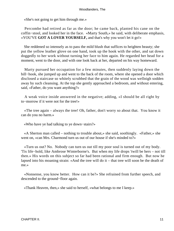«She's not going to get him through me.»

 Percombe had retired as far as the door; he came back, planted his cane on the coffin−stool, and looked her in the face. «Marty South,» he said, with deliberate emphasis, «YOU'VE **GOT A LOVER YOURSELF,** and that's why you won't let it go!»

 She reddened so intensely as to pass the mild blush that suffices to heighten beauty; she put the yellow leather glove on one hand, took up the hook with the other, and sat down doggedly to her work without turning her face to him again. He regarded her head for a moment, went to the door, and with one look back at her, departed on his way homeward.

 Marty pursued her occupation for a few minutes, then suddenly laying down the bill−hook, she jumped up and went to the back of the room, where she opened a door which disclosed a staircase so whitely scrubbed that the grain of the wood was wellnigh sodden away by such cleansing. At the top she gently approached a bedroom, and without entering, said, «Father, do you want anything?»

 A weak voice inside answered in the negative; adding, «I should be all right by to−morrow if it were not for the tree!»

 «The tree again – always the tree! Oh, father, don't worry so about that. You know it can do you no harm.»

«Who have ye had talking to ye down−stairs?»

 «A Sherton man called – nothing to trouble about,» she said, soothingly. «Father,» she went on, «can Mrs. Charmond turn us out of our house if she's minded to?»

 «Turn us out? No. Nobody can turn us out till my poor soul is turned out of my body. 'Tis life−hold, like Ambrose Winterborne's. But when my life drops 'twill be hers – not till then.» His words on this subject so far had been rational and firm enough. But now he lapsed into his moaning strain: «And the tree will do it – that tree will soon be the death of me.»

 «Nonsense, you know better. How can it be?» She refrained from further speech, and descended to the ground−floor again.

«Thank Heaven, then,» she said to herself, «what belongs to me I keep.»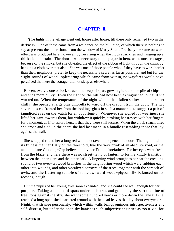### **[CHAPTER III.](#page-319-0)**

**The lights in the village went out, house after house, till there only remained two in the** darkness. One of these came from a residence on the hill−side, of which there is nothing to say at present; the other shone from the window of Marty South. Precisely the same outward effect was produced here, however, by her rising when the clock struck ten and hanging up a thick cloth curtain. The door it was necessary to keep ajar in hers, as in most cottages, because of the smoke; but she obviated the effect of the ribbon of light through the chink by hanging a cloth over that also. She was one of those people who, if they have to work harder than their neighbors, prefer to keep the necessity a secret as far as possible; and but for the slight sounds of wood− splintering which came from within, no wayfarer would have perceived that here the cottager did not sleep as elsewhere.

 Eleven, twelve, one o'clock struck; the heap of spars grew higher, and the pile of chips and ends more bulky. Even the light on the hill had now been extinguished; but still she worked on. When the temperature of the night without had fallen so low as to make her chilly, she opened a large blue umbrella to ward off the draught from the door. The two sovereigns confronted her from the looking−glass in such a manner as to suggest a pair of jaundiced eyes on the watch for an opportunity. Whenever she sighed for weariness she lifted her gaze towards them, but withdrew it quickly, stroking her tresses with her fingers for a moment, as if to assure herself that they were still secure. When the clock struck three she arose and tied up the spars she had last made in a bundle resembling those that lay against the wall.

 She wrapped round her a long red woollen cravat and opened the door. The night in all its fulness met her flatly on the threshold, like the very brink of an absolute void, or the antemundane Ginnung−Gap believed in by her Teuton forefathers. For her eyes were fresh from the blaze, and here there was no street−lamp or lantern to form a kindly transition between the inner glare and the outer dark. A lingering wind brought to her ear the creaking sound of two over−crowded branches in the neighboring wood which were rubbing each other into wounds, and other vocalized sorrows of the trees, together with the screech of owls, and the fluttering tumble of some awkward wood−pigeon ill− balanced on its roosting−bough.

 But the pupils of her young eyes soon expanded, and she could see well enough for her purpose. Taking a bundle of spars under each arm, and guided by the serrated line of tree−tops against the sky, she went some hundred yards or more down the lane till she reached a long open shed, carpeted around with the dead leaves that lay about everywhere. Night, that strange personality, which within walls brings ominous introspectiveness and self−distrust, but under the open sky banishes such subjective anxieties as too trivial for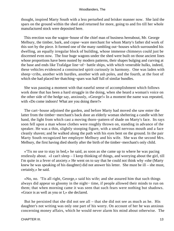thought, inspired Marty South with a less perturbed and brisker manner now. She laid the spars on the ground within the shed and returned for more, going to and fro till her whole manufactured stock were deposited here.

 This erection was the wagon−house of the chief man of business hereabout, Mr. George Melbury, the timber, bark, and copse−ware merchant for whom Marty's father did work of this sort by the piece. It formed one of the many rambling out−houses which surrounded his dwelling, an equally irregular block of building, whose immense chimneys could just be discerned even now. The four huge wagons under the shed were built on those ancient lines whose proportions have been ousted by modern patterns, their shapes bulging and curving at the base and ends like Trafalgar line−of− battle ships, with which venerable hulks, indeed, these vehicles evidenced a constructed spirit curiously in harmony. One was laden with sheep−cribs, another with hurdles, another with ash poles, and the fourth, at the foot of which she had placed her thatching−spars was half full of similar bundles.

 She was pausing a moment with that easeful sense of accomplishment which follows work done that has been a hard struggle in the doing, when she heard a woman's voice on the other side of the hedge say, anxiously, «George!» In a moment the name was repeated, with «Do come indoors! What are you doing there?»

 The cart−house adjoined the garden, and before Marty had moved she saw enter the latter from the timber−merchant's back door an elderly woman sheltering a candle with her hand, the light from which cast a moving thorn−pattern of shade on Marty's face. Its rays soon fell upon a man whose clothes were roughly thrown on, standing in advance of the speaker. He was a thin, slightly stooping figure, with a small nervous mouth and a face cleanly shaven; and he walked along the path with his eyes bent on the ground. In the pair Marty South recognized her employer Melbury and his wife. She was the second Mrs. Melbury, the first having died shortly after the birth of the timber−merchant's only child.

 «'Tis no use to stay in bed,» he said, as soon as she came up to where he was pacing restlessly about. «I can't sleep – I keep thinking of things, and worrying about the girl, till I'm quite in a fever of anxiety.» He went on to say that he could not think why «she (Marty knew he was speaking of his daughter) did not answer his letter. She must be ill – she must, certainly,» he said.

 «No, no. 'Tis all right, George,» said his wife; and she assured him that such things always did appear so gloomy in the night− time, if people allowed their minds to run on them; that when morning came it was seen that such fears were nothing but shadows. «Grace is as well as you or I,» she declared.

 But he persisted that she did not see all – that she did not see as much as he. His daughter's not writing was only one part of his worry. On account of her he was anxious concerning money affairs, which he would never alarm his mind about otherwise. The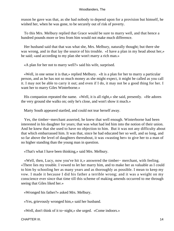reason he gave was that, as she had nobody to depend upon for a provision but himself, he wished her, when he was gone, to be securely out of risk of poverty.

 To this Mrs. Melbury replied that Grace would be sure to marry well, and that hence a hundred pounds more or less from him would not make much difference.

 Her husband said that that was what she, Mrs. Melbury, naturally thought; but there she was wrong, and in that lay the source of his trouble. «I have a plan in my head about her,» he said; «and according to my plan she won't marry a rich man.»

«A plan for her not to marry well?» said his wife, surprised.

 «Well, in one sense it is that,» replied Melbury. «It is a plan for her to marry a particular person, and as he has not so much money as she might expect, it might be called as you call it. I may not be able to carry it out; and even if I do, it may not be a good thing for her. I want her to marry Giles Winterborne.»

 His companion repeated the name. «Well, it is all right,» she said, presently. «He adores the very ground she walks on; only he's close, and won't show it much.»

Marty South appeared startled, and could not tear herself away.

 Yes, the timber−merchant asserted, he knew that well enough. Winterborne had been interested in his daughter for years; that was what had led him into the notion of their union. And he knew that she used to have no objection to him. But it was not any difficulty about that which embarrassed him. It was that, since he had educated her so well, and so long, and so far above the level of daughters thereabout, it was «wasting her» to give her to a man of no higher standing than the young man in question.

«That's what I have been thinking,» said Mrs. Melbury.

 «Well, then, Lucy, now you've hit it,» answered the timber− merchant, with feeling. «There lies my trouble. I vowed to let her marry him, and to make her as valuable as I could to him by schooling her as many years and as thoroughly as possible. I mean to keep my vow. I made it because I did his father a terrible wrong; and it was a weight on my conscience ever since that time till this scheme of making amends occurred to me through seeing that Giles liked her.»

«Wronged his father?» asked Mrs. Melbury.

«Yes, grievously wronged him,» said her husband.

«Well, don't think of it to−night,» she urged. «Come indoors.»

CHAPTER III. 2002. 2004. THE STREET STREET WAS SERVED FOR A 2004. THE STREET STREET STREET STREET STREET STREET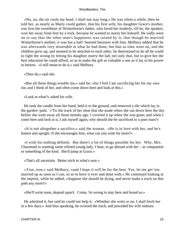«No, no, the air cools my head. I shall not stay long.» He was silent a while; then he told her, as nearly as Marty could gather, that his first wife, his daughter Grace's mother, was first the sweetheart of Winterborne's father, who loved her tenderly, till he, the speaker, won her away from him by a trick, because he wanted to marry her himself. He sadly went on to say that the other man's happiness was ruined by it; that though he married Winterborne's mother, it was but a half−hearted business with him. Melbury added that he was afterwards very miserable at what he had done; but that as time went on, and the children grew up, and seemed to be attached to each other, he determined to do all he could to right the wrong by letting his daughter marry the lad; not only that, but to give her the best education he could afford, so as to make the gift as valuable a one as it lay in his power to bestow. «I still mean to do it,» said Melbury.

«Then do,» said she.

 «But all these things trouble me,» said he; «for I feel I am sacrificing her for my own sin; and I think of her, and often come down here and look at this.»

«Look at what?» asked his wife.

 He took the candle from her hand, held it to the ground, and removed a tile which lay in the garden−path. «'Tis the track of her shoe that she made when she ran down here the day before she went away all those months ago. I covered it up when she was gone; and when I come here and look at it, I ask myself again, why should she be sacrificed to a poor man?»

 «It is not altogether a sacrifice,» said the woman. «He is in love with her, and he's honest and upright. If she encourages him, what can you wish for more?»

 «I wish for nothing definite. But there's a lot of things possible for her. Why, Mrs. Charmond is wanting some refined young lady, I hear, to go abroad with her – as companion or something of the kind. She'd jump at Grace.»

«That's all uncertain. Better stick to what's sure.»

 «True, true,» said Melbury; «and I hope it will be for the best. Yes, let me get 'em married up as soon as I can, so as to have it over and done with.» He continued looking at the imprint, while he added, «Suppose she should be dying, and never make a track on this path any more?»

«She'll write soon, depend upon't. Come, 'tis wrong to stay here and brood so.»

 He admitted it, but said he could not help it. «Whether she write or no, I shall fetch her in a few days.» And thus speaking, he covered the track, and preceded his wife indoors.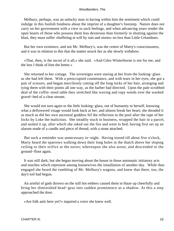Melbury, perhaps, was an unlucky man in having within him the sentiment which could indulge in this foolish fondness about the imprint of a daughter's footstep. Nature does not carry on her government with a view to such feelings, and when advancing years render the open hearts of those who possess them less dexterous than formerly in shutting against the blast, they must suffer «buffeting at will by rain and storm» no less than Little Celandines.

 But her own existence, and not Mr. Melbury's, was the centre of Marty's consciousness, and it was in relation to this that the matter struck her as she slowly withdrew.

 «That, then, is the secret of it all,» she said. «And Giles Winterborne is not for me, and the less I think of him the better.»

 She returned to her cottage. The sovereigns were staring at her from the looking−glass as she had left them. With a preoccupied countenance, and with tears in her eyes, she got a pair of scissors, and began mercilessly cutting off the long locks of her hair, arranging and tying them with their points all one way, as the barber had directed. Upon the pale scrubbed deal of the coffin−stool table they stretched like waving and ropy weeds over the washed gravel−bed of a clear stream.

 She would not turn again to the little looking−glass, out of humanity to herself, knowing what a deflowered visage would look back at her, and almost break her heart; she dreaded it as much as did her own ancestral goddess Sif the reflection in the pool after the rape of her locks by Loke the malicious. She steadily stuck to business, wrapped the hair in a parcel, and sealed it up, after which she raked out the fire and went to bed, having first set up an alarum made of a candle and piece of thread, with a stone attached.

 But such a reminder was unnecessary to−night. Having tossed till about five o'clock, Marty heard the sparrows walking down their long holes in the thatch above her sloping ceiling to their orifice at the eaves; whereupon she also arose, and descended to the ground−floor again.

 It was still dark, but she began moving about the house in those automatic initiatory acts and touches which represent among housewives the installation of another day. While thus engaged she heard the rumbling of Mr. Melbury's wagons, and knew that there, too, the day's toil had begun.

 An armful of gads thrown on the still hot embers caused them to blaze up cheerfully and bring her diminished head−gear into sudden prominence as a shadow. At this a step approached the door.

«Are folk astir here yet?» inquired a voice she knew well.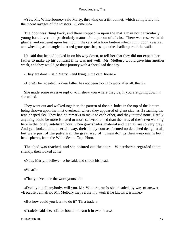«Yes, Mr. Winterborne,» said Marty, throwing on a tilt bonnet, which completely hid the recent ravages of the scissors. «Come in!»

 The door was flung back, and there stepped in upon the mat a man not particularly young for a lover, nor particularly mature for a person of affairs. There was reserve in his glance, and restraint upon his mouth. He carried a horn lantern which hung upon a swivel, and wheeling as it dangled marked grotesque shapes upon the shadier part of the walls.

 He said that he had looked in on his way down, to tell her that they did not expect her father to make up his contract if he was not well. Mr. Melbury would give him another week, and they would go their journey with a short load that day.

«They are done,» said Marty, «and lying in the cart−house.»

«Done!» he repeated. «Your father has not been too ill to work after all, then?»

 She made some evasive reply. «I'll show you where they be, if you are going down,» she added.

 They went out and walked together, the pattern of the air−holes in the top of the lantern being thrown upon the mist overhead, where they appeared of giant size, as if reaching the tent−shaped sky. They had no remarks to make to each other, and they uttered none. Hardly anything could be more isolated or more self−contained than the lives of these two walking here in the lonely antelucan hour, when gray shades, material and mental, are so very gray. And yet, looked at in a certain way, their lonely courses formed no detached design at all, but were part of the pattern in the great web of human doings then weaving in both hemispheres, from the White Sea to Cape Horn.

 The shed was reached, and she pointed out the spars. Winterborne regarded them silently, then looked at her.

«Now, Marty, I believe  $-\infty$  he said, and shook his head.

«What?»

«That you've done the work yourself.»

 «Don't you tell anybody, will you, Mr. Winterborne?» she pleaded, by way of answer. «Because I am afraid Mr. Melbury may refuse my work if he knows it is mine.»

«But how could you learn to do it? 'Tis a trade.»

«Trade!» said she. «I'd be bound to learn it in two hours.»

CHAPTER III. 17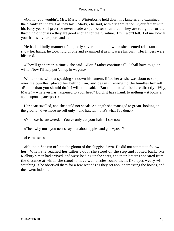«Oh no, you wouldn't, Mrs. Marty.» Winterborne held down his lantern, and examined the cleanly split hazels as they lay. «Marty,» he said, with dry admiration, «your father with his forty years of practice never made a spar better than that. They are too good for the thatching of houses – they are good enough for the furniture. But I won't tell. Let me look at your hands – your poor hands!»

 He had a kindly manner of a quietly severe tone; and when she seemed reluctant to show her hands, he took hold of one and examined it as if it were his own. Her fingers were blistered.

 «They'll get harder in time,» she said. «For if father continues ill, I shall have to go on wi' it. Now I'll help put 'em up in wagon.»

 Winterborne without speaking set down his lantern, lifted her as she was about to stoop over the bundles, placed her behind him, and began throwing up the bundles himself. «Rather than you should do it I will,» he said. «But the men will be here directly. Why, Marty! – whatever has happened to your head? Lord, it has shrunk to nothing – it looks an apple upon a gate−post!»

 Her heart swelled, and she could not speak. At length she managed to groan, looking on the ground, «I've made myself ugly – and hateful – that's what I've done!»

«No, no,» he answered. "You've only cut your hair – I see now.

«Then why must you needs say that about apples and gate−posts?»

«Let me see.»

 «No, no!» She ran off into the gloom of the sluggish dawn. He did not attempt to follow her. When she reached her father's door she stood on the step and looked back. Mr. Melbury's men had arrived, and were loading up the spars, and their lanterns appeared from the distance at which she stood to have wan circles round them, like eyes weary with watching. She observed them for a few seconds as they set about harnessing the horses, and then went indoors.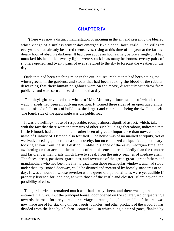## **[CHAPTER IV.](#page-319-0)**

**There was now a distinct manifestation of morning in the air, and presently the bleared** white visage of a sunless winter day emerged like a dead−born child. The villagers everywhere had already bestirred themselves, rising at this time of the year at the far less dreary hour of absolute darkness. It had been above an hour earlier, before a single bird had untucked his head, that twenty lights were struck in as many bedrooms, twenty pairs of shutters opened, and twenty pairs of eyes stretched to the sky to forecast the weather for the day.

 Owls that had been catching mice in the out−houses, rabbits that had been eating the wintergreens in the gardens, and stoats that had been sucking the blood of the rabbits, discerning that their human neighbors were on the move, discreetly withdrew from publicity, and were seen and heard no more that day.

 The daylight revealed the whole of Mr. Melbury's homestead, of which the wagon−sheds had been an outlying erection. It formed three sides of an open quadrangle, and consisted of all sorts of buildings, the largest and central one being the dwelling itself. The fourth side of the quadrangle was the public road.

 It was a dwelling−house of respectable, roomy, almost dignified aspect; which, taken with the fact that there were the remains of other such buildings thereabout, indicated that Little Hintock had at some time or other been of greater importance than now, as its old name of Hintock St. Osmond also testified. The house was of no marked antiquity, yet of well−advanced age; older than a stale novelty, but no canonized antique; faded, not hoary; looking at you from the still distinct middle−distance of the early Georgian time, and awakening on that account the instincts of reminiscence more decidedly than the remoter and far grander memorials which have to speak from the misty reaches of mediaevalism. The faces, dress, passions, gratitudes, and revenues of the great−great− grandfathers and grandmothers who had been the first to gaze from those rectangular windows, and had stood under that key−stoned doorway, could be divined and measured by homely standards of to− day. It was a house in whose reverberations queer old personal tales were yet audible if properly listened for; and not, as with those of the castle and cloister, silent beyond the possibility of echo.

 The garden−front remained much as it had always been, and there was a porch and entrance that way. But the principal house−door opened on the square yard or quadrangle towards the road, formerly a regular carriage entrance, though the middle of the area was now made use of for stacking timber, fagots, bundles, and other products of the wood. It was divided from the lane by a lichen− coated wall, in which hung a pair of gates, flanked by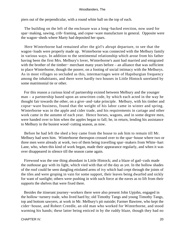piers out of the perpendicular, with a round white ball on the top of each.

 The building on the left of the enclosure was a long−backed erection, now used for spar−making, sawing, crib−framing, and copse−ware manufacture in general. Opposite were the wagon−sheds where Marty had deposited her spars.

 Here Winterborne had remained after the girl's abrupt departure, to see that the wagon−loads were properly made up. Winterborne was connected with the Melbury family in various ways. In addition to the sentimental relationship which arose from his father having been the first Mrs. Melbury's lover, Winterborne's aunt had married and emigrated with the brother of the timber− merchant many years before – an alliance that was sufficient to place Winterborne, though the poorer, on a footing of social intimacy with the Melburys. As in most villages so secluded as this, intermarriages were of Hapsburgian frequency among the inhabitants, and there were hardly two houses in Little Hintock unrelated by some matrimonial tie or other.

 For this reason a curious kind of partnership existed between Melbury and the younger man – a partnership based upon an unwritten code, by which each acted in the way he thought fair towards the other, on a give−and−take principle. Melbury, with his timber and copse−ware business, found that the weight of his labor came in winter and spring. Winterborne was in the apple and cider trade, and his requirements in cartage and other work came in the autumn of each year. Hence horses, wagons, and in some degree men, were handed over to him when the apples began to fall; he, in return, lending his assistance to Melbury in the busiest wood−cutting season, as now.

 Before he had left the shed a boy came from the house to ask him to remain till Mr. Melbury had seen him. Winterborne thereupon crossed over to the spar−house where two or three men were already at work, two of them being travelling spar−makers from White−hart Lane, who, when this kind of work began, made their appearance regularly, and when it was over disappeared in silence till the season came again.

 Firewood was the one thing abundant in Little Hintock; and a blaze of gad−cuds made the outhouse gay with its light, which vied with that of the day as yet. In the hollow shades of the roof could be seen dangling etiolated arms of ivy which had crept through the joints of the tiles and were groping in vain for some support, their leaves being dwarfed and sickly for want of sunlight; others were pushing in with such force at the eaves as to lift from their supports the shelves that were fixed there.

 Besides the itinerant journey−workers there were also present John Upjohn, engaged in the hollow−turnery trade, who lived hard by; old Timothy Tangs and young Timothy Tangs, top and bottom sawyers, at work in Mr. Melbury's pit outside; Farmer Bawtree, who kept the cider−house, and Robert Creedle, an old man who worked for Winterborne, and stood warming his hands; these latter being enticed in by the ruddy blaze, though they had no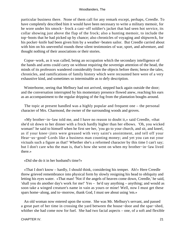particular business there. None of them call for any remark except, perhaps, Creedle. To have completely described him it would have been necessary to write a military memoir, for he wore under his smock− frock a cast−off soldier's jacket that had seen hot service, its collar showing just above the flap of the frock; also a hunting memoir, to include the top−boots that he had picked up by chance; also chronicles of voyaging and shipwreck, for his pocket−knife had been given him by a weather−beaten sailor. But Creedle carried about with him on his uneventful rounds these silent testimonies of war, sport, and adventure, and thought nothing of their associations or their stories.

 Copse−work, as it was called, being an occupation which the secondary intelligence of the hands and arms could carry on without requiring the sovereign attention of the head, the minds of its professors wandered considerably from the objects before them; hence the tales, chronicles, and ramifications of family history which were recounted here were of a very exhaustive kind, and sometimes so interminable as to defy description.

 Winterborne, seeing that Melbury had not arrived, stepped back again outside the door; and the conversation interrupted by his momentary presence flowed anew, reaching his ears as an accompaniment to the regular dripping of the fog from the plantation boughs around.

 The topic at present handled was a highly popular and frequent one – the personal character of Mrs. Charmond, the owner of the surrounding woods and groves.

 «My brother−in−law told me, and I have no reason to doubt it,» said Creedle, «that she'd sit down to her dinner with a frock hardly higher than her elbows. 'Oh, you wicked woman!' he said to himself when he first see her, 'you go to your church, and sit, and kneel, as if your knee−jints were greased with very saint's anointment, and tell off your Hear−us−good−Lords like a business man counting money; and yet you can eat your victuals such a figure as that!' Whether she's a reformed character by this time I can't say; but I don't care who the man is, that's how she went on when my brother−in−law lived there.»

«Did she do it in her husband's time?»

 «That I don't know – hardly, I should think, considering his temper. Ah!» Here Creedle threw grieved remembrance into physical form by slowly resigning his head to obliquity and letting his eyes water. «That man! 'Not if the angels of heaven come down, Creedle,' he said, 'shall you do another day's work for me!' Yes – he'd say anything – anything; and would as soon take a winged creature's name in vain as yours or mine! Well, now I must get these spars home−along, and to−morrow, thank God, I must see about using 'em.»

 An old woman now entered upon the scene. She was Mr. Melbury's servant, and passed a great part of her time in crossing the yard between the house−door and the spar−shed, whither she had come now for fuel. She had two facial aspects – one, of a soft and flexible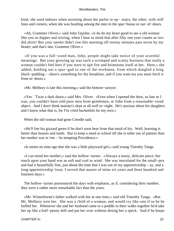kind, she used indoors when assisting about the parlor or up− stairs; the other, with stiff lines and corners, when she was bustling among the men in the spar−house or out−of−doors.

 «Ah, Grammer Oliver,» said John Upjohn, «it do do my heart good to see a old woman like you so dapper and stirring, when I bear in mind that after fifty one year counts as two did afore! But your smoke didn't rise this morning till twenty minutes past seven by my beater; and that's late, Grammer Oliver.»

 «If you was a full−sized man, John, people might take notice of your scornful meanings. But your growing up was such a scrimped and scanty business that really a woman couldn't feel hurt if you were to spit fire and brimstone itself at her. Here,» she added, holding out a spar−gad to one of the workmen, from which dangled a long black−pudding – «here's something for thy breakfast, and if you want tea you must fetch it from in−doors.»

«Mr. Melbury is late this morning,» said the bottom−sawyer.

 «Yes. 'Twas a dark dawn,» said Mrs. Oliver. «Even when I opened the door, so late as I was, you couldn't have told poor men from gentlemen, or John from a reasonable−sized object. And I don't think maister's slept at all well to−night. He's anxious about his daughter; and I know what that is, for I've cried bucketfuls for my own.»

When the old woman had gone Creedle said,

 «He'll fret his gizzard green if he don't soon hear from that maid of his. Well, learning is better than houses and lands. But to keep a maid at school till she is taller out of pattens than her mother was in 'em – 'tis tempting Providence.»

«It seems no time ago that she was a little playward girl,» said young Timothy Tangs.

 «I can mind her mother,» said the hollow−turner. «Always a teuny, delicate piece; her touch upon your hand was as soft and cool as wind. She was inoculated for the small−pox and had it beautifully fine, just about the time that I was out of my apprenticeship – ay, and a long apprenticeship 'twas. I served that master of mine six years and three hundred and fourteen days.»

The hollow–turner pronounced the days with emphasis, as if, considering their number, they were a rather more remarkable fact than the years.

 «Mr. Winterborne's father walked with her at one time,» said old Timothy Tangs. «But Mr. Melbury won her. She was a child of a woman, and would cry like rain if so be he huffed her. Whenever she and her husband came to a puddle in their walks together he'd take her up like a half−penny doll and put her over without dirting her a speck. And if he keeps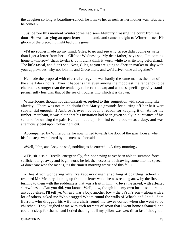the daughter so long at boarding−school, he'll make her as nesh as her mother was. But here he comes.»

 Just before this moment Winterborne had seen Melbury crossing the court from his door. He was carrying an open letter in his hand, and came straight to Winterborne. His gloom of the preceding night had quite gone.

 «I'd no sooner made up my mind, Giles, to go and see why Grace didn't come or write than I get a letter from her – 'Clifton: Wednesday. My dear father,' says she, 'I'm coming home to−morrow' (that's to−day), 'but I didn't think it worth while to write long beforehand.' The little rascal, and didn't she! Now, Giles, as you are going to Sherton market to−day with your apple−trees, why not join me and Grace there, and we'll drive home all together?»

 He made the proposal with cheerful energy; he was hardly the same man as the man of the small dark hours. Ever it happens that even among the moodiest the tendency to be cheered is stronger than the tendency to be cast down; and a soul's specific gravity stands permanently less than that of the sea of troubles into which it is thrown.

 Winterborne, though not demonstrative, replied to this suggestion with something like alacrity. There was not much doubt that Marty's grounds for cutting off her hair were substantial enough, if Ambrose's eyes had been a reason for keeping it on. As for the timber−merchant, it was plain that his invitation had been given solely in pursuance of his scheme for uniting the pair. He had made up his mind to the course as a duty, and was strenuously bent upon following it out.

 Accompanied by Winterborne, he now turned towards the door of the spar−house, when his footsteps were heard by the men as aforesaid.

«Well, John, and Lot,» he said, nodding as he entered. «A rimy morning.»

 «'Tis, sir!» said Creedle, energetically; for, not having as yet been able to summon force sufficient to go away and begin work, he felt the necessity of throwing some into his speech. «I don't care who the man is, 'tis the rimiest morning we've had this fall.»

 «I heard you wondering why I've kept my daughter so long at boarding−school,» resumed Mr. Melbury, looking up from the letter which he was reading anew by the fire, and turning to them with the suddenness that was a trait in him. «Hey?» he asked, with affected shrewdness. «But you did, you know. Well, now, though it is my own business more than anybody else's, I'll tell ye. When I was a boy, another boy – the pa'son's son – along with a lot of others, asked me 'Who dragged Whom round the walls of What?' and I said, 'Sam Barrett, who dragged his wife in a chair round the tower corner when she went to be churched.' They laughed at me with such torrents of scorn that I went home ashamed, and couldn't sleep for shame; and I cried that night till my pillow was wet: till at last I thought to

CHAPTER IV. 23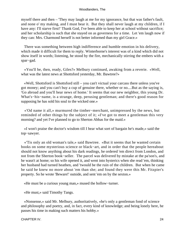myself there and then – 'They may laugh at me for my ignorance, but that was father's fault, and none o' my making, and I must bear it. But they shall never laugh at my children, if I have any: I'll starve first!' Thank God, I've been able to keep her at school without sacrifice; and her scholarship is such that she stayed on as governess for a time. Let 'em laugh now if they can: Mrs. Charmond herself is not better informed than my girl Grace.»

 There was something between high indifference and humble emotion in his delivery, which made it difficult for them to reply. Winterborne's interest was of a kind which did not show itself in words; listening, he stood by the fire, mechanically stirring the embers with a spar−gad.

 «You'll be, then, ready, Giles?» Melbury continued, awaking from a reverie. «Well, what was the latest news at Shottsford yesterday, Mr. Bawtree?»

 «Well, Shottsford is Shottsford still – you can't victual your carcass there unless you've got money; and you can't buy a cup of genuine there, whether or no....But as the saying is, 'Go abroad and you'll hear news of home.' It seems that our new neighbor, this young Dr. What's−his−name, is a strange, deep, perusing gentleman; and there's good reason for supposing he has sold his soul to the wicked one.»

 «'Od name it all,» murmured the timber−merchant, unimpressed by the news, but reminded of other things by the subject of it; «I've got to meet a gentleman this very morning? and yet I've planned to go to Sherton Abbas for the maid.»

 «I won't praise the doctor's wisdom till I hear what sort of bargain he's made,» said the top−sawyer.

 «'Tis only an old woman's tale,» said Bawtree. «But it seems that he wanted certain books on some mysterious science or black−art, and in order that the people hereabout should not know anything about his dark readings, he ordered 'em direct from London, and not from the Sherton book−seller. The parcel was delivered by mistake at the pa'son's, and he wasn't at home; so his wife opened it, and went into hysterics when she read 'em, thinking her husband had turned heathen, and 'twould be the ruin of the children. But when he came he said he knew no more about 'em than she; and found they were this Mr. Fitzpier's property. So he wrote 'Beware!' outside, and sent 'em on by the sexton.»

«He must be a curious young man,» mused the hollow−turner.

«He must,» said Timothy Tangs.

 «Nonsense,» said Mr. Melbury, authoritatively, «he's only a gentleman fond of science and philosophy and poetry, and, in fact, every kind of knowledge; and being lonely here, he passes his time in making such matters his hobby.»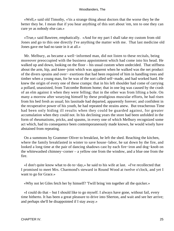«Well,» said old Timothy, «'tis a strange thing about doctors that the worse they be the better they be. I mean that if you hear anything of this sort about 'em, ten to one they can cure ye as nobody else can.»

 «True,» said Bawtree, emphatically. «And for my part I shall take my custom from old Jones and go to this one directly I've anything the matter with me. That last medicine old Jones gave me had no taste in it at all.»

 Mr. Melbury, as became a well−informed man, did not listen to these recitals, being moreover preoccupied with the business appointment which had come into his head. He walked up and down, looking on the floor – his usual custom when undecided. That stiffness about the arm, hip, and knee−joint which was apparent when he walked was the net product of the divers sprains and over− exertions that had been required of him in handling trees and timber when a young man, for he was of the sort called self−made, and had worked hard. He knew the origin of every one of these cramps: that in his left shoulder had come of carrying a pollard, unassisted, from Tutcombe Bottom home; that in one leg was caused by the crash of an elm against it when they were felling; that in the other was from lifting a bole. On many a morrow after wearying himself by these prodigious muscular efforts, he had risen from his bed fresh as usual; his lassitude had departed, apparently forever; and confident in the recuperative power of his youth, he had repeated the strains anew. But treacherous Time had been only hiding ill results when they could be guarded against, for greater accumulation when they could not. In his declining years the store had been unfolded in the form of rheumatisms, pricks, and spasms, in every one of which Melbury recognized some act which, had its consequence been contemporaneously made known, he would wisely have abstained from repeating.

 On a summons by Grammer Oliver to breakfast, he left the shed. Reaching the kitchen, where the family breakfasted in winter to save house−labor, he sat down by the fire, and looked a long time at the pair of dancing shadows cast by each fire−iron and dog−knob on the whitewashed chimney−corner – a yellow one from the window, and a blue one from the fire.

 «I don't quite know what to do to−day,» he said to his wife at last. «I've recollected that I promised to meet Mrs. Charmond's steward in Round Wood at twelve o'clock, and yet I want to go for Grace.»

«Why not let Giles fetch her by himself? 'Twill bring 'em together all the quicker.»

 «I could do that – but I should like to go myself. I always have gone, without fail, every time hitherto. It has been a great pleasure to drive into Sherton, and wait and see her arrive; and perhaps she'll be disappointed if I stay away.»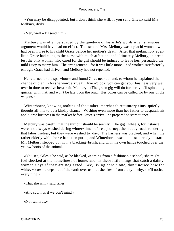«Yon may be disappointed, but I don't think she will, if you send Giles,» said Mrs. Melbury, dryly.

«Very well – I'll send him.»

 Melbury was often persuaded by the quietude of his wife's words when strenuous argument would have had no effect. This second Mrs. Melbury was a placid woman, who had been nurse to his child Grace before her mother's death. After that melancholy event little Grace had clung to the nurse with much affection; and ultimately Melbury, in dread lest the only woman who cared for the girl should be induced to leave her, persuaded the mild Lucy to marry him. The arrangement – for it was little more – had worked satisfactorily enough; Grace had thriven, and Melbury had not repented.

 He returned to the spar−house and found Giles near at hand, to whom he explained the change of plan. «As she won't arrive till five o'clock, you can get your business very well over in time to receive her,» said Melbury. «The green gig will do for her; you'll spin along quicker with that, and won't be late upon the road. Her boxes can be called for by one of the wagons.»

 Winterborne, knowing nothing of the timber−merchant's restitutory aims, quietly thought all this to be a kindly chance. Wishing even more than her father to despatch his apple−tree business in the market before Grace's arrival, he prepared to start at once.

Melbury was careful that the turnout should be seemly. The gig– wheels, for instance, were not always washed during winter−time before a journey, the muddy roads rendering that labor useless; but they were washed to−day. The harness was blacked, and when the rather elderly white horse had been put in, and Winterborne was in his seat ready to start, Mr. Melbury stepped out with a blacking−brush, and with his own hands touched over the yellow hoofs of the animal.

 «You see, Giles,» he said, as he blacked, «coming from a fashionable school, she might feel shocked at the homeliness of home; and 'tis these little things that catch a dainty woman's eye if they are neglected. We, living here alone, don't notice how the whitey−brown creeps out of the earth over us; but she, fresh from a city – why, she'll notice everything!»

«That she will,» said Giles.

«And scorn us if we don't mind.»

«Not scorn us.»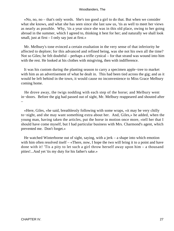«No, no, no – that's only words. She's too good a girl to do that. But when we consider what she knows, and what she has seen since she last saw us, 'tis as well to meet her views as nearly as possible. Why, 'tis a year since she was in this old place, owing to her going abroad in the summer, which I agreed to, thinking it best for her; and naturally we shall look small, just at first – I only say just at first.»

 Mr. Melbury's tone evinced a certain exultation in the very sense of that inferiority he affected to deplore; for this advanced and refined being, was she not his own all the time? Not so Giles; he felt doubtful – perhaps a trifle cynical – for that strand was wound into him with the rest. He looked at his clothes with misgiving, then with indifference.

 It was his custom during the planting season to carry a specimen apple−tree to market with him as an advertisement of what he dealt in. This had been tied across the gig; and as it would be left behind in the town, it would cause no inconvenience to Miss Grace Melbury coming home.

 He drove away, the twigs nodding with each step of the horse; and Melbury went in−doors. Before the gig had passed out of sight, Mr. Melbury reappeared and shouted after –

 «Here, Giles, »he said, breathlessly following with some wraps, «it may be very chilly to−night, and she may want something extra about her. And, Giles,» he added, when the young man, having taken the articles, put the horse in motion once more, «tell her that I should have come myself, but I had particular business with Mrs. Charmond's agent, which prevented me. Don't forget.»

 He watched Winterborne out of sight, saying, with a jerk – a shape into which emotion with him often resolved itself – «There, now, I hope the two will bring it to a point and have done with it! 'Tis a pity to let such a girl throw herself away upon him – a thousand pities!...And yet 'tis my duty for his father's sake.»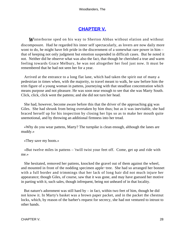# **[CHAPTER V.](#page-319-0)**

*W*interborne sped on his way to Sherton Abbas without elation and without discomposure. Had he regarded his inner self spectacularly, as lovers are now daily more wont to do, he might have felt pride in the discernment of a somewhat rare power in him – that of keeping not only judgment but emotion suspended in difficult cases. But he noted it not. Neither did he observe what was also the fact, that though he cherished a true and warm feeling towards Grace Melbury, he was not altogether her fool just now. It must be remembered that he had not seen her for a year.

 Arrived at the entrance to a long flat lane, which had taken the spirit out of many a pedestrian in times when, with the majority, to travel meant to walk, he saw before him the trim figure of a young woman in pattens, journeying with that steadfast concentration which means purpose and not pleasure. He was soon near enough to see that she was Marty South. Click, click, click went the pattens; and she did not turn her head.

 She had, however, become aware before this that the driver of the approaching gig was Giles. She had shrunk from being overtaken by him thus; but as it was inevitable, she had braced herself up for his inspection by closing her lips so as to make her mouth quite unemotional, and by throwing an additional firmness into her tread.

 «Why do you wear pattens, Marty? The turnpike is clean enough, although the lanes are muddy.»

«They save my boots.»

 «But twelve miles in pattens – 'twill twist your feet off. Come, get up and ride with me.»

 She hesitated, removed her pattens, knocked the gravel out of them against the wheel, and mounted in front of the nodding specimen apple−tree. She had so arranged her bonnet with a full border and trimmings that her lack of long hair did not much injure her appearance; though Giles, of course, saw that it was gone, and may have guessed her motive in parting with it, such sales, though infrequent, being not unheard of in that locality.

But nature's adornment was still hard by  $-$  in fact, within two feet of him, though he did not know it. In Marty's basket was a brown paper packet, and in the packet the chestnut locks, which, by reason of the barber's request for secrecy, she had not ventured to intrust to other hands.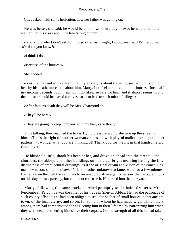Giles asked, with some hesitation, how her father was getting on.

 He was better, she said; he would be able to work in a day or two; he would be quite well but for his craze about the tree falling on him.

 «You know why I don't ask for him so often as I might, I suppose?» said Winterborne. «Or don't you know?»

«I think I do.»

«Because of the houses?»

She nodded.

 «Yes. I am afraid it may seem that my anxiety is about those houses, which I should lose by his death, more than about him. Marty, I do feel anxious about the houses, since half my income depends upon them; but I do likewise care for him; and it almost seems wrong that houses should be leased for lives, so as to lead to such mixed feelings.»

«After father's death they will be Mrs. Charmond's?»

«They'll be hers.»

«They are going to keep company with my hair,» she thought.

 Thus talking, they reached the town. By no pressure would she ride up the street with him. «That's the right of another woman,» she said, with playful malice, as she put on her pattens. «I wonder what you are thinking of! Thank you for the lift in that handsome gig. Good−by.»

 He blushed a little, shook his head at her, and drove on ahead into the streets – the churches, the abbey, and other buildings on this clear bright morning having the liny distinctness of architectural drawings, as if the original dream and vision of the conceiving master−mason, some mediaeval Vilars or other unknown to fame, were for a few minutes flashed down through the centuries to an unappreciative age. Giles saw their eloquent look on this day of transparency, but could not construe it. He turned into the inn−yard.

 Marty, following the same track, marched promptly to the hair− dresser's, Mr. Percombe's. Percombe was the chief of his trade in Sherton Abbas. He had the patronage of such county offshoots as had been obliged to seek the shelter of small houses in that ancient town, of the local clergy, and so on, for some of whom he had made wigs, while others among them had compensated for neglecting him in their lifetime by patronizing him when they were dead, and letting him shave their corpses. On the strength of all this he had taken

CHAPTER V. 29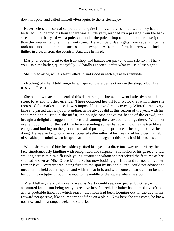down his pole, and called himself «Perruquier to the aristocracy.»

 Nevertheless, this sort of support did not quite fill his children's mouths, and they had to be filled. So, behind his house there was a little yard, reached by a passage from the back street, and in that yard was a pole, and under the pole a shop of quite another description than the ornamental one in the front street. Here on Saturday nights from seven till ten he took an almost innumerable succession of twopences from the farm laborers who flocked thither in crowds from the country. And thus he lived.

 Marty, of course, went to the front shop, and handed her packet to him silently. «Thank you,» said the barber, quite joyfully. «I hardly expected it after what you said last night.»

She turned aside, while a tear welled up and stood in each eye at this reminder.

 «Nothing of what I told you,» he whispered, there being others in the shop. «But I can trust you, I see.»

 She had now reached the end of this distressing business, and went listlessly along the street to attend to other errands. These occupied her till four o'clock, at which time she recrossed the market−place. It was impossible to avoid rediscovering Winterborne every time she passed that way, for standing, as he always did at this season of the year, with his specimen apple− tree in the midst, the boughs rose above the heads of the crowd, and brought a delightful suggestion of orchards among the crowded buildings there. When her eye fell upon him for the last time he was standing somewhat apart, holding the tree like an ensign, and looking on the ground instead of pushing his produce as he ought to have been doing. He was, in fact, not a very successful seller either of his trees or of his cider, his habit of speaking his mind, when he spoke at all, militating against this branch of his business.

 While she regarded him he suddenly lifted his eyes in a direction away from Marty, his face simultaneously kindling with recognition and surprise. She followed his gaze, and saw walking across to him a flexible young creature in whom she perceived the features of her she had known as Miss Grace Melbury, but now looking glorified and refined above her former level. Winterborne, being fixed to the spot by his apple−tree, could not advance to meet her; he held out his spare hand with his hat in it, and with some embarrassment beheld her coming on tiptoe through the mud to the middle of the square where he stood.

 Miss Melbury's arrival so early was, as Marty could see, unexpected by Giles, which accounted for his not being ready to receive her. Indeed, her father had named five o'clock as her probable time, for which reason that hour had been looming out all the day in his forward perspective, like an important edifice on a plain. Now here she was come, he knew not how, and his arranged welcome stultified.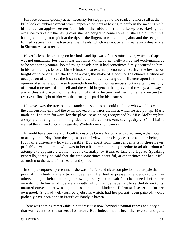His face became gloomy at her necessity for stepping into the road, and more still at the little look of embarrassment which appeared on hers at having to perform the meeting with him under an apple−tree ten feet high in the middle of the market−place. Having had occasion to take off the new gloves she had bought to come home in, she held out to him a hand graduating from pink at the tips of the fingers to white at the palm; and the reception formed a scene, with the tree over their heads, which was not by any means an ordinary one in Sherton Abbas streets.

 Nevertheless, the greeting on her looks and lips was of a restrained type, which perhaps was not unnatural. For true it was that Giles Winterborne, well−attired and well−mannered as he was for a yeoman, looked rough beside her. It had sometimes dimly occurred to him, in his ruminating silence at Little Hintock, that external phenomena – such as the lowness or height or color of a hat, the fold of a coat, the make of a boot, or the chance attitude or occupation of a limb at the instant of view – may have a great influence upon feminine opinion of a man's worth – so frequently founded on non−essentials; but a certain causticity of mental tone towards himself and the world in general had prevented to−day, as always, any enthusiastic action on the strength of that reflection; and her momentary instinct of reserve at first sight of him was the penalty he paid for his laxness.

 He gave away the tree to a by−stander, as soon as he could find one who would accept the cumbersome gift, and the twain moved on towards the inn at which he had put up. Marty made as if to step forward for the pleasure of being recognized by Miss Melbury; but abruptly checking herself, she glided behind a carrier's van, saying, dryly, «No; I baint wanted there,» and critically regarded Winterborne's companion.

 It would have been very difficult to describe Grace Melbury with precision, either now or at any time. Nay, from the highest point of view, to precisely describe a human being, the focus of a universe – how impossible! But, apart from transcendentalism, there never probably lived a person who was in herself more completely a reductio ad absurdum of attempts to appraise a woman, even externally, by items of face and figure. Speaking generally, it may be said that she was sometimes beautiful, at other times not beautiful, according to the state of her health and spirits.

 In simple corporeal presentment she was of a fair and clear complexion, rather pale than pink, slim in build and elastic in movement. Her look expressed a tendency to wait for others' thoughts before uttering her own; possibly also to wait for others' deeds before her own doing. In her small, delicate mouth, which had perhaps hardly settled down to its matured curves, there was a gentleness that might hinder sufficient self−assertion for her own good. She had well−formed eyebrows which, had her portrait been painted, would probably have been done in Prout's or Vandyke brown.

 There was nothing remarkable in her dress just now, beyond a natural fitness and a style that was recent for the streets of Sherton. But, indeed, had it been the reverse, and quite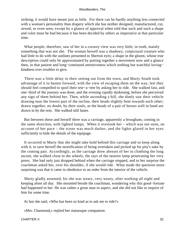striking, it would have meant just as little. For there can be hardly anything less connected with a woman's personality than drapery which she has neither designed, manufactured, cut, sewed, or even seen, except by a glance of approval when told that such and such a shape and color must be had because it has been decided by others as imperative at that particular time.

 What people, therefore, saw of her in a cursory view was very little; in truth, mainly something that was not she. The woman herself was a shadowy, conjectural creature who had little to do with the outlines presented to Sherton eyes; a shape in the gloom, whose true description could only be approximated by putting together a movement now and a glance then, in that patient and long−continued attentiveness which nothing but watchful loving− kindness ever troubles to give.

 There was a little delay in their setting out from the town, and Marty South took advantage of it to hasten forward, with the view of escaping them on the way, lest they should feel compelled to spoil their tete−a−tete by asking her to ride. She walked fast, and one−third of the journey was done, and the evening rapidly darkening, before she perceived any sign of them behind her. Then, while ascending a hill, she dimly saw their vehicle drawing near the lowest part of the incline, their heads slightly bent towards each other; drawn together, no doubt, by their souls, as the heads of a pair of horses well in hand are drawn in by the rein. She walked still faster.

 But between these and herself there was a carriage, apparently a brougham, coming in the same direction, with lighted lamps. When it overtook her – which was not soon, on account of her pace – the scene was much darker, and the lights glared in her eyes sufficiently to hide the details of the equipage.

 It occurred to Marty that she might take hold behind this carriage and so keep along with it, to save herself the mortification of being overtaken and picked up for pity's sake by the coming pair. Accordingly, as the carriage drew abreast of her in climbing the long ascent, she walked close to the wheels, the rays of the nearest lamp penetrating her very pores. She had only just dropped behind when the carriage stopped, and to her surprise the coachman asked her, over his shoulder, if she would ride. What made the question more surprising was that it came in obedience to an order from the interior of the vehicle.

 Marty gladly assented, for she was weary, very weary, after working all night and keeping afoot all day. She mounted beside the coachman, wondering why this good−fortune had happened to her. He was rather a great man in aspect, and she did not like to inquire of him for some time.

At last she said, «Who has been so kind as to ask me to ride?»

«Mrs. Charmond,» replied her statuesque companion.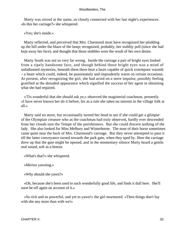Marty was stirred at the name, so closely connected with her last night's experiences. «Is this her carriage?» she whispered.

«Yes; she's inside.»

 Marty reflected, and perceived that Mrs. Charmond must have recognized her plodding up the hill under the blaze of the lamp; recognized, probably, her stubbly poll (since she had kept away her face), and thought that those stubbles were the result of her own desire.

 Marty South was not so very far wrong. Inside the carriage a pair of bright eyes looked from a ripely handsome face, and though behind those bright eyes was a mind of unfathomed mysteries, beneath them there beat a heart capable of quick extempore warmth – a heart which could, indeed, be passionately and imprudently warm on certain occasions. At present, after recognizing the girl, she had acted on a mere impulse, possibly feeling gratified at the denuded appearance which signified the success of her agent in obtaining what she had required.

 «'Tis wonderful that she should ask ye,» observed the magisterial coachman, presently. «I have never known her do it before, for as a rule she takes no interest in the village folk at all.»

 Marty said no more, but occasionally turned her head to see if she could get a glimpse of the Olympian creature who as the coachman had truly observed, hardly ever descended from her clouds into the Tempe of the parishioners. But she could discern nothing of the lady. She also looked for Miss Melbury and Winterborne. The nose of their horse sometimes came quite near the back of Mrs. Charmond's carriage. But they never attempted to pass it till the latter conveyance turned towards the park gate, when they sped by. Here the carriage drew up that the gate might be opened, and in the momentary silence Marty heard a gentle oral sound, soft as a breeze.

«What's that?» she whispered.

«Mis'ess yawning.»

«Why should she yawn?»

 «Oh, because she's been used to such wonderfully good life, and finds it dull here. She'll soon be off again on account of it.»

 «So rich and so powerful, and yet to yawn!» the girl murmured. «Then things don't fay with she any more than with we!»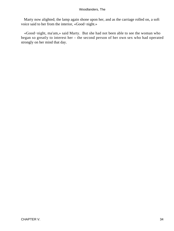Marty now alighted; the lamp again shone upon her, and as the carriage rolled on, a soft voice said to her from the interior, «Good−night.»

 «Good−night, ma'am,» said Marty. But she had not been able to see the woman who began so greatly to interest her – the second person of her own sex who had operated strongly on her mind that day.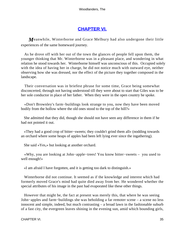# **[CHAPTER VI.](#page-319-0)**

*M*eanwhile, Winterborne and Grace Melbury had also undergone their little experiences of the same homeward journey.

 As he drove off with her out of the town the glances of people fell upon them, the younger thinking that Mr. Winterborne was in a pleasant place, and wondering in what relation he stood towards her. Winterborne himself was unconscious of this. Occupied solely with the idea of having her in charge, he did not notice much with outward eye, neither observing how she was dressed, nor the effect of the picture they together composed in the landscape.

 Their conversation was in briefest phrase for some time, Grace being somewhat disconcerted, through not having understood till they were about to start that Giles was to be her sole conductor in place of her father. When they were in the open country he spoke.

 «Don't Brownley's farm−buildings look strange to you, now they have been moved bodily from the hollow where the old ones stood to the top of the hill?»

 She admitted that they did, though she should not have seen any difference in them if he had not pointed it out.

 «They had a good crop of bitter−sweets; they couldn't grind them all» (nodding towards an orchard where some heaps of apples had been left lying ever since the ingathering).

She said «Yes,» but looking at another orchard.

 «Why, you are looking at John−apple−trees! You know bitter−sweets – you used to well enough!»

«I am afraid I have forgotten, and it is getting too dark to distinguish.»

 Winterborne did not continue. It seemed as if the knowledge and interest which had formerly moved Grace's mind had quite died away from her. He wondered whether the special attributes of his image in the past had evaporated like these other things.

 However that might be, the fact at present was merely this, that where he was seeing John−apples and farm−buildings she was beholding a far remoter scene – a scene no less innocent and simple, indeed, but much contrasting – a broad lawn in the fashionable suburb of a fast city, the evergreen leaves shining in the evening sun, amid which bounding girls,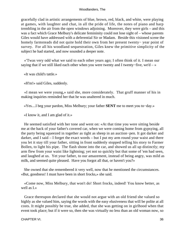gracefully clad in artistic arrangements of blue, brown, red, black, and white, were playing at games, with laughter and chat, in all the pride of life, the notes of piano and harp trembling in the air from the open windows adjoining. Moreover, they were girls – and this was a fact which Grace Melbury's delicate femininity could not lose sight of – whose parents Giles would have addressed with a deferential Sir or Madam. Beside this visioned scene the homely farmsteads did not quite hold their own from her present twenty− year point of survey. For all his woodland sequestration, Giles knew the primitive simplicity of the subject he had started, and now sounded a deeper note.

 «'Twas very odd what we said to each other years ago; I often think of it. I mean our saying that if we still liked each other when you were twenty and I twenty−five, we'd – »

«It was child's tattle.»

«H'm!» said Giles, suddenly.

 «I mean we were young,» said she, more considerately. That gruff manner of his in making inquiries reminded her that he was unaltered in much.

«Yes....I beg your pardon, Miss Melbury; your father **SENT** me to meet you to−day.»

«I know it, and I am glad of it.»

 He seemed satisfied with her tone and went on: «At that time you were sitting beside me at the back of your father's covered car, when we were coming home from gypsying, all the party being squeezed in together as tight as sheep in an auction−pen. It got darker and darker, and I said – I forget the exact words – but I put my arm round your waist and there you let it stay till your father, sitting in front suddenly stopped telling his story to Farmer Bollen, to light his pipe. The flash shone into the car, and showed us all up distinctly; my arm flew from your waist like lightning; yet not so quickly but that some of 'em had seen, and laughed at us. Yet your father, to our amazement, instead of being angry, was mild as milk, and seemed quite pleased. Have you forgot all that, or haven't you?»

 She owned that she remembered it very well, now that he mentioned the circumstances. «But, goodness! I must have been in short frocks,» she said.

 «Come now, Miss Melbury, that won't do! Short frocks, indeed! You know better, as well as I.»

 Grace thereupon declared that she would not argue with an old friend she valued so highly as she valued him, saying the words with the easy elusiveness that will be polite at all costs. It might possibly be true, she added, that she was getting on in girlhood when that event took place; but if it were so, then she was virtually no less than an old woman now, so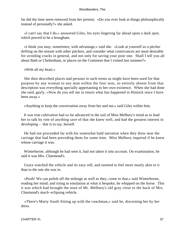far did the time seem removed from her present. «Do you ever look at things philosophically instead of personally?» she asked.

 «I can't say that I do,» answered Giles, his eyes lingering far ahead upon a dark spot, which proved to be a brougham.

 «I think you may, sometimes, with advantage,» said she. «Look at yourself as a pitcher drifting on the stream with other pitchers, and consider what contrivances are most desirable for avoiding cracks in general, and not only for saving your poor one. Shall I tell you all about Bath or Cheltenham, or places on the Continent that I visited last summer?»

«With all my heart.»

 She then described places and persons in such terms as might have been used for that purpose by any woman to any man within the four seas, so entirely absent from that description was everything specially appertaining to her own existence. When she had done she said, gayly, «Now do you tell me in return what has happened in Hintock since I have been away.»

«Anything to keep the conversation away from her and me,» said Giles within him.

 It was true cultivation had so far advanced in the soil of Miss Melbury's mind as to lead her to talk by rote of anything save of that she knew well, and had the greatest interest in developing – that is to say, herself.

 He had not proceeded far with his somewhat bald narration when they drew near the carriage that had been preceding them for some time. Miss Melbury inquired if he knew whose carriage it was.

 Winterborne, although he had seen it, had not taken it into account. On examination, he said it was Mrs. Charmond's.

 Grace watched the vehicle and its easy roll, and seemed to feel more nearly akin to it than to the one she was in.

 «Pooh! We can polish off the mileage as well as they, come to that,» said Winterborne, reading her mind; and rising to emulation at what it bespoke, he whipped on the horse. This it was which had brought the nose of Mr. Melbury's old gray close to the back of Mrs. Charmond's much−eclipsing vehicle.

 «There's Marty South Sitting up with the coachman,» said he, discerning her by her dress.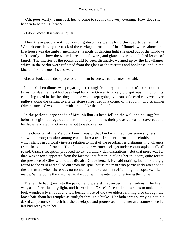«Ah, poor Marty! I must ask her to come to see me this very evening. How does she happen to be riding there?»

«I don't know. It is very singular.»

 Thus these people with converging destinies went along the road together, till Winterborne, leaving the track of the carriage, turned into Little Hintock, where almost the first house was the timber−merchant's. Pencils of dancing light streamed out of the windows sufficiently to show the white laurestinus flowers, and glance over the polished leaves of laurel. The interior of the rooms could be seen distinctly, warmed up by the fire−flames, which in the parlor were reflected from the glass of the pictures and bookcase, and in the kitchen from the utensils and ware.

«Let us look at the dear place for a moment before we call them,» she said.

 In the kitchen dinner was preparing; for though Melbury dined at one o'clock at other times, to−day the meal had been kept back for Grace. A rickety old spit was in motion, its end being fixed in the fire−dog, and the whole kept going by means of a cord conveyed over pulleys along the ceiling to a large stone suspended in a corner of the room. Old Grammer Oliver came and wound it up with a rattle like that of a mill.

 In the parlor a large shade of Mrs. Melbury's head fell on the wall and ceiling; but before the girl had regarded this room many moments their presence was discovered, and her father and step− mother came out to welcome her.

 The character of the Melbury family was of that kind which evinces some shyness in showing strong emotion among each other: a trait frequent in rural households, and one which stands in curiously inverse relation to most of the peculiarities distinguishing villagers from the people of towns. Thus hiding their warmer feelings under commonplace talk all round, Grace's reception produced no extraordinary demonstrations. But that more was felt than was enacted appeared from the fact that her father, in taking her in−doors, quite forgot the presence of Giles without, as did also Grace herself. He said nothing, but took the gig round to the yard and called out from the spar−house the man who particularly attended to these matters when there was no conversation to draw him off among the copse−workers inside. Winterborne then returned to the door with the intention of entering the house.

 The family had gone into the parlor, and were still absorbed in themselves. The fire was, as before, the only light, and it irradiated Grace's face and hands so as to make them look wondrously smooth and fair beside those of the two elders; shining also through the loose hair about her temples as sunlight through a brake. Her father was surveying her in a dazed conjecture, so much had she developed and progressed in manner and stature since he last had set eyes on her.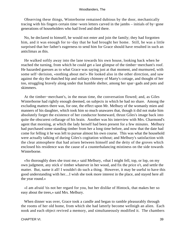Observing these things, Winterborne remained dubious by the door, mechanically tracing with his fingers certain time−worn letters carved in the jambs – initials of by−gone generations of householders who had lived and died there.

 No, he declared to himself, he would not enter and join the family; they had forgotten him, and it was enough for to−day that he had brought her home. Still, he was a little surprised that her father's eagerness to send him for Grace should have resulted in such an anticlimax as this.

 He walked softly away into the lane towards his own house, looking back when he reached the turning, from which he could get a last glimpse of the timber−merchant's roof. He hazarded guesses as to what Grace was saying just at that moment, and murmured, with some self−derision, «nothing about me!» He looked also in the other direction, and saw against the sky the thatched hip and solitary chimney of Marty's cottage, and thought of her too, struggling bravely along under that humble shelter, among her spar−gads and pots and skimmers.

 At the timber−merchant's, in the mean time, the conversation flowed; and, as Giles Winterborne had rightly enough deemed, on subjects in which he had no share. Among the excluding matters there was, for one, the effect upon Mr. Melbury of the womanly mien and manners of his daughter, which took him so much unawares that, though it did not make him absolutely forget the existence of her conductor homeward, thrust Giles's image back into quite the obscurest cellarage of his brain. Another was his interview with Mrs. Charmond's agent that morning, at which the lady herself had been present for a few minutes. Melbury had purchased some standing timber from her a long time before, and now that the date had come for felling it he was left to pursue almost his own course. This was what the household were actually talking of during Giles's cogitation without; and Melbury's satisfaction with the clear atmosphere that had arisen between himself and the deity of the groves which enclosed his residence was the cause of a counterbalancing mistiness on the side towards Winterborne.

 «So thoroughly does she trust me,» said Melbury, «that I might fell, top, or lop, on my own judgment, any stick o' timber whatever in her wood, and fix the price o't, and settle the matter. But, name it all! I wouldn't do such a thing. However, it may be useful to have this good understanding with her....I wish she took more interest in the place, and stayed here all the year round.»

 «I am afraid 'tis not her regard for you, but her dislike of Hintock, that makes her so easy about the trees,» said Mrs. Melbury.

When dinner was over, Grace took a candle and began to ramble pleasurably through the rooms of her old home, from which she had latterly become wellnigh an alien. Each nook and each object revived a memory, and simultaneously modified it. The chambers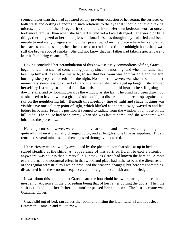seemed lower than they had appeared on any previous occasion of her return, the surfaces of both walls and ceilings standing in such relations to the eye that it could not avoid taking microscopic note of their irregularities and old fashion. Her own bedroom wore at once a look more familiar than when she had left it, and yet a face estranged. The world of little things therein gazed at her in helpless stationariness, as though they had tried and been unable to make any progress without her presence. Over the place where her candle had been accustomed to stand, when she had used to read in bed till the midnight hour, there was still the brown spot of smoke. She did not know that her father had taken especial care to keep it from being cleaned off.

 Having concluded her perambulation of this now uselessly commodious edifice, Grace began to feel that she had come a long journey since the morning; and when her father had been up himself, as well as his wife, to see that her room was comfortable and the fire burning, she prepared to retire for the night. No sooner, however, was she in bed than her momentary sleepiness took itself off, and she wished she had stayed up longer. She amused herself by listening to the old familiar noises that she could hear to be still going on down−stairs, and by looking towards the window as she lay. The blind had been drawn up, as she used to have it when a girl, and she could just discern the dim tree−tops against the sky on the neighboring hill. Beneath this meeting− line of light and shade nothing was visible save one solitary point of light, which blinked as the tree−twigs waved to and fro before its beams. From its position it seemed to radiate from the window of a house on the hill−side. The house had been empty when she was last at home, and she wondered who inhabited the place now.

 Her conjectures, however, were not intently carried on, and she was watching the light quite idly, when it gradually changed color, and at length shone blue as sapphire. Thus it remained several minutes, and then it passed through violet to red.

 Her curiosity was so widely awakened by the phenomenon that she sat up in bed, and stared steadily at the shine. An appearance of this sort, sufficient to excite attention anywhere, was no less than a marvel in Hintock, as Grace had known the hamlet. Almost every diurnal and nocturnal effect in that woodland place had hitherto been the direct result of the regular terrestrial roll which produced the season's changes; but here was something dissociated from these normal sequences, and foreign to local habit and knowledge.

 It was about this moment that Grace heard the household below preparing to retire, the most emphatic noise in the proceeding being that of her father bolting the doors. Then the stairs creaked, and her father and mother passed her chamber. The last to come was Grammer Oliver.

 Grace slid out of bed, ran across the room, and lifting the latch, said, «I am not asleep, Grammer. Come in and talk to me.»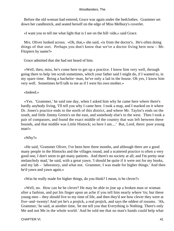Before the old woman had entered, Grace was again under the bedclothes. Grammer set down her candlestick, and seated herself on the edge of Miss Melbury's coverlet.

«I want you to tell me what light that is I see on the hill−side,» said Grace.

 Mrs. Oliver looked across. «Oh, that,» she said, «is from the doctor's. He's often doing things of that sort. Perhaps you don't know that we've a doctor living here now – Mr. Fitzpiers by name?»

Grace admitted that she had not heard of him.

 «Well, then, miss, he's come here to get up a practice. I know him very well, through going there to help 'em scrub sometimes, which your father said I might do, if I wanted to, in my spare time. Being a bachelor−man, he've only a lad in the house. Oh yes, I know him very well. Sometimes he'll talk to me as if I were his own mother.»

«Indeed.»

 «Yes. 'Grammer,' he said one day, when I asked him why he came here where there's hardly anybody living, 'I'll tell you why I came here. I took a map, and I marked on it where Dr. Jones's practice ends to the north of this district, and where Mr. Taylor's ends on the south, and little Jimmy Green's on the east, and somebody else's to the west. Then I took a pair of compasses, and found the exact middle of the country that was left between these bounds, and that middle was Little Hintock; so here I am....' But, Lord, there: poor young man!»

«Why?»

 «He said, 'Grammer Oliver, I've been here three months, and although there are a good many people in the Hintocks and the villages round, and a scattered practice is often a very good one, I don't seem to get many patients. And there's no society at all; and I'm pretty near melancholy mad,' he said, with a great yawn. 'I should be quite if it were not for my books, and my lab – laboratory, and what not. Grammer, I was made for higher things.' And then he'd yawn and yawn again.»

«Was he really made for higher things, do you think? I mean, is he clever?»

 «Well, no. How can he be clever? He may be able to jine up a broken man or woman after a fashion, and put his finger upon an ache if you tell him nearly where 'tis; but these young men – they should live to my time of life, and then they'd see how clever they were at five−and−twenty! And yet he's a projick, a real projick, and says the oddest of rozums. 'Ah, Grammer,' he said, at another time, 'let me tell you that Everything is Nothing. There's only Me and not Me in the whole world.' And he told me that no man's hands could help what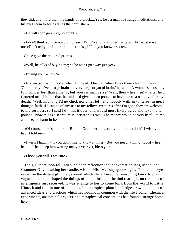they did, any more than the hands of a clock....Yes, he's a man of strange meditations, and his eyes seem to see as far as the north star.»

«He will soon go away, no doubt.»

 «I don't think so.» Grace did not say «Why?» and Grammer hesitated. At last she went on: «Don't tell your father or mother, miss, if I let you know a secret.»

Grace gave the required promise.

«Well, he talks of buying me; so he won't go away just yet.»

«Buying you! – how?»

 «Not my soul – my body, when I'm dead. One day when I was there cleaning, he said, 'Grammer, you've a large brain – a very large organ of brain,' he said. 'A woman's is usually four ounces less than a man's; but yours is man's size.' Well, then – hee, hee! – after he'd flattered me a bit like that, he said he'd give me ten pounds to have me as a natomy after my death. Well, knowing I'd no chick nor chiel left, and nobody with any interest in me, I thought, faith, if I can be of any use to my fellow−creatures after I'm gone they are welcome to my services; so I said I'd think it over, and would most likely agree and take the ten pounds. Now this is a secret, miss, between us two. The money would be very useful to me; and I see no harm in it.»

 «Of course there's no harm. But oh, Grammer, how can you think to do it? I wish you hadn't told me.»

 $\ll$ I wish I hadn't – if you don't like to know it, miss. But you needn't mind. Lord – hee, hee! – I shall keep him waiting many a year yet, bless ye!»

«I hope you will, I am sure.»

 The girl thereupon fell into such deep reflection that conversation languished, and Grammer Oliver, taking her candle, wished Miss Melbury good−night. The latter's eyes rested on the distant glimmer, around which she allowed her reasoning fancy to play in vague eddies that shaped the doings of the philosopher behind that light on the lines of intelligence just received. It was strange to her to come back from the world to Little Hintock and find in one of its nooks, like a tropical plant in a hedge− row, a nucleus of advanced ideas and practices which had nothing in common with the life around. Chemical experiments, anatomical projects, and metaphysical conceptions had found a strange home here.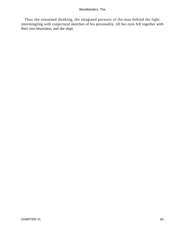Thus she remained thinking, the imagined pursuits of the man behind the light intermingling with conjectural sketches of his personality, till her eyes fell together with their own heaviness, and she slept.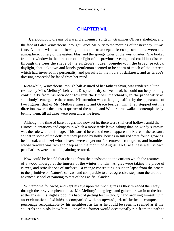# **[CHAPTER VII.](#page-319-0)**

*K*aleidoscopic dreams of a weird alchemist−surgeon, Grammer Oliver's skeleton, and the face of Giles Winterborne, brought Grace Melbury to the morning of the next day. It was fine. A north wind was blowing – that not unacceptable compromise between the atmospheric cutlery of the eastern blast and the spongy gales of the west quarter. She looked from her window in the direction of the light of the previous evening, and could just discern through the trees the shape of the surgeon's house. Somehow, in the broad, practical daylight, that unknown and lonely gentleman seemed to be shorn of much of the interest which had invested his personality and pursuits in the hours of darkness, and as Grace's dressing proceeded he faded from her mind.

 Meanwhile, Winterborne, though half assured of her father's favor, was rendered a little restless by Miss Melbury's behavior. Despite his dry self−control, he could not help looking continually from his own door towards the timber−merchant's, in the probability of somebody's emergence therefrom. His attention was at length justified by the appearance of two figures, that of Mr. Melbury himself, and Grace beside him. They stepped out in a direction towards the densest quarter of the wood, and Winterborne walked contemplatively behind them, till all three were soon under the trees.

 Although the time of bare boughs had now set in, there were sheltered hollows amid the Hintock plantations and copses in which a more tardy leave−taking than on windy summits was the rule with the foliage. This caused here and there an apparent mixture of the seasons; so that in some of the dells that they passed by holly−berries in full red were found growing beside oak and hazel whose leaves were as yet not far removed from green, and brambles whose verdure was rich and deep as in the month of August. To Grace these well−known peculiarities were as an old painting restored.

 Now could be beheld that change from the handsome to the curious which the features of a wood undergo at the ingress of the winter months. Angles were taking the place of curves, and reticulations of surfaces – a change constituting a sudden lapse from the ornate to the primitive on Nature's canvas, and comparable to a retrogressive step from the art of an advanced school of painting to that of the Pacific Islander.

 Winterborne followed, and kept his eye upon the two figures as they threaded their way through these sylvan phenomena. Mr. Melbury's long legs, and gaiters drawn in to the bone at the ankles, his slight stoop, his habit of getting lost in thought and arousing himself with an exclamation of «Hah!» accompanied with an upward jerk of the head, composed a personage recognizable by his neighbors as far as he could be seen. It seemed as if the squirrels and birds knew him. One of the former would occasionally run from the path to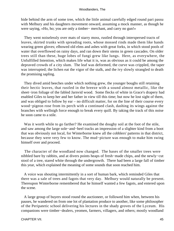hide behind the arm of some tree, which the little animal carefully edged round pari passu with Melbury and his daughters movement onward, assuming a mock manner, as though he were saying, «Ho, ho; you are only a timber− merchant, and carry no gun!»

 They went noiselessly over mats of starry moss, rustled through interspersed tracts of leaves, skirted trunks with spreading roots, whose mossed rinds made them like hands wearing green gloves; elbowed old elms and ashes with great forks, in which stood pools of water that overflowed on rainy days, and ran down their stems in green cascades. On older trees still than these, huge lobes of fungi grew like lungs. Here, as everywhere, the Unfulfilled Intention, which makes life what it is, was as obvious as it could be among the depraved crowds of a city slum. The leaf was deformed, the curve was crippled, the taper was interrupted; the lichen eat the vigor of the stalk, and the ivy slowly strangled to death the promising sapling.

 They dived amid beeches under which nothing grew, the younger boughs still retaining their hectic leaves, that rustled in the breeze with a sound almost metallic, like the sheet−iron foliage of the fabled Jarnvid wood. Some flecks of white in Grace's drapery had enabled Giles to keep her and her father in view till this time; but now he lost sight of them, and was obliged to follow by ear – no difficult matter, for on the line of their course every wood−pigeon rose from its perch with a continued clash, dashing its wings against the branches with wellnigh force enough to break every quill. By taking the track of this noise he soon came to a stile.

 Was it worth while to go farther? He examined the doughy soil at the foot of the stile, and saw among the large sole−and−heel tracks an impression of a slighter kind from a boot that was obviously not local, for Winterborne knew all the cobblers' patterns in that district, because they were very few to know. The mud−picture was enough to make him swing himself over and proceed.

 The character of the woodland now changed. The bases of the smaller trees were nibbled bare by rabbits, and at divers points heaps of fresh−made chips, and the newly−cut stool of a tree, stared white through the undergrowth. There had been a large fall of timber this year, which explained the meaning of some sounds that soon reached him.

 A voice was shouting intermittently in a sort of human bark, which reminded Giles that there was a sale of trees and fagots that very day. Melbury would naturally be present. Thereupon Winterborne remembered that he himself wanted a few fagots, and entered upon the scene.

 A large group of buyers stood round the auctioneer, or followed him when, between his pauses, he wandered on from one lot of plantation produce to another, like some philosopher of the Peripatetic school delivering his lectures in the shady groves of the Lyceum. His companions were timber−dealers, yeomen, farmers, villagers, and others; mostly woodland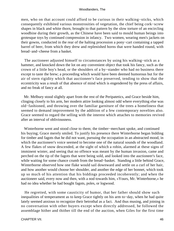men, who on that account could afford to be curious in their walking−sticks, which consequently exhibited various monstrosities of vegetation, the chief being cork−screw shapes in black and white thorn, brought to that pattern by the slow torture of an encircling woodbine during their growth, as the Chinese have been said to mould human beings into grotesque toys by continued compression in infancy. Two women, wearing men's jackets on their gowns, conducted in the rear of the halting procession a pony−cart containing a tapped barrel of beer, from which they drew and replenished horns that were handed round, with bread−and−cheese from a basket.

 The auctioneer adjusted himself to circumstances by using his walking−stick as a hammer, and knocked down the lot on any convenient object that took his fancy, such as the crown of a little boy's head, or the shoulders of a by−stander who had no business there except to taste the brew; a proceeding which would have been deemed humorous but for the air of stern rigidity which that auctioneer's face preserved, tending to show that the eccentricity was a result of that absence of mind which is engendered by the press of affairs, and no freak of fancy at all.

 Mr. Melbury stood slightly apart from the rest of the Peripatetics, and Grace beside him, clinging closely to his arm, her modern attire looking almost odd where everything else was old−fashioned, and throwing over the familiar garniture of the trees a homeliness that seemed to demand improvement by the addition of a few contemporary novelties also. Grace seemed to regard the selling with the interest which attaches to memories revived after an interval of obliviousness.

 Winterborne went and stood close to them; the timber−merchant spoke, and continued his buying; Grace merely smiled. To justify his presence there Winterborne began bidding for timber and fagots that he did not want, pursuing the occupation in an abstracted mood, in which the auctioneer's voice seemed to become one of the natural sounds of the woodland. A few flakes of snow descended, at the sight of which a robin, alarmed at these signs of imminent winter, and seeing that no offence was meant by the human invasion, came and perched on the tip of the fagots that were being sold, and looked into the auctioneer's face, while waiting for some chance crumb from the bread−basket. Standing a little behind Grace, Winterborne observed how one flake would sail downward and settle on a curl of her hair, and how another would choose her shoulder, and another the edge of her bonnet, which took up so much of his attention that his biddings proceeded incoherently; and when the auctioneer said, every now and then, with a nod towards him, «Yours, Mr. Winterborne,» he had no idea whether he had bought fagots, poles, or logwood.

 He regretted, with some causticity of humor, that her father should show such inequalities of temperament as to keep Grace tightly on his arm to−day, when he had quite lately seemed anxious to recognize their betrothal as a fact. And thus musing, and joining in no conversation with other buyers except when directly addressed, he followed the assemblage hither and thither till the end of the auction, when Giles for the first time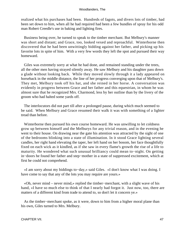realized what his purchases had been. Hundreds of fagots, and divers lots of timber, had been set down to him, when all he had required had been a few bundles of spray for his odd man Robert Creedle's use in baking and lighting fires.

 Business being over, he turned to speak to the timber merchant. But Melbury's manner was short and distant; and Grace, too, looked vexed and reproachful. Winterborne then discovered that he had been unwittingly bidding against her father, and picking up his favorite lots in spite of him. With a very few words they left the spot and pursued their way homeward.

 Giles was extremely sorry at what he had done, and remained standing under the trees, all the other men having strayed silently away. He saw Melbury and his daughter pass down a glade without looking back. While they moved slowly through it a lady appeared on horseback in the middle distance, the line of her progress converging upon that of Melbury's. They met, Melbury took off his hat, and she reined in her horse. A conversation was evidently in progress between Grace and her father and this equestrian, in whom he was almost sure that he recognized Mrs. Charmond, less by her outline than by the livery of the groom who had halted some yards off.

 The interlocutors did not part till after a prolonged pause, during which much seemed to be said. When Melbury and Grace resumed their walk it was with something of a lighter tread than before.

 Winterborne then pursued his own course homeward. He was unwilling to let coldness grow up between himself and the Melburys for any trivial reason, and in the evening he went to their house. On drawing near the gate his attention was attracted by the sight of one of the bedrooms blinking into a state of illumination. In it stood Grace lighting several candles, her right hand elevating the taper, her left hand on her bosom, her face thoughtfully fixed on each wick as it kindled, as if she saw in every flame's growth the rise of a life to maturity. He wondered what such unusual brilliancy could mean to−night. On getting in−doors he found her father and step−mother in a state of suppressed excitement, which at first he could not comprehend.

 «I am sorry about my biddings to−day,» said Giles. «I don't know what I was doing. I have come to say that any of the lots you may require are yours.»

 «Oh, never mind – never mind,» replied the timber−merchant, with a slight wave of his hand, «I have so much else to think of that I nearly had forgot it. Just now, too, there are matters of a different kind from trade to attend to, so don't let it concern ye.»

 As the timber−merchant spoke, as it were, down to him from a higher moral plane than his own, Giles turned to Mrs. Melbury.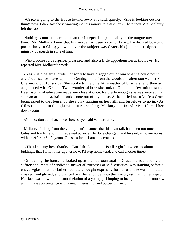«Grace is going to the House to−morrow,» she said, quietly. «She is looking out her things now. I dare say she is wanting me this minute to assist her.» Thereupon Mrs. Melbury left the room.

 Nothing is more remarkable than the independent personality of the tongue now and then. Mr. Melbury knew that his words had been a sort of boast. He decried boasting, particularly to Giles; yet whenever the subject was Grace, his judgment resigned the ministry of speech in spite of him.

 Winterborne felt surprise, pleasure, and also a little apprehension at the news. He repeated Mrs. Melbury's words.

 «Yes,» said paternal pride, not sorry to have dragged out of him what he could not in any circumstances have kept in. «Coming home from the woods this afternoon we met Mrs. Charmond out for a ride. She spoke to me on a little matter of business, and then got acquainted with Grace. 'Twas wonderful how she took to Grace in a few minutes; that freemasonry of education made 'em close at once. Naturally enough she was amazed that such an article – ha, ha! – could come out of my house. At last it led on to Mis'ess Grace being asked to the House. So she's busy hunting up her frills and furbelows to go in.» As Giles remained in thought without responding, Melbury continued: «But I'll call her down−stairs.»

«No, no; don't do that, since she's busy,» said Winterborne.

 Melbury, feeling from the young man's manner that his own talk had been too much at Giles and too little to him, repented at once. His face changed, and he said, in lower tones, with an effort, «She's yours, Giles, as far as I am concerned.»

 «Thanks – my best thanks....But I think, since it is all right between us about the biddings, that I'll not interrupt her now. I'll step homeward, and call another time.»

 On leaving the house he looked up at the bedroom again. Grace, surrounded by a sufficient number of candles to answer all purposes of self−criticism, was standing before a cheval−glass that her father had lately bought expressly for her use; she was bonneted, cloaked, and gloved, and glanced over her shoulder into the mirror, estimating her aspect. Her face was lit with the natural elation of a young girl hoping to inaugurate on the morrow an intimate acquaintance with a new, interesting, and powerful friend.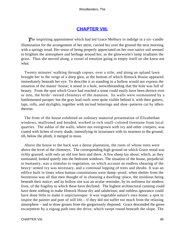# **[CHAPTER VIII.](#page-319-0)**

*T*he inspiriting appointment which had led Grace Melbury to indulge in a six−candle illumination for the arrangement of her attire, carried her over the ground the next morning with a springy tread. Her sense of being properly appreciated on her own native soil seemed to brighten the atmosphere and herbage around her, as the glowworm's lamp irradiates the grass. Thus she moved along, a vessel of emotion going to empty itself on she knew not what.

 Twenty minutes' walking through copses, over a stile, and along an upland lawn brought her to the verge of a deep glen, at the bottom of which Hintock House appeared immediately beneath her eye. To describe it as standing in a hollow would not express the situation of the manor−house; it stood in a hole, notwithstanding that the hole was full of beauty. From the spot which Grace had reached a stone could easily have been thrown over or into, the birds'−nested chimneys of the mansion. Its walls were surmounted by a battlemented parapet; but the gray lead roofs were quite visible behind it, with their gutters, laps, rolls, and skylights, together with incised letterings and shoe−patterns cut by idlers thereon.

 The front of the house exhibited an ordinary manorial presentation of Elizabethan windows, mullioned and hooded, worked in rich snuff−colored freestone from local quarries. The ashlar of the walls, where not overgrown with ivy and other creepers, was coated with lichen of every shade, intensifying its luxuriance with its nearness to the ground, till, below the plinth, it merged in moss.

 Above the house to the back was a dense plantation, the roots of whose trees were above the level of the chimneys. The corresponding high ground on which Grace stood was richly grassed, with only an old tree here and there. A few sheep lay about, which, as they ruminated, looked quietly into the bedroom windows. The situation of the house, prejudicial to humanity, was a stimulus to vegetation, on which account an endless shearing of the heavy−armed ivy was necessary, and a continual lopping of trees and shrubs. It was an edifice built in times when human constitutions were damp−proof, when shelter from the boisterous was all that men thought of in choosing a dwelling−place, the insidious being beneath their notice; and its hollow site was an ocular reminder, by its unfitness for modern lives, of the fragility to which these have declined. The highest architectural cunning could have done nothing to make Hintock House dry and salubrious; and ruthless ignorance could have done little to make it unpicturesque. It was vegetable nature's own home; a spot to inspire the painter and poet of still life – if they did not suffer too much from the relaxing atmosphere – and to draw groans from the gregariously disposed. Grace descended the green escarpment by a zigzag path into the drive, which swept round beneath the slope. The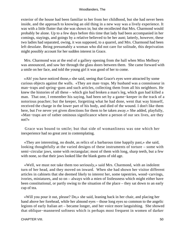exterior of the house had been familiar to her from her childhood, but she had never been inside, and the approach to knowing an old thing in a new way was a lively experience. It was with a little flutter that she was shown in; but she recollected that Mrs. Charmond would probably be alone. Up to a few days before this time that lady had been accompanied in her comings, stayings, and goings by a relative believed to be her aunt; latterly, however, these two ladies had separated, owing, it was supposed, to a quarrel, and Mrs. Charmond had been left desolate. Being presumably a woman who did not care for solitude, this deprivation might possibly account for her sudden interest in Grace.

 Mrs. Charmond was at the end of a gallery opening from the hall when Miss Melbury was announced, and saw her through the glass doors between them. She came forward with a smile on her face, and told the young girl it was good of her to come.

 «Ah! you have noticed those,» she said, seeing that Grace's eyes were attracted by some curious objects against the walls. «They are man−traps. My husband was a connoisseur in man−traps and spring−guns and such articles, collecting them from all his neighbors. He knew the histories of all these – which gin had broken a man's leg, which gun had killed a man. That one, I remember his saying, had been set by a game−keeper in the track of a notorious poacher; but the keeper, forgetting what he had done, went that way himself, received the charge in the lower part of his body, and died of the wound. I don't like them here, but I've never yet given directions for them to be taken away.» She added, playfully, «Man−traps are of rather ominous significance where a person of our sex lives, are they not?»

 Grace was bound to smile; but that side of womanliness was one which her inexperience had no great zest in contemplating.

 «They are interesting, no doubt, as relics of a barbarous time happily past,» she said, looking thoughtfully at the varied designs of these instruments of torture – some with semi–circular jaws, some with rectangular; most of them with long, sharp teeth, but a few with none, so that their jaws looked like the blank gums of old age.

 «Well, we must not take them too seriously,» said Mrs. Charmond, with an indolent turn of her head, and they moved on inward. When she had shown her visitor different articles in cabinets that she deemed likely to interest her, some tapestries, wood−carvings, ivories, miniatures, and so on – always with a mien of listlessness which might either have been constitutional, or partly owing to the situation of the place – they sat down to an early cup of tea.

 «Will you pour it out, please? Do,» she said, leaning back in her chair, and placing her hand above her forehead, while her almond eyes – those long eyes so common to the angelic legions of early Italian art – became longer, and her voice more languishing. She showed that oblique−mannered softness which is perhaps most frequent in women of darker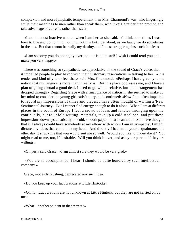complexion and more lymphatic temperament than Mrs. Charmond's was; who lingeringly smile their meanings to men rather than speak them, who inveigle rather than prompt, and take advantage of currents rather than steer.

 «I am the most inactive woman when I am here,» she said. «I think sometimes I was born to live and do nothing, nothing, nothing but float about, as we fancy we do sometimes in dreams. But that cannot be really my destiny, and I must struggle against such fancies.»

 «I am so sorry you do not enjoy exertion – it is quite sad! I wish I could tend you and make you very happy.»

 There was something so sympathetic, so appreciative, in the sound of Grace's voice, that it impelled people to play havoc with their customary reservations in talking to her. «It is tender and kind of you to feel that,» said Mrs. Charmond. «Perhaps I have given you the notion that my languor is more than it really is. But this place oppresses me, and I have a plan of going abroad a good deal. I used to go with a relative, but that arrangement has dropped through.» Regarding Grace with a final glance of criticism, she seemed to make up her mind to consider the young girl satisfactory, and continued: «Now I am often impelled to record my impressions of times and places. I have often thought of writing a 'New Sentimental Journey.' But I cannot find energy enough to do it alone. When I am at different places in the south of Europe I feel a crowd of ideas and fancies thronging upon me continually, but to unfold writing−materials, take up a cold steel pen, and put these impressions down systematically on cold, smooth paper – that I cannot do. So I have thought that if I always could have somebody at my elbow with whom I am in sympathy, I might dictate any ideas that come into my head. And directly I had made your acquaintance the other day it struck me that you would suit me so well. Would you like to undertake it? You might read to me, too, if desirable. Will you think it over, and ask your parents if they are willing?»

«Oh yes,» said Grace. «I am almost sure they would be very glad.»

 «You are so accomplished, I hear; I should be quite honored by such intellectual company.»

Grace, modestly blushing, deprecated any such idea.

«Do you keep up your lucubrations at Little Hintock?»

 «Oh no. Lucubrations are not unknown at Little Hintock; but they are not carried on by me.»

«What – another student in that retreat?»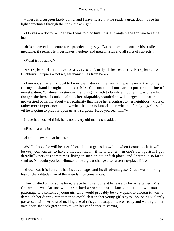«There is a surgeon lately come, and I have heard that he reads a great deal – I see his light sometimes through the trees late at night.»

 «Oh yes – a doctor – I believe I was told of him. It is a strange place for him to settle in.»

 «It is a convenient centre for a practice, they say. But he does not confine his studies to medicine, it seems. He investigates theology and metaphysics and all sorts of subjects.»

«What is his name?»

 «Fitzpiers. He represents a very old family, I believe, the Fitzpierses of Buckbury−Fitzpiers – not a great many miles from here.»

 «I am not sufficiently local to know the history of the family. I was never in the county till my husband brought me here.» Mrs. Charmond did not care to pursue this line of investigation. Whatever mysterious merit might attach to family antiquity, it was one which, though she herself could claim it, her adaptable, wandering weltburgerliche nature had grown tired of caring about – a peculiarity that made her a contrast to her neighbors. «It is of rather more importance to know what the man is himself than what his family is,» she said, «if he is going to practise upon us as a surgeon. Have you seen him?»

Grace had not. «I think he is not a very old man,» she added.

«Has he a wife?»

«I am not aware that he has.»

 «Well, I hope he will be useful here. I must get to know him when I come back. It will be very convenient to have a medical man – if he is clever – in one's own parish. I get dreadfully nervous sometimes, living in such an outlandish place; and Sherton is so far to send to. No doubt you feel Hintock to be a great change after watering−place life.»

 «I do. But it is home. It has its advantages and its disadvantages.» Grace was thinking less of the solitude than of the attendant circumstances.

 They chatted on for some time, Grace being set quite at her ease by her entertainer. Mrs. Charmond was far too well−practised a woman not to know that to show a marked patronage to a sensitive young girl who would probably be very quick to discern it, was to demolish her dignity rather than to establish it in that young girl's eyes. So, being violently possessed with her idea of making use of this gentle acquaintance, ready and waiting at her own door, she took great pains to win her confidence at starting.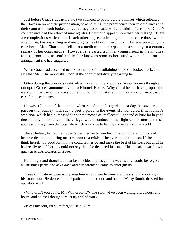Just before Grace's departure the two chanced to pause before a mirror which reflected their faces in immediate juxtaposition, so as to bring into prominence their resemblances and their contrasts. Both looked attractive as glassed back by the faithful reflector; but Grace's countenance had the effect of making Mrs. Charmond appear more than her full age. There are complexions which set off each other to great advantage, and there are those which antagonize, the one killing or damaging its neighbor unmercifully. This was unhappily the case here. Mrs. Charmond fell into a meditation, and replied abstractedly to a cursory remark of her companion's. However, she parted from her young friend in the kindliest tones, promising to send and let her know as soon as her mind was made up on the arrangement she had suggested.

 When Grace had ascended nearly to the top of the adjoining slope she looked back, and saw that Mrs. Charmond still stood at the door, meditatively regarding her.

 Often during the previous night, after his call on the Melburys, Winterborne's thoughts ran upon Grace's announced visit to Hintock House. Why could he not have proposed to walk with her part of the way? Something told him that she might not, on such an occasion, care for his company.

 He was still more of that opinion when, standing in his garden next day, he saw her go past on the journey with such a pretty pride in the event. He wondered if her father's ambition, which had purchased for her the means of intellectual light and culture far beyond those of any other native of the village, would conduce to the flight of her future interests above and away from the local life which was once to her the movement of the world.

 Nevertheless, he had her father's permission to win her if he could; and to this end it became desirable to bring matters soon to a crisis, if he ever hoped to do so. If she should think herself too good for him, he could let her go and make the best of his loss; but until he had really tested her he could not say that she despised his suit. The question was how to quicken events towards an issue.

 He thought and thought, and at last decided that as good a way as any would be to give a Christmas party, and ask Grace and her parents to come as chief guests.

 These ruminations were occupying him when there became audible a slight knocking at his front door. He descended the path and looked out, and beheld Marty South, dressed for out−door work.

 «Why didn't you come, Mr. Winterborne?» she said. «I've been waiting there hours and hours, and at last I thought I must try to find you.»

«Bless my soul, I'd quite forgot,» said Giles.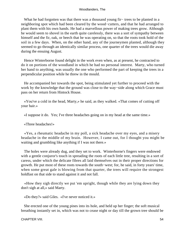What he had forgotten was that there was a thousand young fir− trees to be planted in a neighboring spot which had been cleared by the wood−cutters, and that he had arranged to plant them with his own hands. He had a marvellous power of making trees grow. Although he would seem to shovel in the earth quite carelessly, there was a sort of sympathy between himself and the fir, oak, or beech that he was operating on, so that the roots took hold of the soil in a few days. When, on the other hand, any of the journeymen planted, although they seemed to go through an identically similar process, one quarter of the trees would die away during the ensuing August.

 Hence Winterborne found delight in the work even when, as at present, he contracted to do it on portions of the woodland in which he had no personal interest. Marty, who turned her hand to anything, was usually the one who performed the part of keeping the trees in a perpendicular position while he threw in the mould.

 He accompanied her towards the spot, being stimulated yet further to proceed with the work by the knowledge that the ground was close to the way−side along which Grace must pass on her return from Hintock House.

 «You've a cold in the head, Marty,» he said, as they walked. «That comes of cutting off your hair.»

«I suppose it do. Yes; I've three headaches going on in my head at the same time.»

«Three headaches!»

 «Yes, a rheumatic headache in my poll, a sick headache over my eyes, and a misery headache in the middle of my brain. However, I came out, for I thought you might be waiting and grumbling like anything if I was not there.»

 The holes were already dug, and they set to work. Winterborne's fingers were endowed with a gentle conjuror's touch in spreading the roots of each little tree, resulting in a sort of caress, under which the delicate fibres all laid themselves out in their proper directions for growth. He put most of these roots towards the south−west; for, he said, in forty years' time, when some great gale is blowing from that quarter, the trees will require the strongest holdfast on that side to stand against it and not fall.

 «How they sigh directly we put 'em upright, though while they are lying down they don't sigh at all,» said Marty.

«Do they?» said Giles. «I've never noticed it.»

 She erected one of the young pines into its hole, and held up her finger; the soft musical breathing instantly set in, which was not to cease night or day till the grown tree should be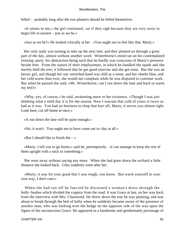felled – probably long after the two planters should be felled themselves.

 «It seems to me,» the girl continued, «as if they sigh because they are very sorry to begin life in earnest – just as we be.»

«Just as we be?» He looked critically at her. «You ought not to feel like that, Marty.»

 Her only reply was turning to take up the next tree; and they planted on through a great part of the day, almost without another word. Winterborne's mind ran on his contemplated evening−party, his abstraction being such that he hardly was conscious of Marty's presence beside him. From the nature of their employment, in which he handled the spade and she merely held the tree, it followed that he got good exercise and she got none. But she was an heroic girl, and though her out−stretched hand was chill as a stone, and her cheeks blue, and her cold worse than ever, she would not complain while he was disposed to continue work. But when he paused she said, «Mr. Winterborne, can I run down the lane and back to warm my feet?»

 «Why, yes, of course,» he said, awakening anew to her existence. «Though I was just thinking what a mild day it is for the season. Now I warrant that cold of yours is twice as bad as it was. You had no business to chop that hair off, Marty; it serves you almost right. Look here, cut off home at once.»

«A run down the lane will be quite enough.»

«No, it won't. You ought not to have come out to−day at all.»

«But I should like to finish the  $-\infty$ 

 «Marty, I tell you to go home,» said he, peremptorily. «I can manage to keep the rest of them upright with a stick or something.»

 She went away without saying any more. When she had gone down the orchard a little distance she looked back. Giles suddenly went after her.

 «Marty, it was for your good that I was rough, you know. But warm yourself in your own way, I don't care.»

 When she had run off he fancied he discerned a woman's dress through the holly−bushes which divided the coppice from the road. It was Grace at last, on her way back from the interview with Mrs. Charmond. He threw down the tree he was planting, and was about to break through the belt of holly when he suddenly became aware of the presence of another man, who was looking over the hedge on the opposite side of the way upon the figure of the unconscious Grace. He appeared as a handsome and gentlemanly personage of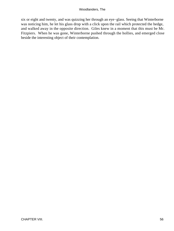six or eight and twenty, and was quizzing her through an eye−glass. Seeing that Winterborne was noticing him, he let his glass drop with a click upon the rail which protected the hedge, and walked away in the opposite direction. Giles knew in a moment that this must be Mr. Fitzpiers. When he was gone, Winterborne pushed through the hollies, and emerged close beside the interesting object of their contemplation.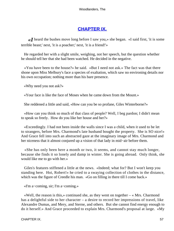# **[CHAPTER IX.](#page-319-0)**

**«I** heard the bushes move long before I saw you,» she began. «I said first, 'it is some terrible beast;' next, 'it is a poacher;' next, 'it is a friend!'»

 He regarded her with a slight smile, weighing, not her speech, but the question whether he should tell her that she had been watched. He decided in the negative.

 «You have been to the house?» he said. «But I need not ask.» The fact was that there shone upon Miss Melbury's face a species of exaltation, which saw no environing details nor his own occupation; nothing more than his bare presence.

«Why need you not ask?»

«Your face is like the face of Moses when he came down from the Mount.»

She reddened a little and said, «How can you be so profane, Giles Winterborne?»

 «How can you think so much of that class of people? Well, I beg pardon; I didn't mean to speak so freely. How do you like her house and her?»

 «Exceedingly. I had not been inside the walls since I was a child, when it used to be let to strangers, before Mrs. Charmond's late husband bought the property. She is SO nice!» And Grace fell into such an abstracted gaze at the imaginary image of Mrs. Charmond and her niceness that it almost conjured up a vision of that lady in mid−air before them.

 «She has only been here a month or two, it seems, and cannot stay much longer, because she finds it so lonely and damp in winter. She is going abroad. Only think, she would like me to go with her.»

 Giles's features stiffened a little at the news. «Indeed; what for? But I won't keep you standing here. Hoi, Robert!» he cried to a swaying collection of clothes in the distance, which was the figure of Creedle his man. «Go on filling in there till I come back.»

«I'm a−coming, sir; I'm a−coming.»

«Well, the reason is this,» continued she, as they went on together  $-\alpha$  Mrs. Charmond has a delightful side to her character – a desire to record her impressions of travel, like Alexandre Dumas, and Mery, and Sterne, and others. But she cannot find energy enough to do it herself.» And Grace proceeded to explain Mrs. Charmond's proposal at large. «My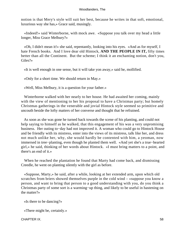notion is that Mery's style will suit her best, because he writes in that soft, emotional, luxurious way she has,» Grace said, musingly.

 «Indeed!» said Winterborne, with mock awe. «Suppose you talk over my head a little longer, Miss Grace Melbury?»

 «Oh, I didn't mean it!» she said, repentantly, looking into his eyes. «And as for myself, I hate French books. And I love dear old Hintock, **AND THE PEOPLE IN IT,** fifty times better than all the Continent. But the scheme; I think it an enchanting notion, don't you, Giles?»

«It is well enough in one sense, but it will take yon away,» said he, mollified.

«Only for a short time. We should return in May.»

«Well, Miss Melbury, it is a question for your father.»

 Winterborne walked with her nearly to her house. He had awaited her coming, mainly with the view of mentioning to her his proposal to have a Christmas party; but homely Christmas gatherings in the venerable and jovial Hintock style seemed so primitive and uncouth beside the lofty matters of her converse and thought that he refrained.

 As soon as she was gone he turned back towards the scene of his planting, and could not help saying to himself as he walked, that this engagement of his was a very unpromising business. Her outing to−day had not improved it. A woman who could go to Hintock House and be friendly with its mistress, enter into the views of its mistress, talk like her, and dress not much unlike her, why, she would hardly be contented with him, a yeoman, now immersed in tree−planting, even though he planted them well. «And yet she's a true−hearted girl,» he said, thinking of her words about Hintock. «I must bring matters to a point, and there's an end of it.»

 When he reached the plantation he found that Marty had come back, and dismissing Creedle, he went on planting silently with the girl as before.

 «Suppose, Marty,» he said, after a while, looking at her extended arm, upon which old scratches from briers showed themselves purple in the cold wind – «suppose you know a person, and want to bring that person to a good understanding with you, do you think a Christmas party of some sort is a warming−up thing, and likely to be useful in hastening on the matter?»

«Is there to be dancing?»

«There might be, certainly.»

CHAPTER IX. 58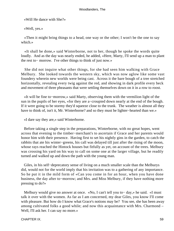«Will He dance with She?»

«Well, yes.»

 «Then it might bring things to a head, one way or the other; I won't be the one to say which.»

 «It shall be done,» said Winterborne, not to her, though he spoke the words quite loudly. And as the day was nearly ended, he added, «Here, Marty, I'll send up a man to plant the rest to− morrow. I've other things to think of just now.»

 She did not inquire what other things, for she had seen him walking with Grace Melbury. She looked towards the western sky, which was now aglow like some vast foundery wherein new worlds were being cast. Across it the bare bough of a tree stretched horizontally, revealing every twig against the red, and showing in dark profile every beck and movement of three pheasants that were settling themselves down on it in a row to roost.

 «It will be fine to−morrow,» said Marty, observing them with the vermilion light of the sun in the pupils of her eyes, «for they are a−croupied down nearly at the end of the bough. If it were going to be stormy they'd squeeze close to the trunk. The weather is almost all they have to think of, isn't it, Mr. Winterborne? and so they must be lighter−hearted than we.»

«I dare say they are,» said Winterborne.

 Before taking a single step in the preparations, Winterborne, with no great hopes, went across that evening to the timber−merchant's to ascertain if Grace and her parents would honor him with their presence. Having first to set his nightly gins in the garden, to catch the rabbits that ate his winter−greens, his call was delayed till just after the rising of the moon, whose rays reached the Hintock houses but fitfully as yet, on account of the trees. Melbury was crossing his yard on his way to call on some one at the larger village, but he readily turned and walked up and down the path with the young man.

 Giles, in his self−deprecatory sense of living on a much smaller scale than the Melburys did, would not for the world imply that his invitation was to a gathering of any importance. So he put it in the mild form of «Can you come in for an hour, when you have done business, the day after to−morrow; and Mrs. and Miss Melbury, if they have nothing more pressing to do?»

 Melbury would give no answer at once. «No, I can't tell you to− day,» he said. «I must talk it over with the women. As far as I am concerned, my dear Giles, you know I'll come with pleasure. But how do I know what Grace's notions may be? You see, she has been away among cultivated folks a good while; and now this acquaintance with Mrs. Charmond – Well, I'll ask her. I can say no more.»

CHAPTER IX. 59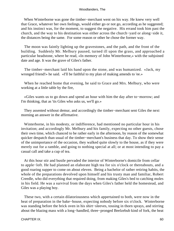When Winterborne was gone the timber−merchant went on his way. He knew very well that Grace, whatever her own feelings, would either go or not go, according as he suggested; and his instinct was, for the moment, to suggest the negative. His errand took him past the church, and the way to his destination was either across the church−yard or along−side it, the distances being the same. For some reason or other he chose the former way.

 The moon was faintly lighting up the gravestones, and the path, and the front of the building. Suddenly Mr. Melbury paused, turned ill upon the grass, and approached a particular headstone, where he read, «In memory of John Winterborne,» with the subjoined date and age. It was the grave of Giles's father.

 The timber−merchant laid his hand upon the stone, and was humanized. «Jack, my wronged friend!» he said. «I'll be faithful to my plan of making amends to 'ee.»

 When he reached home that evening, he said to Grace and Mrs. Melbury, who were working at a little table by the fire,

 «Giles wants us to go down and spend an hour with him the day after to−morrow; and I'm thinking, that as 'tis Giles who asks us, we'll go.»

 They assented without demur, and accordingly the timber−merchant sent Giles the next morning an answer in the affirmative.

 Winterborne, in his modesty, or indifference, had mentioned no particular hour in his invitation; and accordingly Mr. Melbury and his family, expecting no other guests, chose their own time, which chanced to be rather early in the afternoon, by reason of the somewhat quicker despatch than usual of the timber−merchant's business that day. To show their sense of the unimportance of the occasion, they walked quite slowly to the house, as if they were merely out for a ramble, and going to nothing special at all; or at most intending to pay a casual call and take a cup of tea.

 At this hour stir and bustle pervaded the interior of Winterborne's domicile from cellar to apple−loft. He had planned an elaborate high tea for six o'clock or thereabouts, and a good roaring supper to come on about eleven. Being a bachelor of rather retiring habits, the whole of the preparations devolved upon himself and his trusty man and familiar, Robert Creedle, who did everything that required doing, from making Giles's bed to catching moles in his field. He was a survival from the days when Giles's father held the homestead, and Giles was a playing boy.

 These two, with a certain dilatoriousness which appertained to both, were now in the heat of preparation in the bake−house, expecting nobody before six o'clock. Winterborne was standing before the brick oven in his shirt−sleeves, tossing in thorn sprays, and stirring about the blazing mass with a long−handled, three−pronged Beelzebub kind of fork, the heat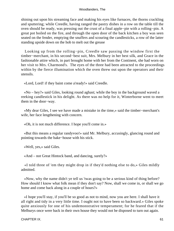shining out upon his streaming face and making his eyes like furnaces, the thorns crackling and sputtering; while Creedle, having ranged the pastry dishes in a row on the table till the oven should be ready, was pressing out the crust of a final apple−pie with a rolling−pin. A great pot boiled on the fire, and through the open door of the back kitchen a boy was seen seated on the fender, emptying the snuffers and scouring the candlesticks, a row of the latter standing upside down on the hob to melt out the grease

 Looking up from the rolling−pin, Creedle saw passing the window first the timber−merchant, in his second−best suit, Mrs. Melbury in her best silk, and Grace in the fashionable attire which, in part brought home with her from the Continent, she had worn on her visit to Mrs. Charmond's. The eyes of the three had been attracted to the proceedings within by the fierce illumination which the oven threw out upon the operators and their utensils.

«Lord, Lord! if they baint come a'ready!» said Creedle.

 «No – hey?» said Giles, looking round aghast; while the boy in the background waved a reeking candlestick in his delight. As there was no help for it, Winterborne went to meet them in the door−way.

 «My dear Giles, I see we have made a mistake in the time,» said the timber−merchant's wife, her face lengthening with concern.

«Oh, it is not much difference. I hope you'll come in.»

 «But this means a regular randyvoo!» said Mr. Melbury, accusingly, glancing round and pointing towards the bake−house with his stick.

«Well, yes,» said Giles.

«And – not Great Hintock band, and dancing, surely?»

 «I told three of 'em they might drop in if they'd nothing else to do,» Giles mildly admitted.

 «Now, why the name didn't ye tell us 'twas going to be a serious kind of thing before? How should I know what folk mean if they don't say? Now, shall we come in, or shall we go home and come back along in a couple of hours?»

 «I hope you'll stay, if you'll be so good as not to mind, now you are here. I shall have it all right and tidy in a very little time. I ought not to have been so backward.» Giles spoke quite anxiously for one of his undemonstrative temperament; for he feared that if the Melburys once were back in their own house they would not be disposed to turn out again.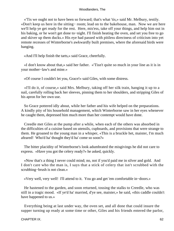«'Tis we ought not to have been so forward; that's what 'tis,» said Mr. Melbury, testily. «Don't keep us here in the sitting− room; lead on to the bakehouse, man. Now we are here we'll help ye get ready for the rest. Here, mis'ess, take off your things, and help him out in his baking, or he won't get done to−night. I'll finish heating the oven, and set you free to go and skiver up them ducks.» His eye had passed with pitiless directness of criticism into yet remote recesses of Winterborne's awkwardly built premises, where the aforesaid birds were hanging.

«And I'll help finish the tarts,» said Grace, cheerfully.

 «I don't know about that,» said her father. «'Tisn't quite so much in your line as it is in your mother−law's and mine.»

«Of course I couldn't let you, Grace!» said Giles, with some distress.

 «I'll do it, of course,» said Mrs. Melbury, taking off her silk train, hanging it up to a nail, carefully rolling back her sleeves, pinning them to her shoulders, and stripping Giles of his apron for her own use.

 So Grace pottered idly about, while her father and his wife helped on the preparations. A kindly pity of his household management, which Winterborne saw in her eyes whenever he caught them, depressed him much more than her contempt would have done.

 Creedle met Giles at the pump after a while, when each of the others was absorbed in the difficulties of a cuisine based on utensils, cupboards, and provisions that were strange to them. He groaned to the young man in a whisper, «This is a bruckle het, maister, I'm much afeared! Who'd ha' thought they'd ha' come so soon?»

 The bitter placidity of Winterborne's look adumbrated the misgivings he did not care to express. «Have you got the celery ready?» he asked, quickly.

 «Now that's a thing I never could mind; no, not if you'd paid me in silver and gold. And I don't care who the man is, I says that a stick of celery that isn't scrubbed with the scrubbing−brush is not clean.»

«Very well, very well! I'll attend to it. You go and get 'em comfortable in−doors.»

 He hastened to the garden, and soon returned, tossing the stalks to Creedle, who was still in a tragic mood. «If ye'd ha' married, d'ye see, maister,» he said, «this caddle couldn't have happened to us.»

 Everything being at last under way, the oven set, and all done that could insure the supper turning up ready at some time or other, Giles and his friends entered the parlor,

#### CHAPTER IX. 62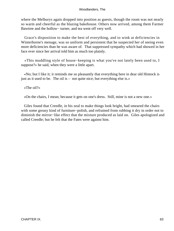where the Melburys again dropped into position as guests, though the room was not nearly so warm and cheerful as the blazing bakehouse. Others now arrived, among them Farmer Bawtree and the hollow− turner, and tea went off very well.

 Grace's disposition to make the best of everything, and to wink at deficiencies in Winterborne's menage, was so uniform and persistent that he suspected her of seeing even more deficiencies than he was aware of. That suppressed sympathy which had showed in her face ever since her arrival told him as much too plainly.

 «This muddling style of house−keeping is what you've not lately been used to, I suppose?» he said, when they were a little apart.

 «No; but I like it; it reminds me so pleasantly that everything here in dear old Hintock is just as it used to be. The oil is – not quite nice; but everything else is.»

«The oil?»

«On the chairs, I mean; because it gets on one's dress. Still, mine is not a new one.»

 Giles found that Creedle, in his zeal to make things look bright, had smeared the chairs with some greasy kind of furniture−polish, and refrained from rubbing it dry in order not to diminish the mirror−like effect that the mixture produced as laid on. Giles apologized and called Creedle; but he felt that the Fates were against him.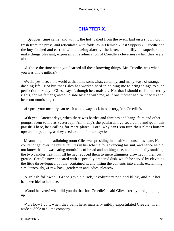# **[CHAPTER X.](#page-319-0)**

*S*upper−time came, and with it the hot−baked from the oven, laid on a snowy cloth fresh from the press, and reticulated with folds, as in Flemish «Last Suppers.» Creedle and the boy fetched and carried with amazing alacrity, the latter, to mollify his superior and make things pleasant, expressing his admiration of Creedle's cleverness when they were alone.

 «I s'pose the time when you learned all these knowing things, Mr. Creedle, was when you was in the militia?»

 «Well, yes. I seed the world at that time somewhat, certainly, and many ways of strange dashing life. Not but that Giles has worked hard in helping me to bring things to such perfection to− day. 'Giles,' says I, though he's maister. Not that I should call'n maister by rights, for his father growed up side by side with me, as if one mother had twinned us and been our nourishing.»

«I s'pose your memory can reach a long way back into history, Mr. Creedle?»

 «Oh yes. Ancient days, when there was battles and famines and hang−fairs and other pomps, seem to me as yesterday. Ah, many's the patriarch I've seed come and go in this parish! There, he's calling for more plates. Lord, why can't 'em turn their plates bottom upward for pudding, as they used to do in former days?»

 Meanwhile, in the adjoining room Giles was presiding in a half− unconscious state. He could not get over the initial failures in his scheme for advancing his suit, and hence he did not know that he was eating mouthfuls of bread and nothing else, and continually snuffing the two candles next him till he had reduced them to mere glimmers drowned in their own grease. Creedle now appeared with a specially prepared dish, which he served by elevating the little three−legged pot that contained it, and tilting the contents into a dish, exclaiming, simultaneously, «Draw back, gentlemen and ladies, please!»

 A splash followed. Grace gave a quick, involuntary nod and blink, and put her handkerchief to her face.

 «Good heavens! what did you do that for, Creedle?» said Giles, sternly, and jumping up.

 «'Tis how I do it when they baint here, maister,» mildly expostulated Creedle, in an aside audible to all the company.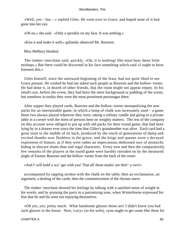«Well, yes – but – » replied Giles. He went over to Grace, and hoped none of it had gone into her eye.

«Oh no,» she said. «Only a sprinkle on my face. It was nothing.»

«Kiss it and make it well,» gallantly observed Mr. Bawtree.

Miss Melbury blushed.

 The timber−merchant said, quickly, «Oh, it is nothing! She must bear these little mishaps.» But there could be discerned in his face something which said «I ought to have foreseen this.»

 Giles himself, since the untoward beginning of the feast, had not quite liked to see Grace present. He wished he had not asked such people as Bawtree and the hollow−turner. He had done it, in dearth of other friends, that the room might not appear empty. In his mind's eye, before the event, they had been the mere background or padding of the scene, but somehow in reality they were the most prominent personages there.

 After supper they played cards, Bawtree and the hollow−turner monopolizing the new packs for an interminable game, in which a lump of chalk was incessantly used – a game those two always played wherever they were, taking a solitary candle and going to a private table in a corner with the mien of persons bent on weighty matters. The rest of the company on this account were obliged to put up with old packs for their round game, that had been lying by in a drawer ever since the time that Gliles's grandmother was alive. Each card had a great stain in the middle of its back, produced by the touch of generations of damp and excited thumbs now fleshless in the grave; and the kings and queens wore a decayed expression of feature, as if they were rather an impecunious dethroned race of monarchs hiding in obscure slums than real regal characters. Every now and then the comparatively few remarks of the players at the round game were harshly intruded on by the measured jingle of Farmer Bawtree and the hollow−turner from the back of the room:

«And I' will hold' a wa'−ger with you' That all' these marks' are thirt'−y two!»

 accompanied by rapping strokes with the chalk on the table; then an exclamation, an argument, a dealing of the cards; then the commencement of the rhymes anew.

 The timber−merchant showed his feelings by talking with a satisfied sense of weight in his words, and by praising the party in a patronizing tone, when Winterborne expressed his fear that he and his were not enjoying themselves.

 «Oh yes, yes; pretty much. What handsome glasses those are! I didn't know you had such glasses in the house. Now, Lucy» (to his wife), «you ought to get some like them for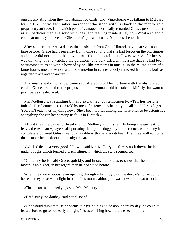ourselves.» And when they had abandoned cards, and Winterborne was talking to Melbury by the fire, it was the timber−merchant who stood with his back to the mantle in a proprietary attitude, from which post of vantage he critically regarded Giles's person, rather as a superficies than as a solid with ideas and feelings inside it, saying, «What a splendid coat that one is you have on, Giles! I can't get such coats. You dress better than I.»

 After supper there was a dance, the bandsmen from Great Hintock having arrived some time before. Grace had been away from home so long that she had forgotten the old figures, and hence did not join in the movement. Then Giles felt that all was over. As for her, she was thinking, as she watched the gyrations, of a very different measure that she had been accustomed to tread with a bevy of sylph−like creatures in muslin, in the music−room of a large house, most of whom were now moving in scenes widely removed from this, both as regarded place and character.

 A woman she did not know came and offered to tell her fortune with the abandoned cards. Grace assented to the proposal, and the woman told her tale unskilfully, for want of practice, as she declared.

 Mr. Melbury was standing by, and exclaimed, contemptuously, «Tell her fortune, indeed! Her fortune has been told by men of science – what do you call 'em? Phrenologists. You can't teach her anything new. She's been too far among the wise ones to be astonished at anything she can hear among us folks in Hintock.»

 At last the time came for breaking up, Melbury and his family being the earliest to leave, the two card−players still pursuing their game doggedly in the corner, where they had completely covered Giles's mahogany table with chalk scratches. The three walked home, the distance being short and the night clear.

 «Well, Giles is a very good fellow,» said Mr. Melbury, as they struck down the lane under boughs which formed a black filigree in which the stars seemed set.

 "Certainly he is, said Grace, quickly, and in such a tone as to show that he stood no lower, if no higher, in her regard than he had stood before.

When they were opposite an opening through which, by day, the doctor's house could be seen, they observed a light in one of his rooms, although it was now about two o'clock.

«The doctor is not abed yet,» said Mrs. Melbury.

«Hard study, no doubt,» said her husband.

 «One would think that, as he seems to have nothing to do about here by day, he could at least afford to go to bed early at night. 'Tis astonishing how little we see of him.»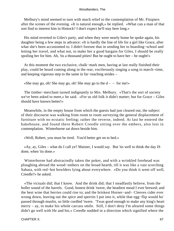Melbury's mind seemed to turn with much relief to the contemplation of Mr. Fitzpiers after the scenes of the evening. «It is natural enough,» he replied. «What can a man of that sort find to interest him in Hintock? I don't expect he'll stay here long.»

 His mind reverted to Giles's party, and when they were nearly home he spoke again, his daughter being a few steps in advance: «It is hardly the line of life for a girl like Grace, after what she's been accustomed to. I didn't foresee that in sending her to boarding−school and letting her travel, and what not, to make her a good bargain for Giles, I should be really spoiling her for him. Ah, 'tis a thousand pities! But he ought to have her – he ought!»

 At this moment the two exclusive, chalk−mark men, having at last really finished their play, could be heard coming along in the rear, vociferously singing a song to march−time, and keeping vigorous step to the same in far−reaching strides –

«She may go, oh! She may go, oh! She may go to the  $d - -$  for me!»

The timber–merchant turned indignantly to Mrs. Melbury. «That's the sort of society we've been asked to meet,» he said. «For us old folk it didn't matter; but for Grace – Giles should have known better!»

 Meanwhile, in the empty house from which the guests had just cleared out, the subject of their discourse was walking from room to room surveying the general displacement of furniture with no ecstatic feeling; rather the reverse, indeed. At last he entered the bakehouse, and found there Robert Creedle sitting over the embers, also lost in contemplation. Winterborne sat down beside him.

«Well, Robert, you must be tired. You'd better get on to bed.»

 «Ay, ay, Giles – what do I call ye? Maister, I would say. But 'tis well to think the day IS done, when 'tis done.»

 Winterborne had abstractedly taken the poker, and with a wrinkled forehead was ploughing abroad the wood−embers on the broad hearth, till it was like a vast scorching Sahara, with red−hot bowlders lying about everywhere. «Do you think it went off well, Creedle?» he asked.

 «The victuals did; that I know. And the drink did; that I steadfastly believe, from the holler sound of the barrels. Good, honest drink 'twere, the headiest mead I ever brewed; and the best wine that berries could rise to; and the briskest Horner−and− Cleeves cider ever wrung down, leaving out the spice and sperrits I put into it, while that egg−flip would ha' passed through muslin, so little curdled 'twere. 'Twas good enough to make any king's heart merry – ay, to make his whole carcass smile. Still, I don't deny I'm afeared some things didn't go well with He and his.» Creedle nodded in a direction which signified where the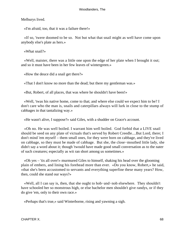Melburys lived.

«I'm afraid, too, that it was a failure there!»

 «If so, 'twere doomed to be so. Not but what that snail might as well have come upon anybody else's plate as hers.»

«What snail?»

 «Well, maister, there was a little one upon the edge of her plate when I brought it out; and so it must have been in her few leaves of wintergreen.»

«How the deuce did a snail get there?»

«That I don't know no more than the dead; but there my gentleman was.»

«But, Robert, of all places, that was where he shouldn't have been!»

 «Well, 'twas his native home, come to that; and where else could we expect him to be? I don't care who the man is, snails and caterpillars always will lurk in close to the stump of cabbages in that tantalizing way.»

«He wasn't alive, I suppose?» said Giles, with a shudder on Grace's account.

 «Oh no. He was well boiled. I warrant him well boiled. God forbid that a LIVE snail should be seed on any plate of victuals that's served by Robert Creedle....But Lord, there; I don't mind 'em myself – them small ones, for they were born on cabbage, and they've lived on cabbage, so they must be made of cabbage. But she, the close−mouthed little lady, she didn't say a word about it; though 'twould have made good small conversation as to the nater of such creatures; especially as wit ran short among us sometimes.»

 «Oh yes – 'tis all over!» murmured Giles to himself, shaking his head over the glooming plain of embers, and lining his forehead more than ever. «Do you know, Robert,» he said, «that she's been accustomed to servants and everything superfine these many years? How, then, could she stand our ways?»

 «Well, all I can say is, then, that she ought to hob−and−nob elsewhere. They shouldn't have schooled her so monstrous high, or else bachelor men shouldn't give randys, or if they do give 'em, only to their own race.»

«Perhaps that's true,» said Winterborne, rising and yawning a sigh.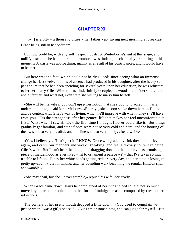# **[CHAPTER XI.](#page-319-0)**

*«'T*is a pity – a thousand pities!» her father kept saying next morning at breakfast, Grace being still in her bedroom.

 But how could he, with any self−respect, obstruct Winterborne's suit at this stage, and nullify a scheme he had labored to promote – was, indeed, mechanically promoting at this moment? A crisis was approaching, mainly as a result of his contrivances, and it would have to be met.

 But here was the fact, which could not be disguised: since seeing what an immense change her last twelve months of absence had produced in his daughter, after the heavy sum per annum that he had been spending for several years upon her education, he was reluctant to let her marry Giles Winterborne, indefinitely occupied as woodsman, cider−merchant, apple−farmer, and what not, even were she willing to marry him herself.

 «She will be his wife if you don't upset her notion that she's bound to accept him as an understood thing,» said Mrs. Melbury. «Bless ye, she'll soon shake down here in Hintock, and be content with Giles's way of living, which he'll improve with what money she'll have from you. 'Tis the strangeness after her genteel life that makes her feel uncomfortable at first. Why, when I saw Hintock the first time I thought I never could like it. But things gradually get familiar, and stone floors seem not so very cold and hard, and the hooting of the owls not so very dreadful, and loneliness not so very lonely, after a while.»

 «Yes, I believe ye. That's just it. **I KNOW** Grace will gradually sink down to our level again, and catch our manners and way of speaking, and feel a drowsy content in being Giles's wife. But I can't bear the thought of dragging down to that old level as promising a piece of maidenhood as ever lived – fit to ornament a palace wi' – that I've taken so much trouble to lift up. Fancy her white hands getting redder every day, and her tongue losing its pretty up−country curl in talking, and her bounding walk becoming the regular Hintock shail and wamble!»

«She may shail, but she'll never wamble,» replied his wife, decisively.

 When Grace came down−stairs he complained of her lying in bed so late; not so much moved by a particular objection to that form of indulgence as discomposed by these other reflections.

 The corners of her pretty mouth dropped a little down. «You used to complain with justice when I was a girl,» she said. «But I am a woman now, and can judge for myself....But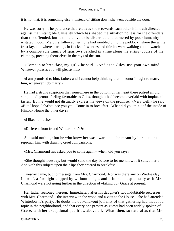it is not that; it is something else!» Instead of sitting down she went outside the door.

 He was sorry. The petulance that relatives show towards each other is in truth directed against that intangible Causality which has shaped the situation no less for the offenders than the offended, but is too elusive to be discerned and cornered by poor humanity in irritated mood. Melbury followed her. She had rambled on to the paddock, where the white frost lay, and where starlings in flocks of twenties and thirties were walking about, watched by a comfortable family of sparrows perched in a line along the string−course of the chimney, preening themselves in the rays of the sun.

 «Come in to breakfast, my girl,» he said. «And as to Giles, use your own mind. Whatever pleases you will please me.»

 «I am promised to him, father; and I cannot help thinking that in honor I ought to marry him, whenever I do marry.»

 He had a strong suspicion that somewhere in the bottom of her heart there pulsed an old simple indigenous feeling favorable to Giles, though it had become overlaid with implanted tastes. But he would not distinctly express his views on the promise. «Very well,» he said. «But I hope I sha'n't lose you yet. Come in to breakfast. What did you think of the inside of Hintock House the other day?»

«I liked it much.»

«Different from friend Winterborne's?»

 She said nothing; but he who knew her was aware that she meant by her silence to reproach him with drawing cruel comparisons.

«Mrs. Charmond has asked you to come again – when, did you say?»

 «She thought Tuesday, but would send the day before to let me know if it suited her.» And with this subject upon their lips they entered to breakfast.

 Tuesday came, but no message from Mrs. Charmond. Nor was there any on Wednesday. In brief, a fortnight slipped by without a sign, and it looked suspiciously as if Mrs. Charmond were not going further in the direction of «taking up» Grace at present.

 Her father reasoned thereon. Immediately after his daughter's two indubitable successes with Mrs. Charmond – the interview in the wood and a visit to the House – she had attended Winterborne's party. No doubt the out−and−out joviality of that gathering had made it a topic in the neighborhood, and that every one present as guests had been widely spoken of – Grace, with her exceptional qualities, above all. What, then, so natural as that Mrs.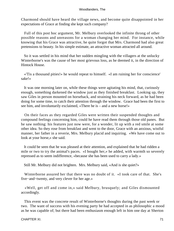Charmond should have heard the village news, and become quite disappointed in her expectations of Grace at finding she kept such company?

 Full of this post hoc argument, Mr. Melbury overlooked the infinite throng of other possible reasons and unreasons for a woman changing her mind. For instance, while knowing that his Grace was attractive, he quite forgot that Mrs. Charmond had also great pretensions to beauty. In his simple estimate, an attractive woman attracted all around.

 So it was settled in his mind that her sudden mingling with the villagers at the unlucky Winterborne's was the cause of her most grievous loss, as he deemed it, in the direction of Hintock House.

 «'Tis a thousand pities!» he would repeat to himself. «I am ruining her for conscience' sake!»

 It was one morning later on, while these things were agitating his mind, that, curiously enough, something darkened the window just as they finished breakfast. Looking up, they saw Giles in person mounted on horseback, and straining his neck forward, as he had been doing for some time, to catch their attention through the window. Grace had been the first to see him, and involuntarily exclaimed, «There he is – and a new horse!»

 On their faces as they regarded Giles were written their suspended thoughts and compound feelings concerning him, could he have read them through those old panes. But he saw nothing: his features just now were, for a wonder, lit up with a red smile at some other idea. So they rose from breakfast and went to the door, Grace with an anxious, wistful manner, her father in a reverie, Mrs. Melbury placid and inquiring. «We have come out to look at your horse,» she said.

 It could be seen that he was pleased at their attention, and explained that he had ridden a mile or two to try the animal's paces. «I bought her,» he added, with warmth so severely repressed as to seem indifference, «because she has been used to carry a lady.»

Still Mr. Melbury did not brighten. Mrs. Melbury said, «And is she quiet?»

 Winterborne assured her that there was no doubt of it. «I took care of that. She's five−and−twenty, and very clever for her age.»

 «Well, get off and come in,» said Melbury, brusquely; and Giles dismounted accordingly.

 This event was the concrete result of Winterborne's thoughts during the past week or two. The want of success with his evening party he had accepted in as philosophic a mood as he was capable of; but there had been enthusiasm enough left in him one day at Sherton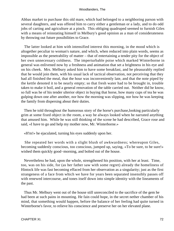Abbas market to purchase this old mare, which had belonged to a neighboring parson with several daughters, and was offered him to carry either a gentleman or a lady, and to do odd jobs of carting and agriculture at a pinch. This obliging quadruped seemed to furnish Giles with a means of reinstating himself in Melbury's good opinion as a man of considerateness by throwing out future possibilities to Grace.

 The latter looked at him with intensified interest this morning, in the mood which is altogether peculiar to woman's nature, and which, when reduced into plain words, seems as impossible as the penetrability of matter – that of entertaining a tender pity for the object of her own unnecessary coldness. The imperturbable poise which marked Winterborne in general was enlivened now by a freshness and animation that set a brightness in his eye and on his cheek. Mrs. Melbury asked him to have some breakfast, and he pleasurably replied that he would join them, with his usual lack of tactical observation, not perceiving that they had all finished the meal, that the hour was inconveniently late, and that the note piped by the kettle denoted it to be nearly empty; so that fresh water had to be brought in, trouble taken to make it boil, and a general renovation of the table carried out. Neither did he know, so full was he of his tender ulterior object in buying that horse, how many cups of tea he was gulping down one after another, nor how the morning was slipping, nor how he was keeping the family from dispersing about their duties.

 Then he told throughout the humorous story of the horse's purchase,looking particularly grim at some fixed object in the room, a way he always looked when he narrated anything that amused him. While he was still thinking of the scene he had described, Grace rose and said, «I have to go and help my mother now, Mr. Winterborne.»

«H'm!» he ejaculated, turning his eyes suddenly upon her.

 She repeated her words with a slight blush of awkwardness; whereupon Giles, becoming suddenly conscious, too conscious, jumped up, saying, «To be sure, to be sure!» wished them quickly good−morning, and bolted out of the house.

 Nevertheless he had, upon the whole, strengthened his position, with her at least. Time, too, was on his side, for (as her father saw with some regret) already the homeliness of Hintock life was fast becoming effaced from her observation as a singularity; just as the first strangeness of a face from which we have for years been separated insensibly passes off with renewed intercourse, and tones itself down into simple identity with the lineaments of the past.

 Thus Mr. Melbury went out of the house still unreconciled to the sacrifice of the gem he had been at such pains in mounting. He fain could hope, in the secret nether chamber of his mind, that something would happen, before the balance of her feeling had quite turned in Winterborne's favor, to relieve his conscience and preserve her on her elevated plane.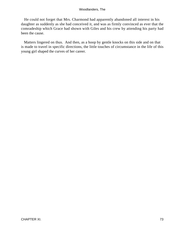He could not forget that Mrs. Charmond had apparently abandoned all interest in his daughter as suddenly as she had conceived it, and was as firmly convinced as ever that the comradeship which Grace had shown with Giles and his crew by attending his party had been the cause.

 Matters lingered on thus. And then, as a hoop by gentle knocks on this side and on that is made to travel in specific directions, the little touches of circumstance in the life of this young girl shaped the curves of her career.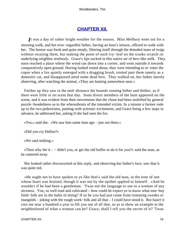# **[CHAPTER XII.](#page-319-0)**

*I*t was a day of rather bright weather for the season. Miss Melbury went out for a morning walk, and her ever−regardful father, having an hour's leisure, offered to walk with her. The breeze was fresh and quite steady, filtering itself through the denuded mass of twigs without swaying them, but making the point of each ivy−leaf on the trunks scratch its underlying neighbor restlessly. Grace's lips sucked in this native air of hers like milk. They soon reached a place where the wood ran down into a corner, and went outside it towards comparatively open ground. Having looked round about, they were intending to re−enter the copse when a fox quietly emerged with a dragging brush, trotted past them tamely as a domestic cat, and disappeared amid some dead fern. They walked on, her father merely observing, after watching the animal, «They are hunting somewhere near.»

 Farther up they saw in the mid−distance the hounds running hither and thither, as if there were little or no scent that day. Soon divers members of the hunt appeared on the scene, and it was evident from their movements that the chase had been stultified by general puzzle−headedness as to the whereabouts of the intended victim. In a minute a farmer rode up to the two pedestrians, panting with acteonic excitement, and Grace being a few steps in advance, he addressed her, asking if she had seen the fox.

«Yes,» said she. «We saw him some time ago – just out there.»

«Did you cry Halloo?»

«We said nothing.»

«Then why the  $d - -$  didn't you, or get the old buffer to do it for you?» said the man, as he cantered away.

 She looked rather disconcerted at this reply, and observing her father's face, saw that it was quite red.

 «He ought not to have spoken to ye like that!» said the old man, in the tone of one whose heart was bruised, though it was not by the epithet applied to himself. «And he wouldn't if he had been a gentleman. 'Twas not the language to use to a woman of any niceness. You, so well read and cultivated – how could he expect ye to know what tom−boy field−folk are in the habit of doing? If so be you had just come from trimming swedes or mangolds – joking with the rough work−folk and all that – I could have stood it. But hasn't it cost me near a hundred a year to lift you out of all that, so as to show an example to the neighborhood of what a woman can be? Grace, shall I tell you the secret of it? 'Twas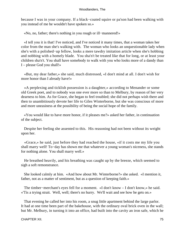because I was in your company. If a black−coated squire or pa'son had been walking with you instead of me he wouldn't have spoken so.»

«No, no, father; there's nothing in you rough or ill−mannered!»

 «I tell you it is that! I've noticed, and I've noticed it many times, that a woman takes her color from the man she's walking with. The woman who looks an unquestionable lady when she's with a polished−up fellow, looks a mere tawdry imitation article when she's hobbing and nobbing with a homely blade. You sha'n't be treated like that for long, or at least your children sha'n't. You shall have somebody to walk with you who looks more of a dandy than I – please God you shall!»

 «But, my dear father,» she said, much distressed, «I don't mind at all. I don't wish for more honor than I already have!»

 «A perplexing and ticklish possession is a daughter,» according to Menander or some old Greek poet, and to nobody was one ever more so than to Melbury, by reason of her very dearness to him. As for Grace, she began to feel troubled; she did not perhaps wish there and then to unambitiously devote her life to Giles Winterborne, but she was conscious of more and more uneasiness at the possibility of being the social hope of the family.

 «You would like to have more honor, if it pleases me?» asked her father, in continuation of the subject.

 Despite her feeling she assented to this. His reasoning had not been without its weight upon her.

 «Grace,» he said, just before they had reached the house, «if it costs me my life you shall marry well! To−day has shown me that whatever a young woman's niceness, she stands for nothing alone. You shall marry well.»

 He breathed heavily, and his breathing was caught up by the breeze, which seemed to sigh a soft remonstrance.

 She looked calmly at him. «And how about Mr. Winterborne?» she asked. «I mention it, father, not as a matter of sentiment, but as a question of keeping faith.»

 The timber−merchant's eyes fell for a moment. «I don't know – I don't know,» he said. «'Tis a trying strait. Well, well; there's no hurry. We'll wait and see how he gets on.»

 That evening he called her into his room, a snug little apartment behind the large parlor. It had at one time been part of the bakehouse, with the ordinary oval brick oven in the wall; but Mr. Melbury, in turning it into an office, had built into the cavity an iron safe, which he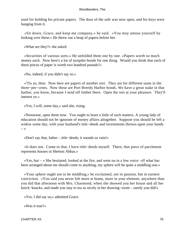used for holding his private papers. The door of the safe was now open, and his keys were hanging from it.

 «Sit down, Grace, and keep me company,» he said. «You may amuse yourself by looking over these.» He threw out a heap of papers before her.

«What are they?» she asked.

 «Securities of various sorts.» He unfolded them one by one. «Papers worth so much money each. Now here's a lot of turnpike bonds for one thing. Would you think that each of these pieces of paper is worth two hundred pounds?»

«No, indeed, if you didn't say so.»

 «'Tis so, then. Now here are papers of another sort. They are for different sums in the three−per−cents. Now these are Port Breedy Harbor bonds. We have a great stake in that harbor, you know, because I send off timber there. Open the rest at your pleasure. They'll interest ye.»

«Yes, I will, some day,» said she, rising.

 «Nonsense, open them now. You ought to learn a little of such matters. A young lady of education should not be ignorant of money affairs altogether. Suppose you should be left a widow some day, with your husband's title−deeds and investments thrown upon your hands  $\rightarrow$ 

«Don't say that, father – title−deeds; it sounds so vain!»

 «It does not. Come to that, I have title−deeds myself. There, that piece of parchment represents houses in Sherton Abbas.»

 $\langle x \rangle$  as  $\langle y \rangle$  =  $\langle x \rangle$  She hesitated, looked at the fire, and went on in a low voice:  $\langle x \rangle$  what has been arranged about me should come to anything, my sphere will be quite a middling one.»

 «Your sphere ought not to be middling,» he exclaimed, not in passion, but in earnest conviction. «You said you never felt more at home, more in your element, anywhere than you did that afternoon with Mrs. Charmond, when she showed you her house and all her knick−knacks, and made you stay to tea so nicely in her drawing−room – surely you did!»

«Yes, I did say so,» admitted Grace.

«Was it true?»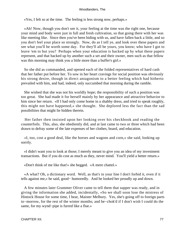«Yes, I felt so at the time. The feeling is less strong now, perhaps.»

 «Ah! Now, though you don't see it, your feeling at the time was the right one, because your mind and body were just in full and fresh cultivation, so that going there with her was like meeting like. Since then you've been biding with us, and have fallen back a little, and so you don't feel your place so strongly. Now, do as I tell ye, and look over these papers and see what you'll be worth some day. For they'll all be yours, you know; who have I got to leave 'em to but you? Perhaps when your education is backed up by what these papers represent, and that backed up by another such a set and their owner, men such as that fellow was this morning may think you a little more than a buffer's girl.»

 So she did as commanded, and opened each of the folded representatives of hard cash that her father put before her. To sow in her heart cravings for social position was obviously his strong desire, though in direct antagonism to a better feeling which had hitherto prevailed with him, and had, indeed, only succumbed that morning during the ramble.

 She wished that she was not his worldly hope; the responsibility of such a position was too great. She had made it for herself mainly by her appearance and attractive behavior to him since her return. «If I had only come home in a shabby dress, and tried to speak roughly, this might not have happened,» she thought. She deplored less the fact than the sad possibilities that might lie hidden therein.

 Her father then insisted upon her looking over his checkbook and reading the counterfoils. This, also, she obediently did, and at last came to two or three which had been drawn to defray some of the late expenses of her clothes, board, and education.

 «I, too, cost a good deal, like the horses and wagons and corn,» she said, looking up sorrily.

 «I didn't want you to look at those; I merely meant to give you an idea of my investment transactions. But if you do cost as much as they, never mind. You'll yield a better return.»

«Don't think of me like that!» she begged. «A mere chattel.»

 «A what? Oh, a dictionary word. Well, as that's in your line I don't forbid it, even if it tells against me,» he said, good− humoredly. And he looked her proudly up and down.

 A few minutes later Grammer Oliver came to tell them that supper was ready, and in giving the information she added, incidentally, «So we shall soon lose the mistress of Hintock House for some time, I hear, Maister Melbury. Yes, she's going off to foreign parts to−morrow, for the rest of the winter months; and be−chok'd if I don't wish I could do the same, for my wynd−pipe is furred like a flue.»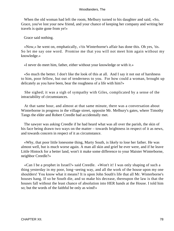When the old woman had left the room, Melbury turned to his daughter and said, «So, Grace, you've lost your new friend, and your chance of keeping her company and writing her travels is quite gone from ye!»

Grace said nothing.

 «Now,» he went on, emphatically, «'tis Winterborne's affair has done this. Oh yes, 'tis. So let me say one word. Promise me that you will not meet him again without my knowledge.»

«I never do meet him, father, either without your knowledge or with it.»

 «So much the better. I don't like the look of this at all. And I say it not out of harshness to him, poor fellow, but out of tenderness to you. For how could a woman, brought up delicately as you have been, bear the roughness of a life with him?»

 She sighed; it was a sigh of sympathy with Giles, complicated by a sense of the intractability of circumstances.

 At that same hour, and almost at that same minute, there was a conversation about Winterborne in progress in the village street, opposite Mr. Melbury's gates, where Timothy Tangs the elder and Robert Creedle had accidentally met.

 The sawyer was asking Creedle if he had heard what was all over the parish, the skin of his face being drawn two ways on the matter – towards brightness in respect of it as news, and towards concern in respect of it as circumstance.

 «Why, that poor little lonesome thing, Marty South, is likely to lose her father. He was almost well, but is much worse again. A man all skin and grief he ever were, and if he leave Little Hintock for a better land, won't it make some difference to your Maister Winterborne, neighbor Creedle?»

 «Can I be a prophet in Israel?» said Creedle. «Won't it! I was only shaping of such a thing yesterday in my poor, long−seeing way, and all the work of the house upon my one shoulders! You know what it means? It is upon John South's life that all Mr. Winterborne's houses hang. If so be South die, and so make his decease, thereupon the law is that the houses fall without the least chance of absolution into HER hands at the House. I told him so; but the words of the faithful be only as wind!»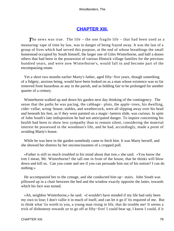# **[CHAPTER XIII.](#page-319-0)**

**The news was true.** The life – the one fragile life – that had been used as a measuring−tape of time by law, was in danger of being frayed away. It was the last of a group of lives which had served this purpose, at the end of whose breathings the small homestead occupied by South himself, the larger one of Giles Winterborne, and half a dozen others that had been in the possession of various Hintock village families for the previous hundred years, and were now Winterborne's, would fall in and become part of the encompassing estate.

 Yet a short two months earlier Marty's father, aged fifty−five years, though something of a fidgety, anxious being, would have been looked on as a man whose existence was so far removed from hazardous as any in the parish, and as bidding fair to be prolonged for another quarter of a century.

 Winterborne walked up and down his garden next day thinking of the contingency. The sense that the paths he was pacing, the cabbage− plots, the apple−trees, his dwelling, cider−cellar, wring−house, stables, and weathercock, were all slipping away over his head and beneath his feet, as if they were painted on a magic−lantern slide, was curious. In spite of John South's late indisposition he had not anticipated danger. To inquire concerning his health had been to show less sympathy than to remain silent, considering the material interest he possessed in the woodman's life, and he had, accordingly, made a point of avoiding Marty's house.

 While he was here in the garden somebody came to fetch him. It was Marty herself, and she showed her distress by her unconsciousness of a cropped poll.

 «Father is still so much troubled in his mind about that tree,» she said. «You know the tree I mean, Mr. Winterborne? the tall one in front of the house, that he thinks will blow down and kill us. Can you come and see if you can persuade him out of his notion? I can do nothing.»

 He accompanied her to the cottage, and she conducted him up− stairs. John South was pillowed up in a chair between the bed and the window exactly opposite the latter, towards which his face was turned.

 «Ah, neighbor Winterborne,» he said. «I wouldn't have minded if my life had only been my own to lose; I don't vallie it in much of itself, and can let it go if 'tis required of me. But to think what 'tis worth to you, a young man rising in life, that do trouble me! It seems a trick of dishonesty towards ye to go off at fifty−five! I could bear up, I know I could, if it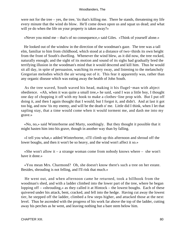were not for the tree – yes, the tree, 'tis that's killing me. There he stands, threatening my life every minute that the wind do blow. He'll come down upon us and squat us dead; and what will ye do when the life on your property is taken away?»

«Never you mind me – that's of no consequence,» said Giles. «Think of yourself alone.»

 He looked out of the window in the direction of the woodman's gaze. The tree was a tall elm, familiar to him from childhood, which stood at a distance of two−thirds its own height from the front of South's dwelling. Whenever the wind blew, as it did now, the tree rocked, naturally enough; and the sight of its motion and sound of its sighs had gradually bred the terrifying illusion in the woodman's mind that it would descend and kill him. Thus he would sit all day, in spite of persuasion, watching its every sway, and listening to the melancholy Gregorian melodies which the air wrung out of it. This fear it apparently was, rather than any organic disease which was eating away the health of John South.

 As the tree waved, South waved his head, making it his flugel−man with abject obedience. «Ah, when it was quite a small tree,» he said, «and I was a little boy, I thought one day of chopping it off with my hook to make a clothes−line prop with. But I put off doing it, and then I again thought that I would; but I forgot it, and didn't. And at last it got too big, and now 'tis my enemy, and will be the death o' me. Little did I think, when I let that sapling stay, that a time would come when it would torment me, and dash me into my grave.»

 «No, no,» said Winterborne and Marty, soothingly. But they thought it possible that it might hasten him into his grave, though in another way than by falling.

 «I tell you what,» added Winterborne, «I'll climb up this afternoon and shroud off the lower boughs, and then it won't be so heavy, and the wind won't affect it so.»

«She won't allow it – a strange woman come from nobody knows where – she won't have it done.»

 «You mean Mrs. Charmond? Oh, she doesn't know there's such a tree on her estate. Besides, shrouding is not felling, and I'll risk that much.»

 He went out, and when afternoon came he returned, took a billhook from the woodman's shed, and with a ladder climbed into the lower part of the tree, where he began lopping off – «shrouding,» as they called it at Hintock – the lowest boughs. Each of these quivered under his attack, bent, cracked, and fell into the hedge. Having cut away the lowest tier, he stepped off the ladder, climbed a few steps higher, and attacked those at the next level. Thus he ascended with the progress of his work far above the top of the ladder, cutting away his perches as he went, and leaving nothing but a bare stem below him.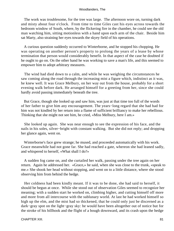The work was troublesome, for the tree was large. The afternoon wore on, turning dark and misty about four o'clock. From time to time Giles cast his eyes across towards the bedroom window of South, where, by the flickering fire in the chamber, he could see the old man watching him, sitting motionless with a hand upon each arm of the chair. Beside him sat Marty, also straining her eyes towards the skyey field of his operations.

 A curious question suddenly occurred to Winterborne, and he stopped his chopping. He was operating on another person's property to prolong the years of a lease by whose termination that person would considerably benefit. In that aspect of the case he doubted if he ought to go on. On the other hand he was working to save a man's life, and this seemed to empower him to adopt arbitrary measures.

 The wind had died down to a calm, and while he was weighing the circumstances he saw coming along the road through the increasing mist a figure which, indistinct as it was, he knew well. It was Grace Melbury, on her way out from the house, probably for a short evening walk before dark. He arranged himself for a greeting from her, since she could hardly avoid passing immediately beneath the tree.

 But Grace, though she looked up and saw him, was just at that time too full of the words of her father to give him any encouragement. The years−long regard that she had had for him was not kindled by her return into a flame of sufficient brilliancy to make her rebellious. Thinking that she might not see him, he cried, «Miss Melbury, here I am.»

 She looked up again. She was near enough to see the expression of his face, and the nails in his soles, silver−bright with constant walking. But she did not reply; and dropping her glance again, went on.

 Winterborne's face grew strange; he mused, and proceeded automatically with his work. Grace meanwhile had not gone far. She had reached a gate, whereon she had leaned sadly, and whispered to herself, «What shall I do?»

 A sudden fog came on, and she curtailed her walk, passing under the tree again on her return. Again he addressed her. «Grace,» he said, when she was close to the trunk, «speak to me.» She shook her head without stopping, and went on to a little distance, where she stood observing him from behind the hedge.

 Her coldness had been kindly meant. If it was to be done, she had said to herself, it should be begun at once. While she stood out of observation Giles seemed to recognize her meaning; with a sudden start he worked on, climbing higher, and cutting himself off more and more from all intercourse with the sublunary world. At last he had worked himself so high up the elm, and the mist had so thickened, that he could only just be discerned as a dark−gray spot on the light−gray sky: he would have been altogether out of notice but for the stroke of his billhook and the flight of a bough downward, and its crash upon the hedge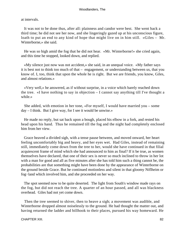at intervals.

 It was not to be done thus, after all: plainness and candor were best. She went back a third time; he did not see her now, and she lingeringly gazed up at his unconscious figure, loath to put an end to any kind of hope that might live on in him still. «Giles – Mr. Winterborne,» she said.

 He was so high amid the fog that he did not hear. «Mr. Winterborne!» she cried again, and this time he stopped, looked down, and replied.

 «My silence just now was not accident,» she said, in an unequal voice. «My father says it is best not to think too much of that – engagement, or understanding between us, that you know of. I, too, think that upon the whole he is right. But we are friends, you know, Giles, and almost relations.»

 «Very well,» he answered, as if without surprise, in a voice which barely reached down the tree. «I have nothing to say in objection – I cannot say anything till I've thought a while.»

 She added, with emotion in her tone, «For myself, I would have married you – some day – I think. But I give way, for I see it would be unwise.»

 He made no reply, but sat back upon a bough, placed his elbow in a fork, and rested his head upon his hand. Thus he remained till the fog and the night had completely enclosed him from her view.

 Grace heaved a divided sigh, with a tense pause between, and moved onward, her heart feeling uncomfortably big and heavy, and her eyes wet. Had Giles, instead of remaining still, immediately come down from the tree to her, would she have continued in that filial acquiescent frame of mind which she had announced to him as final? If it be true, as women themselves have declared, that one of their sex is never so much inclined to throw in her lot with a man for good and all as five minutes after she has told him such a thing cannot be, the probabilities are that something might have been done by the appearance of Winterborne on the ground beside Grace. But he continued motionless and silent in that gloomy Niflheim or fog−land which involved him, and she proceeded on her way.

 The spot seemed now to be quite deserted. The light from South's window made rays on the fog, but did not reach the tree. A quarter of an hour passed, and all was blackness overhead. Giles had not yet come down.

 Then the tree seemed to shiver, then to heave a sigh; a movement was audible, and Winterborne dropped almost noiselessly to the ground. He had thought the matter out, and having returned the ladder and billhook to their places, pursued his way homeward. He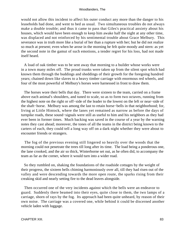would not allow this incident to affect his outer conduct any more than the danger to his leaseholds had done, and went to bed as usual. Two simultaneous troubles do not always make a double trouble; and thus it came to pass that Giles's practical anxiety about his houses, which would have been enough to keep him awake half the night at any other time, was displaced and not reinforced by his sentimental trouble about Grace Melbury. This severance was in truth more like a burial of her than a rupture with her; but he did not realize so much at present; even when he arose in the morning he felt quite moody and stern: as yet the second note in the gamut of such emotions, a tender regret for his loss, had not made itself heard.

 A load of oak timber was to be sent away that morning to a builder whose works were in a town many miles off. The proud trunks were taken up from the silent spot which had known them through the buddings and sheddings of their growth for the foregoing hundred years; chained down like slaves to a heavy timber carriage with enormous red wheels, and four of the most powerful of Melbury's horses were harnessed in front to draw them.

 The horses wore their bells that day. There were sixteen to the team, carried on a frame above each animal's shoulders, and tuned to scale, so as to form two octaves, running from the highest note on the right or off−side of the leader to the lowest on the left or near−side of the shaft−horse. Melbury was among the last to retain horse−bells in that neighborhood; for, living at Little Hintock, where the lanes yet remained as narrow as before the days of turnpike roads, these sound−signals were still as useful to him and his neighbors as they had ever been in former times. Much backing was saved in the course of a year by the warning notes they cast ahead; moreover, the tones of all the teams in the district being known to the carters of each, they could tell a long way off on a dark night whether they were about to encounter friends or strangers.

 The fog of the previous evening still lingered so heavily over the woods that the morning could not penetrate the trees till long after its time. The load being a ponderous one, the lane crooked, and the air so thick, Winterborne set out, as he often did, to accompany the team as far as the corner, where it would turn into a wider road.

 So they rumbled on, shaking the foundations of the roadside cottages by the weight of their progress, the sixteen bells chiming harmoniously over all, till they had risen out of the valley and were descending towards the more open route, the sparks rising from their creaking skid and nearly setting fire to the dead leaves alongside.

 Then occurred one of the very incidents against which the bells were an endeavor to guard. Suddenly there beamed into their eyes, quite close to them, the two lamps of a carriage, shorn of rays by the fog. Its approach had been quite unheard, by reason of their own noise. The carriage was a covered one, while behind it could be discerned another vehicle laden with luggage.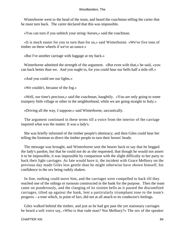Winterborne went to the head of the team, and heard the coachman telling the carter that he must turn back. The carter declared that this was impossible.

«You can turn if you unhitch your string−horses,» said the coachman.

 «It is much easier for you to turn than for us,» said Winterborne. «We've five tons of timber on these wheels if we've an ounce.»

«But I've another carriage with luggage at my back.»

 Winterborne admitted the strength of the argument. «But even with that,» he said, «you can back better than we. And you ought to, for you could hear our bells half a mile off.»

«And you could see our lights.»

«We couldn't, because of the fog.»

 «Well, our time's precious,» said the coachman, haughtily. «You are only going to some trumpery little village or other in the neighborhood, while we are going straight to Italy.»

«Driving all the way, I suppose,» said Winterborne, sarcastically.

 The argument continued in these terms till a voice from the interior of the carriage inquired what was the matter. It was a lady's.

 She was briefly informed of the timber people's obstinacy; and then Giles could hear her telling the footman to direct the timber people to turn their horses' heads.

 The message was brought, and Winterborne sent the bearer back to say that he begged the lady's pardon, but that he could not do as she requested; that though he would not assert it to be impossible, it was impossible by comparison with the slight difficulty to her party to back their light carriages. As fate would have it, the incident with Grace Melbury on the previous day made Giles less gentle than he might otherwise have shown himself, his confidence in the sex being rudely shaken.

 In fine, nothing could move him, and the carriages were compelled to back till they reached one of the sidings or turnouts constructed in the bank for the purpose. Then the team came on ponderously, and the clanging of its sixteen bells as it passed the discomfited carriages, tilted up against the bank, lent a particularly triumphant tone to the team's progress – a tone which, in point of fact, did not at all attach to its conductor's feelings.

 Giles walked behind the timber, and just as he had got past the yet stationary carriages he heard a soft voice say, «Who is that rude man? Not Melbury?» The sex of the speaker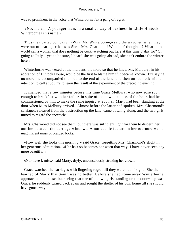was so prominent in the voice that Winterborne felt a pang of regret.

 «No, ma'am. A younger man, in a smaller way of business in Little Hintock. Winterborne is his name.»

 Thus they parted company. «Why, Mr. Winterborne,» said the wagoner, when they were out of hearing, «that was She – Mrs. Charmond! Who'd ha' thought it? What in the world can a woman that does nothing be cock−watching out here at this time o' day for? Oh, going to Italy – yes to be sure, I heard she was going abroad, she can't endure the winter here »

 Winterborne was vexed at the incident; the more so that he knew Mr. Melbury, in his adoration of Hintock House, would be the first to blame him if it became known. But saying no more, he accompanied the load to the end of the lane, and then turned back with an intention to call at South's to learn the result of the experiment of the preceding evening.

 It chanced that a few minutes before this time Grace Melbury, who now rose soon enough to breakfast with her father, in spite of the unwontedness of the hour, had been commissioned by him to make the same inquiry at South's. Marty had been standing at the door when Miss Melbury arrived. Almost before the latter had spoken, Mrs. Charmond's carriages, released from the obstruction up the lane, came bowling along, and the two girls turned to regard the spectacle.

 Mrs. Charmond did not see them, but there was sufficient light for them to discern her outline between the carriage windows. A noticeable feature in her tournure was a magnificent mass of braided locks.

 «How well she looks this morning!» said Grace, forgetting Mrs. Charmond's slight in her generous admiration. «Her hair so becomes her worn that way. I have never seen any more beautiful!»

«Nor have I, miss,» said Marty, dryly, unconsciously stroking her crown.

 Grace watched the carriages with lingering regret till they were out of sight. She then learned of Marty that South was no better. Before she had come away Winterborne approached the house, but seeing that one of the two girls standing on the door−step was Grace, he suddenly turned back again and sought the shelter of his own home till she should have gone away.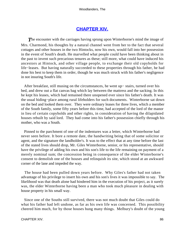# **[CHAPTER XIV.](#page-319-0)**

**The encounter with the carriages having sprung upon Winterborne's mind the image of** Mrs. Charmond, his thoughts by a natural channel went from her to the fact that several cottages and other houses in the two Hintocks, now his own, would fall into her possession in the event of South's death. He marvelled what people could have been thinking about in the past to invent such precarious tenures as these; still more, what could have induced his ancestors at Hintock, and other village people, to exchange their old copyholds for life−leases. But having naturally succeeded to these properties through his father, he had done his best to keep them in order, though he was much struck with his father's negligence in not insuring South's life.

 After breakfast, still musing on the circumstances, he went up− stairs, turned over his bed, and drew out a flat canvas bag which lay between the mattress and the sacking. In this he kept his leases, which had remained there unopened ever since his father's death. It was the usual hiding−place among rural lifeholders for such documents. Winterborne sat down on the bed and looked them over. They were ordinary leases for three lives, which a member of the South family, some fifty years before this time, had accepted of the lord of the manor in lieu of certain copyholds and other rights, in consideration of having the dilapidated houses rebuilt by said lord. They had come into his father's possession chiefly through his mother, who was a South.

 Pinned to the parchment of one of the indentures was a letter, which Winterborne had never seen before. It bore a remote date, the handwriting being that of some solicitor or agent, and the signature the landholder's. It was to the effect that at any time before the last of the stated lives should drop, Mr. Giles Winterborne, senior, or his representative, should have the privilege of adding his own and his son's life to the life remaining on payment of a merely nominal sum; the concession being in consequence of the elder Winterborne's consent to demolish one of the houses and relinquish its site, which stood at an awkward corner of the lane and impeded the way.

 The house had been pulled down years before. Why Giles's father had not taken advantage of his privilege to insert his own and his son's lives it was impossible to say. The likelihood was that death alone had hindered him in the execution of his project, as it surely was, the elder Winterborne having been a man who took much pleasure in dealing with house property in his small way.

 Since one of the Souths still survived, there was not much doubt that Giles could do what his father had left undone, as far as his own life was concerned. This possibility cheered him much, for by those houses hung many things. Melbury's doubt of the young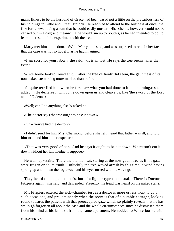man's fitness to be the husband of Grace had been based not a little on the precariousness of his holdings in Little and Great Hintock. He resolved to attend to the business at once, the fine for renewal being a sum that he could easily muster. His scheme, however, could not be carried out in a day; and meanwhile he would run up to South's, as he had intended to do, to learn the result of the experiment with the tree.

 Marty met him at the door. «Well, Marty,» he said; and was surprised to read in her face that the case was not so hopeful as he had imagined.

 «I am sorry for your labor,» she said. «It is all lost. He says the tree seems taller than ever.»

 Winterborne looked round at it. Taller the tree certainly did seem, the gauntness of its now naked stem being more marked than before.

 «It quite terrified him when he first saw what you had done to it this morning,» she added. «He declares it will come down upon us and cleave us, like 'the sword of the Lord and of Gideon.'»

«Well; can I do anything else?» asked he.

«The doctor says the tree ought to be cut down.»

«Oh – you've had the doctor?»

 «I didn't send for him Mrs. Charmond, before she left, heard that father was ill, and told him to attend him at her expense.»

 «That was very good of her. And he says it ought to be cut down. We mustn't cut it down without her knowledge, I suppose.»

 He went up−stairs. There the old man sat, staring at the now gaunt tree as if his gaze were frozen on to its trunk. Unluckily the tree waved afresh by this time, a wind having sprung up and blown the fog away, and his eyes turned with its wavings.

 They heard footsteps – a man's, but of a lighter type than usual. «There is Doctor Fitzpiers again,» she said, and descended. Presently his tread was heard on the naked stairs.

 Mr. Fitzpiers entered the sick−chamber just as a doctor is more or less wont to do on such occasions, and pre−eminently when the room is that of a humble cottager, looking round towards the patient with that preoccupied gaze which so plainly reveals that he has wellnigh forgotten all about the case and the whole circumstances since he dismissed them from his mind at his last exit from the same apartment. He nodded to Winterborne, with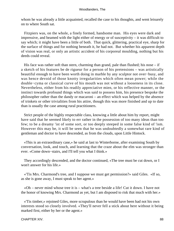whom he was already a little acquainted, recalled the case to his thoughts, and went leisurely on to where South sat.

 Fitzpiers was, on the whole, a finely formed, handsome man. His eyes were dark and impressive, and beamed with the light either of energy or of susceptivity – it was difficult to say which; it might have been a little of both. That quick, glittering, practical eye, sharp for the surface of things and for nothing beneath it, he had not. But whether his apparent depth of vision was real, or only an artistic accident of his corporeal moulding, nothing but his deeds could reveal.

His face was rather soft than stern, charming than grand, pale than flushed; his nose  $-$  if a sketch of his features be de rigueur for a person of his pretensions – was artistically beautiful enough to have been worth doing in marble by any sculptor not over−busy, and was hence devoid of those knotty irregularities which often mean power; while the double−cyma or classical curve of his mouth was not without a looseness in its close. Nevertheless, either from his readily appreciative mien, or his reflective manner, or the instinct towards profound things which was said to possess him, his presence bespoke the philosopher rather than the dandy or macaroni – an effect which was helped by the absence of trinkets or other trivialities from his attire, though this was more finished and up to date than is usually the case among rural practitioners.

 Strict people of the highly respectable class, knowing a little about him by report, might have said that he seemed likely to err rather in the possession of too many ideas than too few; to be a dreamy 'ist of some sort, or too deeply steeped in some false kind of 'ism. However this may be, it will be seen that he was undoubtedly a somewhat rare kind of gentleman and doctor to have descended, as from the clouds, upon Little Hintock.

 «This is an extraordinary case,» he said at last to Winterborne, after examining South by conversation, look, and touch, and learning that the craze about the elm was stronger than ever. «Come down−stairs, and I'll tell you what I think.»

 They accordingly descended, and the doctor continued, «The tree must be cut down, or I won't answer for his life.»

 «'Tis Mrs. Charmond's tree, and I suppose we must get permission?» said Giles. «If so, as she is gone away, I must speak to her agent.»

 «Oh – never mind whose tree it is – what's a tree beside a life! Cut it down. I have not the honor of knowing Mrs. Charmond as yet, but I am disposed to risk that much with her.»

 «'Tis timber,» rejoined Giles, more scrupulous than he would have been had not his own interests stood so closely involved. «They'll never fell a stick about here without it being marked first, either by her or the agent.»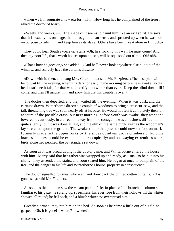«Then we'll inaugurate a new era forthwith. How long has he complained of the tree?» asked the doctor of Marty.

 «Weeks and weeks, sir. The shape of it seems to haunt him like an evil spirit. He says that it is exactly his own age, that it has got human sense, and sprouted up when he was born on purpose to rule him, and keep him as its slave. Others have been like it afore in Hintock.»

 They could hear South's voice up−stairs «Oh, he's rocking this way; he must come! And then my poor life, that's worth houses upon houses, will be squashed out o' me. Oh! oh!»

 «That's how he goes on,» she added. «And he'll never look anywhere else but out of the window, and scarcely have the curtains drawn.»

 «Down with it, then, and hang Mrs. Charmond,» said Mr. Fitzpiers. «The best plan will be to wait till the evening, when it is dark, or early in the morning before he is awake, so that he doesn't see it fall, for that would terrify him worse than ever. Keep the blind down till I come, and then I'll assure him, and show him that his trouble is over.»

 The doctor then departed, and they waited till the evening. When it was dusk, and the curtains drawn, Winterborne directed a couple of woodmen to bring a crosscut−saw, and the tall, threatening tree was soon nearly off at its base. He would not fell it completely then, on account of the possible crash, but next morning, before South was awake, they went and lowered it cautiously, in a direction away from the cottage. It was a business difficult to do quite silently; but it was done at last, and the elm of the same birth−year as the woodman's lay stretched upon the ground. The weakest idler that passed could now set foot on marks formerly made in the upper forks by the shoes of adventurous climbers only; once inaccessible nests could be examined microscopically; and on swaying extremities where birds alone had perched, the by−standers sat down.

 As soon as it was broad daylight the doctor came, and Winterborne entered the house with him. Marty said that her father was wrapped up and ready, as usual, to be put into his chair. They ascended the stairs, and soon seated him. He began at once to complain of the tree, and the danger to his life and Winterborne's house−property in consequence.

 The doctor signalled to Giles, who went and drew back the printed cotton curtains. «'Tis gone, see,» said Mr. Fitzpiers.

 As soon as the old man saw the vacant patch of sky in place of the branched column so familiar to his gaze, he sprang up, speechless, his eyes rose from their hollows till the whites showed all round; he fell back, and a bluish whiteness overspread him.

 Greatly alarmed, they put him on the bed. As soon as he came a little out of his fit, he gasped, «Oh, it is gone! – where? – where?»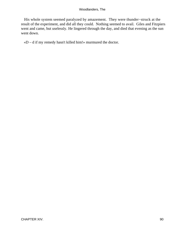His whole system seemed paralyzed by amazement. They were thunder−struck at the result of the experiment, and did all they could. Nothing seemed to avail. Giles and Fitzpiers went and came, but uselessly. He lingered through the day, and died that evening as the sun went down.

«D – d if my remedy hasn't killed him!» murmured the doctor.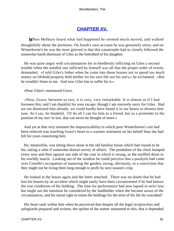# **[CHAPTER XV.](#page-319-0)**

*W*hen Melbury heard what had happened he seemed much moved, and walked thoughtfully about the premises. On South's own account he was genuinely sorry; and on Winterborne's he was the more grieved in that this catastrophe had so closely followed the somewhat harsh dismissal of Giles as the betrothed of his daughter.

 He was quite angry with circumstances for so heedlessly inflicting on Giles a second trouble when the needful one inflicted by himself was all that the proper order of events demanded. «I told Giles's father when he came into those houses not to spend too much money on lifehold property held neither for his own life nor his son's,» he exclaimed. «But he wouldn't listen to me. And now Giles has to suffer for it.»

«Poor Giles!» murmured Grace.

 «Now, Grace, between us two, it is very, very remarkable. It is almost as if I had foreseen this; and I am thankful for your escape, though I am sincerely sorry for Giles. Had we not dismissed him already, we could hardly have found it in our hearts to dismiss him now. So I say, be thankful. I'll do all I can for him as a friend; but as a pretender to the position of my son−in law, that can never be thought of more.»

 And yet at that very moment the impracticability to which poor Winterborne's suit had been reduced was touching Grace's heart to a warmer sentiment on his behalf than she had felt for years concerning him.

 He, meanwhile, was sitting down alone in the old familiar house which had ceased to be his, taking a calm if somewhat dismal survey of affairs. The pendulum of the clock bumped every now and then against one side of the case in which it swung, as the muffled drum to his worldly march. Looking out of the window he could perceive that a paralysis had come over Creedle's occupation of manuring the garden, owing, obviously, to a conviction that they might not be living there long enough to profit by next season's crop.

 He looked at the leases again and the letter attached. There was no doubt that he had lost his houses by an accident which might easily have been circumvented if he had known the true conditions of his holding. The time for performance had now lapsed in strict law; but might not the intention be considered by the landholder when she became aware of the circumstances, and his moral right to retain the holdings for the term of his life be conceded?

 His heart sank within him when he perceived that despite all the legal reciprocities and safeguards prepared and written, the upshot of the matter amounted to this, that it depended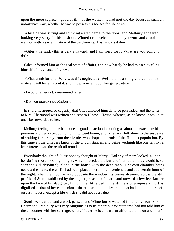upon the mere caprice – good or ill – of the woman he had met the day before in such an unfortunate way, whether he was to possess his houses for life or no.

 While he was sitting and thinking a step came to the door, and Melbury appeared, looking very sorry for his position. Winterborne welcomed him by a word and a look, and went on with his examination of the parchments. His visitor sat down.

 «Giles,» he said, «this is very awkward, and I am sorry for it. What are you going to do?»

 Giles informed him of the real state of affairs, and how barely he had missed availing himself of his chance of renewal.

 «What a misfortune! Why was this neglected? Well, the best thing you can do is to write and tell her all about it, and throw yourself upon her generosity.»

«I would rather not,» murmured Giles.

«But you must,» said Melbury.

 In short, he argued so cogently that Giles allowed himself to be persuaded, and the letter to Mrs. Charmond was written and sent to Hintock House, whence, as he knew, it would at once be forwarded to her.

 Melbury feeling that he had done so good an action in coming as almost to extenuate his previous arbitrary conduct to nothing, went home; and Giles was left alone to the suspense of waiting for a reply from the divinity who shaped the ends of the Hintock population. By this time all the villagers knew of the circumstances, and being wellnigh like one family, a keen interest was the result all round.

 Everybody thought of Giles; nobody thought of Marty. Had any of them looked in upon her during those moonlight nights which preceded the burial of her father, they would have seen the girl absolutely alone in the house with the dead man. Her own chamber being nearest the stairs, the coffin had been placed there for convenience; and at a certain hour of the night, when the moon arrived opposite the window, its beams streamed across the still profile of South, sublimed by the august presence of death, and onward a few feet farther upon the face of his daughter, lying in her little bed in the stillness of a repose almost as dignified as that of her companion – the repose of a guileless soul that had nothing more left on earth to lose, except a life which she did not overvalue.

 South was buried, and a week passed, and Winterborne watched for a reply from Mrs. Charmond. Melbury was very sanguine as to its tenor; but Winterborne had not told him of the encounter with her carriage, when, if ever he had heard an affronted tone on a woman's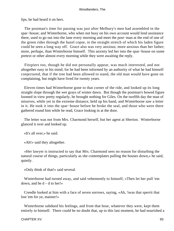lips, he had heard it on hers.

 The postman's time for passing was just after Melbury's men had assembled in the spar−house; and Winterborne, who when not busy on his own account would lend assistance there, used to go out into the lane every morning and meet the post−man at the end of one of the green rides through the hazel copse, in the straight stretch of which his laden figure could be seen a long way off. Grace also was very anxious; more anxious than her father; more, perhaps, than Winterborne himself. This anxiety led her into the spar−house on some pretext or other almost every morning while they were awaiting the reply.

 Fitzpiers too, though he did not personally appear, was much interested, and not altogether easy in his mind; for he had been informed by an authority of what he had himself conjectured, that if the tree had been allowed to stand, the old man would have gone on complaining, but might have lived for twenty years.

 Eleven times had Winterborne gone to that corner of the ride, and looked up its long straight slope through the wet grays of winter dawn. But though the postman's bowed figure loomed in view pretty regularly, he brought nothing for Giles. On the twelfth day the man of missives, while yet in the extreme distance, held up his hand, and Winterborne saw a letter in it. He took it into the spar−house before he broke the seal, and those who were there gathered round him while he read, Grace looking in at the door.

 The letter was not from Mrs. Charmond herself, but her agent at Sherton. Winterborne glanced it over and looked up.

«It's all over,» he said.

«Ah!» said they altogether.

 «Her lawyer is instructed to say that Mrs. Charmond sees no reason for disturbing the natural course of things, particularly as she contemplates pulling the houses down,» he said, quietly.

«Only think of that!» said several.

 Winterborne had turned away, and said vehemently to himself, «Then let her pull 'em down, and be  $d - d$  to her!»

 Creedle looked at him with a face of seven sorrows, saying, «Ah, 'twas that sperrit that lost 'em for ye, maister!»

 Winterborne subdued his feelings, and from that hour, whatever they were, kept them entirely to himself. There could be no doubt that, up to this last moment, he had nourished a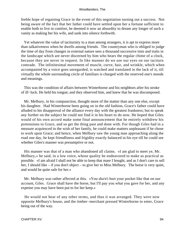feeble hope of regaining Grace in the event of this negotiation turning out a success. Not being aware of the fact that her father could have settled upon her a fortune sufficient to enable both to live in comfort, he deemed it now an absurdity to dream any longer of such a vanity as making her his wife, and sank into silence forthwith.

 Yet whatever the value of taciturnity to a man among strangers, it is apt to express more than talkativeness when he dwells among friends. The countryman who is obliged to judge the time of day from changes in external nature sees a thousand successive tints and traits in the landscape which are never discerned by him who hears the regular chime of a clock, because they are never in request. In like manner do we use our eyes on our taciturn comrade. The infinitesimal movement of muscle, curve, hair, and wrinkle, which when accompanied by a voice goes unregarded, is watched and translated in the lack of it, till virtually the whole surrounding circle of familiars is charged with the reserved one's moods and meanings.

 This was the condition of affairs between Winterborne and his neighbors after his stroke of ill−luck. He held his tongue; and they observed him, and knew that he was discomposed.

 Mr. Melbury, in his compunction, thought more of the matter than any one else, except his daughter. Had Winterborne been going on in the old fashion, Grace's father could have alluded to his disapproval of the alliance every day with the greatest frankness; but to speak any further on the subject he could not find it in his heart to do now. He hoped that Giles would of his own accord make some final announcement that he entirely withdrew his pretensions to Grace, and so get the thing past and done with. For though Giles had in a measure acquiesced in the wish of her family, he could make matters unpleasant if he chose to work upon Grace; and hence, when Melbury saw the young man approaching along the road one day, he kept friendliness and frigidity exactly balanced in his eye till he could see whether Giles's manner was presumptive or not.

 His manner was that of a man who abandoned all claims. «I am glad to meet ye, Mr. Melbury,» he said, in a low voice, whose quality he endeavored to make as practical as possible. «I am afraid I shall not be able to keep that mare I bought, and as I don't care to sell her, I should like – if you don't object – to give her to Miss Melbury. The horse is very quiet, and would be quite safe for her.»

 Mr. Melbury was rather affected at this. «You sha'n't hurt your pocket like that on our account, Giles. Grace shall have the horse, but I'll pay you what you gave for her, and any expense you may have been put to for her keep.»

 He would not hear of any other terms, and thus it was arranged. They were now opposite Melbury's house, and the timber−merchant pressed Winterborne to enter, Grace being out of the way.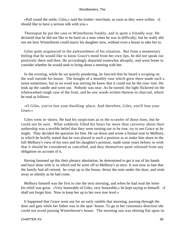«Pull round the settle, Giles,» said the timber−merchant, as soon as they were within. «I should like to have a serious talk with you.»

 Thereupon he put the case to Winterborne frankly, and in quite a friendly way. He declared that he did not like to be hard on a man when he was in difficulty; but he really did not see how Winterborne could marry his daughter now, without even a house to take her to.

 Giles quite acquiesced in the awkwardness of his situation. But from a momentary feeling that he would like to know Grace's mind from her own lips, he did not speak out positively there and then. He accordingly departed somewhat abruptly, and went home to consider whether he would seek to bring about a meeting with her.

 In the evening, while he sat quietly pondering, he fancied that he heard a scraping on the wall outside his house. The boughs of a monthly rose which grew there made such a noise sometimes, but as no wind was stirring he knew that it could not be the rose−tree. He took up the candle and went out. Nobody was near. As he turned, the light flickered on the whitewashed rough case of the front, and he saw words written thereon in charcoal, which he read as follows:

 «O Giles, you've lost your dwelling−place, And therefore, Giles, you'll lose your Grace.»

 Giles went in−doors. He had his suspicions as to the scrawler of those lines, but he could not be sure. What suddenly filled his heart far more than curiosity about their authorship was a terrible belief that they were turning out to be true, try to see Grace as he might. They decided the question for him. He sat down and wrote a formal note to Melbury, in which he briefly stated that he was placed in such a position as to make him share to the full Melbury's view of his own and his daughter's promise, made some years before; to wish that it should be considered as cancelled, and they themselves quite released from any obligation on account of it.

 Having fastened up this their plenary absolution, he determined to get it out of his hands and have done with it; to which end he went off to Melbury's at once. It was now so late that the family had all retired; he crept up to the house, thrust the note under the door, and stole away as silently as he had come.

 Melbury himself was the first to rise the next morning, and when he had read the letter his relief was great. «Very honorable of Giles, very honorable,» he kept saying to himself. «I shall not forget him. Now to keep her up to her own true level.»

 It happened that Grace went out for an early ramble that morning, passing through the door and gate while her father was in the spar−house. To go in her customary direction she could not avoid passing Winterborne's house. The morning sun was shining flat upon its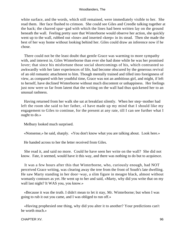white surface, and the words, which still remained, were immediately visible to her. She read them. Her face flushed to crimson. She could see Giles and Creedle talking together at the back; the charred spar−gad with which the lines had been written lay on the ground beneath the wall. Feeling pretty sure that Winterborne would observe her action, she quickly went up to the wall, rubbed out «lose» and inserted «keep» in its stead. Then she made the best of her way home without looking behind her. Giles could draw an inference now if he chose.

 There could not be the least doubt that gentle Grace was warming to more sympathy with, and interest in, Giles Winterborne than ever she had done while he was her promised lover; that since his misfortune those social shortcomings of his, which contrasted so awkwardly with her later experiences of life, had become obscured by the generous revival of an old romantic attachment to him. Though mentally trained and tilled into foreignness of view, as compared with her youthful time, Grace was not an ambitious girl, and might, if left to herself, have declined Winterborne without much discontent or unhappiness. Her feelings just now were so far from latent that the writing on the wall had thus quickened her to an unusual rashness.

 Having returned from her walk she sat at breakfast silently. When her step−mother had left the room she said to her father, «I have made up my mind that I should like my engagement to Giles to continue, for the present at any rate, till I can see further what I ought to do.»

Melbury looked much surprised.

«Nonsense,» he said, sharply. «You don't know what you are talking about. Look here.»

He handed across to her the letter received from Giles.

 She read it, and said no more. Could he have seen her write on the wall? She did not know. Fate, it seemed, would have it this way, and there was nothing to do but to acquiesce.

 It was a few hours after this that Winterborne, who, curiously enough, had NOT perceived Grace writing, was clearing away the tree from the front of South's late dwelling. He saw Marty standing in her door−way, a slim figure in meagre black, almost without womanly contours as yet. He went up to her and said, «Marty, why did you write that on my wall last night? It WAS you, you know.»

 «Because it was the truth. I didn't mean to let it stay, Mr. Winterborne; but when I was going to rub it out you came, and I was obliged to run off.»

 «Having prophesied one thing, why did you alter it to another? Your predictions can't be worth much.»

CHAPTER XV. 96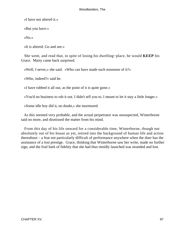«I have not altered it.»

«But you have.»

«No.»

«It is altered. Go and see.»

 She went, and read that, in spite of losing his dwelling−place, he would **KEEP** his Grace. Marty came back surprised.

«Well, I never,» she said. «Who can have made such nonsense of it?»

«Who, indeed?» said he.

«I have rubbed it all out, as the point of it is quite gone.»

«You'd no business to rub it out. I didn't tell you to. I meant to let it stay a little longer.»

«Some idle boy did it, no doubt,» she murmured.

 As this seemed very probable, and the actual perpetrator was unsuspected, Winterborne said no more, and dismissed the matter from his mind.

 From this day of his life onward for a considerable time, Winterborne, though not absolutely out of his house as yet, retired into the background of human life and action thereabout – a feat not particularly difficult of performance anywhere when the doer has the assistance of a lost prestige. Grace, thinking that Winterborne saw her write, made no further sign, and the frail bark of fidelity that she had thus timidly launched was stranded and lost.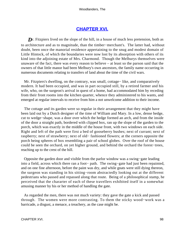# **[CHAPTER XVI.](#page-319-0)**

**D**r. Fitzpiers lived on the slope of the hill, in a house of much less pretension, both as to architecture and as to magnitude, than the timber−merchant's. The latter had, without doubt, been once the manorial residence appertaining to the snug and modest domain of Little Hintock, of which the boundaries were now lost by its absorption with others of its kind into the adjoining estate of Mrs. Charmond. Though the Melburys themselves were unaware of the fact, there was every reason to believe – at least so the parson said that the owners of that little manor had been Melbury's own ancestors, the family name occurring in numerous documents relating to transfers of land about the time of the civil wars.

 Mr. Fitzpiers's dwelling, on the contrary, was small, cottage− like, and comparatively modern. It had been occupied, and was in part occupied still, by a retired farmer and his wife, who, on the surgeon's arrival in quest of a home, had accommodated him by receding from their front rooms into the kitchen quarter, whence they administered to his wants, and emerged at regular intervals to receive from him a not unwelcome addition to their income.

 The cottage and its garden were so regular in their arrangement that they might have been laid out by a Dutch designer of the time of William and Mary. In a low, dense hedge, cut to wedge−shape, was a door over which the hedge formed an arch, and from the inside of the door a straight path, bordered with clipped box, ran up the slope of the garden to the porch, which was exactly in the middle of the house front, with two windows on each side. Right and left of the path were first a bed of gooseberry bushes; next of currant; next of raspberry; next of strawberry; next of old− fashioned flowers; at the corners opposite the porch being spheres of box resembling a pair of school globes. Over the roof of the house could be seen the orchard, on yet higher ground, and behind the orchard the forest−trees, reaching up to the crest of the hill.

 Opposite the garden door and visible from the parlor window was a swing−gate leading into a field, across which there ran a foot− path. The swing−gate had just been repainted, and on one fine afternoon, before the paint was dry, and while gnats were still dying thereon, the surgeon was standing in his sitting−room abstractedly looking out at the different pedestrians who passed and repassed along that route. Being of a philosophical stamp, he perceived that the chararter of each of these travellers exhibited itself in a somewhat amusing manner by his or her method of handling the gate.

 As regarded the men, there was not much variety: they gave the gate a kick and passed through. The women were more contrasting. To them the sticky wood−work was a barricade, a disgust, a menace, a treachery, as the case might be.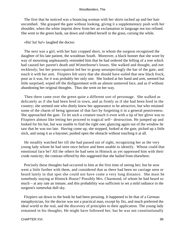The first that he noticed was a bouncing woman with her skirts tucked up and her hair uncombed. She grasped the gate without looking, giving it a supplementary push with her shoulder, when the white imprint drew from her an exclamation in language not too refined. She went to the green bank, sat down and rubbed herself in the grass, cursing the while.

#### «Ha! ha! ha!» laughed the doctor.

 The next was a girl, with her hair cropped short, in whom the surgeon recognized the daughter of his late patient, the woodman South. Moreover, a black bonnet that she wore by way of mourning unpleasantly reminded him that he had ordered the felling of a tree which had caused her parent's death and Winterborne's losses. She walked and thought, and not recklessly; but her preoccupation led her to grasp unsuspectingly the bar of the gate, and touch it with her arm. Fitzpiers felt sorry that she should have soiled that new black frock, poor as it was, for it was probably her only one. She looked at her hand and arm, seemed but little surprised, wiped off the disfigurement with an almost unmoved face, and as if without abandoning her original thoughts. Thus she went on her way.

 Then there came over the green quite a different sort of personage. She walked as delicately as if she had been bred in town, and as firmly as if she had been bred in the country; she seemed one who dimly knew her appearance to be attractive, but who retained some of the charm of being ignorant of that fact by forgetting it in a general pensiveness. She approached the gate. To let such a creature touch it even with a tip of her glove was to Fitzpiers almost like letting her proceed to tragical self− destruction. He jumped up and looked for his hat, but was unable to find the right one; glancing again out of the window he saw that he was too late. Having come up, she stopped, looked at the gate, picked up a little stick, and using it as a bayonet, pushed open the obstacle without touching it at all.

 He steadily watched her till she had passed out of sight, recognizing her as the very young lady whom he had seen once before and been unable to identify. Whose could that emotional face be? All the others he had seen in Hintock as yet oppressed him with their crude rusticity; the contrast offered by this suggested that she hailed from elsewhere.

 Precisely these thoughts had occurred to him at the first time of seeing her; but he now went a little further with them, and considered that as there had been no carriage seen or heard lately in that spot she could not have come a very long distance. She must be somebody staying at Hintock House? Possibly Mrs. Charmond, of whom he had heard so much – at any rate an inmate, and this probability was sufficient to set a mild radiance in the surgeon's somewhat dull sky.

 Fitzpiers sat down to the book he had been perusing. It happened to be that of a German metaphysician, for the doctor was not a practical man, except by fits, and much preferred the ideal world to the real, and the discovery of principles to their application. The young lady remained in his thoughts. He might have followed her; but he was not constitutionally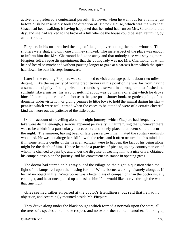active, and preferred a conjectural pursuit. However, when he went out for a ramble just before dusk he insensibly took the direction of Hintock House, which was the way that Grace had been walking, it having happened that her mind had run on Mrs. Charmond that day, and she had walked to the brow of a hill whence the house could be seen, returning by another route.

 Fitzpiers in his turn reached the edge of the glen, overlooking the manor−house. The shutters were shut, and only one chimney smoked. The mere aspect of the place was enough to inform him that Mrs. Charmond had gone away and that nobody else was staying there. Fitzpiers felt a vague disappointment that the young lady was not Mrs. Charmond, of whom he had heard so much; and without pausing longer to gaze at a carcass from which the spirit had flown, he bent his steps homeward.

 Later in the evening Fitzpiers was summoned to visit a cottage patient about two miles distant. Like the majority of young practitioners in his position he was far from having assumed the dignity of being driven his rounds by a servant in a brougham that flashed the sunlight like a mirror; his way of getting about was by means of a gig which he drove himself, hitching the rein of the horse to the gate post, shutter hook, or garden paling of the domicile under visitation, or giving pennies to little boys to hold the animal during his stay – pennies which were well earned when the cases to be attended were of a certain cheerful kind that wore out the patience of the little boys.

 On this account of travelling alone, the night journeys which Fitzpiers had frequently to take were dismal enough, a serious apparent perversity in nature ruling that whenever there was to be a birth in a particularly inaccessible and lonely place, that event should occur in the night. The surgeon, having been of late years a town man, hated the solitary midnight woodland. He was not altogether skilful with the reins, and it often occurred to his mind that if in some remote depths of the trees an accident were to happen, the fact of his being alone might be the death of him. Hence he made a practice of picking up any countryman or lad whom he chanced to pass by, and under the disguise of treating him to a nice drive, obtained his companionship on the journey, and his convenient assistance in opening gates.

 The doctor had started on his way out of the village on the night in question when the light of his lamps fell upon the musing form of Winterborne, walking leisurely along, as if he had no object in life. Winterborne was a better class of companion than the doctor usually could get, and he at once pulled up and asked him if he would like a drive through the wood that fine night.

 Giles seemed rather surprised at the doctor's friendliness, but said that he had no objection, and accordingly mounted beside Mr. Fitzpiers.

 They drove along under the black boughs which formed a network upon the stars, all the trees of a species alike in one respect, and no two of them alike in another. Looking up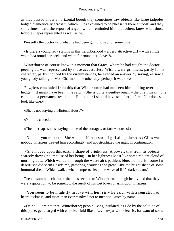as they passed under a horizontal bough they sometimes saw objects like large tadpoles lodged diametrically across it, which Giles explained to be pheasants there at roost; and they sometimes heard the report of a gun, which reminded him that others knew what those tadpole shapes represented as well as he.

Presently the doctor said what he had been going to say for some time:

 «Is there a young lady staying in this neighborhood – a very attractive girl – with a little white boa round her neck, and white fur round her gloves?»

 Winterborne of course knew in a moment that Grace, whom he had caught the doctor peering at, was represented by these accessaries. With a wary grimness, partly in his character, partly induced by the circumstances, he evaded an answer by saying, «I saw a young lady talking to Mrs. Charmond the other day; perhaps it was she.»

 Fitzpiers concluded from this that Winterborne had not seen him looking over the hedge. «It might have been,» he said. «She is quite a gentlewoman – the one I mean. She cannot be a permanent resident in Hintock or I should have seen her before. Nor does she look like one.»

«She is not staying at Hintock House?»

«No; it is closed.»

«Then perhaps she is staying at one of the cottages, or farm− houses?»

 «Oh no – you mistake. She was a different sort of girl altogether.» As Giles was nobody, Fitzpiers treated him accordingly, and apostrophized the night in continuation:

 «'She moved upon this earth a shape of brightness, A power, that from its objects scarcely drew One impulse of her being – in her lightness Most like some radiant cloud of morning dew, Which wanders through the waste air's pathless blue, To nourish some far desert: she did seem Beside me, gathering beauty as she grew, Like the bright shade of some immortal dream Which walks, when tempests sleep, the wave of life's dark stream.'»

 The consummate charm of the lines seemed to Winterborne, though he divined that they were a quotation, to be somehow the result of his lost love's charms upon Fitzpiers.

 «You seem to be mightily in love with her, sir,» he said, with a sensation of heart−sickness, and more than ever resolved not to mention Grace by name.

 «Oh no – I am not that, Winterborne; people living insulated, as I do by the solitude of this place, get charged with emotive fluid like a Leyden−jar with electric, for want of some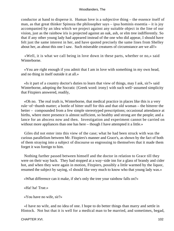conductor at hand to disperse it. Human love is a subjective thing – the essence itself of man, as that great thinker Spinoza the philosopher says – ipsa hominis essentia – it is joy accompanied by an idea which we project against any suitable object in the line of our vision, just as the rainbow iris is projected against an oak, ash, or elm tree indifferently. So that if any other young lady had appeared instead of the one who did appear, I should have felt just the same interest in her, and have quoted precisely the same lines from Shelley about her, as about this one I saw. Such miserable creatures of circumstance are we all!»

 «Well, it is what we call being in love down in these parts, whether or no,» said Winterborne.

 «You are right enough if you admit that I am in love with something in my own head, and no thing in itself outside it at all.»

 «Is it part of a country doctor's duties to learn that view of things, may I ask, sir?» said Winterborne, adopting the Socratic {Greek word: irony} with such well−assumed simplicity that Fitzpiers answered, readily,

 «Oh no. The real truth is, Winterborne, that medical practice in places like this is a very rule−of−thumb matter; a bottle of bitter stuff for this and that old woman – the bitterer the better – compounded from a few simple stereotyped prescriptions; occasional attendance at births, where mere presence is almost sufficient, so healthy and strong are the people; and a lance for an abscess now and then. Investigation and experiment cannot be carried on without more appliances than one has here – though I have attempted it a little.»

 Giles did not enter into this view of the case; what he had been struck with was the curious parallelism between Mr. Fitzpiers's manner and Grace's, as shown by the fact of both of them straying into a subject of discourse so engrossing to themselves that it made them forget it was foreign to him.

 Nothing further passed between himself and the doctor in relation to Grace till they were on their way back. They had stopped at a way−side inn for a glass of brandy and cider hot, and when they were again in motion, Fitzpiers, possibly a little warmed by the liquor, resumed the subject by saying, «I should like very much to know who that young lady was.»

«What difference can it make, if she's only the tree your rainbow falls on?»

«Ha! ha! True.»

«You have no wife, sir?»

 «I have no wife, and no idea of one. I hope to do better things than marry and settle in Hintock. Not but that it is well for a medical man to be married, and sometimes, begad,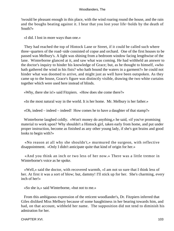'twould be pleasant enough in this place, with the wind roaring round the house, and the rain and the boughs beating against it. I hear that you lost your life−holds by the death of South?»

«I did. I lost in more ways than one.»

 They had reached the top of Hintock Lane or Street, if it could be called such where three−quarters of the road−side consisted of copse and orchard. One of the first houses to be passed was Melbury's. A light was shining from a bedroom window facing lengthwise of the lane. Winterborne glanced at it, and saw what was coming. He had withheld an answer to the doctor's inquiry to hinder his knowledge of Grace; but, as he thought to himself, «who hath gathered the wind in his fists? who hath bound the waters in a garment?» he could not hinder what was doomed to arrive, and might just as well have been outspoken. As they came up to the house, Grace's figure was distinctly visible, drawing the two white curtains together which were used here instead of blinds.

«Why, there she is!» said Fitzpiers. «How does she come there?»

«In the most natural way in the world. It is her home. Mr. Melbury is her father.»

«Oh, indeed – indeed – indeed! How comes he to have a daughter of that stamp?»

 Winterborne laughed coldly. «Won't money do anything,» he said, «if you've promising material to work upon? Why shouldn't a Hintock girl, taken early from home, and put under proper instruction, become as finished as any other young lady, if she's got brains and good looks to begin with?»

 «No reason at all why she shouldn't,» murmured the surgeon, with reflective disappointment. «Only I didn't anticipate quite that kind of origin for her.»

 «And you think an inch or two less of her now.» There was a little tremor in Winterborne's voice as he spoke.

 «Well,» said the doctor, with recovered warmth, «I am not so sure that I think less of her. At first it was a sort of blow; but, dammy! I'll stick up for her. She's charming, every inch of her!»

«So she is,» said Winterborne, «but not to me.»

 From this ambiguous expression of the reticent woodlander's, Dr. Fitzpiers inferred that Giles disliked Miss Melbury because of some haughtiness in her bearing towards him, and had, on that account, withheld her name. The supposition did not tend to diminish his admiration for her.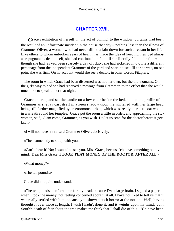# **[CHAPTER XVII.](#page-319-0)**

*G*race's exhibition of herself, in the act of pulling−to the window−curtains, had been the result of an unfortunate incident in the house that day – nothing less than the illness of Grammer Oliver, a woman who had never till now lain down for such a reason in her life. Like others to whom unbroken years of health has made the idea of keeping their bed almost as repugnant as death itself, she had continued on foot till she literally fell on the floor; and though she had, as yet, been scarcely a day off duty, she had sickened into quite a different personage from the independent Grammer of the yard and spar−house. Ill as she was, on one point she was firm. On no account would she see a doctor; in other words, Fitzpiers.

 The room in which Grace had been discerned was not her own, but the old woman's. On the girl's way to bed she had received a message from Grammer, to the effect that she would much like to speak to her that night.

 Grace entered, and set the candle on a low chair beside the bed, so that the profile of Grammer as she lay cast itself in a keen shadow upon the whitened wall, her large head being still further magnified by an enormous turban, which was, really, her petticoat wound in a wreath round her temples. Grace put the room a little in order, and approaching the sick woman, said, «I am come, Grammer, as you wish. Do let us send for the doctor before it gets later.»

«I will not have him,» said Grammer Oliver, decisively.

«Then somebody to sit up with you.»

 «Can't abear it! No; I wanted to see you, Miss Grace, because 'ch have something on my mind. Dear Miss Grace, **I TOOK THAT MONEY OF THE DOCTOR, AFTER** ALL!»

«What money?»

«The ten pounds.»

Grace did not quite understand.

 «The ten pounds he offered me for my head, because I've a large brain. I signed a paper when I took the money, not feeling concerned about it at all. I have not liked to tell ye that it was really settled with him, because you showed such horror at the notion. Well, having thought it over more at length, I wish I hadn't done it; and it weighs upon my mind. John South's death of fear about the tree makes me think that I shall die of this....'Ch have been

CHAPTER XVII. 104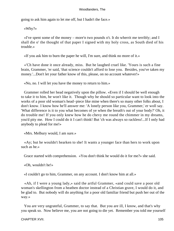going to ask him again to let me off, but I hadn't the face.»

«Why?»

 «I've spent some of the money – more'n two pounds o't. It do wherrit me terribly; and I shall die o' the thought of that paper I signed with my holy cross, as South died of his trouble.»

«If you ask him to burn the paper he will, I'm sure, and think no more of it.»

 «'Ch have done it once already, miss. But he laughed cruel like. 'Yours is such a fine brain, Grammer, 'er said, 'that science couldn't afford to lose you. Besides, you've taken my money.'...Don't let your father know of this, please, on no account whatever!»

«No, no. I will let you have the money to return to him.»

 Grammer rolled her head negatively upon the pillow. «Even if I should be well enough to take it to him, he won't like it. Though why he should so particular want to look into the works of a poor old woman's head−piece like mine when there's so many other folks about, I don't know. I know how he'll answer me: 'A lonely person like you, Grammer,' er woll say. 'What difference is it to you what becomes of ye when the breath's out of your body?' Oh, it do trouble me! If you only knew how he do chevy me round the chimmer in my dreams, you'd pity me. How I could do it I can't think! But 'ch was always so rackless!...If I only had anybody to plead for me!»

«Mrs. Melbury would, I am sure.»

 «Ay; but he wouldn't hearken to she! It wants a younger face than hers to work upon such as he.»

Grace started with comprehension. «You don't think he would do it for me?» she said.

«Oh, wouldn't he!»

«I couldn't go to him, Grammer, on any account. I don't know him at all.»

 «Ah, if I were a young lady,» said the artful Grammer, «and could save a poor old woman's skellington from a heathen doctor instead of a Christian grave, I would do it, and be glad to. But nobody will do anything for a poor old familiar friend but push her out of the way.»

 You are very ungrateful, Grammer, to say that. But you are ill, I know, and that's why you speak so. Now believe me, you are not going to die yet. Remember you told me yourself

CHAPTER XVII. 105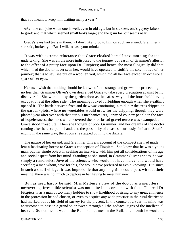that you meant to keep him waiting many a year."

 «Ay, one can joke when one is well, even in old age; but in sickness one's gayety falters to grief; and that which seemed small looks large; and the grim far−off seems near.»

 Grace's eyes had tears in them. «I don't like to go to him on such an errand, Grammer,» she said, brokenly. «But I will, to ease your mind.»

 It was with extreme reluctance that Grace cloaked herself next morning for the undertaking. She was all the more indisposed to the journey by reason of Grammer's allusion to the effect of a pretty face upon Dr. Fitzpiers; and hence she most illogically did that which, had the doctor never seen her, would have operated to stultify the sole motive of her journey; that is to say, she put on a woollen veil, which hid all her face except an occasional spark of her eyes.

 Her own wish that nothing should be known of this strange and grewsome proceeding, no less than Grammer Oliver's own desire, led Grace to take every precaution against being discovered. She went out by the garden door as the safest way, all the household having occupations at the other side. The morning looked forbidding enough when she stealthily opened it. The battle between frost and thaw was continuing in mid−air: the trees dripped on the garden−plots, where no vegetables would grow for the dripping, though they were planted year after year with that curious mechanical regularity of country people in the face of hopelessness; the moss which covered the once broad gravel terrace was swamped; and Grace stood irresolute. Then she thought of poor Grammer, and her dreams of the doctor running after her, scalpel in hand, and the possibility of a case so curiously similar to South's ending in the same way; thereupon she stepped out into the drizzle.

 The nature of her errand, and Grammer Oliver's account of the compact she had made, lent a fascinating horror to Grace's conception of Fitzpiers. She knew that he was a young man; but her single object in seeking an interview with him put all considerations of his age and social aspect from her mind. Standing as she stood, in Grammer Oliver's shoes, he was simply a remorseless Jove of the sciences, who would not have mercy, and would have sacrifice; a man whom, save for this, she would have preferred to avoid knowing. But since, in such a small village, it was improbable that any long time could pass without their meeting, there was not much to deplore in her having to meet him now.

 But, as need hardly be said, Miss Melbury's view of the doctor as a merciless, unwavering, irresistible scientist was not quite in accordance with fact. The real Dr. Fitzpiers w as a man of too many hobbies to show likelihood of rising to any great eminence in the profession he had chosen, or even to acquire any wide practice in the rural district he had marked out as his field of survey for the present. In the course of a year his mind was accustomed to pass in a grand solar sweep through all the zodiacal signs of the intellectual heaven. Sometimes it was in the Ram, sometimes in the Bull; one month he would be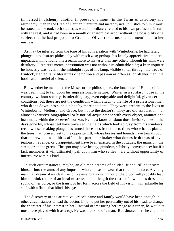immersed in alchemy, another in poesy; one month in the Twins of astrology and astronomy; then in the Crab of German literature and metaphysics. In justice to him it must be stated that he took such studies as were immediately related to his own profession in turn with the rest, and it had been in a month of anatomical ardor without the possibility of a subject that he had proposed to Grammer Oliver the terms she had mentioned to her mistress.

 As may be inferred from the tone of his conversation with Winterborne, he had lately plunged into abstract philosophy with much zest; perhaps his keenly appreciative, modern, unpractical mind found this a realm more to his taste than any other. Though his aims were desultory, Fitzpiers's mental constitution was not without its admirable side; a keen inquirer he honestly was, even if the midnight rays of his lamp, visible so far through the trees of Hintock, lighted rank literatures of emotion and passion as often as, or oftener than, the books and materiel of science.

 But whether he meditated the Muses or the philosophers, the loneliness of Hintock life was beginning to tell upon his impressionable nature. Winter in a solitary house in the country, without society, is tolerable, nay, even enjoyable and delightful, given certain conditions, but these are not the conditions which attach to the life of a professional man who drops down into such a place by mere accident. They were present to the lives of Winterborne, Melbury, and Grace; but not to the doctor's. They are old association – an almost exhaustive biographical or historical acquaintance with every object, animate and inanimate, within the observer's horizon. He must know all about those invisible ones of the days gone by, whose feet have traversed the fields which look so gray from his windows; recall whose creaking plough has turned those sods from time to time; whose hands planted the trees that form a crest to the opposite hill; whose horses and hounds have torn through that underwood; what birds affect that particular brake; what domestic dramas of love, jealousy, revenge, or disappointment have been enacted in the cottages, the mansion, the street, or on the green. The spot may have beauty, grandeur, salubrity, convenience; but if it lack memories it will ultimately pall upon him who settles there without opportunity of intercourse with his kind.

 In such circumstances, maybe, an old man dreams of an ideal friend, till he throws himself into the arms of any impostor who chooses to wear that title on his face. A young man may dream of an ideal friend likewise, but some humor of the blood will probably lead him to think rather of an ideal mistress, and at length the rustle of a woman's dress, the sound of her voice, or the transit of her form across the field of his vision, will enkindle his soul with a flame that blinds his eyes.

 The discovery of the attractive Grace's name and family would have been enough in other circumstances to lead the doctor, if not to put her personality out of his head, to change the character of his interest in her. Instead of treasuring her image as a rarity, he would at most have played with it as a toy. He was that kind of a man. But situated here he could not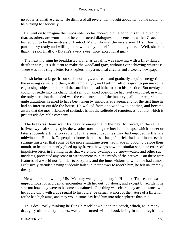go so far as amative cruelty. He dismissed all reverential thought about her, but he could not help taking her seriously.

 He went on to imagine the impossible. So far, indeed, did he go in this futile direction that, as others are wont to do, he constructed dialogues and scenes in which Grace had turned out to be the mistress of Hintock Manor−house, the mysterious Mrs. Charmond, particularly ready and willing to be wooed by himself and nobody else. «Well, she isn't that,» he said, finally. «But she's a very sweet, nice, exceptional girl.»

 The next morning he breakfasted alone, as usual. It was snowing with a fine−flaked desultoriness just sufficient to make the woodland gray, without ever achieving whiteness. There was not a single letter for Fitzpiers, only a medical circular and a weekly newspaper.

 To sit before a large fire on such mornings, and read, and gradually acquire energy till the evening came, and then, with lamp alight, and feeling full of vigor, to pursue some engrossing subject or other till the small hours, had hitherto been his practice. But to−day he could not settle into his chair. That self−contained position he had lately occupied, in which the only attention demanded was the concentration of the inner eye, all outer regard being quite gratuitous, seemed to have been taken by insidious stratagem, and for the first time he had an interest outside the house. He walked from one window to another, and became aware that the most irksome of solitudes is not the solitude of remoteness, but that which is just outside desirable company.

 The breakfast hour went by heavily enough, and the next followed, in the same half−snowy, half−rainy style, the weather now being the inevitable relapse which sooner or later succeeds a time too radiant for the season, such as they had enjoyed in the late midwinter at Hintock. To people at home there these changeful tricks had their interests; the strange mistakes that some of the more sanguine trees had made in budding before their month, to be incontinently glued up by frozen thawings now; the similar sanguine errors of impulsive birds in framing nests that were now swamped by snow−water, and other such incidents, prevented any sense of wearisomeness in the minds of the natives. But these were features of a world not familiar to Fitzpiers, and the inner visions to which he had almost exclusively attended having suddenly failed in their power to absorb him, he felt unutterably dreary.

 He wondered how long Miss Melbury was going to stay in Hintock. The season was unpropitious for accidental encounters with her out−of−doors, and except by accident he saw not how they were to become acquainted. One thing was clear – any acquaintance with her could only, with a due regard to his future, be casual, at most of the nature of a flirtation; for he had high aims, and they would some day lead him into other spheres than this.

 Thus desultorily thinking he flung himself down upon the couch, which, as in many draughty old country houses, was constructed with a hood, being in fact a legitimate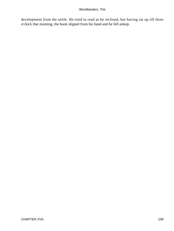development from the settle. He tried to read as he reclined, but having sat up till three o'clock that morning, the book slipped from his hand and he fell asleep.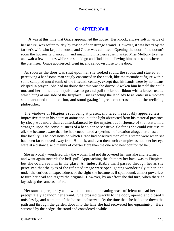## **[CHAPTER XVIII.](#page-319-0)**

*I*t was at this time that Grace approached the house. Her knock, always soft in virtue of her nature, was softer to−day by reason of her strange errand. However, it was heard by the farmer's wife who kept the house, and Grace was admitted. Opening the door of the doctor's room the housewife glanced in, and imagining Fitzpiers absent, asked Miss Melbury to enter and wait a few minutes while she should go and find him, believing him to be somewhere on the premises. Grace acquiesced, went in, and sat down close to the door.

 As soon as the door was shut upon her she looked round the room, and started at perceiving a handsome man snugly ensconced in the couch, like the recumbent figure within some canopied mural tomb of the fifteenth century, except that his hands were by no means clasped in prayer. She had no doubt that this was the doctor. Awaken him herself she could not, and her immediate impulse was to go and pull the broad ribbon with a brass rosette which hung at one side of the fireplace. But expecting the landlady to re−enter in a moment she abandoned this intention, and stood gazing in great embarrassment at the reclining philosopher.

 The windows of Fitzpiers's soul being at present shuttered, he probably appeared less impressive than in his hours of animation; but the light abstracted from his material presence by sleep was more than counterbalanced by the mysterious influence of that state, in a stranger, upon the consciousness of a beholder so sensitive. So far as she could criticise at all, she became aware that she had encountered a specimen of creation altogether unusual in that locality. The occasions on which Grace had observed men of this stamp were when she had been far removed away from Hintock, and even then such examples as had met her eye were at a distance, and mainly of coarser fibre than the one who now confronted her.

 She nervously wondered why the woman had not discovered her mistake and returned, and went again towards the bell−pull. Approaching the chimney her back was to Fitzpiers, but she could see him in the glass. An indescribable thrill passed through her as she perceived that the eyes of the reflected image were open, gazing wonderingly at her, and under the curious unexpectedness of the sight she became as if spellbound, almost powerless to turn her head and regard the original. However, by an effort she did turn, when there he lay asleep the same as before.

 Her startled perplexity as to what he could be meaning was sufficient to lead her to precipitately abandon her errand. She crossed quickly to the door, opened and closed it noiselessly, and went out of the house unobserved. By the time that she had gone down the path and through the garden door into the lane she had recovered her equanimity. Here, screened by the hedge, she stood and considered a while.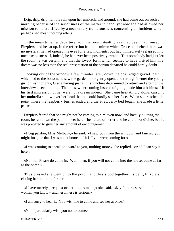Drip, drip, drip, fell the rain upon her umbrella and around; she had come out on such a morning because of the seriousness of the matter in hand; yet now she had allowed her mission to be stultified by a momentary tremulousness concerning an incident which perhaps had meant nothing after all.

 In the mean time her departure from the room, stealthy as it had been, had roused Fitzpiers, and he sat up. In the reflection from the mirror which Grace had beheld there was no mystery; he had opened his eyes for a few moments, but had immediately relapsed into unconsciousness, if, indeed, he had ever been positively awake. That somebody had just left the room he was certain, and that the lovely form which seemed to have visited him in a dream was no less than the real presentation of the person departed he could hardly doubt.

 Looking out of the window a few minutes later, down the box−edged gravel−path which led to the bottom, he saw the garden door gently open, and through it enter the young girl of his thoughts, Grace having just at this juncture determined to return and attempt the interview a second time. That he saw her coming instead of going made him ask himself if his first impression of her were not a dream indeed. She came hesitatingly along, carrying her umbrella so low over her head that he could hardly see her face. When she reached the point where the raspberry bushes ended and the strawberry bed began, she made a little pause.

 Fitzpiers feared that she might not be coming to him even now, and hastily quitting the room, he ran down the path to meet her. The nature of her errand he could not divine, but he was prepared to give her any amount of encouragement.

 «I beg pardon, Miss Melbury,» he said. «I saw you from the window, and fancied you might imagine that I was not at home – if it is I you were coming for.»

 «I was coming to speak one word to you, nothing more,» she replied. «And I can say it here.»

 «No, no. Please do come in. Well, then, if you will not come into the house, come as far as the porch.»

 Thus pressed she went on to the porch, and they stood together inside it, Fitzpiers closing her umbrella for her.

«I have merely a request or petition to make,» she said. «My father's servant is ill – a woman you know – and her illness is serious.»

«I am sorry to hear it. You wish me to come and see her at once?»

«No; I particularly wish you not to come.»

CHAPTER XVIII. 2002. 2004. THE STREET WAS SERVED FOR A 2004. THE STREET WAS SERVED FOR A 211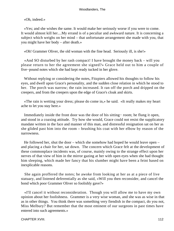«Oh, indeed.»

 «Yes; and she wishes the same. It would make her seriously worse if you were to come. It would almost kill her....My errand is of a peculiar and awkward nature. It is concerning a subject which weighs on her mind – that unfortunate arrangement she made with you, that you might have her body – after death.»

«Oh! Grammer Oliver, the old woman with the fine head. Seriously ill, is she!»

 «And SO disturbed by her rash compact! I have brought the money back – will you please return to her the agreement she signed?» Grace held out to him a couple of five−pound notes which she had kept ready tucked in her glove.

 Without replying or considering the notes, Fitzpiers allowed his thoughts to follow his eyes, and dwell upon Grace's personality, and the sudden close relation in which he stood to her. The porch was narrow; the rain increased. It ran off the porch and dripped on the creepers, and from the creepers upon the edge of Grace's cloak and skirts.

 «The rain is wetting your dress; please do come in,» he said. «It really makes my heart ache to let you stay here.»

 Immediately inside the front door was the door of his sitting− room; he flung it open, and stood in a coaxing attitude. Try how she would, Grace could not resist the supplicatory mandate written in the face and manner of this man, and distressful resignation sat on her as she glided past him into the room – brushing his coat with her elbow by reason of the narrowness.

 He followed her, shut the door – which she somehow had hoped he would leave open – and placing a chair for her, sat down. The concern which Grace felt at the development of these commonplace incidents was, of course, mainly owing to the strange effect upon her nerves of that view of him in the mirror gazing at her with open eyes when she had thought him sleeping, which made her fancy that his slumber might have been a feint based on inexplicable reasons.

 She again proffered the notes; he awoke from looking at her as at a piece of live statuary, and listened deferentially as she said, «Will you then reconsider, and cancel the bond which poor Grammer Oliver so foolishly gave?»

 «I'll cancel it without reconsideration. Though you will allow me to have my own opinion about her foolishness. Grammer is a very wise woman, and she was as wise in that as in other things. You think there was something very fiendish in the compact, do you not, Miss Melbury? But remember that the most eminent of our surgeons in past times have entered into such agreements.»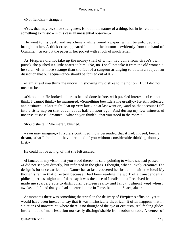«Not fiendish – strange.»

 «Yes, that may be, since strangeness is not in the nature of a thing, but in its relation to something extrinsic – in this case an unessential observer.»

 He went to his desk, and searching a while found a paper, which be unfolded and brought to her. A thick cross appeared in ink at the bottom – evidently from the hand of Grammer. Grace put the paper in her pocket with a look of much relief.

 As Fitzpiers did not take up the money (half of which had come from Grace's own purse), she pushed it a little nearer to him. «No, no. I shall not take it from the old woman,» he said. «It is more strange than the fact of a surgeon arranging to obtain a subject for dissection that our acquaintance should be formed out of it.»

 «I am afraid you think me uncivil in showing my dislike to the notion. But I did not mean to be.»

 «Oh no, no.» He looked at her, as he had done before, with puzzled interest. «I cannot think, I cannot think,» he murmured. «Something bewilders me greatly.» He still reflected and hesitated. «Last night I sat up very late,» he at last went on, «and on that account I fell into a little nap on that couch about half an hour ago. And during my few minutes of unconsciousness I dreamed – what do you think? – that you stood in the room.»

Should she tell? She merely blushed.

 «You may imagine,» Fitzpiers continued, now persuaded that it had, indeed, been a dream, «that I should not have dreamed of you without considerable thinking about you first.»

He could not be acting; of that she felt assured.

 «I fancied in my vision that you stood there,» he said, pointing to where she had paused. «I did not see you directly, but reflected in the glass. I thought, what a lovely creature! The design is for once carried out. Nature has at last recovered her lost union with the Idea! My thoughts ran in that direction because I had been reading the work of a transcendental philosopher last night; and I dare say it was the dose of Idealism that I received from it that made me scarcely able to distinguish between reality and fancy. I almost wept when I awoke, and found that you had appeared to me in Time, but not in Space, alas!»

 At moments there was something theatrical in the delivery of Fitzpiers's effusion; yet it would have been inexact to say that it was intrinsically theatrical. It often happens that in situations of unrestraint, where there is no thought of the eye of criticism, real feeling glides into a mode of manifestation not easily distinguishable from rodomontade. A veneer of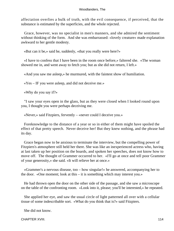affectation overlies a bulk of truth, with the evil consequence, if perceived, that the substance is estimated by the superficies, and the whole rejected.

 Grace, however, was no specialist in men's manners, and she admired the sentiment without thinking of the form. And she was embarrassed: «lovely creature» made explanation awkward to her gentle modesty.

«But can it be,» said he, suddenly, «that you really were here?»

 «I have to confess that I have been in the room once before,» faltered she. «The woman showed me in, and went away to fetch you; but as she did not return, I left.»

«And you saw me asleep,» he murmured, with the faintest show of humiliation.

«Yes – IF you were asleep, and did not deceive me.»

«Why do you say if?»

 "I saw your eyes open in the glass, but as they were closed when I looked round upon you, I thought you were perhaps deceiving me.

«Never,» said Fitzpiers, fervently – «never could I deceive you.»

 Foreknowledge to the distance of a year or so in either of them might have spoiled the effect of that pretty speech. Never deceive her! But they knew nothing, and the phrase had its day.

 Grace began now to be anxious to terminate the interview, but the compelling power of Fitzpiers's atmosphere still held her there. She was like an inexperienced actress who, having at last taken up her position on the boards, and spoken her speeches, does not know how to move off. The thought of Grammer occurred to her. «I'll go at once and tell poor Grammer of your generosity,» she said. «It will relieve her at once.»

 «Grammer's a nervous disease, too – how singular!» he answered, accompanying her to the door. «One moment; look at this – it is something which may interest you.»

 He had thrown open the door on the other side of the passage, and she saw a microscope on the table of the confronting room. «Look into it, please; you'll be interested,» he repeated.

 She applied her eye, and saw the usual circle of light patterned all over with a cellular tissue of some indescribable sort. «What do you think that is?» said Fitzpiers.

She did not know.

CHAPTER XVIII. 114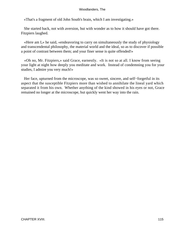«That's a fragment of old John South's brain, which I am investigating.»

 She started back, not with aversion, but with wonder as to how it should have got there. Fitzpiers laughed.

 «Here am I,» he said, «endeavoring to carry on simultaneously the study of physiology and transcendental philosophy, the material world and the ideal, so as to discover if possible a point of contrast between them; and your finer sense is quite offended!»

 «Oh no, Mr. Fitzpiers,» said Grace, earnestly. «It is not so at all. I know from seeing your light at night how deeply you meditate and work. Instead of condemning you for your studies, I admire you very much!»

Her face, upturned from the microscope, was so sweet, sincere, and self–forgetful in its aspect that the susceptible Fitzpiers more than wished to annihilate the lineal yard which separated it from his own. Whether anything of the kind showed in his eyes or not, Grace remained no longer at the microscope, but quickly went her way into the rain.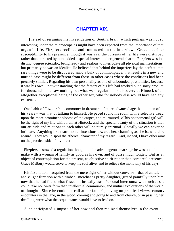## **[CHAPTER XIX.](#page-319-0)**

*I*nstead of resuming his investigation of South's brain, which perhaps was not so interesting under the microscope as might have been expected from the importance of that organ in life, Fitzpiers reclined and ruminated on the interview. Grace's curious susceptibility to his presence, though it was as if the currents of her life were disturbed rather than attracted by him, added a special interest to her general charm. Fitzpiers was in a distinct degree scientific, being ready and zealous to interrogate all physical manifestations, but primarily he was an idealist. He believed that behind the imperfect lay the perfect; that rare things were to be discovered amid a bulk of commonplace; that results in a new and untried case might be different from those in other cases where the conditions had been precisely similar. Regarding his own personality as one of unbounded possibilities, because it was his own – notwithstanding that the factors of his life had worked out a sorry product for thousands – he saw nothing but what was regular in his discovery at Hintock of an altogether exceptional being of the other sex, who for nobody else would have had any existence.

 One habit of Fitzpiers's – commoner in dreamers of more advanced age than in men of his years – was that of talking to himself. He paced round his room with a selective tread upon the more prominent blooms of the carpet, and murmured, «This phenomenal girl will be the light of my life while I am at Hintock; and the special beauty of the situation is that our attitude and relations to each other will be purely spiritual. Socially we can never be intimate. Anything like matrimonial intentions towards her, charming as she is, would be absurd. They would spoil the ethereal character of my regard. And, indeed, I have other aims on the practical side of my life.»

 Fitzpiers bestowed a regulation thought on the advantageous marriage he was bound to make with a woman of family as good as his own, and of purse much longer. But as an object of contemplation for the present, as objective spirit rather than corporeal presence, Grace Melbury would serve to keep his soul alive, and to relieve the monotony of his days.

 His first notion – acquired from the mere sight of her without converse – that of an idle and vulgar flirtation with a timber− merchant's pretty daughter, grated painfully upon him now that he had found what Grace intrinsically was. Personal intercourse with such as she could take no lower form than intellectual communion, and mutual explorations of the world of thought. Since he could not call at her father's, having no practical views, cursory encounters in the lane, in the wood, coming and going to and from church, or in passing her dwelling, were what the acquaintance would have to feed on.

Such anticipated glimpses of her now and then realized themselves in the event.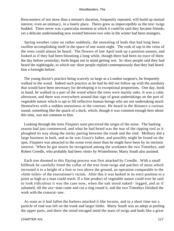Rencounters of not more than a minute's duration, frequently repeated, will build up mutual interest, even an intimacy, in a lonely place. Theirs grew as imperceptibly as the tree−twigs budded. There never was a particular moment at which it could be said they became friends; yet a delicate understanding now existed between two who in the winter had been strangers.

 Spring weather came on rather suddenly, the unsealing of buds that had long been swollen accomplishing itself in the space of one warm night. The rush of sap in the veins of the trees could almost be heard. The flowers of late April took up a position unseen, and looked as if they had been blooming a long while, though there had been no trace of them the day before yesterday; birds began not to mind getting wet. In−door people said they had heard the nightingale, to which out−door people replied contemptuously that they had heard him a fortnight before.

 The young doctor's practice being scarcely so large as a London surgeon's, he frequently walked in the wood. Indeed such practice as he had he did not follow up with the assiduity that would have been necessary for developing it to exceptional proportions. One day, book in hand, he walked in a part of the wood where the trees were mainly oaks. It was a calm afternoon, and there was everywhere around that sign of great undertakings on the part of vegetable nature which is apt to fill reflective human beings who are not undertaking much themselves with a sudden uneasiness at the contrast. He heard in the distance a curious sound, something like the quack of a duck, which, though it was common enough here about this time, was not common to him.

 Looking through the trees Fitzpiers soon perceived the origin of the noise. The barking season had just commenced, and what he had heard was the tear of the ripping tool as it ploughed its way along the sticky parting between the trunk and the rind. Melbury did a large business in bark, and as he was Grace's father, and possibly might be found on the spot, Fitzpiers was attracted to the scene even more than he might have been by its intrinsic interest. When he got nearer he recognized among the workmen the two Timothys, and Robert Creedle, who probably had been «lent» by Winterborne; Marty South also assisted.

 Each tree doomed to this flaying process was first attacked by Creedle. With a small billhook he carefully freed the collar of the tree from twigs and patches of moss which incrusted it to a height of a foot or two above the ground, an operation comparable to the «little toilet» of the executioner's victim. After this it was barked in its erect position to a point as high as a man could reach. If a fine product of vegetable nature could ever be said to look ridiculous it was the case now, when the oak stood naked− legged, and as if ashamed, till the axe−man came and cut a ring round it, and the two Timothys finished the work with the crosscut−saw.

 As soon as it had fallen the barkers attacked it like locusts, and in a short time not a particle of rind was left on the trunk and larger limbs. Marty South was an adept at peeling the upper parts, and there she stood encaged amid the mass of twigs and buds like a great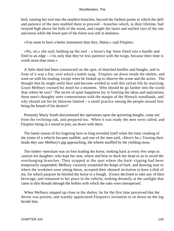bird, running her tool into the smallest branches, beyond the farthest points to which the skill and patience of the men enabled them to proceed – branches which, in their lifetime, had swayed high above the bulk of the wood, and caught the latest and earliest rays of the sun and moon while the lower part of the forest was still in darkness.

«You seem to have a better instrument than they, Marty,» said Fitzpiers.

 «No, sir,» she said, holding up the tool – a horse's leg−bone fitted into a handle and filed to an edge – «'tis only that they've less patience with the twigs, because their time is worth more than mine.»

 A little shed had been constructed on the spot, of thatched hurdles and boughs, and in front of it was a fire, over which a kettle sung. Fitzpiers sat down inside the shelter, and went on with his reading, except when he looked up to observe the scene and the actors. The thought that he might settle here and become welded in with this sylvan life by marrying Grace Melbury crossed his mind for a moment. Why should he go farther into the world than where he was? The secret of quiet happiness lay in limiting the ideas and aspirations; these men's thoughts were conterminous with the margin of the Hintock woodlands, and why should not his be likewise limited – a small practice among the people around him being the bound of his desires?

 Presently Marty South discontinued her operations upon the quivering boughs, came out from the reclining oak, and prepared tea. When it was ready the men were called; and Fitzpiers being in a mood to join, sat down with them.

 The latent reason of his lingering here so long revealed itself when the faint creaking of the joints of a vehicle became audible, and one of the men said, «Here's he.» Turning their heads they saw Melbury's gig approaching, the wheels muffled by the yielding moss.

 The timber−merchant was on foot leading the horse, looking back at every few steps to caution his daughter, who kept her seat, where and how to duck her head so as to avoid the overhanging branches. They stopped at the spot where the bark−ripping had been temporarily suspended; Melbury cursorily examined the heaps of bark, and drawing near to where the workmen were sitting down, accepted their shouted invitation to have a dish of tea, for which purpose he hitched the horse to a bough. (Grace declined to take any of their beverage, and remained in her place in the vehicle, looking dreamily at the sunlight that came in thin threads through the hollies with which the oaks were interspersed.

 When Melbury stepped up close to the shelter, he for the first time perceived that the doctor was present, and warmly appreciated Fitzpiers's invitation to sit down on the log beside him.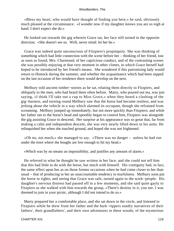«Bless my heart, who would have thought of finding you here,» he said, obviously much pleased at the circumstance. «I wonder now if my daughter knows you are so nigh at hand. I don't expect she do.»

 He looked out towards the gig wherein Grace sat, her face still turned in the opposite direction. «She doesn't see us. Well, never mind: let her be.»

 Grace was indeed quite unconscious of Fitzpiers's propinquity. She was thinking of something which had little connection with the scene before her – thinking of her friend, lost as soon as found, Mrs. Charmond; of her capricious conduct, and of the contrasting scenes she was possibly enjoying at that very moment in other climes, to which Grace herself had hoped to be introduced by her friend's means. She wondered if this patronizing lady would return to Hintock during the summer, and whether the acquaintance which had been nipped on the last occasion of her residence there would develop on the next.

 Melbury told ancient timber−stories as he sat, relating them directly to Fitzpiers, and obliquely to the men, who had heard them often before. Marty, who poured out tea, was just saying, «I think I'll take out a cup to Miss Grace,» when they heard a clashing of the gig−harness, and turning round Melbury saw that the horse had become restless, and was jerking about the vehicle in a way which alarmed its occupant, though she refrained from screaming. Melbury jumped up immediately, but not more quickly than Fitzpiers; and while her father ran to the horse's head and speedily began to control him, Fitzpiers was alongside the gig assisting Grace to descend. Her surprise at his appearance was so great that, far from making a calm and independent descent, she was very nearly lifted down in his arms. He relinquished her when she touched ground, and hoped she was not frightened.

 «Oh no, not much,» she managed to say. «There was no danger – unless he had run under the trees where the boughs are low enough to hit my head.»

«Which was by no means an impossibility, and justifies any amount of alarm.»

 He referred to what he thought he saw written in her face, and she could not tell him that this had little to do with the horse, but much with himself. His contiguity had, in fact, the same effect upon her as on those former occasions when he had come closer to her than usual – that of producing in her an unaccountable tendency to tearfulness. Melbury soon put the horse to rights, and seeing that Grace was safe, turned again to the work−people. His daughter's nervous distress had passed off in a few moments, and she said quite gayly to Fitzpiers as she walked with him towards the group, «There's destiny in it, you see. I was doomed to join in your picnic, although I did not intend to do so.»

 Marty prepared her a comfortable place, and she sat down in the circle, and listened to Fitzpiers while he drew from her father and the bark−rippers sundry narratives of their fathers', their grandfathers', and their own adventures in these woods; of the mysterious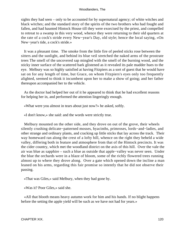sights they had seen – only to be accounted for by supernatural agency; of white witches and black witches; and the standard story of the spirits of the two brothers who had fought and fallen, and had haunted Hintock House till they were exorcised by the priest, and compelled to retreat to a swamp in this very wood, whence they were returning to their old quarters at the rate of a cock's stride every New−year's Day, old style; hence the local saying, «On New−year's tide, a cock's stride.»

 It was a pleasant time. The smoke from the little fire of peeled sticks rose between the sitters and the sunlight, and behind its blue veil stretched the naked arms of the prostrate trees The smell of the uncovered sap mingled with the smell of the burning wood, and the sticky inner surface of the scattered bark glistened as it revealed its pale madder hues to the eye. Melbury was so highly satisfied at having Fitzpiers as a sort of guest that he would have sat on for any length of time, but Grace, on whom Fitzpiers's eyes only too frequently alighted, seemed to think it incumbent upon her to make a show of going; and her father thereupon accompanied her to the vehicle.

 As the doctor had helped her out of it he appeared to think that he had excellent reasons for helping her in, and performed the attention lingeringly enough.

«What were you almost in tears about just now?» he asked, softly.

«I don't know,» she said: and the words were strictly true.

 Melbury mounted on the other side, and they drove on out of the grove, their wheels silently crushing delicate−patterned mosses, hyacinths, primroses, lords−and−ladies, and other strange and ordinary plants, and cracking up little sticks that lay across the track. Their way homeward ran along the crest of a lofty hill, whence on the right they beheld a wide valley, differing both in feature and atmosphere from that of the Hintock precincts. It was the cider country, which met the woodland district on the axis of this hill. Over the vale the air was blue as sapphire – such a blue as outside that apple−valley was never seen. Under the blue the orchards were in a blaze of bloom, some of the richly flowered trees running almost up to where they drove along. Over a gate which opened down the incline a man leaned on his arms, regarding this fair promise so intently that he did not observe their passing.

«That was Giles,» said Melbury, when they had gone by.

«Was it? Poor Giles,» said she.

 «All that blooth means heavy autumn work for him and his hands. If no blight happens before the setting the apple yield will be such as we have not had for years.»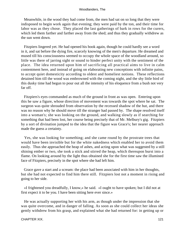Meanwhile, in the wood they had come from, the men had sat on so long that they were indisposed to begin work again that evening; they were paid by the ton, and their time for labor was as they chose. They placed the last gatherings of bark in rows for the curers, which led them farther and farther away from the shed; and thus they gradually withdrew as the sun went down.

 Fitzpiers lingered yet. He had opened his book again, though he could hardly see a word in it, and sat before the dying fire, scarcely knowing of the men's departure. He dreamed and mused till his consciousness seemed to occupy the whole space of the woodland around, so little was there of jarring sight or sound to hinder perfect unity with the sentiment of the place. The idea returned upon him of sacrificing all practical aims to live in calm contentment here, and instead of going on elaborating new conceptions with infinite pains, to accept quiet domesticity according to oldest and homeliest notions. These reflections detained him till the wood was embrowned with the coming night, and the shy little bird of this dusky time had begun to pour out all the intensity of his eloquence from a bush not very far off.

 Fitzpiers's eyes commanded as much of the ground in front as was open. Entering upon this he saw a figure, whose direction of movement was towards the spot where he sat. The surgeon was quite shrouded from observation by the recessed shadow of the hut, and there was no reason why he should move till the stranger had passed by. The shape resolved itself into a woman's; she was looking on the ground, and walking slowly as if searching for something that had been lost, her course being precisely that of Mr. Melbury's gig. Fitzpiers by a sort of divination jumped to the idea that the figure was Grace's; her nearer approach made the guess a certainty.

 Yes, she was looking for something; and she came round by the prostrate trees that would have been invisible but for the white nakedness which enabled her to avoid them easily. Thus she approached the heap of ashes, and acting upon what was suggested by a still shining ember or two, she took a stick and stirred the heap, which thereupon burst into a flame. On looking around by the light thus obtained she for the first time saw the illumined face of Fitzpiers, precisely in the spot where she had left him.

 Grace gave a start and a scream: the place had been associated with him in her thoughts, but she had not expected to find him there still. Fitzpiers lost not a moment in rising and going to her side.

 «I frightened you dreadfully, I know,» he said. «I ought to have spoken; but I did not at first expect it to be you. I have been sitting here ever since.»

 He was actually supporting her with his arm, as though under the impression that she was quite overcome, and in danger of falling. As soon as she could collect her ideas she gently withdrew from his grasp, and explained what she had returned for: in getting up or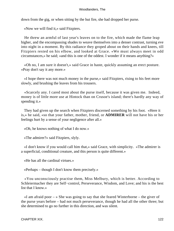down from the gig, or when sitting by the hut fire, she had dropped her purse.

«Now we will find it,» said Fitzpiers.

 He threw an armful of last year's leaves on to the fire, which made the flame leap higher, and the encompassing shades to weave themselves into a denser contrast, turning eve into night in a moment. By this radiance they groped about on their hands and knees, till Fitzpiers rested on his elbow, and looked at Grace. «We must always meet in odd circumstances,» he said; «and this is one of the oddest. I wonder if it means anything?»

 «Oh no, I am sure it doesn't,» said Grace in haste, quickly assuming an erect posture. «Pray don't say it any more.»

 «I hope there was not much money in the purse,» said Fitzpiers, rising to his feet more slowly, and brushing the leaves from his trousers.

 «Scarcely any. I cared most about the purse itself, because it was given me. Indeed, money is of little more use at Hintock than on Crusoe's island; there's hardly any way of spending it.»

 They had given up the search when Fitzpiers discerned something by his foot. «Here it is,» he said, «so that your father, mother, friend, or **ADMIRER** will not have his or her feelings hurt by a sense of your negligence after all.»

«Oh, he knows nothing of what I do now.»

«The admirer?» said Fitzpiers, slyly.

 «I don't know if you would call him that,» said Grace, with simplicity. «The admirer is a superficial, conditional creature, and this person is quite different.»

«He has all the cardinal virtues.»

«Perhaps – though I don't know them precisely.»

 «You unconsciously practise them, Miss Melbury, which is better. According to Schleiermacher they are Self−control, Perseverance, Wisdom, and Love; and his is the best list that I know.»

 «I am afraid poor – » She was going to say that she feared Winterborne – the giver of the purse years before – had not much perseverance, though he had all the other three; but she determined to go no further in this direction, and was silent.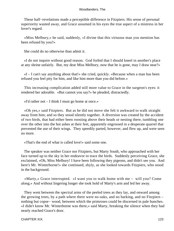These half−revelations made a perceptible difference in Fitzpiers. His sense of personal superiority wasted away, and Grace assumed in his eyes the true aspect of a mistress in her lover's regard.

 «Miss Melbury,» he said, suddenly, «I divine that this virtuous man you mention has been refused by you?»

She could do no otherwise than admit it.

 «I do not inquire without good reason. God forbid that I should kneel in another's place at any shrine unfairly. But, my dear Miss Melbury, now that he is gone, may I draw near?»

 «I – I can't say anything about that!» she cried, quickly. «Because when a man has been refused you feel pity for him, and like him more than you did before.»

 This increasing complication added still more value to Grace in the surgeon's eyes: it rendered her adorable. «But cannot you say?» he pleaded, distractedly.

«I'd rather not – I think I must go home at once.»

 «Oh yes,» said Fitzpiers. But as he did not move she felt it awkward to walk straight away from him; and so they stood silently together. A diversion was created by the accident of two birds, that had either been roosting above their heads or nesting there, tumbling one over the other into the hot ashes at their feet, apparently engrossed in a desperate quarrel that prevented the use of their wings. They speedily parted, however, and flew up, and were seen no more.

«That's the end of what is called love!» said some one.

 The speaker was neither Grace nor Fitzpiers, but Marty South, who approached with her face turned up to the sky in her endeavor to trace the birds. Suddenly perceiving Grace, she exclaimed, «Oh, Miss Melbury! I have been following they pigeons, and didn't see you. And here's Mr. Winterborne!» she continued, shyly, as she looked towards Fitzpiers, who stood in the background.

 «Marty,» Grace interrupted. «I want you to walk home with me – will you? Come along.» And without lingering longer she took hold of Marty's arm and led her away.

 They went between the spectral arms of the peeled trees as they lay, and onward among the growing trees, by a path where there were no oaks, and no barking, and no Fitzpiers – nothing but copse– wood, between which the primroses could be discerned in pale bunches. «I didn't know Mr. Winterborne was there,» said Marty, breaking the silence when they had nearly reached Grace's door.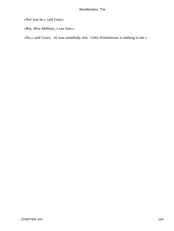«Nor was he,» said Grace.

«But, Miss Melbury, I saw him.»

«No,» said Grace. «It was somebody else. Giles Winterborne is nothing to me.»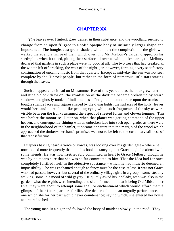## **[CHAPTER XX.](#page-319-0)**

**The leaves over Hintock grew denser in their substance, and the woodland seemed to** change from an open filigree to a solid opaque body of infinitely larger shape and importance. The boughs cast green shades, which hurt the complexion of the girls who walked there; and a fringe of them which overhung Mr. Melbury's garden dripped on his seed−plots when it rained, pitting their surface all over as with pock−marks, till Melbury declared that gardens in such a place were no good at all. The two trees that had creaked all the winter left off creaking, the whir of the night−jar, however, forming a very satisfactory continuation of uncanny music from that quarter. Except at mid−day the sun was not seen complete by the Hintock people, but rather in the form of numerous little stars staring through the leaves.

 Such an appearance it had on Midsummer Eve of this year, and as the hour grew later, and nine o'clock drew on, the irradiation of the daytime became broken up by weird shadows and ghostly nooks of indistinctness. Imagination could trace upon the trunks and boughs strange faces and figures shaped by the dying lights; the surfaces of the holly−leaves would here and there shine like peeping eyes, while such fragments of the sky as were visible between the trunks assumed the aspect of sheeted forms and cloven tongues. This was before the moonrise. Later on, when that planet was getting command of the upper heaven, and consequently shining with an unbroken face into such open glades as there were in the neighborhood of the hamlet, it became apparent that the margin of the wood which approached the timber−merchant's premises was not to be left to the customary stillness of that reposeful time.

 Fitzpiers having heard a voice or voices, was looking over his garden gate – where he now looked more frequently than into his books – fancying that Grace might be abroad with some friends. He was now irretrievably committed in heart to Grace Melbury, though he was by no means sure that she was so far committed to him. That the Idea had for once completely fulfilled itself in the objective substance – which he had hitherto deemed an impossibility – he was enchanted enough to fancy must be the case at last. It was not Grace who had passed, however, but several of the ordinary village girls in a group – some steadily walking, some in a mood of wild gayety. He quietly asked his landlady, who was also in the garden, what these girls were intending, and she informed him that it being Old Midsummer Eve, they were about to attempt some spell or enchantment which would afford them a glimpse of their future partners for life. She declared it to be an ungodly performance, and one which she for her part would never countenance; saying which, she entered her house and retired to bed.

The young man lit a cigar and followed the bevy of maidens slowly up the road. They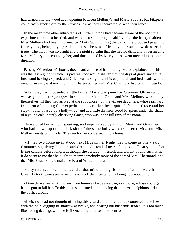had turned into the wood at an opening between Melbury's and Marty South's; but Fitzpiers could easily track them by their voices, low as they endeavored to keep their tones.

 In the mean time other inhabitants of Little Hintock had become aware of the nocturnal experiment about to be tried, and were also sauntering stealthily after the frisky maidens. Miss Melbury had been informed by Marty South during the day of the proposed peep into futurity, and, being only a girl like the rest, she was sufficiently interested to wish to see the issue. The moon was so bright and the night so calm that she had no difficulty in persuading Mrs. Melbury to accompany her; and thus, joined by Marty, these went onward in the same direction.

 Passing Winterborne's house, they heard a noise of hammering. Marty explained it. This was the last night on which his paternal roof would shelter him, the days of grace since it fell into hand having expired; and Giles was taking down his cupboards and bedsteads with a view to an early exit next morning. His encounter with Mrs. Charmond had cost him dearly.

 When they had proceeded a little farther Marty was joined by Grammer Oliver (who was as young as the youngest in such matters), and Grace and Mrs. Melbury went on by themselves till they had arrived at the spot chosen by the village daughters, whose primary intention of keeping their expedition a secret had been quite defeated. Grace and her step−mother paused by a holly−tree; and at a little distance stood Fitzpiers under the shade of a young oak, intently observing Grace, who was in the full rays of the moon.

 He watched her without speaking, and unperceived by any but Marty and Grammer, who had drawn up on the dark side of the same holly which sheltered Mrs. and Miss Melbury on its bright side. The two former conversed in low tones.

 «If they two come up in Wood next Midsummer Night they'll come as one,» said Grammer, signifying Fitzpiers and Grace. «Instead of my skellington he'll carry home her living carcass before long. But though she's a lady in herself, and worthy of any such as he, it do seem to me that he ought to marry somebody more of the sort of Mrs. Charmond, and that Miss Grace should make the best of Winterborne.»

 Marty returned no comment; and at that minute the girls, some of whom were from Great Hintock, were seen advancing to work the incantation, it being now about midnight.

 «Directly we see anything we'll run home as fast as we can,» said one, whose courage had begun to fail her. To this the rest assented, not knowing that a dozen neighbors lurked in the bushes around.

 «I wish we had not thought of trying this,» said another, «but had contented ourselves with the hole−digging to−morrow at twelve, and hearing our husbands' trades. It is too much like having dealings with the Evil One to try to raise their forms.»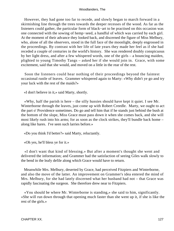However, they had gone too far to recede, and slowly began to march forward in a skirmishing line through the trees towards the deeper recesses of the wood. As far as the listeners could gather, the particular form of black−art to be practised on this occasion was one connected with the sowing of hemp−seed, a handful of which was carried by each girl. At the moment of their advance they looked back, and discerned the figure of Miss Melbury, who, alone of all the observers, stood in the full face of the moonlight, deeply engrossed in the proceedings. By contrast with her life of late years they made her feel as if she had receded a couple of centuries in the world's history. She was rendered doubly conspicuous by her light dress, and after a few whispered words, one of the girls – a bouncing maiden, plighted to young Timothy Tangs – asked her if she would join in. Grace, with some excitement, said that she would, and moved on a little in the rear of the rest.

 Soon the listeners could hear nothing of their proceedings beyond the faintest occasional rustle of leaves. Grammer whispered again to Marty: «Why didn't ye go and try your luck with the rest of the maids?»

«I don't believe in it,» said Marty, shortly.

 «Why, half the parish is here – the silly hussies should have kept it quiet. I see Mr. Winterborne through the leaves, just come up with Robert Creedle. Marty, we ought to act the part o' Providence sometimes. Do go and tell him that if he stands just behind the bush at the bottom of the slope, Miss Grace must pass down it when she comes back, and she will most likely rush into his arms; for as soon as the clock strikes, they'll bundle back home – along like hares. I've seen such larries before.»

«Do you think I'd better?» said Marty, reluctantly.

«Oh yes, he'll bless ye for it.»

 «I don't want that kind of blessing.» But after a moment's thought she went and delivered the information; and Grammer had the satisfaction of seeing Giles walk slowly to the bend in the leafy defile along which Grace would have to return.

 Meanwhile Mrs. Melbury, deserted by Grace, had perceived Fitzpiers and Winterborne, and also the move of the latter. An improvement on Grammer's idea entered the mind of Mrs. Melbury, for she had lately discerned what her husband had not – that Grace was rapidly fascinating the surgeon. She therefore drew near to Fitzpiers.

 «You should be where Mr. Winterborne is standing,» she said to him, significantly. «She will run down through that opening much faster than she went up it, if she is like the rest of the girls.»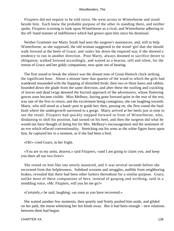Fitzpiers did not require to be told twice. He went across to Winterborne and stood beside him. Each knew the probable purpose of the other in standing there, and neither spoke, Fitzpiers scorning to look upon Winterborne as a rival, and Winterborne adhering to the off−hand manner of indifference which had grown upon him since his dismissal.

 Neither Grammer nor Marty South had seen the surgeon's manoeuvre, and, still to help Winterborne, as she supposed, the old woman suggested to the wood−girl that she should walk forward at the heels of Grace, and «tole» her down the required way if she showed a tendency to run in another direction. Poor Marty, always doomed to sacrifice desire to obligation, walked forward accordingly, and waited as a beacon, still and silent, for the retreat of Grace and her giddy companions, now quite out of hearing.

 The first sound to break the silence was the distant note of Great Hintock clock striking the significant hour. About a minute later that quarter of the wood to which the girls had wandered resounded with the flapping of disturbed birds; then two or three hares and rabbits bounded down the glade from the same direction, and after these the rustling and crackling of leaves and dead twigs denoted the hurried approach of the adventurers, whose fluttering gowns soon became visible. Miss Melbury, having gone forward quite in the rear of the rest, was one of the first to return, and the excitement being contagious, she ran laughing towards Marty, who still stood as a hand−post to guide her; then, passing on, she flew round the fatal bush where the undergrowth narrowed to a gorge. Marty arrived at her heels just in time to see the result. Fitzpiers had quickly stepped forward in front of Winterborne, who, disdaining to shift his position, had turned on his heel, and then the surgeon did what he would not have thought of doing but for Mrs. Melbury's encouragement and the sentiment of an eve which effaced conventionality. Stretching out his arms as the white figure burst upon him, he captured her in a moment, as if she had been a bird.

«Oh!» cried Grace, in her fright.

 «You are in my arms, dearest,» said Fitzpiers, «and I am going to claim you, and keep you there all our two lives!»

 She rested on him like one utterly mastered, and it was several seconds before she recovered from this helplessness. Subdued screams and struggles, audible from neighboring brakes, revealed that there had been other lurkers thereabout for a similar purpose. Grace, unlike most of these companions of hers, instead of gasping and writhing, said in a trembling voice, «Mr. Fitzpiers, will you let me go?»

«Certainly,» he said, laughing; «as soon as you have recovered.»

 She waited another few moments, then quietly and firmly pushed him aside, and glided on her path, the moon whitening her hot blush away. But it had been enough – new relations between them had begun.

CHAPTER XX. 28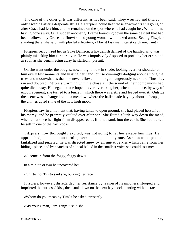The case of the other girls was different, as has been said. They wrestled and tittered, only escaping after a desperate struggle. Fitzpiers could hear these enactments still going on after Grace had left him, and he remained on the spot where he had caught her, Winterborne having gone away. On a sudden another girl came bounding down the same descent that had been followed by Grace – a fine−framed young woman with naked arms. Seeing Fitzpiers standing there, she said, with playful effrontery, «May'st kiss me if 'canst catch me, Tim!»

 Fitzpiers recognized her as Suke Damson, a hoydenish damsel of the hamlet, who was plainly mistaking him for her lover. He was impulsively disposed to profit by her error, and as soon as she began racing away he started in pursuit.

 On she went under the boughs, now in light, now in shade, looking over her shoulder at him every few moments and kissing her hand; but so cunningly dodging about among the trees and moon−shades that she never allowed him to get dangerously near her. Thus they ran and doubled, Fitzpiers warming with the chase, till the sound of their companions had quite died away. He began to lose hope of ever overtaking her, when all at once, by way of encouragement, she turned to a fence in which there was a stile and leaped over it. Outside the scene was a changed one – a meadow, where the half−made hay lay about in heaps, in the uninterrupted shine of the now high moon.

 Fitzpiers saw in a moment that, having taken to open ground, she had placed herself at his mercy, and he promptly vaulted over after her. She flitted a little way down the mead, when all at once her light form disappeared as if it had sunk into the earth. She had buried herself in one of the hay−cocks.

 Fitzpiers, now thoroughly excited, was not going to let her escape him thus. He approached, and set about turning over the heaps one by one. As soon as he paused, tantalized and puzzled, he was directed anew by an imitative kiss which came from her hiding− place, and by snatches of a local ballad in the smallest voice she could assume:

«O come in from the foggy, foggy dew.»

In a minute or two he uncovered her.

«Oh, 'tis not Tim!» said she, burying her face.

 Fitzpiers, however, disregarded her resistance by reason of its mildness, stooped and imprinted the purposed kiss, then sunk down on the next hay−cock, panting with his race.

«Whom do you mean by Tim?» he asked, presently.

«My young man, Tim Tangs,» said she.

CHAPTER XX. 29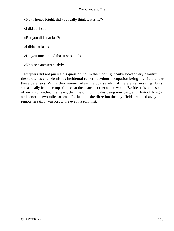«Now, honor bright, did you really think it was he?»

«I did at first.»

«But you didn't at last?»

«I didn't at last.»

«Do you much mind that it was not?»

«No,» she answered, slyly.

 Fitzpiers did not pursue his questioning. In the moonlight Suke looked very beautiful, the scratches and blemishes incidental to her out−door occupation being invisible under these pale rays. While they remain silent the coarse whir of the eternal night−jar burst sarcastically from the top of a tree at the nearest corner of the wood. Besides this not a sound of any kind reached their ears, the time of nightingales being now past, and Hintock lying at a distance of two miles at least. In the opposite direction the hay−field stretched away into remoteness till it was lost to the eye in a soft mist.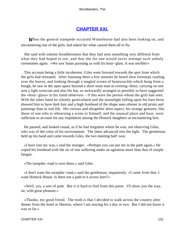## **[CHAPTER XXI.](#page-320-0)**

*W*hen the general stampede occurred Winterborne had also been looking on, and encountering one of the girls, had asked her what caused them all to fly.

 She said with solemn breathlessness that they had seen something very different from what they had hoped to see, and that she for one would never attempt such unholy ceremonies again. «We saw Satan pursuing us with his hour−glass. It was terrible!»

 This account being a little incoherent, Giles went forward towards the spot from which the girls had retreated. After listening there a few minutes he heard slow footsteps rustling over the leaves, and looking through a tangled screen of honeysuckle which hung from a bough, he saw in the open space beyond a short stout man in evening−dress, carrying on one arm a light overcoat and also his hat, so awkwardly arranged as possibly to have suggested the «hour−glass» to his timid observers – if this were the person whom the girls had seen. With the other hand he silently gesticulated and the moonlight falling upon his bare brow showed him to have dark hair and a high forehead of the shape seen oftener in old prints and paintings than in real life. His curious and altogether alien aspect, his strange gestures, like those of one who is rehearsing a scene to himself, and the unusual place and hour, were sufficient to account for any trepidation among the Hintock daughters at encountering him.

 He paused, and looked round, as if he had forgotten where he was; not observing Giles, who was of the color of his environment. The latter advanced into the light. The gentleman held up his hand and came towards Giles, the two meeting half−way.

 «I have lost my way,» said the stranger. «Perhaps you can put me in the path again.» He wiped his forehead with the air of one suffering under an agitation more than that of simple fatigue.

«The turnpike−road is over there,» said Giles

 «I don't want the turnpike−road,» said the gentleman, impatiently. «I came from that. I want Hintock House. Is there not a path to it across here?»

 «Well, yes, a sort of path. But it is hard to find from this point. I'll show you the way, sir, with great pleasure.»

 «Thanks, my good friend. The truth is that I decided to walk across the country after dinner from the hotel at Sherton, where I am staying for a day or two. But I did not know it was so far.»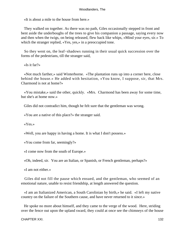«It is about a mile to the house from here.»

 They walked on together. As there was no path, Giles occasionally stepped in front and bent aside the underboughs of the trees to give his companion a passage, saying every now and then when the twigs, on being released, flew back like whips, «Mind your eyes, sir.» To which the stranger replied, «Yes, yes,» in a preoccupied tone.

 So they went on, the leaf−shadows running in their usual quick succession over the forms of the pedestrians, till the stranger said,

«Is it far?»

 «Not much farther,» said Winterborne. «The plantation runs up into a corner here, close behind the house.» He added with hesitation, «You know, I suppose, sir, that Mrs. Charmond is not at home?»

 «You mistake,» said the other, quickly. «Mrs. Charmond has been away for some time, but she's at home now.»

Giles did not contradict him, though he felt sure that the gentleman was wrong.

«You are a native of this place?» the stranger said.

«Yes.»

«Well, you are happy in having a home. It is what I don't possess.»

«You come from far, seemingly?»

«I come now from the south of Europe.»

«Oh, indeed, sir. You are an Italian, or Spanish, or French gentleman, perhaps?»

«I am not either.»

 Giles did not fill the pause which ensued, and the gentleman, who seemed of an emotional nature, unable to resist friendship, at length answered the question.

 «I am an Italianized American, a South Carolinian by birth,» he said. «I left my native country on the failure of the Southern cause, and have never returned to it since.»

 He spoke no more about himself, and they came to the verge of the wood. Here, striding over the fence out upon the upland sward, they could at once see the chimneys of the house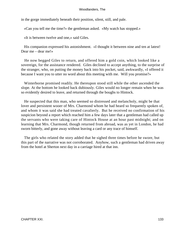in the gorge immediately beneath their position, silent, still, and pale.

«Can you tell me the time?» the gentleman asked. «My watch has stopped.»

«It is between twelve and one,» said Giles.

 His companion expressed his astonishment. «I thought it between nine and ten at latest! Dear me – dear me!»

 He now begged Giles to return, and offered him a gold coin, which looked like a sovereign, for the assistance rendered. Giles declined to accept anything, to the surprise of the stranger, who, on putting the money back into his pocket, said, awkwardly, «I offered it because I want you to utter no word about this meeting with me. Will you promise?»

 Winterborne promised readily. He thereupon stood still while the other ascended the slope. At the bottom he looked back dubiously. Giles would no longer remain when he was so evidently desired to leave, and returned through the boughs to Hintock.

 He suspected that this man, who seemed so distressed and melancholy, might be that lover and persistent wooer of Mrs. Charmond whom he had heard so frequently spoken of, and whom it was said she had treated cavalierly. But he received no confirmation of his suspicion beyond a report which reached him a few days later that a gentleman had called up the servants who were taking care of Hintock House at an hour past midnight; and on learning that Mrs. Charmond, though returned from abroad, was as yet in London, he had sworn bitterly, and gone away without leaving a card or any trace of himself.

 The girls who related the story added that he sighed three times before he swore, but this part of the narrative was not corroborated. Anyhow, such a gentleman had driven away from the hotel at Sherton next day in a carriage hired at that inn.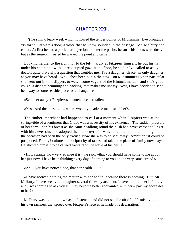# **[CHAPTER XXII.](#page-320-0)**

**The sunny, leafy week which followed the tender doings of Midsummer Eve brought a** visitor to Fitzpiers's door; a voice that he knew sounded in the passage. Mr. Melbury had called. At first he had a particular objection to enter the parlor, because his boots were dusty, but as the surgeon insisted he waived the point and came in.

 Looking neither to the right nor to the left, hardly at Fitzpiers himself, he put his hat under his chair, and with a preoccupied gaze at the floor, he said, «I've called to ask you, doctor, quite privately, a question that troubles me. I've a daughter, Grace, an only daughter, as you may have heard. Well, she's been out in the dew – on Midsummer Eve in particular she went out in thin slippers to watch some vagary of the Hintock maids – and she's got a cough, a distinct hemming and hacking, that makes me uneasy. Now, I have decided to send her away to some seaside place for a change – »

«Send her away!» Fitzpiers's countenance had fallen.

«Yes. And the question is, where would you advise me to send her?»

 The timber−merchant had happened to call at a moment when Fitzpiers was at the spring−tide of a sentiment that Grace was a necessity of his existence. The sudden pressure of her form upon his breast as she came headlong round the bush had never ceased to linger with him, ever since he adopted the manoeuvre for which the hour and the moonlight and the occasion had been the only excuse. Now she was to be sent away. Ambition? it could be postponed. Family? culture and reciprocity of tastes had taken the place of family nowadays. He allowed himself to be carried forward on the wave of his desire.

 «How strange, how very strange it is,» he said, «that you should have come to me about her just now. I have been thinking every day of coming to you on the very same errand.»

«Ah! – you have noticed, too, that her health –  $-\infty$ 

 «I have noticed nothing the matter with her health, because there is nothing. But, Mr. Melbury, I have seen your daughter several times by accident. I have admired her infinitely, and I was coming to ask you if I may become better acquainted with her – pay my addresses to her?»

 Melbury was looking down as he listened, and did not see the air of half−misgiving at his own rashness that spread over Fitzpiers's face as he made this declaration.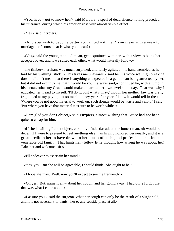«You have – got to know her?» said Melbury, a spell of dead silence having preceded his utterance, during which his emotion rose with almost visible effect.

«Yes,» said Fitzpiers.

 «And you wish to become better acquainted with her? You mean with a view to marriage – of course that is what you mean?»

 «Yes,» said the young man. «I mean, get acquainted with her, with a view to being her accepted lover; and if we suited each other, what would naturally follow.»

 The timber−merchant was much surprised, and fairly agitated; his hand trembled as he laid by his walking−stick. «This takes me unawares,» said he, his voice wellnigh breaking down. «I don't mean that there is anything unexpected in a gentleman being attracted by her; but it did not occur to me that it would be you. I always said,» continued he, with a lump in his throat, «that my Grace would make a mark at her own level some day. That was why I educated her. I said to myself, 'I'll do it, cost what it may;' though her mother−law was pretty frightened at my paying out so much money year after year. I knew it would tell in the end. 'Where you've not good material to work on, such doings would be waste and vanity,' I said. 'But where you have that material it is sure to be worth while.'»

 «I am glad you don't object,» said Fitzpiers, almost wishing that Grace had not been quite so cheap for him.

 «If she is willing I don't object, certainly. Indeed,» added the honest man, «it would be deceit if I were to pretend to feel anything else than highly honored personally; and it is a great credit to her to have drawn to her a man of such good professional station and venerable old family. That huntsman−fellow little thought how wrong he was about her! Take her and welcome, sir.»

«I'll endeavor to ascertain her mind.»

«Yes, yes. But she will be agreeable, I should think. She ought to be.»

«I hope she may. Well, now you'll expect to see me frequently.»

 «Oh yes. But, name it all – about her cough, and her going away. I had quite forgot that that was what I came about.»

 «I assure you,» said the surgeon, «that her cough can only be the result of a slight cold, and it is not necessary to banish her to any seaside place at all.»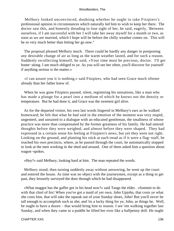Melbury looked unconvinced, doubting whether he ought to take Fitzpiers's professional opinion in circumstances which naturally led him to wish to keep her there. The doctor saw this, and honestly dreading to lose sight of her, he said, eagerly, 'Between ourselves, if I am successful with her I will take her away myself for a month or two, as soon as we are married, which I hope will be before the chilly weather comes on. This will be so very much better than letting her go now."

 The proposal pleased Melbury much. There could be hardly any danger in postponing any desirable change of air as long as the warm weather lasted, and for such a reason. Suddenly recollecting himself, he said, «Your time must be precious, doctor. I'll get home−along. I am much obliged to ye. As you will see her often, you'll discover for yourself if anything serious is the matter.»

 «I can assure you it is nothing,» said Fitzpiers, who had seen Grace much oftener already than her father knew of.

 When he was gone Fitzpiers paused, silent, registering his sensations, like a man who has made a plunge for a pearl into a medium of which he knows not the density or temperature. But he had done it, and Grace was the sweetest girl alive.

 As for the departed visitor, his own last words lingered in Melbury's ears as he walked homeward; he felt that what he had said in the emotion of the moment was very stupid, ungenteel, and unsuited to a dialogue with an educated gentleman, the smallness of whose practice was more than compensated by the former greatness of his family. He had uttered thoughts before they were weighed, and almost before they were shaped. They had expressed in a certain sense his feeling at Fitzpiers's news, but yet they were not right. Looking on the ground, and planting his stick at each tread as if it were a flag−staff, he reached his own precincts, where, as he passed through the court, he automatically stopped to look at the men working in the shed and around. One of them asked him a question about wagon−spokes.

«Hey?» said Melbury, looking hard at him. The man repeated the words.

 Melbury stood; then turning suddenly away without answering, he went up the court and entered the house. As time was no object with the journeymen, except as a thing to get past, they leisurely surveyed the door through which he had disappeared.

 «What maggot has the gaffer got in his head now?» said Tangs the elder. «Sommit to do with that chiel of his! When you've got a maid of yer own, John Upjohn, that costs ye what she costs him, that will take the squeak out of your Sunday shoes, John! But you'll never be tall enough to accomplish such as she; and 'tis a lucky thing for ye, John, as things be. Well, be ought to have a dozen – that would bring him to reason. I see 'em walking together last Sunday, and when they came to a puddle he lifted her over like a halfpenny doll. He ought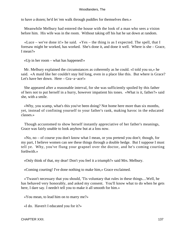to have a dozen; he'd let 'em walk through puddles for themselves then.»

 Meanwhile Melbury had entered the house with the look of a man who sees a vision before him. His wife was in the room. Without taking off his hat he sat down at random.

 «Luce – we've done it!» he said. «Yes – the thing is as I expected. The spell, that I foresaw might be worked, has worked. She's done it, and done it well. Where is she – Grace, I mean?»

«Up in her room – what has happened!»

 Mr. Melbury explained the circumstances as coherently as he could. «I told you so,» he said. «A maid like her couldn't stay hid long, even in a place like this. But where is Grace? Let's have her down. Here – Gra−a−ace!»

 She appeared after a reasonable interval, for she was sufficiently spoiled by this father of hers not to put herself in a hurry, however impatient his tones. «What is it, father?» said she, with a smile.

 «Why, you scamp, what's this you've been doing? Not home here more than six months, yet, instead of confining yourself to your father's rank, making havoc in the educated classes.»

 Though accustomed to show herself instantly appreciative of her father's meanings, Grace was fairly unable to look anyhow but at a loss now.

 «No, no – of course you don't know what I mean, or you pretend you don't; though, for my part, I believe women can see these things through a double hedge. But I suppose I must tell ye. Why, you've flung your grapnel over the doctor, and he's coming courting forthwith.»

«Only think of that, my dear! Don't you feel it a triumph?» said Mrs. Melbury.

«Coming courting! I've done nothing to make him,» Grace exclaimed.

 «'Twasn't necessary that you should, 'Tis voluntary that rules in these things....Well, he has behaved very honorably, and asked my consent. You'll know what to do when he gets here, I dare say. I needn't tell you to make it all smooth for him.»

«You mean, to lead him on to marry me?»

«I do. Haven't I educated you for it?»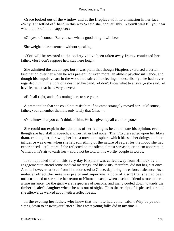Grace looked out of the window and at the fireplace with no animation in her face. «Why is it settled off−hand in this way?» said she, coquettishly. «You'll wait till you hear what I think of him, I suppose?»

«Oh yes, of course. But you see what a good thing it will be.»

She weighed the statement without speaking.

 «You will be restored to the society you've been taken away from,» continued her father; «for I don't suppose he'll stay here long.»

 She admitted the advantage; but it was plain that though Fitzpiers exercised a certain fascination over her when he was present, or even more, an almost psychic influence, and though his impulsive act in the wood had stirred her feelings indescribably, she had never regarded him in the light of a destined husband. «I don't know what to answer,» she said. «I have learned that he is very clever.»

«He's all right, and he's coming here to see you.»

 A premonition that she could not resist him if he came strangely moved her. «Of course, father, you remember that it is only lately that Giles  $-\infty$ 

«You know that you can't think of him. He has given up all claim to you.»

 She could not explain the subtleties of her feeling as he could state his opinion, even though she had skill in speech, and her father had none. That Fitzpiers acted upon her like a dram, exciting her, throwing her into a novel atmosphere which biassed her doings until the influence was over, when she felt something of the nature of regret for the mood she had experienced – still more if she reflected on the silent, almost sarcastic, criticism apparent in Winterborne's air towards her – could not be told to this worthy couple in words.

 It so happened that on this very day Fitzpiers was called away from Hintock by an engagement to attend some medical meetings, and his visits, therefore, did not begin at once. A note, however, arrived from him addressed to Grace, deploring his enforced absence. As a material object this note was pretty and superfine, a note of a sort that she had been unaccustomed to see since her return to Hintock, except when a school friend wrote to her – a rare instance, for the girls were respecters of persons, and many cooled down towards the timber−dealer's daughter when she was out of sight. Thus the receipt of it pleased her, and she afterwards walked about with a reflective air.

 In the evening her father, who knew that the note had come, said, «Why be ye not sitting down to answer your letter? That's what young folks did in my time.»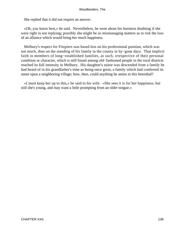She replied that it did not require an answer.

 «Oh, you know best,» he said. Nevertheless, he went about his business doubting if she were right in not replying; possibly she might be so mismanaging matters as to risk the loss of an alliance which would bring her much happiness.

 Melbury's respect for Fitzpiers was based less on his professional position, which was not much, than on the standing of his family in the county in by−gone days. That implicit faith in members of long−established families, as such, irrespective of their personal condition or character, which is still found among old−fashioned people in the rural districts reached its full intensity in Melbury. His daughter's suitor was descended from a family he had heard of in his grandfather's time as being once great, a family which had conferred its name upon a neighboring village; how, then, could anything be amiss in this betrothal?

 «I must keep her up to this,» he said to his wife. «She sees it is for her happiness; but still she's young, and may want a little prompting from an older tongue.»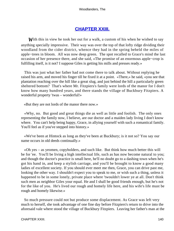# **[CHAPTER XXIII.](#page-320-0)**

**W**ith this in view he took her out for a walk, a custom of his when he wished to say anything specially impressive. Their way was over the top of that lofty ridge dividing their woodland from the cider district, whence they had in the spring beheld the miles of apple−trees in bloom. All was now deep green. The spot recalled to Grace's mind the last occasion of her presence there, and she said, «The promise of an enormous apple−crop is fulfilling itself, is it not? I suppose Giles is getting his mills and presses ready.»

 This was just what her father had not come there to talk about. Without replying he raised his arm, and moved his finger till he fixed it at a point. «There,» he said, «you see that plantation reaching over the hill like a great slug, and just behind the hill a particularly green sheltered bottom? That's where Mr. Fitzpiers's family were lords of the manor for I don't know how many hundred years, and there stands the village of Buckbury Fitzpiers. A wonderful property 'twas – wonderful!»

«But they are not lords of the manor there now.»

 «Why, no. But good and great things die as well as little and foolish. The only ones representing the family now, I believe, are our doctor and a maiden lady living I don't know where. You can't help being happy, Grace, in allying yourself with such a romantical family. You'll feel as if you've stepped into history.»

 «We've been at Hintock as long as they've been at Buckbury; is it not so? You say our name occurs in old deeds continually.»

 «Oh yes – as yeomen, copyholders, and such like. But think how much better this will be for 'ee. You'll be living a high intellectual life, such as has now become natural to you; and though the doctor's practice is small here, he'll no doubt go to a dashing town when he's got his hand in, and keep a stylish carriage, and you'll be brought to know a good many ladies of excellent society. If you should ever meet me then, Grace, you can drive past me, looking the other way. I shouldn't expect you to speak to me, or wish such a thing, unless it happened to be in some lonely, private place where 'twouldn't lower ye at all. Don't think such men as neighbor Giles your equal. He and I shall be good friends enough, but he's not for the like of you. He's lived our rough and homely life here, and his wife's life must be rough and homely likewise.»

 So much pressure could not but produce some displacement. As Grace was left very much to herself, she took advantage of one fine day before Fitzpiers's return to drive into the aforesaid vale where stood the village of Buckbury Fitzpiers. Leaving her father's man at the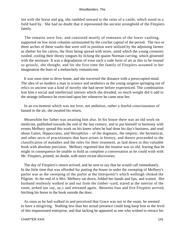inn with the horse and gig, she rambled onward to the ruins of a castle, which stood in a field hard by. She had no doubt that it represented the ancient stronghold of the Fitzpiers family.

 The remains were few, and consisted mostly of remnants of the lower vaulting, supported on low stout columns surmounted by the crochet capital of the period. The two or three arches of these vaults that were still in position were utilized by the adjoining farmer as shelter for his calves, the floor being spread with straw, amid which the young creatures rustled, cooling their thirsty tongues by licking the quaint Norman carving, which glistened with the moisture. It was a degradation of even such a rude form of art as this to be treatad so grossly, she thought, and for the first time the family of Fitzpiers assumed in her imagination the hues of a melancholy romanticism.

 It was soon time to drive home, and she traversed the distance with a preoccupied mind. The idea of so modern a man in science and aesthetics as the young surgeon springing out of relics so ancient was a kind of novelty she had never before experienced. The combination lent him a social and intellectual interest which she dreaded, so much weight did it add to the strange influence he exercised upon her whenever he came near her.

 In an excitement which was not love, not ambition, rather a fearful consciousness of hazard in the air, she awaited his return.

 Meanwhile her father was awaiting him also. In his house there was an old work on medicine, published towards the end of the last century, and to put himself in harmony with events Melbury spread this work on his knees when he had done his day's business, and read about Galen, Hippocrates, and Herophilus – of the dogmatic, the empiric, the hermetical, and other sects of practitioners that have arisen in history; and thence proceeded to the classification of maladies and the rules for their treatment, as laid down in this valuable book with absolute precision. Melbury regretted that the treatise was so old, fearing that he might in consequence be unable to hold as complete a conversation as he could wish with Mr. Fitzpiers, primed, no doubt, with more recent discoveries.

 The day of Fitzpiers's return arrived, and he sent to say that he would call immediately. In the little time that was afforded for putting the house in order the sweeping of Melbury's parlor was as the sweeping of the parlor at the Interpreter's which wellnigh choked the Pilgrim. At the end of it Mrs. Melbury sat down, folded her hands and lips, and waited. Her husband restlessly walked in and out from the timber−yard, stared at the interior of the room, jerked out «ay, ay,» and retreated again. Between four and five Fitzpiers arrived, hitching his horse to the hook outside the door.

 As soon as he had walked in and perceived that Grace was not in the room, he seemed to have a misgiving. Nothing less than her actual presence could long keep him to the level of this impassioned enterprise, and that lacking he appeared as one who wished to retrace his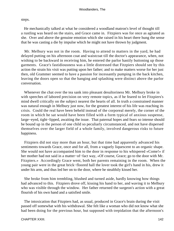steps.

 He mechanically talked at what he considered a woodland matron's level of thought till a rustling was heard on the stairs, and Grace came in. Fitzpiers was for once as agitated as she. Over and above the genuine emotion which she raised in his heart there hung the sense that he was casting a die by impulse which he might not have thrown by judgment.

 Mr. Melbury was not in the room. Having to attend to matters in the yard, he had delayed putting on his afternoon coat and waistcoat till the doctor's appearance, when, not wishing to be backward in receiving him, he entered the parlor hastily buttoning up those garments. Grace's fastidiousness was a little distressed that Fitzpiers should see by this action the strain his visit was putting upon her father; and to make matters worse for her just then, old Grammer seemed to have a passion for incessantly pumping in the back kitchen, leaving the doors open so that the banging and splashing were distinct above the parlor conversation.

 Whenever the chat over the tea sank into pleasant desultoriness Mr. Melbury broke in with speeches of labored precision on very remote topics, as if he feared to let Fitzpiers's mind dwell critically on the subject nearest the hearts of all. In truth a constrained manner was natural enough in Melbury just now, for the greatest interest of his life was reaching its crisis. Could the real have been beheld instead of the corporeal merely, the corner of the room in which he sat would have been filled with a form typical of anxious suspense, large−eyed, tight−lipped, awaiting the issue. That paternal hopes and fears so intense should be bound up in the person of one child so peculiarly circumstanced, and not have dispersed themselves over the larger field of a whole family, involved dangerous risks to future happiness.

 Fitzpiers did not stay more than an hour, but that time had apparently advanced his sentiments towards Grace, once and for all, from a vaguely liquescent to an organic shape. She would not have accompanied him to the door in response to his whispered «Come!» if her mother had not said in a matter−of−fact way, «Of course, Grace; go to the door with Mr. Fitzpiers.» Accordingly Grace went, both her parents remaining in the room. When the young pair were in the great brick−floored hall the lover took the girl's hand in his, drew it under his arm, and thus led her on to the door, where he stealthily kissed her.

 She broke from him trembling, blushed and turned aside, hardly knowing how things had advanced to this. Fitzpiers drove off, kissing his hand to her, and waving it to Melbury who was visible through the window. Her father returned the surgeon's action with a great flourish of his own hand and a satisfied smile.

 The intoxication that Fitzpiers had, as usual, produced in Grace's brain during the visit passed off somewhat with his withdrawal. She felt like a woman who did not know what she had been doing for the previous hour, but supposed with trepidation that the afternoon's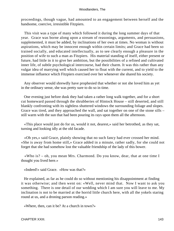proceedings, though vague, had amounted to an engagement between herself and the handsome, coercive, irresistible Fitzpiers.

 This visit was a type of many which followed it during the long summer days of that year. Grace was borne along upon a stream of reasonings, arguments, and persuasions, supplemented, it must be added, by inclinations of her own at times. No woman is without aspirations, which may be innocent enough within certain limits; and Grace had been so trained socially, and educated intellectually, as to see clearly enough a pleasure in the position of wife to such a man as Fitzpiers. His material standing of itself, either present or future, had little in it to give her ambition, but the possibilities of a refined and cultivated inner life, of subtle psychological intercourse, had their charm. It was this rather than any vulgar idea of marrying well which caused her to float with the current, and to yield to the immense influence which Fitzpiers exercised over her whenever she shared his society.

 Any observer would shrewdly have prophesied that whether or not she loved him as yet in the ordinary sense, she was pretty sure to do so in time.

 One evening just before dusk they had taken a rather long walk together, and for a short cut homeward passed through the shrubberies of Hintock House – still deserted, and still blankly confronting with its sightless shuttered windows the surrounding foliage and slopes. Grace was tired, and they approached the wall, and sat together on one of the stone sills – still warm with the sun that had been pouring its rays upon them all the afternoon.

 «This place would just do for us, would it not, dearest,» said her betrothed, as they sat, turning and looking idly at the old facade.

 «Oh yes,» said Grace, plainly showing that no such fancy had ever crossed her mind. «She is away from home still,» Grace added in a minute, rather sadly, for she could not forget that she had somehow lost the valuable friendship of the lady of this bower.

 «Who is? – oh, you mean Mrs. Charmond. Do you know, dear, that at one time I thought you lived here.»

«Indeed!» said Grace. «How was that?»

 He explained, as far as he could do so without mentioning his disappointment at finding it was otherwise; and then went on: «Well, never mind that. Now I want to ask you something. There is one detail of our wedding which I am sure you will leave to me. My inclination is not to be married at the horrid little church here, with all the yokels staring round at us, and a droning parson reading.»

«Where, then, can it be? At a church in town?»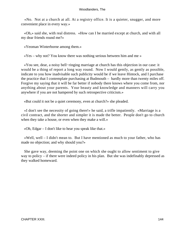«No. Not at a church at all. At a registry office. It is a quieter, snugger, and more convenient place in every way.»

 «Oh,» said she, with real distress. «How can I be married except at church, and with all my dear friends round me?»

«Yeoman Winterborne among them.»

«Yes – why not? You know there was nothing serious between him and me »

 «You see, dear, a noisy bell−ringing marriage at church has this objection in our case: it would be a thing of report a long way round. Now I would gently, as gently as possible, indicate to you how inadvisable such publicity would be if we leave Hintock, and I purchase the practice that I contemplate purchasing at Budmouth – hardly more than twenty miles off. Forgive my saying that it will be far better if nobody there knows where you come from, nor anything about your parents. Your beauty and knowledge and manners will carry you anywhere if you are not hampered by such retrospective criticism.»

«But could it not be a quiet ceremony, even at church?» she pleaded.

 «I don't see the necessity of going there!» he said, a trifle impatiently. «Marriage is a civil contract, and the shorter and simpler it is made the better. People don't go to church when they take a house, or even when they make a will.»

«Oh, Edgar – I don't like to hear you speak like that.»

 «Well, well – I didn't mean to. But I have mentioned as much to your father, who has made no objection; and why should you?»

 She gave way, deeming the point one on which she ought to allow sentiment to give way to policy – if there were indeed policy in his plan. But she was indefinably depressed as they walked homeward.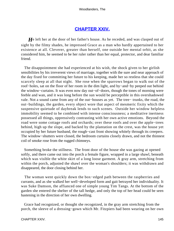## **[CHAPTER XXIV.](#page-320-0)**

*H*e left her at the door of her father's house. As he receded, and was clasped out of sight by the filmy shades, he impressed Grace as a man who hardly appertained to her existence at all. Cleverer, greater than herself, one outside her mental orbit, as she considered him, he seemed to be her ruler rather than her equal, protector, and dear familiar friend.

 The disappointment she had experienced at his wish, the shock given to her girlish sensibilities by his irreverent views of marriage, together with the sure and near approach of the day fixed for committing her future to his keeping, made her so restless that she could scarcely sleep at all that night. She rose when the sparrows began to walk out of the roof−holes, sat on the floor of her room in the dim light, and by−and−by peeped out behind the window−curtains. It was even now day out−of−doors, though the tones of morning were feeble and wan, and it was long before the sun would be perceptible in this overshadowed vale. Not a sound came from any of the out−houses as yet. The tree− trunks, the road, the out−buildings, the garden, every object wore that aspect of mesmeric fixity which the suspensive quietude of daybreak lends to such scenes. Outside her window helpless immobility seemed to be combined with intense consciousness; a meditative inertness possessed all things, oppressively contrasting with her own active emotions. Beyond the road were some cottage roofs and orchards; over these roofs and over the apple−trees behind, high up the slope, and backed by the plantation on the crest, was the house yet occupied by her future husband, the rough−cast front showing whitely through its creepers. The window−shutters were closed, the bedroom curtains closely drawn, and not the thinnest coil of smoke rose from the rugged chimneys.

 Something broke the stillness. The front door of the house she was gazing at opened softly, and there came out into the porch a female figure, wrapped in a large shawl, beneath which was visible the white skirt of a long loose garment. A gray arm, stretching from within the porch, adjusted the shawl over the woman's shoulders; it was withdrawn and disappeared, the door closing behind her.

 The woman went quickly down the box−edged path between the raspberries and currants, and as she walked her well−developed form and gait betrayed her individuality. It was Suke Damson, the affianced one of simple young Tim Tangs. At the bottom of the garden she entered the shelter of the tall hedge, and only the top of her head could be seen hastening in the direction of her own dwelling.

 Grace had recognized, or thought she recognized, in the gray arm stretching from the porch, the sleeve of a dressing−gown which Mr. Fitzpiers had been wearing on her own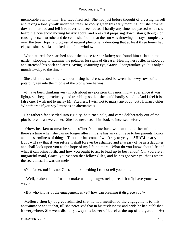memorable visit to him. Her face fired red. She had just before thought of dressing herself and taking a lonely walk under the trees, so coolly green this early morning; but she now sat down on her bed and fell into reverie. It seemed as if hardly any time had passed when she heard the household moving briskly about, and breakfast preparing down−stairs; though, on rousing herself to robe and descend, she found that the sun was throwing his rays completely over the tree− tops, a progress of natural phenomena denoting that at least three hours had elapsed since she last looked out of the window.

 When attired she searched about the house for her father; she found him at last in the garden, stooping to examine the potatoes for signs of disease. Hearing her rustle, he stood up and stretched his back and arms, saying, «Morning t'ye, Gracie. I congratulate ye. It is only a month to−day to the time!»

 She did not answer, but, without lifting her dress, waded between the dewy rows of tall potato−green into the middle of the plot where he was.

 «I have been thinking very much about my position this morning – ever since it was light,» she began, excitedly, and trembling so that she could hardly stand. «And I feel it is a false one. I wish not to marry Mr. Fitzpiers. I wish not to marry anybody; but I'll marry Giles Winterborne if you say I must as an alternative.»

 Her father's face settled into rigidity, he turned pale, and came deliberately out of the plot before he answered her. She had never seen him look so incensed before.

 «Now, hearken to me,» he said. «There's a time for a woman to alter her mind; and there's a time when she can no longer alter it, if she has any right eye to her parents' honor and the seemliness of things. That time has come. I won't say to ye, you **SHALL** marry him. But I will say that if you refuse, I shall forever be ashamed and a−weary of ye as a daughter, and shall look upon you as the hope of my life no more. What do you know about life and what it can bring forth, and how you ought to act to lead up to best ends? Oh, you are an ungrateful maid, Grace; you've seen that fellow Giles, and he has got over ye; that's where the secret lies, I'll warrant me!»

«No, father, no! It is not Giles – it is something I cannot tell you of  $-\infty$ 

 «Well, make fools of us all; make us laughing−stocks; break it off; have your own way.»

«But who knows of the engagement as yet? how can breaking it disgrace you?»

 Melbury then by degrees admitted that he had mentioned the engagement to this acquaintance and to that, till she perceived that in his restlessness and pride he had published it everywhere. She went dismally away to a bower of laurel at the top of the garden. Her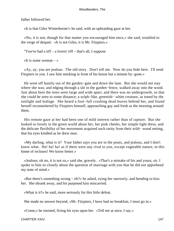father followed her.

«It is that Giles Winterborne!» he said, with an upbraiding gaze at her.

 «No, it is not; though for that matter you encouraged him once,» she said, troubled to the verge of despair. «It is not Giles, it is Mr. Fitzpiers.»

"You've had a tiff – a lovers' tiff – that's all, I suppose

«It is some woman – »

 «Ay, ay; you are jealous. The old story. Don't tell me. Now do you bide here. I'll send Fitzpiers to you. I saw him smoking in front of his house but a minute by−gone.»

 He went off hastily out of the garden−gate and down the lane. But she would not stay where she was; and edging through a slit in the garden−fence, walked away into the wood. Just about here the trees were large and wide apart, and there was no undergrowth, so that she could be seen to some distance; a sylph−like, greenish− white creature, as toned by the sunlight and leafage. She heard a foot−fall crushing dead leaves behind her, and found herself reconnoitered by Fitzpiers himself, approaching gay and fresh as the morning around them.

 His remote gaze at her had been one of mild interest rather than of rapture. But she looked so lovely in the green world about her, her pink cheeks, her simple light dress, and the delicate flexibility of her movement acquired such rarity from their wild− wood setting, that his eyes kindled as he drew near.

 «My darling, what is it? Your father says you are in the pouts, and jealous, and I don't know what. Ha! ha! ha! as if there were any rival to you, except vegetable nature, in this home of recluses! We know better.»

 «Jealous; oh no, it is not so,» said she, gravely. «That's a mistake of his and yours, sir. I spoke to him so closely about the question of marriage with you that he did not apprehend my state of mind.»

 «But there's something wrong – eh?» he asked, eying her narrowly, and bending to kiss her. She shrank away, and his purposed kiss miscarried.

«What is it?» he said, more seriously for this little defeat.

She made no answer beyond, «Mr. Fitzpiers, I have had no breakfast, I must go in.»

«Come,» he insisted, fixing his eyes upon her. «Tell me at once, I say.»

CHAPTER XXIV. 147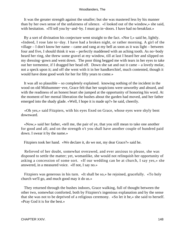It was the greater strength against the smaller; but she was mastered less by his manner than by her own sense of the unfairness of silence. «I looked out of the window,» she said, with hesitation. «I'll tell you by−and−by. I must go in−doors. I have had no breakfast.»

 By a sort of divination his conjecture went straight to the fact. «Nor I,» said he, lightly. «Indeed, I rose late to−day. I have had a broken night, or rather morning. A girl of the village – I don't know her name – came and rang at my bell as soon as it was light – between four and five, I should think it was – perfectly maddened with an aching tooth. As no−body heard her ring, she threw some gravel at my window, till at last I heard her and slipped on my dressing−gown and went down. The poor thing begged me with tears in her eyes to take out her tormentor, if I dragged her head off. Down she sat and out it came – a lovely molar, not a speck upon it; and off she went with it in her handkerchief, much contented, though it would have done good work for her for fifty years to come.»

 It was all so plausible – so completely explained. knowing nothing of the incident in the wood on old Midsummer−eve, Grace felt that her suspicions were unworthy and absurd, and with the readiness of an honest heart she jumped at the opportunity of honoring his word. At the moment of her mental liberation the bushes about the garden had moved, and her father emerged into the shady glade. «Well, I hope it is made up?» he said, cheerily.

 «Oh yes,» said Fitzpiers, with his eyes fixed on Grace, whose eyes were shyly bent downward.

 «Now,» said her father, «tell me, the pair of ye, that you still mean to take one another for good and all; and on the strength o't you shall have another couple of hundred paid down. I swear it by the name.»

Fitzpiers took her hand. «We declare it, do we not, my dear Grace?» said he.

 Relieved of her doubt, somewhat overawed, and ever anxious to please, she was disposed to settle the matter; yet, womanlike, she would not relinquish her opportunity of asking a concession of some sort. «If our wedding can be at church, I say yes,» she answered, in a measured voice. «If not, I say no.»

 Fitzpiers was generous in his turn. «It shall be so,» he rejoined, gracefully. «To holy church we'll go, and much good may it do us.»

 They returned through the bushes indoors, Grace walking, full of thought between the other two, somewhat comforted, both by Fitzpiers's ingenious explanation and by the sense that she was not to be deprived of a religious ceremony. «So let it be,» she said to herself. «Pray God it is for the best.»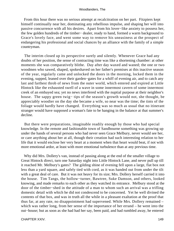From this hour there was no serious attempt at recalcitration on her part. Fitzpiers kept himself continually near her, dominating any rebellious impulse, and shaping her will into passive concurrence with all his desires. Apart from his lover−like anxiety to possess her, the few golden hundreds of the timber− dealer, ready to hand, formed a warm background to Grace's lovely face, and went some way to remove his uneasiness at the prospect of endangering his professional and social chances by an alliance with the family of a simple countryman.

 The interim closed up its perspective surely and silently. Whenever Grace had any doubts of her position, the sense of contracting time was like a shortening chamber: at other moments she was comparatively blithe. Day after day waxed and waned; the one or two woodmen who sawed, shaped, spokeshaved on her father's premises at this inactive season of the year, regularly came and unlocked the doors in the morning, locked them in the evening, supped, leaned over their garden−gates for a whiff of evening air, and to catch any last and farthest throb of news from the outer world, which entered and expired at Little Hintock like the exhausted swell of a wave in some innermost cavern of some innermost creek of an embayed sea; yet no news interfered with the nuptial purpose at their neighbor's house. The sappy green twig− tips of the season's growth would not, she thought, be appreciably woodier on the day she became a wife, so near was the time; the tints of the foliage would hardly have changed. Everything was so much as usual that no itinerant stranger would have supposed a woman's fate to be hanging in the balance at that summer's decline.

 But there were preparations, imaginable readily enough by those who had special knowledge. In the remote and fashionable town of Sandbourne something was growing up under the hands of several persons who had never seen Grace Melbury, never would see her, or care anything about her at all, though their creation had such interesting relation to her life that it would enclose her very heart at a moment when that heart would beat, if not with more emotional ardor, at least with more emotional turbulence than at any previous time.

 Why did Mrs. Dollery's van, instead of passing along at the end of the smaller village to Great Hintock direct, turn one Saturday night into Little Hintock Lane, and never pull up till it reached Mr. Melbury's gates? The gilding shine of evening fell upon a large, flat box not less than a yard square, and safely tied with cord, as it was handed out from under the tilt with a great deal of care. But it was not heavy for its size; Mrs. Dollery herself carried it into the house. Tim Tangs, the hollow−turner, Bawtree, Suke Damson, and others, looked knowing, and made remarks to each other as they watched its entrance. Melbury stood at the door of the timber−shed in the attitude of a man to whom such an arrival was a trifling domestic detail with which he did not condescend to be concerned. Yet he well divined the contents of that box, and was in truth all the while in a pleasant exaltation at the proof that thus far, at any rate, no disappointment had supervened. While Mrs. Dollery remained – which was rather long, from her sense of the importance of her errand – he went into the out−house; but as soon as she had had her say, been paid, and had rumbled away, he entered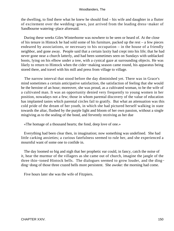the dwelling, to find there what he knew he should find – his wife and daughter in a flutter of excitement over the wedding−gown, just arrived from the leading dress−maker of Sandbourne watering−place aforesaid.

 During these weeks Giles Winterborne was nowhere to be seen or heard of. At the close of his tenure in Hintock he had sold some of his furniture, packed up the rest – a few pieces endeared by associations, or necessary to his occupation – in the house of a friendly neighbor, and gone away. People said that a certain laxity had crept into his life; that he had never gone near a church latterly, and had been sometimes seen on Sundays with unblacked boots, lying on his elbow under a tree, with a cynical gaze at surrounding objects. He was likely to return to Hintock when the cider−making season came round, his apparatus being stored there, and travel with his mill and press from village to village.

 The narrow interval that stood before the day diminished yet. There was in Grace's mind sometimes a certain anticipative satisfaction, the satisfaction of feeling that she would be the heroine of an hour; moreover, she was proud, as a cultivated woman, to be the wife of a cultivated man. It was an opportunity denied very frequently to young women in her position, nowadays not a few; those in whom parental discovery of the value of education has implanted tastes which parental circles fail to gratify. But what an attenuation was this cold pride of the dream of her youth, in which she had pictured herself walking in state towards the altar, flushed by the purple light and bloom of her own passion, without a single misgiving as to the sealing of the bond, and fervently receiving as her due

«The homage of a thousand hearts; the fond, deep love of one.»

 Everything had been clear then, in imagination; now something was undefined. She had little carking anxieties; a curious fatefulness seemed to rule her, and she experienced a mournful want of some one to confide in.

 The day loomed so big and nigh that her prophetic ear could, in fancy, catch the noise of it, hear the murmur of the villagers as she came out of church, imagine the jangle of the three thin−toned Hintock bells. The dialogues seemed to grow louder, and the ding− ding−dong of those three crazed bells more persistent. She awoke: the morning had come.

Five hours later she was the wife of Fitzpiers.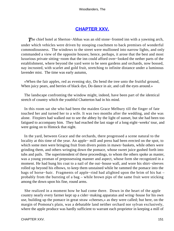# **[CHAPTER XXV.](#page-320-0)**

*T*he chief hotel at Sherton−Abbas was an old stone−fronted inn with a yawning arch, under which vehicles were driven by stooping coachmen to back premises of wonderful commodiousness. The windows to the street were mullioned into narrow lights, and only commanded a view of the opposite houses; hence, perhaps, it arose that the best and most luxurious private sitting−room that the inn could afford over−looked the nether parts of the establishment, where beyond the yard were to be seen gardens and orchards, now bossed, nay incrusted, with scarlet and gold fruit, stretching to infinite distance under a luminous lavender mist. The time was early autumn,

 «When the fair apples, red as evening sky, Do bend the tree unto the fruitful ground, When juicy pears, and berries of black dye, Do dance in air, and call the eyes around.»

 The landscape confronting the window might, indeed, have been part of the identical stretch of country which the youthful Chatterton had in his mind.

 In this room sat she who had been the maiden Grace Melbury till the finger of fate touched her and turned her to a wife. It was two months after the wedding, and she was alone. Fitzpiers had walked out to see the abbey by the light of sunset, but she had been too fatigued to accompany him. They had reached the last stage of a long eight−weeks' tour, and were going on to Hintock that night.

 In the yard, between Grace and the orchards, there progressed a scene natural to the locality at this time of the year. An apple− mill and press had been erected on the spot, to which some men were bringing fruit from divers points in mawn−baskets, while others were grinding them, and others wringing down the pomace, whose sweet juice gushed forth into tubs and pails. The superintendent of these proceedings, to whom the others spoke as master, was a young yeoman of prepossessing manner and aspect, whose form she recognized in a moment. He had hung his coat to a nail of the out−house wall, and wore his shirt−sleeves rolled up beyond his elbows, to keep them unstained while he rammed the pomace into the bags of horse−hair. Fragments of apple−rind had alighted upon the brim of his hat – probably from the bursting of a bag – while brown pips of the same fruit were sticking among the down upon his fine, round arms.

 She realized in a moment how he had come there. Down in the heart of the apple country nearly every farmer kept up a cider−making apparatus and wring−house for his own use, building up the pomace in great straw «cheeses,» as they were called; but here, on the margin of Pomona's plain, was a debatable land neither orchard nor sylvan exclusively, where the apple produce was hardly sufficient to warrant each proprietor in keeping a mill of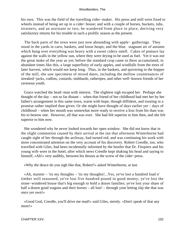his own. This was the field of the travelling cider−maker. His press and mill were fixed to wheels instead of being set up in a cider−house; and with a couple of horses, buckets, tubs, strainers, and an assistant or two, he wandered from place to place, deriving very satisfactory returns for his trouble in such a prolific season as the present.

 The back parts of the town were just now abounding with apple− gatherings. They stood in the yards in carts, baskets, and loose heaps; and the blue. stagnant air of autumn which hung over everything was heavy with a sweet cidery smell. Cakes of pomace lay against the walls in the yellow sun, where they were drying to be used as fuel. Yet it was not the great make of the year as yet; before the standard crop came in there accumulated, in abundant times like this, a large superfluity of early apples, and windfalls from the trees of later harvest, which would not keep long. Thus, in the baskets, and quivering in the hopper of the mill, she saw specimens of mixed dates, including the mellow countenances of streaked−jacks, codlins, costards, stubbards, ratheripes, and other well−known friends of her ravenous youth.

 Grace watched the head−man with interest. The slightest sigh escaped her. Perhaps she thought of the day – not so far distant – when that friend of her childhood had met her by her father's arrangement in this same town, warm with hope, though diffident, and trusting in a promise rather implied than given. Or she might have thought of days earlier yet – days of childhood – when her mouth was somewhat more ready to receive a kiss from his than was his to bestow one. However, all that was over. She had felt superior to him then, and she felt superior to him now.

 She wondered why he never looked towards her open window. She did not know that in the slight commotion caused by their arrival at the inn that afternoon Winterborne had caught sight of her through the archway, had turned red, and was continuing his work with more concentrated attention on the very account of his discovery. Robert Creedle, too, who travelled with Giles, had been incidentally informed by the hostler that Dr. Fitzpiers and his young wife were in the hotel, after which news Creedle kept shaking his head and saying to himself, «Ah!» very audibly, between his thrusts at the screw of the cider−press.

«Why the deuce do you sigh like that, Robert?» asked Winterborne, at last.

 «Ah, maister – 'tis my thoughts – 'tis my thoughts!...Yes, ye've lost a hundred load o' timber well seasoned; ye've lost five hundred pound in good money; ye've lost the stone−windered house that's big enough to hold a dozen families; ye've lost your share of half a dozen good wagons and their horses – all lost! – through your letting slip she that was once yer own!»

 «Good God, Creedle, you'll drive me mad!» said Giles, sternly. «Don't speak of that any more!»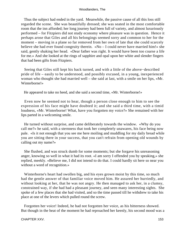Thus the subject had ended in the yard. Meanwhile, the passive cause of all this loss still regarded the scene. She was beautifully dressed; she was seated in the most comfortable room that the inn afforded; her long journey had been full of variety, and almost luxuriously performed – for Fitzpiers did not study economy where pleasure was in question. Hence it perhaps arose that Giles and all his belongings seemed sorry and common to her for the moment – moving in a plane so far removed from her own of late that she could scarcely believe she had ever found congruity therein. «No – I could never have married him!» she said, gently shaking her head. «Dear father was right. It would have been too coarse a life for me.» And she looked at the rings of sapphire and opal upon her white and slender fingers that had been gifts from Fitzpiers.

 Seeing that Giles still kept his back turned, and with a little of the above−described pride of life – easily to be understood, and possibly excused, in a young, inexperienced woman who thought she had married well – she said at last, with a smile on her lips, «Mr. Winterborne!»

He appeared to take no heed, and she said a second time, «Mr. Winterborne!»

 Even now he seemed not to hear, though a person close enough to him to see the expression of his face might have doubted it; and she said a third time, with a timid loudness, «Mr. Winterborne! What, have you forgotten my voice?» She remained with her lips parted in a welcoming smile.

 He turned without surprise, and came deliberately towards the window. «Why do you call me?» he said, with a sternness that took her completely unawares, his face being now pale. «Is it not enough that you see me here moiling and muddling for my daily bread while you are sitting there in your success, that you can't refrain from opening old wounds by calling out my name?»

 She flushed, and was struck dumb for some moments; but she forgave his unreasoning anger, knowing so well in what it had its root. «I am sorry I offended you by speaking,» she replied, meekly. «Believe me, I did not intend to do that. I could hardly sit here so near you without a word of recognition.»

 Winterborne's heart had swollen big, and his eyes grown moist by this time, so much had the gentle answer of that familiar voice moved him. He assured her hurriedly, and without looking at her, that he was not angry. He then managed to ask her, in a clumsy, constrained way, if she had had a pleasant journey, and seen many interesting sights. She spoke of a few places that she had visited, and so the time passed till he withdrew to take his place at one of the levers which pulled round the screw.

 Forgotten her voice! Indeed, he had not forgotten her voice, as his bitterness showed. But though in the heat of the moment he had reproached her keenly, his second mood was a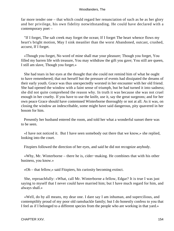far more tender one – that which could regard her renunciation of such as he as her glory and her privilege, his own fidelity notwithstanding. He could have declared with a contemporary poet –

 "If I forget, The salt creek may forget the ocean; If I forget The heart whence flows my heart's bright motion, May I sink meanlier than the worst Abandoned, outcast, crushed, accurst, If I forget.

 «Though you forget, No word of mine shall mar your pleasure; Though you forget, You filled my barren life with treasure, You may withdraw the gift you gave; You still are queen, I still am slave, Though you forget.»

 She had tears in her eyes at the thought that she could not remind him of what he ought to have remembered; that not herself but the pressure of events had dissipated the dreams of their early youth. Grace was thus unexpectedly worsted in her encounter with her old friend. She had opened the window with a faint sense of triumph, but he had turned it into sadness; she did not quite comprehend the reason why. In truth it was because she was not cruel enough in her cruelty. If you have to use the knife, use it, say the great surgeons; and for her own peace Grace should have contemned Winterborne thoroughly or not at all. As it was, on closing the window an indescribable, some might have said dangerous, pity quavered in her bosom for him.

 Presently her husband entered the room, and told her what a wonderful sunset there was to be seen.

 «I have not noticed it. But I have seen somebody out there that we know,» she replied, looking into the court.

Fitzpiers followed the direction of her eyes, and said he did not recognize anybody.

 «Why, Mr. Winterborne – there he is, cider−making. He combines that with his other business, you know.»

«Oh – that fellow,» said Fitzpiers, his curiosity becoming extinct.

 She, reproachfully: «What, call Mr. Winterborne a fellow, Edgar? It is true I was just saying to myself that I never could have married him; but I have much regard for him, and always shall.»

 «Well, do by all means, my dear one. I dare say I am inhuman, and supercilious, and contemptibly proud of my poor old ramshackle family; but I do honestly confess to you that I feel as if I belonged to a different species from the people who are working in that yard.»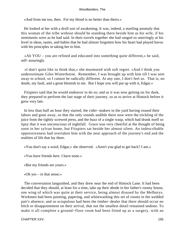«And from me too, then. For my blood is no better than theirs.»

 He looked at her with a droll sort of awakening. It was, indeed, a startling anomaly that this woman of the tribe without should be standing there beside him as his wife, if his sentiments were as he had said. In their travels together she had ranged so unerringly at his level in ideas, tastes, and habits that he had almost forgotten how his heart had played havoc with his principles in taking her to him.

 «Ah YOU – you are refined and educated into something quite different,» he said, self−assuringly.

 «I don't quite like to think that,» she murmured with soft regret. «And I think you underestimate Giles Winterborne. Remember, I was brought up with him till I was sent away to school, so I cannot be radically different. At any rate, I don't feel so. That is, no doubt, my fault, and a great blemish in me. But I hope you will put up with it, Edgar.»

 Fitzpiers said that he would endeavor to do so; and as it was now getting on for dusk, they prepared to perform the last stage of their journey, so as to arrive at Hintock before it grew very late.

 In less than half an hour they started, the cider−makers in the yard having ceased their labors and gone away, so that the only sounds audible there now were the trickling of the juice from the tightly screwed press, and the buzz of a single wasp, which had drunk itself so tipsy that it was unconscious of nightfall. Grace was very cheerful at the thought of being soon in her sylvan home, but Fitzpiers sat beside her almost silent. An indescribable oppressiveness had overtaken him with the near approach of the journey's end and the realities of life that lay there.

«You don't say a word, Edgar,» she observed. «Aren't you glad to get back? I am.»

«You have friends here. I have none.»

«But my friends are yours.»

«Oh yes – in that sense.»

 The conversation languished, and they drew near the end of Hintock Lane. It had been decided that they should, at least for a time, take up their abode in her father's roomy house, one wing of which was quite at their service, being almost disused by the Melburys. Workmen had been painting, papering, and whitewashing this set of rooms in the wedded pair's absence; and so scrupulous had been the timber−dealer that there should occur no hitch or disappointment on their arrival, that not the smallest detail remained undone. To make it all complete a ground−floor room had been fitted up as a surgery, with an

CHAPTER XXV. 2002 2003 2004 2004 2005 2006 2007 2007 2008 2009 2007 2008 2009 2009 2007 2008 2009 2009 2009 20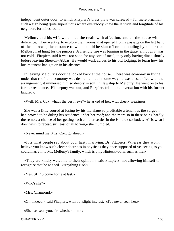independent outer door, to which Fitzpiers's brass plate was screwed – for mere ornament, such a sign being quite superfluous where everybody knew the latitude and longitude of his neighbors for miles round.

 Melbury and his wife welcomed the twain with affection, and all the house with deference. They went up to explore their rooms, that opened from a passage on the left hand of the staircase, the entrance to which could be shut off on the landing by a door that Melbury had hung for the purpose. A friendly fire was burning in the grate, although it was not cold. Fitzpiers said it was too soon for any sort of meal, they only having dined shortly before leaving Sherton−Abbas. He would walk across to his old lodging, to learn how his locum tenens had got on in his absence.

 In leaving Melbury's door he looked back at the house. There was economy in living under that roof, and economy was desirable, but in some way he was dissatisfied with the arrangement; it immersed him so deeply in son−in−lawship to Melbury. He went on to his former residence. His deputy was out, and Fitzpiers fell into conversation with his former landlady.

«Well, Mrs. Cox, what's the best news?» he asked of her, with cheery weariness.

 She was a little soured at losing by his marriage so profitable a tenant as the surgeon had proved to be duling his residence under her roof; and the more so in there being hardly the remotest chance of her getting such another settler in the Hintock solitudes. «'Tis what I don't wish to repeat, sir; least of all to you,» she mumbled.

«Never mind me, Mrs. Cox; go ahead.»

 «It is what people say about your hasty marrying, Dr. Fitzpiers. Whereas they won't believe you know such clever doctrines in physic as they once supposed of ye, seeing as you could marry into Mr. Melbury's family, which is only Hintock−born, such as me.»

 «They are kindly welcome to their opinion,» said Fitzpiers, not allowing himself to recognize that he winced. «Anything else?»

«Yes; SHE'S come home at last.»

«Who's she?»

«Mrs. Charmond.»

«Oh, indeed!» said Fitzpiers, with but slight interest. «I've never seen her.»

«She has seen you, sir, whether or no.»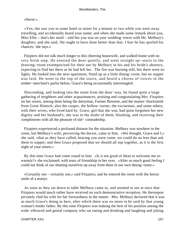### «Never.»

 «Yes; she saw you in some hotel or street for a minute or two while you were away travelling, and accidentally heard your name; and when she made some remark about you, Miss Ellis – that's her maid – told her you was on your wedding−tower with Mr. Melbury's daughter; and she said, 'He ought to have done better than that. I fear he has spoiled his chances,' she says.»

 Fitzpiers did not talk much longer to this cheering housewife, and walked home with no very brisk step. He entered the door quietly, and went straight up−stairs to the drawing−room extemporized for their use by Melbury in his and his bride's absence, expecting to find her there as he had left her. The fire was burning still, but there were no lights. He looked into the next apartment, fitted up as a little dining−room, but no supper was laid. He went to the top of the stairs, and heard a chorus of voices in the timber−merchant's parlor below, Grace's being occasionally intermingled.

 Descending, and looking into the room from the door−way, he found quite a large gathering of neighbors and other acquaintances, praising and congratulating Mrs. Fitzpiers on her return, among them being the dairyman, Farmer Bawtree, and the master−blacksmith from Great Hintock; also the cooper, the hollow−turner, the exciseman, and some others, with their wives, who lived hard by. Grace, girl that she was, had quite forgotten her new dignity and her husband's; she was in the midst of them, blushing, and receiving their compliments with all the pleasure of old− comradeship.

 Fitzpiers experienced a profound distaste for the situation. Melbury was nowhere in the room, but Melbury's wife, perceiving the doctor, came to him. «We thought, Grace and I,» she said, «that as they have called, hearing you were come, we could do no less than ask them to supper; and then Grace proposed that we should all sup together, as it is the first night of your return.»

 By this time Grace had come round to him. «Is it not good of them to welcome me so warmly?» she exclaimed, with tears of friendship in her eyes. «After so much good feeling I could not think of our shutting ourselves up away from them in our own dining−room.»

 «Certainly not – certainly not,» said Fitzpiers; and he entered the room with the heroic smile of a martyr.

 As soon as they sat down to table Melbury came in, and seemed to see at once that Fitzpiers would much rather have received no such demonstrative reception. He thereupon privately chid his wife for her forwardness in the matter. Mrs. Melbury declared that it was as much Grace's doing as hers, after which there was no more to be said by that young woman's tender father. By this time Fitzpiers was making the best of his position among the wide−elbowed and genial company who sat eating and drinking and laughing and joking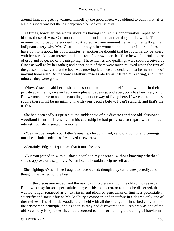around him; and getting warmed himself by the good cheer, was obliged to admit that, after all, the supper was not the least enjoyable he had ever known.

 At times, however, the words about his having spoiled his opportunities, repeated to him as those of Mrs. Charmond, haunted him like a handwriting on the wall. Then his manner would become suddenly abstracted. At one moment he would mentally put an indignant query why Mrs. Charmond or any other woman should make it her business to have opinions about his opportunities; at another he thought that he could hardly be angry with her for taking an interest in the doctor of her own parish. Then he would drink a glass of grog and so get rid of the misgiving. These hitches and quaffings were soon perceived by Grace as well as by her father; and hence both of them were much relieved when the first of the guests to discover that the hour was growing late rose and declared that he must think of moving homeward. At the words Melbury rose as alertly as if lifted by a spring, and in ten minutes they were gone.

 «Now, Grace,» said her husband as soon as he found himself alone with her in their private apartments, «we've had a very pleasant evening, and everybody has been very kind. But we must come to an understanding about our way of living here. If we continue in these rooms there must be no mixing in with your people below. I can't stand it, and that's the truth.»

 She had been sadly surprised at the suddenness of his distaste for those old−fashioned woodland forms of life which in his courtship he had professed to regard with so much interest. But she assented in a moment.

 «We must be simply your father's tenants,» he continued, «and our goings and comings must be as independent as if we lived elsewhere.»

«Certainly, Edgar – I quite see that it must be so.»

 «But you joined in with all those people in my absence, without knowing whether I should approve or disapprove. When I came I couldn't help myself at all.»

 She, sighing: «Yes – I see I ought to have waited; though they came unexpectedly, and I thought I had acted for the best.»

 Thus the discussion ended, and the next day Fitzpiers went on his old rounds as usual. But it was easy for so super−subtle an eye as his to discern, or to think he discerned, that he was no longer regarded as an extrinsic, unfathomed gentleman of limitless potentiality, scientific and social; but as Mr. Melbury's compeer, and therefore in a degree only one of themselves. The Hintock woodlandlers held with all the strength of inherited conviction to the aristocratic principle, and as soon as they had discovered that Fitzpiers was one of the old Buckbury Fitzpierses they had accorded to him for nothing a touching of hat−brims,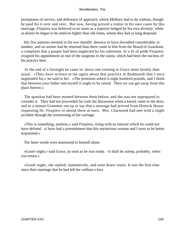promptness of service, and deference of approach, which Melbury had to do without, though he paid for it over and over. But now, having proved a traitor to his own cause by this marriage, Fitzpiers was believed in no more as a superior hedged by his own divinity; while as doctor he began to be rated no higher than old Jones, whom they had so long despised.

 His few patients seemed in his two months' absence to have dwindled considerably in number, and no sooner had he returned than there came to him from the Board of Guardians a complaint that a pauper had been neglected by his substitute. In a fit of pride Fitzpiers resigned his appointment as one of the surgeons to the union, which had been the nucleus of his practice here.

 At the end of a fortnight he came in−doors one evening to Grace more briskly than usual. «They have written to me again about that practice in Budmouth that I once negotiated for,» he said to her. «The premium asked is eight hundred pounds, and I think that between your father and myself it ought to be raised. Then we can get away from this place forever.»

 The question had been mooted between them before, and she was not unprepared to consider it. They had not proceeded far with the discussion when a knock came to the door, and in a minute Grammer ran up to say that a message had arrived from Hintock House requesting Dr. Fitzpiers to attend there at once. Mrs. Charmond had met with a slight accident through the overturning of her carriage.

 «This is something, anyhow,» said Fitzpiers, rising with an interest which he could not have defined. «I have had a presentiment that this mysterious woman and I were to be better acquainted.»

The latter words were murmured to himself alone.

 «Good−night,» said Grace, as soon as he was ready. «I shall be asleep, probably, when you return.»

 «Good−night, »he replied, inattentively, and went down−stairs. It was the first time since their marriage that he had left her without a kiss.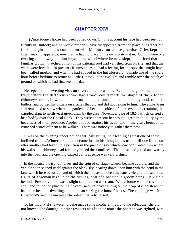## **[CHAPTER XXVI.](#page-320-0)**

**W**interborne's house had been pulled down. On this account his face had been seen but fitfully in Hintock; and he would probably have disappeared from the place altogether but for his slight business connection with Melbury, on whose premises Giles kept his cider−making apparatus, now that he had no place of his own to stow it in. Coming here one evening on his way to a hut beyond the wood where he now slept, he noticed that the familiar brown− thatched pinion of his paternal roof had vanished from its site, and that the walls were levelled. In present circumstances he had a feeling for the spot that might have been called morbid, and when he had supped in the hut aforesaid he made use of the spare hour before bedtime to return to Little Hintock in the twilight and ramble over the patch of ground on which he had first seen the day.

 He repeated this evening visit on several like occasions. Even in the gloom he could trace where the different rooms had stood; could mark the shape of the kitchen chimney−corner, in which he had roasted apples and potatoes in his boyhood, cast his bullets, and burned his initials on articles that did and did not belong to him. The apple−trees still remained to show where the garden had been, the oldest of them even now retaining the crippled slant to north−east given them by the great November gale of 1824, which carried a brig bodily over the Chesil Bank. They were at present bent to still greater obliquity by the heaviness of their produce. Apples bobbed against his head, and in the grass beneath he crunched scores of them as he walked. There was nobody to gather them now.

 It was on the evening under notice that, half sitting, half leaning against one of these inclined trunks, Winterborne had become lost in his thoughts, as usual, till one little star after another had taken up a position in the piece of sky which now confronted him where his walls and chimneys had formerly raised their outlines. The house had jutted awkwardly into the road, and the opening caused by its absence was very distinct.

 In the silence the trot of horses and the spin of carriage−wheels became audible; and the vehicle soon shaped itself against the blank sky, bearing down upon him with the bend in the lane which here occurred, and of which the house had been the cause. He could discern the figure of a woman high up on the driving−seat of a phaeton, a groom being just visible behind. Presently there was a slight scrape, then a scream. Winterborne went across to the spot, and found the phaeton half overturned, its driver sitting on the heap of rubbish which had once been his dwelling, and the man seizing the horses' heads. The equipage was Mrs. Charmond's, and the unseated charioteer that lady herself.

 To his inquiry if she were hurt she made some incoherent reply to the effect that she did not know. The damage in other respects was little or none: the phaeton was righted, Mrs.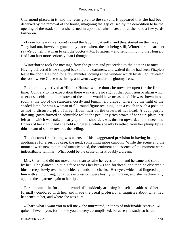Charmond placed in it, and the reins given to the servant. It appeared that she had been deceived by the removal of the house, imagining the gap caused by the demolition to be the opening of the road, so that she turned in upon the ruins instead of at the bend a few yards farther on.

 «Drive home – drive home!» cried the lady, impatiently; and they started on their way. They had not, however, gone many paces when, the air being still, Winterborne heard her say «Stop; tell that man to call the doctor – Mr. Fitzpiers – and send him on to the House. I find I am hurt more seriously than I thought.»

 Winterborne took the message from the groom and proceeded to the doctor's at once. Having delivered it, he stepped back into the darkness, and waited till he had seen Fitzpiers leave the door. He stood for a few minutes looking at the window which by its light revealed the room where Grace was sitting, and went away under the gloomy trees.

 Fitzpiers duly arrived at Hintock House, whose doors he now saw open for the first time. Contrary to his expectation there was visible no sign of that confusion or alarm which a serious accident to the mistress of the abode would have occasioned. He was shown into a room at the top of the staircase, cosily and femininely draped, where, by the light of the shaded lamp, he saw a woman of full round figure reclining upon a couch in such a position as not to disturb a pile of magnificent hair on the crown of her head. A deep purple dressing−gown formed an admirable foil to the peculiarly rich brown of her hair−plaits; her left arm, which was naked nearly up to the shoulder, was thrown upward, and between the fingers of her right hand she held a cigarette, while she idly breathed from her plump lips a thin stream of smoke towards the ceiling.

 The doctor's first feeling was a sense of his exaggerated prevision in having brought appliances for a serious case; the next, something more curious. While the scene and the moment were new to him and unanticipated, the sentiment and essence of the moment were indescribably familiar. What could be the cause of it? Probably a dream.

 Mrs. Charmond did not move more than to raise her eyes to him, and he came and stood by her. She glanced up at his face across her brows and forehead, and then he observed a blush creep slowly over her decidedly handsome cheeks. Her eyes, which had lingered upon him with an inquiring, conscious expression, were hastily withdrawn, and she mechanically applied the cigarette again to her lips.

 For a moment he forgot his errand, till suddenly arousing himself he addressed her, formally condoled with her, and made the usual professional inquiries about what had happened to her, and where she was hurt.

 «That's what I want you to tell me,» she murmured, in tones of indefinable reserve. «I quite believe in you, for I know you are very accomplished, because you study so hard.»

#### CHAPTER XXVI. 2002. THE RESERVE OF A SERVE OF A SERVE OF A SERVE OF A SERVE OF A SERVE OF A SERVE OF A SERVE O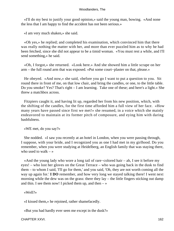«I'll do my best to justify your good opinion,» said the young man, bowing. «And none the less that I am happy to find the accident has not been serious.»

«I am very much shaken,» she said.

 «Oh yes,» he replied; and completed his examination, which convinced him that there was really nothing the matter with her, and more than ever puzzled him as to why he had been fetched, since she did not appear to be a timid woman. «You must rest a while, and I'll send something,» he said.

 «Oh, I forgot,» she returned. «Look here.» And she showed him a little scrape on her arm – the full round arm that was exposed. «Put some court−plaster on that, please.»

 He obeyed. «And now,» she said, «before you go I want to put a question to you. Sit round there in front of me, on that low chair, and bring the candles, or one, to the little table. Do you smoke? Yes? That's right – I am learning. Take one of these; and here's a light.» She threw a matchbox across.

 Fitzpiers caught it, and having lit up, regarded her from his new position, which, with the shifting of the candles, for the first time afforded him a full view of her face. «How many years have passed since first we met!» she resumed, in a voice which she mainly endeavored to maintain at its former pitch of composure, and eying him with daring bashfulness.

«WE met, do you say?»

 She nodded. «I saw you recently at an hotel in London, when you were passing through, I suppose, with your bride, and I recognized you as one I had met in my girlhood. Do you remember, when you were studying at Heidelberg, an English family that was staying there, who used to walk  $-\infty$ 

 «And the young lady who wore a long tail of rare−colored hair – ah, I see it before my eyes! – who lost her gloves on the Great Terrace – who was going back in the dusk to find them – to whom I said, 'I'll go for them,' and you said, 'Oh, they are not worth coming all the way up again for.' **I DO** remember, and how very long we stayed talking there! I went next morning while the dew was on the grass: there they lay – the little fingers sticking out damp and thin. I see them now! I picked them up, and then  $-\infty$ 

«Well?»

«I kissed them,» he rejoined, rather shamefacedly.

«But you had hardly ever seen me except in the dusk?»

CHAPTER XXVI. 162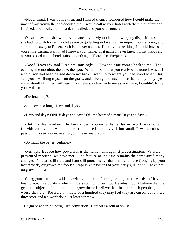«Never mind. I was young then, and I kissed them. I wondered how I could make the most of my trouvaille, and decided that I would call at your hotel with them that afternoon. It rained, and I waited till next day. I called, and you were gone.»

 «Yes,» answered she, with dry melancholy. «My mother, knowing my disposition, said she had no wish for such a chit as me to go falling in love with an impecunious student, and spirited me away to Baden. As it is all over and past I'll tell you one thing: I should have sent you a line passing warm had I known your name. That name I never knew till my maid said, as you passed up the hotel stairs a month ago, 'There's Dr. Fitzpiers.'»

 «Good Heaven!» said Fitzpiers, musingly. «How the time comes back to me! The evening, the morning, the dew, the spot. When I found that you really were gone it was as if a cold iron had been passed down my back. I went up to where you had stood when I last saw you –  $-I$  flung myself on the grass, and – being not much more than a boy – my eyes were literally blinded with tears. Nameless, unknown to me as you were, I couldn't forget your voice.»

«For how long?»

«Oh – ever so long. Days and days.»

«Days and days! **ONLY** days and days? Oh, the heart of a man! Days and days!»

 «But, my dear madam, I had not known you more than a day or two. It was not a full−blown love – it was the merest bud – red, fresh, vivid, but small. It was a colossal passion in posse, a giant in embryo. It never matured.»

«So much the better, perhaps.»

 «Perhaps. But see how powerless is the human will against predestination. We were prevented meeting; we have met. One feature of the case remains the same amid many changes. You are still rich, and I am still poor. Better than that, you have (judging by your last remark) outgrown the foolish, impulsive passions of your early girl−hood. I have not outgrown mine.»

 «I beg your pardon,» said she, with vibrations of strong feeling in her words. «I have been placed in a position which hinders such outgrowings. Besides, I don't believe that the genuine subjects of emotion do outgrow them; I believe that the older such people get the worse they are. Possibly at ninety or a hundred they may feel they are cured; but a mere threescore and ten won't do it – at least for me.»

He gazed at her in undisguised admiration. Here was a soul of souls!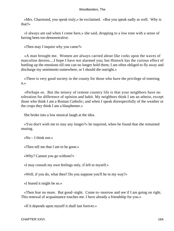«Mrs. Charmond, you speak truly,» he exclaimed. «But you speak sadly as well. Why is that?»

 «I always am sad when I come here,» she said, dropping to a low tone with a sense of having been too demonstrative.

«Then may I inquire why you came?»

 «A man brought me. Women are always carried about like corks upon the waves of masculine desires....I hope I have not alarmed you; but Hintock has the curious effect of bottling up the emotions till one can no longer hold them; I am often obliged to fly away and discharge my sentiments somewhere, or I should die outright.»

 «There is very good society in the county for those who have the privilege of entering it.»

 «Perhaps so. But the misery of remote country life is that your neighbors have no toleration for difference of opinion and habit. My neighbors think I am an atheist, except those who think I am a Roman Catholic; and when I speak disrespectfully of the weather or the crops they think I am a blasphemer.»

She broke into a low musical laugh at the idea.

 «You don't wish me to stay any longer?» he inquired, when he found that she remained musing.

«No  $-$  I think not.»

«Then tell me that I am to be gone.»

«Why? Cannot you go without?»

«I may consult my own feelings only, if left to myself.»

«Well, if you do, what then? Do you suppose you'll be in my way?»

«I feared it might be so.»

 «Then fear no more. But good−night. Come to−morrow and see if I am going on right. This renewal of acquaintance touches me. I have already a friendship for you.»

«If it depends upon myself it shall last forever.»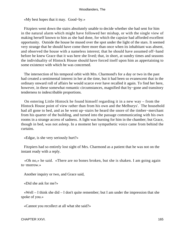«My best hopes that it may. Good−by.»

 Fitzpiers went down the stairs absolutely unable to decide whether she had sent for him in the natural alarm which might have followed her mishap, or with the single view of making herself known to him as she had done, for which the capsize had afforded excellent opportunity. Outside the house he mused over the spot under the light of the stars. It seemed very strange that he should have come there more than once when its inhabitant was absent, and observed the house with a nameless interest; that he should have assumed off−hand before he knew Grace that it was here she lived; that, in short, at sundry times and seasons the individuality of Hintock House should have forced itself upon him as appertaining to some existence with which he was concerned.

 The intersection of his temporal orbit with Mrs. Charmond's for a day or two in the past had created a sentimental interest in her at the time, but it had been so evanescent that in the ordinary onward roll of affairs he would scarce ever have recalled it again. To find her here, however, in these somewhat romantic circumstances, magnified that by−gone and transitory tenderness to indescribable proportions.

 On entering Little Hintock he found himself regarding it in a new way – from the Hintock House point of view rather than from his own and the Melburys'. The household had all gone to bed, and as he went up−stairs he heard the snore of the timber−merchant from his quarter of the building, and turned into the passage communicating with his own rooms in a strange access of sadness. A light was burning for him in the chamber; but Grace, though in bed, was not asleep. In a moment her sympathetic voice came from behind the curtains.

«Edgar, is she very seriously hurt?»

 Fitzpiers had so entirely lost sight of Mrs. Charmond as a patient that he was not on the instant ready with a reply.

 «Oh no,» he said. «There are no bones broken, but she is shaken. I am going again to−morrow.»

Another inquiry or two, and Grace said,

«Did she ask for me?»

 «Well – I think she did – I don't quite remember; but I am under the impression that she spoke of you.»

«Cannot you recollect at all what she said?»

CHAPTER XXVI. 2002. 2003. THE STREET WAS SERVED FOR A 2003 2004 2005 2006 2007 2008 2009 2007 2008 2009 2009 20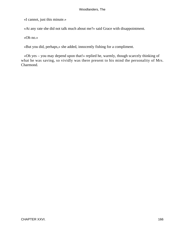«I cannot, just this minute.»

«At any rate she did not talk much about me?» said Grace with disappointment.

«Oh no.»

«But you did, perhaps,» she added, innocently fishing for a compliment.

 «Oh yes – you may depend upon that!» replied he, warmly, though scarcely thinking of what he was saving, so vividly was there present to his mind the personality of Mrs. Charmond.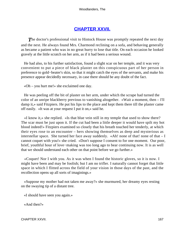# **[CHAPTER XXVII.](#page-320-0)**

**The doctor's professional visit to Hintock House was promptly repeated the next day** and the next. He always found Mrs. Charmond reclining on a sofa, and behaving generally as became a patient who was in no great hurry to lose that title. On each occasion he looked gravely at the little scratch on her arm, as if it had been a serious wound.

 He had also, to his further satisfaction, found a slight scar on her temple, and it was very convenient to put a piece of black plaster on this conspicuous part of her person in preference to gold−beater's skin, so that it might catch the eyes of the servants, and make his presence appear decidedly necessary, in case there should be any doubt of the fact.

«Oh – you hurt me!» she exclaimed one day.

 He was peeling off the bit of plaster on her arm, under which the scrape had turned the color of an unripe blackberry previous to vanishing altogether. «Wait a moment, then – I'll damp it,» said Fitzpiers. He put his lips to the place and kept them there till the plaster came off easily. «It was at your request I put it on,» said he.

 «I know it,» she replied. «Is that blue vein still in my temple that used to show there? The scar must be just upon it. If the cut had been a little deeper it would have spilt my hot blood indeed!» Fitzpiers examined so closely that his breath touched her tenderly, at which their eyes rose to an encounter – hers showing themselves as deep and mysterious as interstellar space. She turned her face away suddenly. «Ah! none of that! none of that  $- I$ cannot coquet with you!» she cried. «Don't suppose I consent to for one moment. Our poor, brief, youthful hour of love−making was too long ago to bear continuing now. It is as well that we should understand each other on that point before we go further.»

 «Coquet! Nor I with you. As it was when I found the historic gloves, so it is now. I might have been and may be foolish; but I am no trifler. I naturally cannot forget that little space in which I flitted across the field of your vision in those days of the past, and the recollection opens up all sorts of imaginings.»

 «Suppose my mother had not taken me away?» she murmured, her dreamy eyes resting on the swaying tip of a distant tree.

«I should have seen you again.»

«And then?»

CHAPTER XXVII. 2002. 2003. 2004. 2006. 2007. 2008. 2007. 2008. 2007. 2008. 2007. 2007. 2008. 2007. 2007. 2008.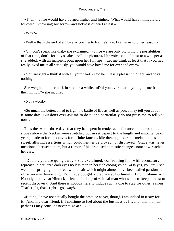«Then the fire would have burned higher and higher. What would have immediately followed I know not; but sorrow and sickness of heart at last.»

«Why?»

«Well – that's the end of all love, according to Nature's law. I can give no other reason.»

 «Oh, don't speak like that,» she exclaimed. «Since we are only picturing the possibilities of that time, don't, for pity's sake, spoil the picture.» Her voice sank almost to a whisper as she added, with an incipient pout upon her full lips, «Let me think at least that if you had really loved me at all seriously, you would have loved me for ever and ever!»

 «You are right – think it with all your heart,» said he. «It is a pleasant thought, and costs nothing.»

 She weighed that remark in silence a while. «Did you ever hear anything of me from then till now?» she inquired.

«Not a word.»

 «So much the better. I had to fight the battle of life as well as you. I may tell you about it some day. But don't ever ask me to do it, and particularly do not press me to tell you now.»

 Thus the two or three days that they had spent in tender acquaintance on the romantic slopes above the Neckar were stretched out in retrospect to the length and importance of years; made to form a canvas for infinite fancies, idle dreams, luxurious melancholies, and sweet, alluring assertions which could neither be proved nor disproved. Grace was never mentioned between them, but a rumor of his proposed domestic changes somehow reached her ears.

 «Doctor, you are going away,» she exclaimed, confronting him with accusatory reproach in her large dark eyes no less than in her rich cooing voice. «Oh yes, you are,» she went on, springing to her feet with an air which might almost have been called passionate. «It is no use denying it. You have bought a practice at Budmouth. I don't blame you. Nobody can live at Hintock – least of all a professional man who wants to keep abreast of recent discovery. And there is nobody here to induce such a one to stay for other reasons. That's right, that's right  $-$  go away!»

 «But no, I have not actually bought the practice as yet, though I am indeed in treaty for it. And, my dear friend, if I continue to feel about the business as I feel at this moment – perhaps I may conclude never to go at all.»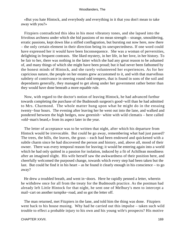«But you hate Hintock, and everybody and everything in it that you don't mean to take away with you?»

 Fitzpiers contradicted this idea in his most vibratory tones, and she lapsed into the frivolous archness under which she hid passions of no mean strength – strange, smouldering, erratic passions, kept down like a stifled conflagration, but bursting out now here, now there – the only certain element in their direction being its unexpectedness. If one word could have expressed her it would have been Inconsequence. She was a woman of perversities, delighting in frequent contrasts. She liked mystery, in her life, in her love, in her history. To be fair to her, there was nothing in the latter which she had any great reason to be ashamed of, and many things of which she might have been proud; but it had never been fathomed by the honest minds of Hintock, and she rarely volunteered her experiences. As for her capricious nature, the people on her estates grew accustomed to it, and with that marvellous subtlety of contrivance in steering round odd tempers, that is found in sons of the soil and dependants generally, they managed to get along under her government rather better than they would have done beneath a more equable rule.

 Now, with regard to the doctor's notion of leaving Hintock, he had advanced furthur towards completing the purchase of the Budmouth surgeon's good−will than he had admitted to Mrs. Charmond. The whole matter hung upon what he might do in the ensuing twenty−four hours. The evening after leaving her he went out into the lane, and walked and pondered between the high hedges, now greenish− white with wild clematis – here called «old−man's beard,» from its aspect later in the year.

 The letter of acceptance was to be written that night, after which his departure from Hintock would be irrevocable. But could he go away, remembering what had just passed? The trees, the hills, the leaves, the grass – each had been endowed and quickened with a subtle charm since he had discovered the person and history, and, above all, mood of their owner. There was every temporal reason for leaving; it would be entering again into a world which he had only quitted in a passion for isolation, induced by a fit of Achillean moodiness after an imagined slight. His wife herself saw the awkwardness of their position here, and cheerfully welcomed the purposed change, towards which every step had been taken but the last. But could he find it in his heart – as he found it clearly enough in his conscience – to go away?

 He drew a troubled breath, and went in−doors. Here he rapidly penned a letter, wherein he withdrew once for all from the treaty for the Budmouth practice. As the postman had already left Little Hintock for that night, he sent one of Melbury's men to intercept a mail−cart on another turnpike−road, and so got the letter off.

 The man returned, met Fitzpiers in the lane, and told him the thing was done. Fitzpiers went back to his house musing. Why had he carried out this impulse – taken such wild trouble to effect a probable injury to his own and his young wife's prospects? His motive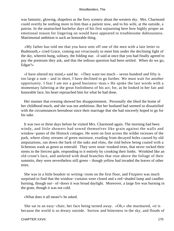was fantastic, glowing, shapeless as the fiery scenery about the western sky. Mrs. Charmond could overtly be nothing more to him than a patient now, and to his wife, at the outside, a patron. In the unattached bachelor days of his first sojourning here how highly proper an emotional reason for lingering on would have appeared to troublesome dubiousness. Matrimonial ambition is such an honorable thing.

 «My father has told me that you have sent off one of the men with a late letter to Budmouth,» cried Grace, coming out vivaciously to meet him under the declining light of the sky, wherein hung, solitary, the folding star. «I said at once that you had finally agreed to pay the premium they ask, and that the tedious question had been settled. When do we go, Edgar?»

 «I have altered my mind,» said he. «They want too much – seven hundred and fifty is too large a sum – and in short, I have declined to go further. We must wait for another opportunity. I fear I am not a good business−man.» He spoke the last words with a momentary faltering at the great foolishness of his act; for, as he looked in her fair and honorable face, his heart reproached him for what he had done.

 Her manner that evening showed her disappointment. Personally she liked the home of her childhood much, and she was not ambitious. But her husband had seemed so dissatisfied with the circumstances hereabout since their marriage that she had sincerely hoped to go for his sake.

 It was two or three days before he visited Mrs. Charmond again. The morning had been windy, and little showers had sowed themselves like grain against the walls and window−panes of the Hintock cottages. He went on foot across the wilder recesses of the park, where slimy streams of green moisture, exuding from decayed holes caused by old amputations, ran down the bark of the oaks and elms, the rind below being coated with a lichenous wash as green as emerald. They were stout−trunked trees, that never rocked their stems in the fiercest gale, responding to it entirely by crooking their limbs. Wrinkled like an old crone's face, and antlered with dead branches that rose above the foliage of their summits, they were nevertheless still green – though yellow had invaded the leaves of other trees.

 She was in a little boudoir or writing−room on the first floor, and Fitzpiers was much surprised to find that the window−curtains were closed and a red−shaded lamp and candles burning, though out− of−doors it was broad daylight. Moreover, a large fire was burning in the grate, though it was not cold.

«What does it all mean?» he asked.

 She sat in an easy−chair, her face being turned away. «Oh,» she murmured, «it is because the world is so dreary outside. Sorrow and bitterness in the sky, and floods of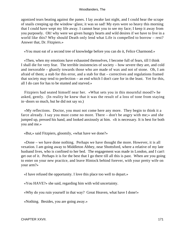agonized tears beating against the panes. I lay awake last night, and I could hear the scrape of snails creeping up the window−glass; it was so sad! My eyes were so heavy this morning that I could have wept my life away. I cannot bear you to see my face; I keep it away from you purposely. Oh! why were we given hungry hearts and wild desires if we have to live in a world like this? Why should Death only lend what Life is compelled to borrow – rest? Answer that, Dr. Fitzpiers.»

«You must eat of a second tree of knowledge before you can do it, Felice Charmond.»

 «Then, when my emotions have exhausted themselves, I become full of fears, till I think I shall die for very fear. The terrible insistencies of society – how severe they are, and cold and inexorable – ghastly towards those who are made of wax and not of stone. Oh, I am afraid of them; a stab for this error, and a stab for that – correctives and regulations framed that society may tend to perfection – an end which I don't care for in the least. Yet for this, all I do care for has to be stunted and starved.»

 Fitzpiers had seated himself near her. «What sets you in this mournful mood?» he asked, gently. (In reality he knew that it was the result of a loss of tone from staying in−doors so much, but he did not say so.)

 «My reflections. Doctor, you must not come here any more. They begin to think it a farce already. I say you must come no more. There – don't be angry with me;» and she jumped up, pressed his hand, and looked anxiously at him. «It is necessary. It is best for both you and me.»

«But,» said Fitzpiers, gloomily, «what have we done?»

 «Done – we have done nothing. Perhaps we have thought the more. However, it is all vexation. I am going away to Middleton Abbey, near Shottsford, where a relative of my late husband lives, who is confined to her bed. The engagement was made in London, and I can't get out of it. Perhaps it is for the best that I go there till all this is past. When are you going to enter on your new practice, and leave Hintock behind forever, with your pretty wife on your arm?»

«I have refused the opportunity. I love this place too well to depart.»

«You HAVE?» she said, regarding him with wild uncertainty.

«Why do you ruin yourself in that way? Great Heaven, what have I done!»

«Nothing. Besides, you are going away.»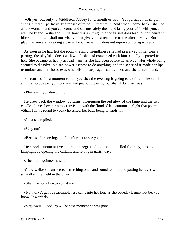«Oh yes; but only to Middleton Abbey for a month or two. Yet perhaps I shall gain strength there – particularly strength of mind – I require it. And when I come back I shall be a new woman; and you can come and see me safely then, and bring your wife with you, and we'll be friends – she and I. Oh, how this shutting up of one's self does lead to indulgence in idle sentiments. I shall not wish you to give your attendance to me after to−day. But I am glad that you are not going away – if your remaining does not injure your prospects at all.»

 As soon as he had left the room the mild friendliness she had preserved in her tone at parting, the playful sadness with which she had conversed with him, equally departed from her. She became as heavy as lead – just as she had been before he arrived. Her whole being seemed to dissolve in a sad powerlessness to do anything, and the sense of it made her lips tremulous and her closed eyes wet. His footsteps again startled her, and she turned round.

 «I returned for a moment to tell you that the evening is going to be fine. The sun is shining; so do open your curtains and put out those lights. Shall I do it for you?»

«Please – if you don't mind.»

 He drew back the window−curtains, whereupon the red glow of the lamp and the two candle−flames became almost invisible with the flood of late autumn sunlight that poured in. «Shall I come round to you?» he asked, her back being towards him.

«No,» she replied.

«Why not?»

«Because I am crying, and I don't want to see you.»

 He stood a moment irresolute, and regretted that he had killed the rosy, passionate lamplight by opening the curtains and letting in garish day.

«Then I am going,» he said.

 «Very well,» she answered, stretching one hand round to him, and patting her eyes with a handkerchief held in the other.

«Shall I write a line to you at  $-\infty$ 

 «No, no.» A gentle reasonableness came into her tone as she added, «It must not be, you know. It won't do.»

«Very well. Good−by.» The next moment he was gone.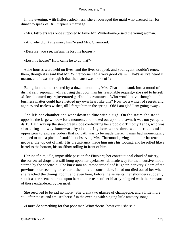In the evening, with listless adroitness, she encouraged the maid who dressed her for dinner to speak of Dr. Fitzpiers's marriage.

«Mrs. Fitzpiers was once supposed to favor Mr. Winterborne,» said the young woman.

«And why didn't she marry him?» said Mrs. Charmond.

«Because, you see, ma'am, he lost his houses.»

«Lost his houses? How came he to do that?»

 «The houses were held on lives, and the lives dropped, and your agent wouldn't renew them, though it is said that Mr. Winterborne had a very good claim. That's as I've heard it, ma'am, and it was through it that the match was broke off.»

 Being just then distracted by a dozen emotions, Mrs. Charmond sunk into a mood of dismal self−reproach. «In refusing that poor man his reasonable request,» she said to herself, «I foredoomed my rejuvenated girlhood's romance. Who would have thought such a business matter could have nettled my own heart like this? Now for a winter of regrets and agonies and useless wishes, till I forget him in the spring. Oh! I am glad I am going away.»

 She left her chamber and went down to dine with a sigh. On the stairs she stood opposite the large window for a moment, and looked out upon the lawn. It was not yet quite dark. Half−way up the steep green slope confronting her stood old Timothy Tangs, who was shortening his way homeward by clambering here where there was no road, and in opposition to express orders that no path was to be made there. Tangs had momentarily stopped to take a pinch of snuff; but observing Mrs. Charmond gazing at him, he hastened to get over the top out of hail. His precipitancy made him miss his footing, and he rolled like a barrel to the bottom, his snuffbox rolling in front of him.

 Her indefinite, idle, impossible passion for Fitzpiers; her constitutional cloud of misery; the sorrowful drops that still hung upon her eyelashes, all made way for the incursive mood started by the spectacle. She burst into an immoderate fit of laughter, her very gloom of the previous hour seeming to render it the more uncontrollable. It had not died out of her when she reached the dining−room; and even here, before the servants, her shoulders suddenly shook as the scene returned upon her; and the tears of her hilarity mingled with the remnants of those engendered by her grief.

 She resolved to be sad no more. She drank two glasses of champagne, and a little more still after those, and amused herself in the evening with singing little amatory songs.

«I must do something for that poor man Winterborne, however,» she said.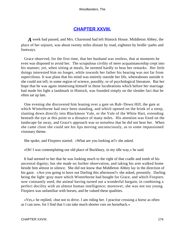## **[CHAPTER XXVIII.](#page-320-0)**

*A* week had passed, and Mrs. Charmond had left Hintock House. Middleton Abbey, the place of her sojourn, was about twenty miles distant by road, eighteen by bridle−paths and footways.

 Grace observed, for the first time, that her husband was restless, that at moments he even was disposed to avoid her. The scrupulous civility of mere acquaintanceship crept into his manner; yet, when sitting at meals, he seemed hardly to hear her remarks. Her little doings interested him no longer, while towards her father his bearing was not far from supercilious. It was plain that his mind was entirely outside her life, whereabouts outside it she could not tell; in some region of science, possibly, or of psychological literature. But her hope that he was again immersing himself in those lucubrations which before her marriage had made his light a landmark in Hintock, was founded simply on the slender fact that he often sat up late.

 One evening she discovered him leaning over a gate on Rub−Down Hill, the gate at which Winterborne had once been standing, and which opened on the brink of a steep, slanting down directly into Blackmoor Vale, or the Vale of the White Hart, extending beneath the eye at this point to a distance of many miles. His attention was fixed on the landscape far away, and Grace's approach was so noiseless that he did not hear her. When she came close she could see his lips moving unconsciously, as to some impassioned visionary theme.

She spoke, and Fitzpiers started. «What are you looking at?» she asked.

«Oh! I was contemplating our old place of Buckbury, in my idle way,» he said.

 It had seemed to her that he was looking much to the right of that cradle and tomb of his ancestral dignity; but she made no further observation, and taking his arm walked home beside him almost in silence. She did not know that Middleton Abbey lay in the direction of his gaze. «Are you going to have out Darling this afternoon?» she asked, presently. Darling being the light−gray mare which Winterborne had bought for Grace, and which Fitzpiers now constantly used, the animal having turned out a wonderful bargain, in combining a perfect docility with an almost human intelligence; moreover, she was not too young. Fitzpiers was unfamiliar with horses, and he valued these qualities.

 «Yes,» he replied, «but not to drive. I am riding her. I practise crossing a horse as often as I can now, for I find that I can take much shorter cuts on horseback.»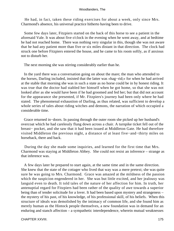He had, in fact, taken these riding exercises for about a week, only since Mrs. Charmond's absence, his universal practice hitherto having been to drive.

 Some few days later, Fitzpiers started on the back of this horse to see a patient in the aforesaid Vale. It was about five o'clock in the evening when he went away, and at bedtime he had not reached home. There was nothing very singular in this, though she was not aware that he had any patient more than five or six miles distant in that direction. The clock had struck one before Fitzpiers entered the house, and he came to his room softly, as if anxious not to disturb her.

The next morning she was stirring considerably earlier than he.

 In the yard there was a conversation going on about the mare; the man who attended to the horses, Darling included, insisted that the latter was «hag−rid;» for when he had arrived at the stable that morning she was in such a state as no horse could be in by honest riding. It was true that the doctor had stabled her himself when he got home, so that she was not looked after as she would have been if he had groomed and fed her; but that did not account for the appearance she presented, if Mr. Fitzpiers's journey had been only where he had stated. The phenomenal exhaustion of Darling, as thus related, was sufficient to develop a whole series of tales about riding witches and demons, the narration of which occupied a considerable time.

 Grace returned in−doors. In passing through the outer room she picked up her husband's overcoat which he had carelessly flung down across a chair. A turnpike ticket fell out of the breast− pocket, and she saw that it had been issued at Middleton Gate. He had therefore visited Middleton the previous night, a distance of at least five−and−thirty miles on horseback, there and back.

 During the day she made some inquiries, and learned for the first time that Mrs. Charmond was staying at Middleton Abbey. She could not resist an inference – strange as that inference was.

 A few days later he prepared to start again, at the same time and in the same direction. She knew that the state of the cottager who lived that way was a mere pretext; she was quite sure he was going to Mrs. Charmond. Grace was amazed at the mildness of the passion which the suspicion engendered in her. She was but little excited, and her jealousy was languid even to death. It told tales of the nature of her affection for him. In truth, her antenuptial regard for Fitzpiers had been rather of the quality of awe towards a superior being than of tender solicitude for a lover. It had been based upon mystery and strangeness – the mystery of his past, of his knowledge, of his professional skill, of his beliefs. When this structure of ideals was demolished by the intimacy of common life, and she found him as merely human as the Hintock people themselves, a new foundation was in demand for an enduring and stanch affection – a sympathetic interdependence, wherein mutual weaknesses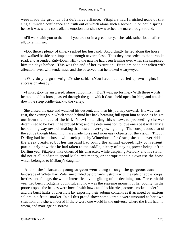were made the grounds of a defensive alliance. Fitzpiers had furnished none of that single−minded confidence and truth out of which alone such a second union could spring; hence it was with a controllable emotion that she now watched the mare brought round.

 «I'll walk with you to the hill if you are not in a great hurry,» she said, rather loath, after all, to let him go.

 «Do; there's plenty of time,» replied her husband. Accordingly he led along the horse, and walked beside her, impatient enough nevertheless. Thus they proceeded to the turnpike road, and ascended Rub−Down Hill to the gate he had been leaning over when she surprised him ten days before. This was the end of her excursion. Fitzpiers bade her adieu with affection, even with tenderness, and she observed that he looked weary−eyed.

 «Why do you go to−night?» she said. «You have been called up two nights in succession already.»

 «I must go,» he answered, almost gloomily. «Don't wait up for me.» With these words he mounted his horse, passed through the gate which Grace held open for him, and ambled down the steep bridle−track to the valley.

 She closed the gate and watched his descent, and then his journey onward. His way was east, the evening sun which stood behind her back beaming full upon him as soon as he got out from the shade of the hill. Notwithstanding this untoward proceeding she was determined to be loyal if he proved true; and the determination to love one's best will carry a heart a long way towards making that best an ever−growing thing. The conspicuous coat of the active though blanching mare made horse and rider easy objects for the vision. Though Darling had been chosen with such pains by Winterborne for Grace, she had never ridden the sleek creature; but her husband had found the animal exceedingly convenient, particularly now that he had taken to the saddle, plenty of staying power being left in Darling yet. Fitzpiers, like others of his character, while despising Melbury and his station, did not at all disdain to spend Melbury's money, or appropriate to his own use the horse which belonged to Melbury's daughter.

 And so the infatuated young surgeon went along through the gorgeous autumn landscape of White Hart Vale, surrounded by orchards lustrous with the reds of apple−crops, berries, and foliage, the whole intensified by the gilding of the declining sun. The earth this year had been prodigally bountiful, and now was the supreme moment of her bounty. In the poorest spots the hedges were bowed with haws and blackberries; acorns cracked underfoot, and the burst husks of chestnuts lay exposing their auburn contents as if arranged by anxious sellers in a fruit− market. In all this proud show some kernels were unsound as her own situation, and she wondered if there were one world in the universe where the fruit had no worm, and marriage no sorrow.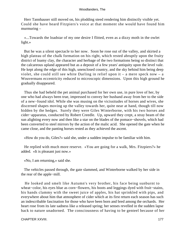Herr Tannhauser still moved on, his plodding steed rendering him distinctly visible yet. Could she have heard Fitzpiers's voice at that moment she would have found him murmuring –

 «...Towards the loadstar of my one desire I flitted, even as a dizzy moth in the owlet light.»

 But he was a silent spectacle to her now. Soon he rose out of the valley, and skirted a high plateau of the chalk formation on his right, which rested abruptly upon the fruity district of loamy clay, the character and herbage of the two formations being so distinct that the calcareous upland appeared but as a deposit of a few years' antiquity upon the level vale. He kept along the edge of this high, unenclosed country, and the sky behind him being deep violet, she could still see white Darling in relief upon it – a mere speck now – a Wouvermans eccentricity reduced to microscopic dimensions. Upon this high ground he gradually disappeared.

 Thus she had beheld the pet animal purchased for her own use, in pure love of her, by one who had always been true, impressed to convey her husband away from her to the side of a new−found idol. While she was musing on the vicissitudes of horses and wives, she discerned shapes moving up the valley towards her, quite near at hand, though till now hidden by the hedges. Surely they were Giles Winterborne, with his two horses and cider−apparatus, conducted by Robert Creedle. Up, upward they crept, a stray beam of the sun alighting every now and then like a star on the blades of the pomace−shovels, which had been converted to steel mirrors by the action of the malic acid. She opened the gate when he came close, and the panting horses rested as they achieved the ascent.

«How do you do, Giles?» said she, under a sudden impulse to be familiar with him.

 He replied with much more reserve. «You are going for a walk, Mrs. Fitzpiers?» he added. «It is pleasant just now.»

«No, I am returning,» said she.

 The vehicles passed through, the gate slammed, and Winterborne walked by her side in the rear of the apple−mill.

 He looked and smelt like Autumn's very brother, his face being sunburnt to wheat−color, his eyes blue as corn−flowers, his boots and leggings dyed with fruit−stains, his hands clammy with the sweet juice of apples, his hat sprinkled with pips, and everywhere about him that atmosphere of cider which at its first return each season has such an indescribable fascination for those who have been born and bred among the orchards. Her heart rose from its late sadness like a released spring; her senses revelled in the sudden lapse back to nature unadorned. The consciousness of having to be genteel because of her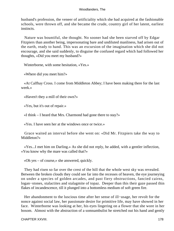husband's profession, the veneer of artificiality which she had acquired at the fashionable schools, were thrown off, and she became the crude, country girl of her latent, earliest instincts.

 Nature was bountiful, she thought. No sooner had she been starved off by Edgar Fitzpiers than another being, impersonating bare and undiluted manliness, had arisen out of the earth, ready to hand. This was an excursion of the imagination which she did not encourage, and she said suddenly, to disguise the confused regard which had followed her thoughts, «Did you meet my husband?»

Winterborne, with some hesitation, «Yes.»

«Where did you meet him?»

 «At Calfhay Cross. I come from Middleton Abbey; I have been making there for the last week.»

«Haven't they a mill of their own?»

«Yes, but it's out of repair.»

«I think – I heard that Mrs. Charmond had gone there to stay?»

«Yes. I have seen her at the windows once or twice.»

 Grace waited an interval before she went on: «Did Mr. Fitzpiers take the way to Middleton?»

 «Yes...I met him on Darling.» As she did not reply, he added, with a gentler inflection, «You know why the mare was called that?»

«Oh yes – of course,» she answered, quickly.

 They had risen so far over the crest of the hill that the whole west sky was revealed. Between the broken clouds they could see far into the recesses of heaven, the eye journeying on under a species of golden arcades, and past fiery obstructions, fancied cairns, logan−stones, stalactites and stalagmite of topaz. Deeper than this their gaze passed thin flakes of incandescence, till it plunged into a bottomless medium of soft green fire.

 Her abandonment to the luscious time after her sense of ill−usage, her revolt for the nonce against social law, her passionate desire for primitive life, may have showed in her face. Winterborne was looking at her, his eyes lingering on a flower that she wore in her bosom. Almost with the abstraction of a somnambulist he stretched out his hand and gently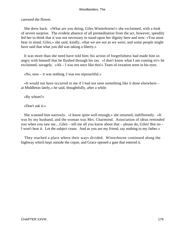caressed the flower.

 She drew back. «What are you doing, Giles Winterborne!» she exclaimed, with a look of severe surprise. The evident absence of all premeditation from the act, however, speedily led her to think that it was not necessary to stand upon her dignity here and now. «You must bear in mind, Giles,» she said, kindly, «that we are not as we were; and some people might have said that what you did was taking a liberty.»

 It was more than she need have told him; his action of forgetfulness had made him so angry with himself that he flushed through his tan. «I don't know what I am coming to!» he exclaimed, savagely. «Ah – I was not once like this!» Tears of vexation were in his eyes.

«No, now – it was nothing. I was too reproachful.»

 «It would not have occurred to me if I had not seen something like it done elsewhere – at Middleton lately,» he said, thoughtfully, after a while.

«By whom?»

«Don't ask it.»

 She scanned him narrowly. «I know quite well enough,» she returned, indifferently. «It was by my husband, and the woman was Mrs. Charmond. Association of ideas reminded you when you saw me....Giles – tell me all you know about that – please do, Giles! But no – I won't hear it. Let the subject cease. And as you are my friend, say nothing to my father.»

 They reached a place where their ways divided. Winterborne continued along the highway which kept outside the copse, and Grace opened a gate that entered it.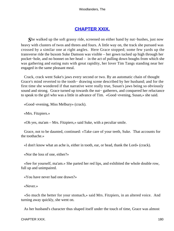# **[CHAPTER XXIX.](#page-320-0)**

*S*he walked up the soft grassy ride, screened on either hand by nut−bushes, just now heavy with clusters of twos and threes and fours. A little way on, the track she pursued was crossed by a similar one at right angles. Here Grace stopped; some few yards up the transverse ride the buxom Suke Damson was visible – her gown tucked up high through her pocket−hole, and no bonnet on her head – in the act of pulling down boughs from which she was gathering and eating nuts with great rapidity, her lover Tim Tangs standing near her engaged in the same pleasant meal.

 Crack, crack went Suke's jaws every second or two. By an automatic chain of thought Grace's mind reverted to the tooth− drawing scene described by her husband; and for the first time she wondered if that narrative were really true, Susan's jaws being so obviously sound and strong. Grace turned up towards the nut– gatherers, and conquered her reluctance to speak to the girl who was a little in advance of Tim. «Good−evening, Susan,» she said.

«Good−evening, Miss Melbury» (crack).

«Mrs. Fitzpiers.»

«Oh yes, ma'am – Mrs. Fitzpiers,» said Suke, with a peculiar smile.

 Grace, not to be daunted, continued: «Take care of your teeth, Suke. That accounts for the toothache.»

«I don't know what an ache is, either in tooth, ear, or head, thank the Lord» (crack).

«Nor the loss of one, either?»

 «See for yourself, ma'am.» She parted her red lips, and exhibited the whole double row, full up and unimpaired.

«You have never had one drawn?»

«Never.»

 «So much the better for your stomach,» said Mrs. Fitzpiers, in an altered voice. And turning away quickly, she went on.

As her husband's character thus shaped itself under the touch of time, Grace was almost

CHAPTER XXIX. 180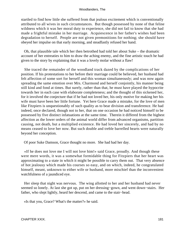startled to find how little she suffered from that jealous excitement which is conventionally attributed to all wives in such circumstances. But though possessed by none of that feline wildness which it was her moral duty to experience, she did not fail to know that she had made a frightful mistake in her marriage. Acquiescence in her father's wishes had been degradation to herself. People are not given premonitions for nothing; she should have obeyed her impulse on that early morning, and steadfastly refused her hand.

 Oh, that plausible tale which her then betrothed had told her about Suke – the dramatic account of her entreaties to him to draw the aching enemy, and the fine artistic touch he had given to the story by explaining that it was a lovely molar without a flaw!

 She traced the remainder of the woodland track dazed by the complications of her position. If his protestations to her before their marriage could be believed, her husband had felt affection of some sort for herself and this woman simultaneously; and was now again spreading the same emotion over Mrs. Charmond and herself conjointly, his manner being still kind and fond at times. But surely, rather than that, he must have played the hypocrite towards her in each case with elaborate completeness; and the thought of this sickened her, for it involved the conjecture that if he had not loved her, his only motive for making her his wife must have been her little fortune. Yet here Grace made a mistake, for the love of men like Fitzpiers is unquestionably of such quality as to bear division and transference. He had indeed, once declared, though not to her, that on one occasion he had noticed himself to be possessed by five distinct infatuations at the same time. Therein it differed from the highest affection as the lower orders of the animal world differ from advanced organisms, partition causing, not death, but a multiplied existence. He had loved her sincerely, and had by no means ceased to love her now. But such double and treble barrelled hearts were naturally beyond her conception.

Of poor Suke Damson, Grace thought no more. She had had her day.

 «If he does not love me I will not love him!» said Grace, proudly. And though these were mere words, it was a somewhat formidable thing for Fitzpiers that her heart was approximating to a state in which it might be possible to carry them out. That very absence of hot jealousy which made his courses so easy, and on which, indeed, he congratulated himself, meant, unknown to either wife or husband, more mischief than the inconvenient watchfulness of a jaundiced eye.

 Her sleep that night was nervous. The wing allotted to her and her husband had never seemed so lonely. At last she got up, put on her dressing−gown, and went down−stairs. Her father, who slept lightly, heard her descend, and came to the stair−head.

«Is that you, Grace? What's the matter?» he said.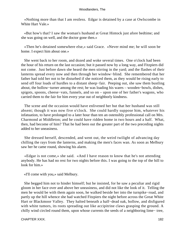«Nothing more than that I am restless. Edgar is detained by a case at Owlscombe in White Hart Vale.»

 «But how's that? I saw the woman's husband at Great Hintock just afore bedtime; and she was going on well, and the doctor gone then.»

 «Then he's detained somewhere else,» said Grace. «Never mind me; he will soon be home. I expect him about one.»

 She went back to her room, and dozed and woke several times. One o'clock had been the hour of his return on the last occasion; but it passed now by a long way, and Fitzpiers did not come. Just before dawn she heard the men stirring in the yard; and the flashes of their lanterns spread every now and then through her window−blind. She remembered that her father had told her not to be disturbed if she noticed them, as they would be rising early to send off four loads of hurdles to a distant sheep−fair. Peeping out, she saw them bustling about, the hollow−turner among the rest; he was loading his wares – wooden−bowls, dishes, spigots, spoons, cheese−vats, funnels, and so on – upon one of her father's wagons, who carried them to the fair for him every year out of neighborly kindness.

 The scene and the occasion would have enlivened her but that her husband was still absent; though it was now five o'clock. She could hardly suppose him, whatever his infatuation, to have prolonged to a later hour than ten an ostensibly professional call on Mrs. Charmond at Middleton; and he could have ridden home in two hours and a half. What, then, had become of him? That he had been out the greater part of the two preceding nights added to her uneasiness.

 She dressed herself, descended, and went out, the weird twilight of advancing day chilling the rays from the lanterns, and making the men's faces wan. As soon as Melbury saw her he came round, showing his alarm.

 «Edgar is not come,» she said. «And I have reason to know that he's not attending anybody. He has had no rest for two nights before this. I was going to the top of the hill to look for him.

«I'll come with you,» said Melbury.

 She begged him not to hinder himself; but he insisted, for he saw a peculiar and rigid gloom in her face over and above her uneasiness, and did not like the look of it. Telling the men he would be with them again soon, he walked beside her into the turnpike−road, and partly up the hill whence she had watched Fitzpiers the night before across the Great White Hart or Blackmoor Valley. They halted beneath a half−dead oak, hollow, and disfigured with white tumors, its roots spreading out like accipitrine claws grasping the ground. A chilly wind circled round them, upon whose currents the seeds of a neighboring lime− tree,

CHAPTER XXIX. 182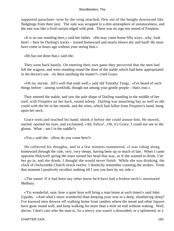supported parachute−wise by the wing attached, flew out of the boughs downward like fledglings from their nest. The vale was wrapped in a dim atmosphere of unnaturalness, and the east was like a livid curtain edged with pink. There was no sign nor sound of Fitzpiers.

 «It is no use standing here,» said her father. «He may come home fifty ways...why, look here! – here be Darling's tracks – turned homeward and nearly blown dry and hard! He must have come in hours ago without your seeing him.»

«He has not done that,» said she.

 They went back hastily. On entering their own gates they perceived that the men had left the wagons, and were standing round the door of the stable which had been appropriated to the doctor's use. «Is there anything the matter?» cried Grace.

 «Oh no, ma'am. All's well that ends well,» said old Timothy Tangs. «I've heard of such things before – among workfolk, though not among your gentle people – that's true.»

 They entered the stable, and saw the pale shape of Darling standing in the middle of her stall, with Fitzpiers on her back, sound asleep. Darling was munching hay as well as she could with the bit in her month, and the reins, which had fallen from Fitzpiers's hand, hung upon her neck.

 Grace went and touched his hand; shook it before she could arouse him. He moved, started, opened his eyes, and exclaimed, «Ah, Felice!...Oh, it's Grace. I could not see in the gloom. What – am I in the saddle?»

«Yes,» said she. «How do you come here?»

 He collected his thoughts, and in a few minutes stammered, «I was riding along homeward through the vale, very, very sleepy, having been up so much of late. When I came opposite Holywell spring the mare turned her head that way, as if she wanted to drink. I let her go in, and she drank; I thought she would never finish. While she was drinking, the clock of Owlscombe Church struck twelve. I distinctly remember counting the strokes. From that moment I positively recollect nothing till I saw you here by my side.»

 «The name! If it had been any other horse he'd have had a broken neck!» murmured Melbury.

 «'Tis wonderful, sure, how a quiet hoss will bring a man home at such times!» said John Upjohn. «And what's more wonderful than keeping your seat in a deep, slumbering sleep? I've knowed men drowze off walking home from randies where the mead and other liquors have gone round well, and keep walking for more than a mile on end without waking. Well, doctor, I don't care who the man is, 'tis a mercy you wasn't a drownded, or a splintered, or a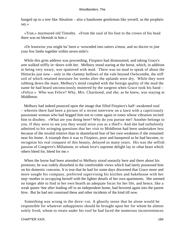hanged up to a tree like Absalom – also a handsome gentleman like yerself, as the prophets say.»

 «True,» murmured old Timothy. «From the soul of his foot to the crown of his head there was no blemish in him.»

 «Or leastwise you might ha' been a−wownded into tatters a'most, and no doctor to jine your few limbs together within seven mile!»

 While this grim address was proceeding, Fitzpiers had dismounted, and taking Grace's arm walked stiffly in−doors with her. Melbury stood staring at the horse, which, in addition to being very weary, was spattered with mud. There was no mud to speak of about the Hintocks just now – only in the clammy hollows of the vale beyond Owlscombe, the stiff soil of which retained moisture for weeks after the uplands were dry. While they were rubbing down the mare, Melbury's mind coupled with the foreign quality of the mud the name he had heard unconsciously muttered by the surgeon when Grace took his hand – «Felice.» Who was Felice? Why, Mrs. Charmond; and she, as he knew, was staying at Middleton.

 Melbury had indeed pounced upon the image that filled Fitzpiers's half−awakened soul – wherein there had been a picture of a recent interview on a lawn with a capriciously passionate woman who had begged him not to come again in tones whose vibration incited him to disobey. «What are you doing here? Why do you pursue me? Another belongs to you. If they were to see you they would seize you as a thief!» And she had turbulently admitted to his wringing questions that her visit to Middleton had been undertaken less because of the invalid relative than in shamefaced fear of her own weakness if she remained near his home. A triumph then it was to Fitzpiers, poor and hampered as he had become, to recognize his real conquest of this beauty, delayed so many years. His was the selfish passion of Congreve's Millamont, to whom love's supreme delight lay in «that heart which others bleed for, bleed for me.»

 When the horse had been attended to Melbury stood uneasily here and there about his premises; he was rudely disturbed in the comfortable views which had lately possessed him on his domestic concerns. It is true that he had for some days discerned that Grace more and more sought his company, preferred supervising his kitchen and bakehouse with her step−mother to occupying herself with the lighter details of her own apartments. She seemed no longer able to find in her own hearth an adequate focus for her life, and hence, like a weak queen−bee after leading off to an independent home, had hovered again into the parent hive. But he had not construed these and other incidents of the kind till now.

 Something was wrong in the dove−cot. A ghastly sense that he alone would be responsible for whatever unhappiness should be brought upon her for whom he almost solely lived, whom to retain under his roof he had faced the numerous inconveniences

#### CHAPTER XXIX. 184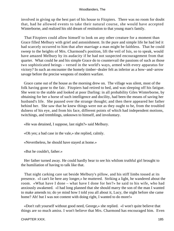involved in giving up the best part of his house to Fitzpiers. There was no room for doubt that, had he allowed events to take their natural course, she would have accepted Winterborne, and realized his old dream of restitution to that young man's family.

 That Fitzpiers could allow himself to look on any other creature for a moment than Grace filled Melbury with grief and astonishment. In the pure and simple life he had led it had scarcely occurred to him that after marriage a man might be faithless. That he could sweep to the heights of Mrs. Charmond's position, lift the veil of Isis, so to speak, would have amazed Melbury by its audacity if he had not suspected encouragement from that quarter. What could he and his simple Grace do to countervail the passions of such as those two sophisticated beings – versed in the world's ways, armed with every apparatus for victory? In such an encounter the homely timber−dealer felt as inferior as a bow−and−arrow savage before the precise weapons of modern warfare.

 Grace came out of the house as the morning drew on. The village was silent, most of the folk having gone to the fair. Fitzpiers had retired to bed, and was sleeping off his fatigue. She went to the stable and looked at poor Darling: in all probability Giles Winterborne, by obtaining for her a horse of such intelligence and docility, had been the means of saving her husband's life. She paused over the strange thought; and then there appeared her father behind her. She saw that he knew things were not as they ought to be, from the troubled dulness of his eye, and from his face, different points of which had independent motions, twitchings, and tremblings, unknown to himself, and involuntary.

«He was detained, I suppose, last night?» said Melbury.

«Oh yes; a bad case in the vale,» she replied, calmly.

«Nevertheless, he should have stayed at home.»

«But he couldn't, father.»

 Her father turned away. He could hardly bear to see his whilom truthful girl brought to the humiliation of having to talk like that.

 That night carking care sat beside Melbury's pillow, and his stiff limbs tossed at its presence. «I can't lie here any longer,» he muttered. Striking a light, he wandered about the room. «What have I done – what have I done for her?» he said to his wife, who had anxiously awakened. «I had long planned that she should marry the son of the man I wanted to make amends to; do ye mind how I told you all about it, Lucy, the night before she came home? Ah! but I was not content with doing right, I wanted to do more!»

 «Don't raft yourself without good need, George,» she replied. «I won't quite believe that things are so much amiss. I won't believe that Mrs. Charmond has encouraged him. Even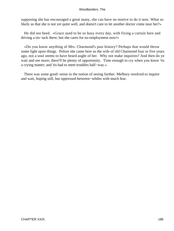supposing she has encouraged a great many, she can have no motive to do it now. What so likely as that she is not yet quite well, and doesn't care to let another doctor come near her?»

 He did not heed. «Grace used to be so busy every day, with fixing a curtain here and driving a tin−tack there; but she cares for no employment now!»

 «Do you know anything of Mrs. Charmond's past history? Perhaps that would throw some light upon things. Pefore she came here as the wife of old Charmond four or five years ago, not a soul seems to have heard aught of her. Why not make inquiries? And then do ye wait and see more; there'll be plenty of opportnnity. Time enough to cry when you know 'tis a crying matter; and 'tis bad to meet troubles half−way.»

 There was some good−sense in the notion of seeing further. Melbury resolved to inquire and wait, hoping still, hut oppressed between−whiles with much fear.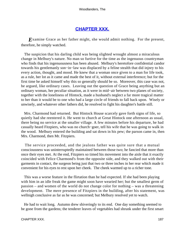## **[CHAPTER XXX.](#page-320-0)**

*Examine Grace as her father might, she would admit nothing. For the present,* therefore, he simply watched.

 The suspicion that his darling child was being slighted wrought almost a miraculous change in Melbury's nature. No man so furtive for the time as the ingenuous countryman who finds that his ingenuousness has been abused. Melbury's heretofore confidential candor towards his gentlemanly son−in−law was displaced by a feline stealth that did injnry to his every action, thought, and mood. He knew that a woman once given to a man for life took, as a rule, her lot as it came and made the best of it, without external interference; but for the first time he asked himself why this so generally should be so. Moreover, this case was not, he argued, like ordinary cases. Leaving out the question of Grace being anything but an ordinary woman, her peculiar situation, as it were in mid−air between two planes of society, together with the loneliness of Hintock, made a husband's neglect a far more tragical matter to her than it would be to one who had a large circle of friends to fall back upon. Wisely or unwisely, and whatever other fathers did, he resolved to fight his daughter's battle still.

 Mrs. Charmond had returned. But Hintock House scarcely gave forth signs of life, so quietly had she reentered it. He went to church at Great Hintock one afternoon as usual, there being no service at the smaller village. A few minutes before his departure, he had casually heard Fitzpiers, who was no church−goer, tell his wife that he was going to walk in the wood. Melbury entered the building and sat down in his pew; the parson came in, then Mrs. Charmond, then Mr. Fitzpiers.

 The service proceeded, and the jealons father was quite sure that a mutual consciousness was uninterruptedly maintained between those two; he fancied that more than once their eyes met. At the end, Fitzpiers so timed his movement into the aisle that it exactly coincided with Felice Charmond's from the opposite side, and they walked out with their garments in contact, the surgeon being just that two or three inches in her rear which made it convenient for his eyes to rest upon her cheek. The cheek warmed up to a richer tone.

 This was a worse feature in the flirtation than he had expected. If she had been playing with him in an idle freak the game might soon have wearied her; but the smallest germ of passion – and women of the world do not change color for nothing – was a threatening development. The mere presence of Fitzpiers in the building, after his statement, was wellnigh conclusive as far as he was concerned; but Melbury resolved yet to watch.

 He had to wait long. Autumn drew shiveringly to its end. One day something seemed to be gone from the gardens; the tenderer leaves of vegetables had shrunk under the first smart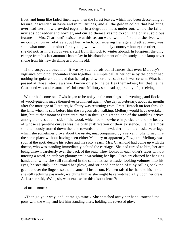frost, and hung like faded linen rags; then the forest leaves, which had been descending at leisure, descended in haste and in multitudes, and all the golden colors that had hung overhead were now crowded together in a degraded mass underfoot, where the fallen myriads got redder and hornier, and curled themselves up to rot. The only suspicious features in Mrs. Charmond's existence at this season were two: the first, that she lived with no companion or relative about her, which, considering her age and attractions, was somewhat unusual conduct for a young widow in a lonely country− house; the other, that she did not, as in previous years, start from Hintock to winter abroad. In Fitzpiers, the only change from his last autnmn's habits lay in his abandonment of night study – his lamp never shone from his new dwelling as from his old.

 If the suspected ones met, it was by such adroit contrivances that even Melbury's vigilance could not encounter them together. A simple call at her house by the doctor had nothing irregular about it, and that he had paid two or three such calls was certain. What had passed at those interviews was known only to the parties themselves; but that Felice Charmond was under some one's influence Melbury soon had opportunity of perceiving.

 Winter had come on. Owls began to be noisy in the mornings and evenings, and flocks of wood−pigeons made themselves prominent again. One day in February, about six months after the marriage of Fitzpiers, Melbury was returning from Great Hintock on foot through the lane, when he saw before him the surgeon also walking. Melbury would have overtaken him, but at that moment Fitzpiers turned in through a gate to one of the rambling drives among the trees at this side of the wood, which led to nowhere in particular, and the beauty of whose serpentine curves was the only justification of their existence. Felice almost simultaneously trotted down the lane towards the timber−dealer, in a little basket−carriage which she sometimes drove about the estate, unaccompanied by a servant. She turned in at the same place without having seen either Melbury or apparently Fitzpiers. Melbury was soon at the spot, despite his aches and his sixty years. Mrs. Charmond had come up with the doctor, who was standing immediately behind the carriage. She had turned to him, her arm being thrown carelessly over the back of the seat. They looked in each other's faces without uttering a word, an arch yet gloomy smile wreathing her lips. Fitzpiers clasped her hanging hand, and, while she still remained in the same listless attitude, looking volumes into his eyes, he stealthily unbuttoned her glove, and stripped her hand of it by rolling back the gauntlet over the fingers, so that it came off inside out. He then raised her hand to his month, she still reclining passively, watching him as she might have watched a fly upon her dress. At last she said, «Well, sir, what excuse for this disobedience?»

«I make none.»

 «Then go your way, and let me go mine.» She snatched away her hand, touched the pony with the whip, and left him standing there, holding the reversed glove.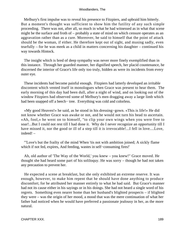Melbury's first impulse was to reveal his presence to Fitzpiers, and upbraid him bitterly. But a moment's thought was sufficient to show him the futility of any such simple proceeding. There was not, after all, so much in what he had witnessed as in what that scene might be the surface and froth of – probably a state of mind on which censure operates as an aggravation rather than as a cure. Moreover, he said to himself that the point of attack should be the woman, if either. He therefore kept out of sight, and musing sadly, even tearfully – for he was meek as a child in matters concerning his daughter – continued his way towards Hintock.

 The insight which is bred of deep sympathy was never more finely exemplified than in this instance. Through her guarded manner, her dignified speech, her placid countenance, he discerned the interior of Grace's life only too truly, hidden as were its incidents from every outer eye.

 These incidents had become painful enough. Fitzpiers had latterly developed an irritable discontent which vented itself in monologues when Grace was present to hear them. The early morning of this day had been dull, after a night of wind, and on looking out of the window Fitzpiers had observed some of Melbury's men dragging away a large limb which had been snapped off a beech− tree. Everything was cold and colorless.

 «My good Heaven!» he said, as he stood in his dressing−gown. «This is life!» He did not know whether Grace was awake or not, and he would not turn his head to ascertain. «Ah, fool,» he went on to himself, "to clip your own wings when you were free to soar!...But I could not rest till I had done it. Why do I never recognize an opportunity till I have missed it, nor the good or ill of a step till it is irrevocable!...I fell in love....Love, indeed! –

 "'Love's but the frailty of the mind When 'tis not with ambition joined; A sickly flame which if not fed, expires, And feeding, wastes in self−consuming fires!'

 Ah, old author of 'The Way of the World,' you knew – you knew!" Grace moved. He thought she had heard some part of his soliloquy. He was sorry – though he had not taken any precaution to prevent her.

 He expected a scene at breakfast, but she only exhibited an extreme reserve. It was enough, however, to make him repent that he should have done anything to produce discomfort; for he attributed her manner entirely to what he had said. But Grace's manner had not its cause either in his sayings or in his doings. She had not heard a single word of his regrets. Something even nearer home than her husband's blighted prospects – if blighted they were – was the origin of her mood, a mood that was the mere continuation of what her father had noticed when he would have preferred a passionate jealousy in her, as the more natural.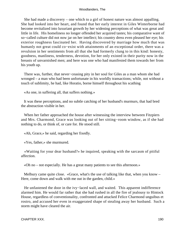She had made a discovery – one which to a girl of honest nature was almost appalling. She had looked into her heart, and found that her early interest in Giles Winterborne had become revitalized into luxuriant growth by her widening perceptions of what was great and little in life. His homeliness no longer offended her acquired tastes; his comparative want of so−called culture did not now jar on her intellect; his country dress even pleased her eye; his exterior roughness fascinated her. Having discovered by marriage how much that was humanly not great could co−exist with attainments of an exceptional order, there was a revulsion in her sentiments from all that she had formerly clung to in this kind: honesty, goodness, manliness, tenderness, devotion, for her only existed in their purity now in the breasts of unvarnished men; and here was one who had manifested them towards her from his youth up.

 There was, further, that never−ceasing pity in her soul for Giles as a man whom she had wronged – a man who had been unfortunate in his worldly transactions; while, not without a touch of sublimity, he had, like Horatio, borne himself throughout his scathing

«As one, in suffering all, that suffers nothing.»

 It was these perceptions, and no subtle catching of her husband's murmurs, that had bred the abstraction visible in her.

 When her father approached the house after witnessing the interview between Fitzpiers and Mrs. Charmond, Grace was looking out of her sitting−room window, as if she had nothing to do, or think of, or care for. He stood still.

«Ah, Grace,» he said, regarding her fixedly.

«Yes, father,» she murmured.

 «Waiting for your dear husband?» he inquired, speaking with the sarcasm of pitiful affection.

«Oh no – not especially. He has a great many patients to see this afternoon.»

 Melbury came quite close. «Grace, what's the use of talking like that, when you know – Here, come down and walk with me out in the garden, child.»

He unfastened the door in the ivy−laced wall, and waited. This apparent indifference alarmed him. He would far rather that she had rushed in all the fire of jealousy to Hintock House, regardless of conventionality, confronted and attacked Felice Charmond unguibus et rostro, and accused her even in exaggerated shape of stealing away her husband. Such a storm might have cleared the air.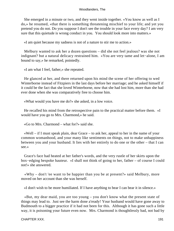She emerged in a minute or two, and they went inside together. «You know as well as I do,» he resumed, «that there is something threatening mischief to your life; and yet you pretend you do not. Do you suppose I don't see the trouble in your face every day? I am very sure that this quietude is wrong conduct in you. You should look more into matters.»

«I am quiet because my sadness is not of a nature to stir me to action.»

 Melbury wanted to ask her a dozen questions – did she not feel jealous? was she not indignant? but a natural delicacy restrained him. «You are very tame and let−alone, I am bound to say,» he remarked, pointedly.

«I am what I feel, father,» she repeated.

 He glanced at her, and there returned upon his mind the scene of her offering to wed Winterborne instead of Fitzpiers in the last days before her marriage; and he asked himself if it could be the fact that she loved Winterborne, now that she had lost him, more than she had ever done when she was comparatively free to choose him.

«What would you have me do?» she asked, in a low voice.

 He recalled his mind from the retrospective pain to the practical matter before them. «I would have you go to Mrs. Charmond,» he said.

«Go to Mrs. Charmond – what for?» said she.

 «Well – if I must speak plain, dear Grace – to ask her, appeal to her in the name of your common womanhood, and your many like sentiments on things, not to make unhappiness between you and your husband. It lies with her entirely to do one or the other – that I can see.»

 Grace's face had heated at her father's words, and the very rustle of her skirts upon the box−edging bespoke hauteur. «I shall not think of going to her, father – of course I could not!» she answered.

 «Why – don't 'ee want to be happier than you be at present?» said Melbury, more moved on her account than she was herself.

«I don't wish to be more humiliated. If I have anything to bear I can bear it in silence.»

 «But, my dear maid, you are too young – you don't know what the present state of things may lead to. Just see the harm done a'ready! Your husband would have gone away to Budmouth to a bigger practice if it had not been for this. Although it has gone such a little way, it is poisoning your future even now. Mrs. Charmond is thoughtlessly bad, not bad by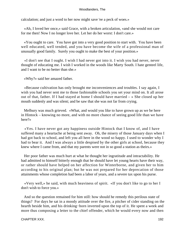calculation; and just a word to her now might save 'ee a peck of woes.»

 «Ah, I loved her once,» said Grace, with a broken articulation, «and she would not care for me then! Now I no longer love her. Let her do her worst: I don't care.»

 «You ought to care. You have got into a very good position to start with. You have been well educated, well tended, and you have become the wife of a professional man of unusually good family. Surely you ought to make the best of your position.»

 «I don't see that I ought. I wish I had never got into it. I wish you had never, never thought of educating me. I wish I worked in the woods like Marty South. I hate genteel life, and I want to be no better than she.»

«Why?» said her amazed father.

 «Because cultivation has only brought me inconveniences and troubles. I say again, I wish you had never sent me to those fashionable schools you set your mind on. It all arose out of that, father. If I had stayed at home I should have married – » She closed up her mouth suddenly and was silent; and be saw that she was not far from crying.

 Melbury was much grieved. «What, and would you like to have grown up as we be here in Hintock – knowing no more, and with no more chance of seeing good life than we have here?»

 «Yes. I have never got any happiness outside Hintock that I know of, and I have suffered many a heartache at being sent away. Oh, the misery of those January days when I had got back to school, and left you all here in the wood so happy. I used to wonder why I had to bear it. And I was always a little despised by the other girls at school, because they knew where I came from, and that my parents were not in so good a station as theirs.»

 Her poor father was much hurt at what he thought her ingratitude and intractability. He had admitted to himself bitterly enough that he should have let young hearts have their way, or rather should have helped on her affection for Winterborne, and given her to him according to his original plan; but he was not prepared for her deprecation of those attainments whose completion had been a labor of years, and a severe tax upon his purse.

 «Very well,» he said, with much heaviness of spirit. «If you don't like to go to her I don't wish to force you.»

 And so the question remained for him still: how should he remedy this perilous state of things? For days he sat in a moody attitude over the fire, a pitcher of cider standing on the hearth beside him, and his drinking−horn inverted upon the top of it. He spent a week and more thus composing a letter to the chief offender, which he would every now and then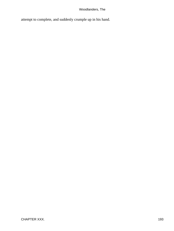attempt to complete, and suddenly crumple up in his hand.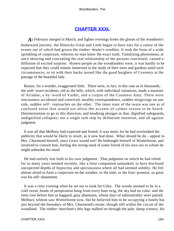## **[CHAPTER XXXI.](#page-320-0)**

*A*s February merged in March, and lighter evenings broke the gloom of the woodmen's homeward journey, the Hintocks Great and Little began to have ears for a rumor of the events out of which had grown the timber−dealer's troubles. It took the form of a wide sprinkling of conjecture, wherein no man knew the exact truth. Tantalizing phenomena, at once showing and concealing the real relationship of the persons concerned, caused a diffusion of excited surprise. Honest people as the woodlanders were, it was hardly to be expected that they could remain immersed in the study of their trees and gardens amid such circumstances, or sit with their backs turned like the good burghers of Coventry at the passage of the beautiful lady.

 Rumor, for a wonder, exaggerated little. There were, in fact, in this case as in thousands, the well−worn incidents, old as the hills, which, with individual variations, made a mourner of Ariadne, a by−word of Vashti, and a corpse of the Countess Amy. There were rencounters accidental and contrived, stealthy correspondence, sudden misgivings on one side, sudden self− reproaches on the other. The inner state of the twain was one as of confused noise that would not allow the accents of calmer reason to be heard. Determinations to go in this direction, and headlong plunges in that; dignified safeguards, undignified collapses; not a single rash step by deliberate intention, and all against judgment.

 It was all that Melbury had expected and feared. It was more, for he had overlooked the publicity that would be likely to result, as it now had done. What should he do – appeal to Mrs. Charmond himself, since Grace would not? He bethought himself of Winterborne, and resolved to consult him, feeling the strong need of some friend of his own sex to whom he might unburden his mind.

 He had entirely lost faith in his own judgment. That judgment on which he had relied for so many years seemed recently, like a false companion unmasked, to have disclosed unexpected depths of hypocrisy and speciousness where all had seemed solidity. He felt almost afraid to form a conjecture on the weather, or the time, or the fruit−promise, so great was his self−abasement.

 It was a rimy evening when he set out to look for Giles. The woods seemed to be in a cold sweat; beads of perspiration hung from every bare twig; the sky had no color, and the trees rose before him as haggard, gray phantoms, whose days of substantiality were passed. Melbury seldom saw Winterborne now, but he believed him to be occupying a lonely hut just beyond the boundary of Mrs. Charmond's estate, though still within the circuit of the woodland. The timber−merchant's thin legs stalked on through the pale, damp scenery, his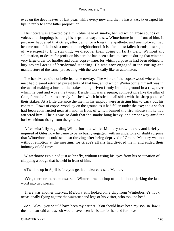eyes on the dead leaves of last year; while every now and then a hasty «Ay?» escaped his lips in reply to some bitter proposition.

 His notice was attracted by a thin blue haze of smoke, behind which arose sounds of voices and chopping: bending his steps that way, he saw Winterborne just in front of him. It just now happened that Giles, after being for a long time apathetic and unemployed, had become one of the busiest men in the neighborhood. It is often thus; fallen friends, lost sight of, we expect to find starving; we discover them going on fairly well. Without any solicitation, or desire for profit on his part, he had been asked to execute during that winter a very large order for hurdles and other copse−ware, for which purpose he had been obliged to buy several acres of brushwood standing. He was now engaged in the cutting and manufacture of the same, proceeding with the work daily like an automaton.

 The hazel−tree did not belie its name to−day. The whole of the copse−wood where the mist had cleared returned purest tints of that hue, amid which Winterborne himself was in the act of making a hurdle, the stakes being driven firmly into the ground in a row, over which he bent and wove the twigs. Beside him was a square, compact pile like the altar of Cain, formed of hurdles already finished, which bristled on all sides with the sharp points of their stakes. At a little distance the men in his employ were assisting him to carry out his contract. Rows of copse−wood lay on the ground as it had fallen under the axe; and a shelter had been constructed near at hand, in front of which burned the fire whose smoke had attracted him. The air was so dank that the smoke hung heavy, and crept away amid the bushes without rising from the ground.

 After wistfully regarding Winterborne a while, Melbury drew nearer, and briefly inquired of Giles how he came to be so busily engaged, with an undertone of slight surprise that Winterborne could seem so thriving after being deprived of Grace. Melbury was not without emotion at the meeting; for Grace's affairs had divided them, and ended their intimacy of old times.

 Winterborne explained just as briefly, without raising his eyes from his occupation of chopping a bough that he held in front of him.

«'Twill be up in April before you get it all cleared,» said Melbury.

 «Yes, there or thereabouts,» said Winterborne, a chop of the billhook jerking the last word into two pieces.

 There was another interval; Melbury still looked on, a chip from Winterborne's hook occasionally flying against the waistcoat and legs of his visitor, who took no heed.

 «Ah, Giles – you should have been my partner. You should have been my son−in−law,» the old man said at last. «It would have been far better for her and for me.»

CHAPTER XXXI. 2002. 2003. 2004. 2006. 2012. 2013. 2014. 2015. 2016. 2017. 2018. 2019. 2017. 2018. 2019. 2017. 2018. 2019. 2017. 2018. 2019. 2017. 2018. 2019. 2017. 2018. 2019. 2017. 2017. 2017. 2017. 2017. 2017. 2017. 2017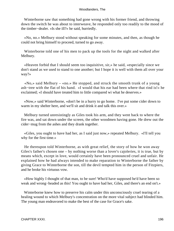Winterborne saw that something had gone wrong with his former friend, and throwing down the switch he was about to interweave, he responded only too readily to the mood of the timber−dealer. «Is she ill?» he said, hurriedly.

 «No, no.» Melbury stood without speaking for some minutes, and then, as though he could not bring himself to proceed, turned to go away.

 Winterborne told one of his men to pack up the tools for the night and walked after Melbury.

 «Heaven forbid that I should seem too inquisitive, sir,» he said, «especially since we don't stand as we used to stand to one another; but I hope it is well with them all over your way?»

 «No,» said Melbury – «no.» He stopped, and struck the smooth trunk of a young ash−tree with the flat of his hand. «I would that his ear had been where that rind is!» he exclaimed; «I should have treated him to little compared wi what he deserves.»

 «Now,» said Winterborne, «don't be in a hurry to go home. I've put some cider down to warm in my shelter here, and we'll sit and drink it and talk this over.»

 Melbury turned unresistingly as Giles took his arm, and they went back to where the fire was, and sat down under the screen, the other woodmen having gone. He drew out the cider−mug from the ashes and they drank together.

 «Giles, you ought to have had her, as I said just now,» repeated Melbury. «I'll tell you why for the first time.»

 He thereupon told Winterborne, as with great relief, the story of how he won away Giles's father's chosen one – by nothing worse than a lover's cajoleries, it is true, but by means which, except in love, would certainly have been pronounced cruel and unfair. He explained how he had always intended to make reparation to Winterborne the father by giving Grace to Winterborne the son, till the devil tempted him in the person of Fitzpiers, and he broke his virtuous vow.

 «How highly I thought of that man, to be sure! Who'd have supposed he'd have been so weak and wrong−headed as this! You ought to have had her, Giles, and there's an end on't.»

 Winterborne knew how to preserve his calm under this unconsciously cruel tearing of a healing wound to which Melbury's concentration on the more vital subject had blinded him. The young man endeavored to make the best of the case for Grace's sake.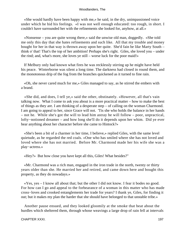«She would hardly have been happy with me,» he said, in the dry, unimpassioned voice under which he hid his feelings. «I was not well enough educated: too rough, in short. I couldn't have surrounded her with the refinements she looked for, anyhow, at all.»

 «Nonsense – you are quite wrong there,» said the unwise old man, doggedly. «She told me only this day that she hates refinements and such like. All that my trouble and money bought for her in that way is thrown away upon her quite. She'd fain be like Marty South – think o' that! That's the top of her ambition! Perhaps she's right. Giles, she loved you – under the rind; and, what's more, she loves ye still – worse luck for the poor maid!»

 If Melbury only had known what fires he was recklessly stirring up he might have held his peace. Winterborne was silent a long time. The darkness had closed in round them, and the monotonous drip of the fog from the branches quickened as it turned to fine rain.

 «Oh, she never cared much for me,» Giles managed to say, as he stirred the embers with a brand.

 «She did, and does, I tell ye,» said the other, obstinately. «However, all that's vain talking now. What I come to ask you about is a more practical matter – how to make the best of things as they are. I am thinking of a desperate step – of calling on the woman Charmond. I am going to appeal to her, since Grace will not. 'Tis she who holds the balance in her hands – not he. While she's got the will to lead him astray he will follow – poor, unpractical, lofty−notioned dreamer – and how long she'll do it depends upon her whim. Did ye ever hear anything about her character before she came to Hintock?»

 «She's been a bit of a charmer in her time, I believe,» replied Giles, with the same level quietude, as he regarded the red coals. «One who has smiled where she has not loved and loved where she has not married. Before Mr. Charmond made her his wife she was a play−actress.»

«Hey?» But how close you have kept all this, Giles! What besides?"

 «Mr. Charmond was a rich man, engaged in the iron trade in the north, twenty or thirty years older than she. He married her and retired, and came down here and bought this property, as they do nowadays.»

 «Yes, yes – I know all about that; but the other I did not know. I fear it bodes no good. For how can I go and appeal to the forbearance of a woman in this matter who has made cross−loves and crooked entanglements her trade for years? I thank ye, Giles, for finding it out; but it makes my plan the harder that she should have belonged to that unstable tribe.»

 Another pause ensued, and they looked gloomily at the smoke that beat about the hurdles which sheltered them, through whose weavings a large drop of rain fell at intervals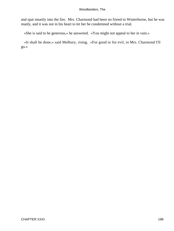and spat smartly into the fire. Mrs. Charmond had been no friend to Winterborne, but he was manly, and it was not in his heart to let her be condemned without a trial.

«She is said to be generous,» he answered. «You might not appeal to her in vain.»

 «It shall be done,» said Melbury, rising. «For good or for evil, to Mrs. Charmond I'll go.»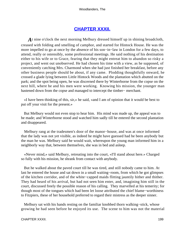## **[CHAPTER XXXII.](#page-320-0)**

*A*t nine o'clock the next morning Melbury dressed himself up in shining broadcloth, creased with folding and smelling of camphor, and started for Hintock House. He was the more impelled to go at once by the absence of his son−in−law in London for a few days, to attend, really or ostensibly, some professional meetings. He said nothing of his destination either to his wife or to Grace, fearing that they might entreat him to abandon so risky a project, and went out unobserved. He had chosen his time with a view, as he supposed, of conveniently catching Mrs. Charmond when she had just finished her breakfast, before any other business people should be about, if any came. Plodding thoughtfully onward, he crossed a glade lying between Little Hintock Woods and the plantation which abutted on the park; and the spot being open, he was discerned there by Winterborne from the copse on the next hill, where he and his men were working. Knowing his mission, the younger man hastened down from the copse and managed to intercept the timber− merchant.

 «I have been thinking of this, sir,» he said, «and I am of opinion that it would be best to put off your visit for the present.»

 But Melbury would not even stop to hear him. His mind was made up, the appeal was to be made; and Winterborne stood and watched him sadly till he entered the second plantation and disappeared.

 Melbury rang at the tradesmen's door of the manor−house, and was at once informed that the lady was not yet visible, as indeed he might have guessed had he been anybody but the man he was. Melbury said he would wait, whereupon the young man informed him in a neighborly way that, between themselves, she was in bed and asleep.

 «Never mind,» said Melbury, retreating into the court, «I'll stand about here.» Charged so fully with his mission, he shrank from contact with anybody.

 But he walked about the paved court till he was tired, and still nobody came to him. At last he entered the house and sat down in a small waiting−room, from which he got glimpses of the kitchen corridor, and of the white−capped maids flitting jauntily hither and thither. They had heard of his arrival, but had not seen him enter, and, imagining him still in the court, discussed freely the possible reason of his calling. They marvelled at his temerity; for though most of the tongues which had been let loose attributed the chief blame−worthiness to Fitzpiers, these of her household preferred to regard their mistress as the deeper sinner.

 Melbury sat with his hands resting on the familiar knobbed thorn walking−stick, whose growing he had seen before he enjoyed its use. The scene to him was not the material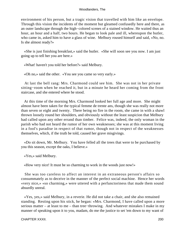environment of his person, but a tragic vision that travelled with him like an envelope. Through this vision the incidents of the moment but gleamed confusedly here and there, as an outer landscape through the high−colored scenes of a stained window. He waited thus an hour, an hour and a half, two hours. He began to look pale and ill, whereupon the butler, who came in, asked him to have a glass of wine. Melbury roused himself and said, «No, no. Is she almost ready?»

 «She is just finishing breakfast,» said the butler. «She will soon see you now. I am just going up to tell her you are here.»

«What! haven't you told her before?» said Melbury.

«Oh no,» said the other. «You see you came so very early.»

 At last the bell rang: Mrs. Charmond could see him. She was not in her private sitting−room when he reached it, but in a minute he heard her coming from the front staircase, and she entered where he stood.

 At this time of the morning Mrs. Charmond looked her full age and more. She might almost have been taken for the typical femme de trente ans, though she was really not more than seven or eight and twenty. There being no fire in the room, she came in with a shawl thrown loosely round her shoulders, and obviously without the least suspicion that Melbury had called upon any other errand than timber. Felice was, indeed, the only woman in the parish who had not heard the rumor of her own weaknesses; she was at this moment living in a fool's paradise in respect of that rumor, though not in respect of the weaknesses themselves, which, if the truth be told, caused her grave misgivings.

 «Do sit down, Mr. Melbury. You have felled all the trees that were to be purchased by you this season, except the oaks, I believe.»

«Yes,» said Melbury.

«How very nice! It must be so charming to work in the woods just now!»

 She was too careless to affect an interest in an extraneous person's affairs so consummately as to deceive in the manner of the perfect social machine. Hence her words «very nice,» «so charming,» were uttered with a perfunctoriness that made them sound absurdly unreal.

 «Yes, yes,» said Melbury, in a reverie. He did not take a chair, and she also remained standing. Resting upon his stick, he began: «Mrs. Charmond, I have called upon a more serious matter – at least to me – than tree−throwing. And whatever mistakes I make in my manner of speaking upon it to you, madam, do me the justice to set 'em down to my want of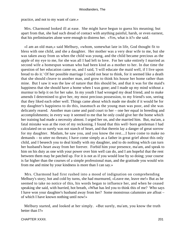practice, and not to my want of care.»

 Mrs. Charmond looked ill at ease. She might have begun to guess his meaning; but apart from that, she had such dread of contact with anything painful, harsh, or even earnest, that his preliminaries alone were enough to distress her. «Yes, what is it?» she said.

 «I am an old man,» said Melbury, «whom, somewhat late in life, God thought fit to bless with one child, and she a daughter. Her mother was a very dear wife to me, but she was taken away from us when the child was young, and the child became precious as the apple of my eye to me, for she was all I had left to love. For her sake entirely I married as second wife a homespun woman who had been kind as a mother to her. In due time the question of her education came on, and I said, 'I will educate the maid well, if I live upon bread to do it.' Of her possible marriage I could not bear to think, for it seemed like a death that she should cleave to another man, and grow to think his house her home rather than mine. But I saw it was the law of nature that this should be, and that it was for the maid's happiness that she should have a home when I was gone; and I made up my mind without a murmur to help it on for her sake. In my youth I had wronged my dead friend, and to make amends I determined to give her, my most precious possession, to my friend's son, seeing that they liked each other well. Things came about which made me doubt if it would be for my daughter's happiness to do this, inasmuch as the young man was poor, and she was delicately reared. Another man came and paid court to her – one her equal in breeding and accomplishments; in every way it seemed to me that he only could give her the home which her training had made a necessity almost. I urged her on, and she married him. But, ma'am, a fatal mistake was at the root of my reckoning. I found that this well−born gentleman I had calculated on so surely was not stanch of heart, and that therein lay a danger of great sorrow for my daughter. Madam, he saw you, and you know the rest....I have come to make no demands – to utter no threats; I have come simply as a father in great grief about this only child, and I beseech you to deal kindly with my daughter, and to do nothing which can turn her husband's heart away from her forever. Forbid him your presence, ma'am, and speak to him on his duty as one with your power over him well can do, and I am hopeful that the rent between them may be patched up. For it is not as if you would lose by so doing; your course is far higher than the courses of a simple professional man, and the gratitude you would win from me and mine by your kindness is more than I can say.»

 Mrs. Charmond had first rushed into a mood of indignation on comprehending Melbury's story; hot and cold by turns, she had murmured, «Leave me, leave me!» But as he seemed to take no notice of this, his words began to influence her, and when he ceased speaking she said, with hurried, hot breath, «What has led you to think this of me? Who says I have won your daughter's husband away from her? Some monstrous calumnies are afloat – of which I have known nothing until now!»

 Melbury started, and looked at her simply. «But surely, ma'am, you know the truth better than I?»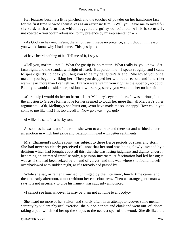Her features became a little pinched, and the touches of powder on her handsome face for the first time showed themselves as an extrinsic film. «Will you leave me to myself?» she said, with a faintness which suggested a guilty conscience. «This is so utterly unexpected – you obtain admission to my presence by misrepresentation –  $\gg$ 

 «As God's in heaven, ma'am, that's not true. I made no pretence; and I thought in reason you would know why I had come. This gossip  $-\infty$ 

«I have heard nothing of it. Tell me of it, I say.»

 «Tell you, ma'am – not I. What the gossip is, no matter. What really is, you know. Set facts right, and the scandal will right of itself. But pardon me – I speak roughly; and I came to speak gently, to coax you, beg you to be my daughter's friend. She loved you once, ma'am; you began by liking her. Then you dropped her without a reason, and it hurt her warm heart more than I can tell ye. But you were within your right as the superior, no doubt. But if you would consider her position now – surely, surely, you would do her no harm!»

«Certainly I would do her no harm  $-I \rightarrow Melbury's$  eye met hers. It was curious, but the allusion to Grace's former love for her seemed to touch her more than all Melbury's other arguments. «Oh, Melbury,» she burst out, «you have made me so unhappy! How could you come to me like this! It is too dreadful! Now go away – go, go!»

«I will,» he said, in a husky tone.

 As soon as he was out of the room she went to a corner and there sat and writhed under an emotion in which hurt pride and vexation mingled with better sentiments.

 Mrs. Charmond's mobile spirit was subject to these fierce periods of stress and storm. She had never so clearly perceived till now that her soul was being slowly invaded by a delirium which had brought about all this; that she was losing judgment and dignity under it, becoming an animated impulse only, a passion incarnate. A fascination had led her on; it was as if she had been seized by a hand of velvet; and this was where she found herself – overshadowed with sudden night, as if a tornado had passed by.

 While she sat, or rather crouched, unhinged by the interview, lunch−time came, and then the early afternoon, almost without her consciousness. Then «a strange gentleman who says it is not necessary to give his name,» was suddenly announced.

«I cannot see him, whoever he may be. I am not at home to anybody.»

 She heard no more of her visitor; and shortly after, in an attempt to recover some mental serenity by violent physical exercise, she put on her hat and cloak and went out−of−doors, taking a path which led her up the slopes to the nearest spur of the wood. She disliked the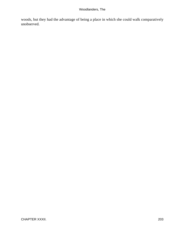woods, but they had the advantage of being a place in which she could walk comparatively unobserved.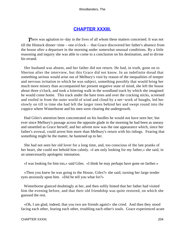# **[CHAPTER XXXIII.](#page-320-0)**

*T*here was agitation to−day in the lives of all whom these matters concerned. It was not till the Hintock dinner−time – one o'clock – that Grace discovered her father's absence from the house after a departure in the morning under somewhat unusual conditions. By a little reasoning and inquiry she was able to come to a conclusion on his destination, and to divine his errand.

 Her husband was absent, and her father did not return. He had, in truth, gone on to Sherton after the interview, but this Grace did not know. In an indefinite dread that something serious would arise out of Melbury's visit by reason of the inequalities of temper and nervous irritation to which he was subject, something possibly that would bring her much more misery than accompanied her present negative state of mind, she left the house about three o'clock, and took a loitering walk in the woodland track by which she imagined he would come home. This track under the bare trees and over the cracking sticks, screened and roofed in from the outer world of wind and cloud by a net−work of boughs, led her slowly on till in time she had left the larger trees behind her and swept round into the coppice where Winterborne and his men were clearing the undergrowth.

 Had Giles's attention been concentrated on his hurdles he would not have seen her; but ever since Melbury's passage across the opposite glade in the morning he had been as uneasy and unsettled as Grace herself; and her advent now was the one appearance which, since her father's avowal, could arrest him more than Melbury's return with his tidings. Fearing that something might be the matter, he hastened up to her.

 She had not seen her old lover for a long time, and, too conscious of the late pranks of her heart, she could not behold him calmly. «I am only looking for my father,» she said, in an unnecessarily apologetic intonation.

«I was looking for him too,» said Giles. «I think he may perhaps have gone on farther.»

 «Then you knew he was going to the House, Giles?» she said, turning her large tender eyes anxiously upon him. «Did he tell you what for?»

 Winterborne glanced doubtingly at her, and then softly hinted that her father had visited him the evening before, and that their old friendship was quite restored, on which she guessed the rest.

 «Oh, I am glad, indeed, that you two are friends again!» she cried. And then they stood facing each other, fearing each other, troubling each other's souls. Grace experienced acute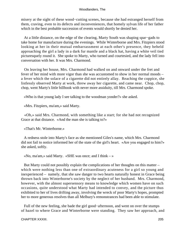misery at the sight of these wood−cutting scenes, because she had estranged herself from them, craving, even to its defects and inconveniences, that homely sylvan life of her father which in the best probable succession of events would shortly be denied her.

 At a little distance, on the edge of the clearing, Marty South was shaping spar−gads to take home for manufacture during the evenings. While Winterborne and Mrs. Fitzpiers stood looking at her in their mutual embarrassment at each other's presence, they beheld approaching the girl a lady in a dark fur mantle and a black hat, having a white veil tied picturesquely round it. She spoke to Marty, who turned and courtesied, and the lady fell into conversation with her. It was Mrs. Charmond.

 On leaving her house, Mrs. Charmond had walked on and onward under the fret and fever of her mind with more vigor than she was accustomed to show in her normal moods – a fever which the solace of a cigarette did not entirely allay. Reaching the coppice, she listlessly observed Marty at work, threw away her cigarette, and came near. Chop, chop, chop, went Marty's little billhook with never more assiduity, till Mrs. Charmond spoke.

«Who is that young lady I see talking to the woodman yonder?» she asked.

«Mrs. Fitzpiers, ma'am,» said Marty.

 «Oh,» said Mrs. Charmond, with something like a start; for she had not recognized Grace at that distance. «And the man she is talking to?»

«That's Mr. Winterborne.»

 A redness stole into Marty's face as she mentioned Giles's name, which Mrs. Charmond did not fail to notice informed her of the state of the girl's heart. «Are you engaged to him?» she asked, softly.

«No, ma'am,» said Marty. «SHE was once; and I think  $-\infty$ 

 But Marty could not possibly explain the complications of her thoughts on this matter – which were nothing less than one of extraordinary acuteness for a girl so young and inexperienced – namely, that she saw danger to two hearts naturally honest in Grace being thrown back into Winterborne's society by the neglect of her husband. Mrs. Charmond, however, with the almost supersensory means to knowledge which women have on such occasions, quite understood what Marty had intended to convey, and the picture thus exhibited to her of lives drifting away, involving the wreck of poor Marty's hopes, prompted her to more generous resolves than all Melbury's remonstrances had been able to stimulate.

 Full of the new feeling, she bade the girl good−afternoon, and went on over the stumps of hazel to where Grace and Winterborne were standing. They saw her approach, and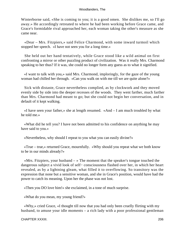Winterborne said, «She is coming to you; it is a good omen. She dislikes me, so I'll go away.» He accordingly retreated to where he had been working before Grace came, and Grace's formidable rival approached her, each woman taking the other's measure as she came near.

 «Dear – Mrs. Fitzpiers,» said Felice Charmond, with some inward turmoil which stopped her speech. «I have not seen you for a long time.»

 She held out her hand tentatively, while Grace stood like a wild animal on first confronting a mirror or other puzzling product of civilization. Was it really Mrs. Charmond speaking to her thus? If it was, she could no longer form any guess as to what it signified.

 «I want to talk with you,» said Mrs. Charmond, imploringly, for the gaze of the young woman had chilled her through. «Can you walk on with me till we are quite alone?»

 Sick with distaste, Grace nevertheless complied, as by clockwork and they moved evenly side by side into the deeper recesses of the woods. They went farther, much farther than Mrs. Charmond had meant to go; but she could not begin her conversation, and in default of it kept walking.

 «I have seen your father,» she at length resumed. «And – I am much troubled by what he told me.»

 «What did he tell you? I have not been admitted to his confidence on anything he may have said to you.»

«Nevertheless, why should I repeat to you what you can easily divine?»

 «True – true,» returned Grace, mournfully. «Why should you repeat what we both know to be in our minds already?»

«Mrs. Fitzpiers, your husband  $-\infty$  The moment that the speaker's tongue touched the dangerous subject a vivid look of self− consciousness flashed over her, in which her heart revealed, as by a lightning gleam, what filled it to overflowing. So transitory was the expression that none but a sensitive woman, and she in Grace's position, would have had the power to catch its meaning. Upon her the phase was not lost.

«Then you DO love him!» she exclaimed, in a tone of much surprise.

«What do you mean, my young friend?»

 «Why,» cried Grace, «I thought till now that you had only been cruelly flirting with my husband, to amuse your idle moments – a rich lady with a poor professional gentleman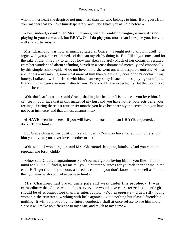whom in her heart she despised not much less than her who belongs to him. But I guess from your manner that you love him desperately, and I don't hate you as I did before.»

 «Yes, indeed,» continued Mrs. Fitzpiers, with a trembling tongue, «since it is not playing in your case at all, but **REAL.** Oh, I do pity you, more than I despise you, for you will s−s−suffer most!»

 Mrs. Charmond was now as much agitated as Grace. «I ought not to allow myself to argue with you,» she exclaimed. «I demean myself by doing it. But I liked you once, and for the sake of that time I try to tell you how mistaken you are!» Much of her confusion resulted from her wonder and alarm at finding herself in a sense dominated mentally and emotionally by this simple school−girl. «I do not love him,» she went on, with desperate untruth. «It was a kindness – my making somewhat more of him than one usually does of one's doctor. I was lonely; I talked – well, I trifled with him. I am very sorry if such child's playing out of pure friendship has been a serious matter to you. Who could have expected it? But the world is so simple here.»

 «Oh, that's affectation,» said Grace, shaking her head. «It is no use – you love him. I can see in your face that in this matter of my husband you have not let your acts belie your feelings. During these last four or six months you have been terribly indiscreet; but you have not been insincere, and that almost disarms me.»

 «I **HAVE** been insincere – if you will have the word – I mean **I HAVE** coquetted, and do NOT love him!»

 But Grace clung to her position like a limpet. «You may have trifled with others, but him you love as you never loved another man.»

 «Oh, well – I won't argue,» said Mrs. Charmond, laughing faintly. «And you come to reproach me for it, child.»

 «No,» said Grace, magnanimously. «You may go on loving him if you like – I don't mind at all. You'll find it, let me tell you, a bitterer business for yourself than for me in the end. He'll get tired of you soon, as tired as can be – you don't know him so well as I – and then you may wish you had never seen him!»

 Mrs. Charmond had grown quite pale and weak under this prophecy. It was extraordinary that Grace, whom almost every one would have characterized as a gentle girl, should be of stronger fibre than her interlocutor. «You exaggerate – cruel, silly young woman,» she reiterated, writhing with little agonies. «It is nothing but playful friendship – nothing! It will be proved by my future conduct. I shall at once refuse to see him more – since it will make no difference to my heart, and much to my name.»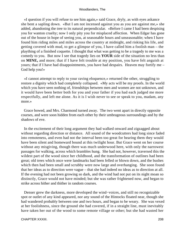«I question if you will refuse to see him again,» said Grace, dryly, as with eyes askance she bent a sapling down. «But I am not incensed against you as you are against me,» she added, abandoning the tree to its natural perpendicular. «Before I came I had been despising you for wanton cruelty; now I only pity you for misplaced affection. When Edgar has gone out of the house in hope of seeing you, at seasonable hours and unseasonable; when I have found him riding miles and miles across the country at midnight, and risking his life, and getting covered with mud, to get a glimpse of you, I have called him a foolish man – the plaything of a finished coquette. I thought that what was getting to be a tragedy to me was a comedy to you. But now I see that tragedy lies on **YOUR** side of the situation no less than on **MINE,** and more; that if I have felt trouble at my position, you have felt anguish at yours; that if I have had disappointments, you have had despairs. Heaven may fortify me – God help you!»

 «I cannot attempt to reply to your raving eloquence,» returned the other, struggling to restore a dignity which had completely collapsed. «My acts will be my proofs. In the world which you have seen nothing of, friendships between men and women are not unknown, and it would have been better both for you and your father if you had each judged me more respectfully, and left me alone. As it is I wish never to see or speak to you, madam, any more.»

 Grace bowed, and Mrs. Charmond turned away. The two went apart in directly opposite courses, and were soon hidden from each other by their umbrageous surroundings and by the shadows of eve.

 In the excitement of their long argument they had walked onward and zigzagged about without regarding direction or distance. All sound of the woodcutters had long since faded into remoteness, and even had not the interval been too great for hearing them they would have been silent and homeward bound at this twilight hour. But Grace went on her course without any misgiving, though there was much underwood here, with only the narrowest passages for walking, across which brambles hung. She had not, however, traversed this the wildest part of the wood since her childhood, and the transformation of outlines had been great; old trees which once were landmarks had been felled or blown down, and the bushes which then had been small and scrubby were now large and overhanging. She soon found that her ideas as to direction were vague – that she had indeed no ideas as to direction at all. If the evening had not been growing so dark, and the wind had not put on its night moan so distinctly, Grace would not have minded; but she was rather frightened now, and began to strike across hither and thither in random courses.

 Denser grew the darkness, more developed the wind−voices, and still no recognizable spot or outlet of any kind appeared, nor any sound of the Hintocks floated near, though she had wandered probably between one and two hours, and began to be weary. She was vexed at her foolishness, since the ground she had covered, if in a straight line, must inevitably have taken her out of the wood to some remote village or other; but she had wasted her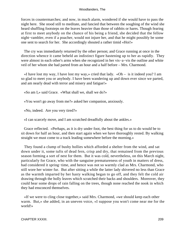forces in countermarches; and now, in much alarm, wondered if she would have to pass the night here. She stood still to meditate, and fancied that between the soughing of the wind she heard shuffling footsteps on the leaves heavier than those of rabbits or hares. Though fearing at first to meet anybody on the chance of his being a friend, she decided that the fellow night−rambler, even if a poacher, would not injure her, and that he might possibly be some one sent to search for her. She accordingly shouted a rather timid «Hoi!»

 The cry was immediately returned by the other person; and Grace running at once in the direction whence it came beheld an indistinct figure hastening up to her as rapidly. They were almost in each other's arms when she recognized in her vis−a−vis the outline and white veil of her whom she had parted from an hour and a half before – Mrs. Charmond.

«I have lost my way, I have lost my way,» cried that lady. «Oh – is it indeed you? I am so glad to meet you or anybody. I have been wandering up and down ever since we parted, and am nearly dead with terror and misery and fatigue!»

«So am I,» said Grace. «What shall we, shall we do?»

«You won't go away from me?» asked her companion, anxiously.

«No, indeed. Are you very tired?»

«I can scarcely move, and I am scratched dreadfully about the ankles.»

 Grace reflected. «Perhaps, as it is dry under foot, the best thing for us to do would be to sit down for half an hour, and then start again when we have thoroughly rested. By walking straight we must come to a track leading somewhere before the morning.»

 They found a clump of bushy hollies which afforded a shelter from the wind, and sat down under it, some tufts of dead fern, crisp and dry, that remained from the previous season forming a sort of nest for them. But it was cold, nevertheless, on this March night, particularly for Grace, who with the sanguine prematureness of youth in matters of dress, had considered it spring−time, and hence was not so warmly clad as Mrs. Charmond, who still wore her winter fur. But after sitting a while the latter lady shivered no less than Grace as the warmth imparted by her hasty walking began to go off, and they felt the cold air drawing through the holly leaves which scratched their backs and shoulders. Moreover, they could hear some drops of rain falling on the trees, though none reached the nook in which they had ensconced themselves.

 «If we were to cling close together,» said Mrs. Charmond, «we should keep each other warm. But,» she added, in an uneven voice, «I suppose you won't come near me for the world!»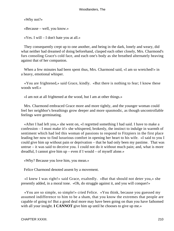«Why not?»

«Because – well, you know.»

«Yes. I will – I don't hate you at all.»

 They consequently crept up to one another, and being in the dark, lonely and weary, did what neither had dreamed of doing beforehand, clasped each other closely, Mrs. Charmond's furs consoling Grace's cold face, and each one's body as she breathed alternately heaving against that of her companion.

When a few minutes had been spent thus, Mrs. Charmond said, «I am so wretched!» in a heavy, emotional whisper.

 «You are frightened,» said Grace, kindly. «But there is nothing to fear; I know these woods well.»

«I am not at all frightened at the wood, but I am at other things.»

 Mrs. Charmond embraced Grace more and more tightly, and the younger woman could feel her neighbor's breathings grow deeper and more spasmodic, as though uncontrollable feelings were germinating.

 «After I had left you,» she went on, «I regretted something I had said. I have to make a confession – I must make it!» she whispered, brokenly, the instinct to indulge in warmth of sentiment which had led this woman of passions to respond to Fitzpiers in the first place leading her now to find luxurious comfort in opening her heart to his wife. «I said to you I could give him up without pain or deprivation – that he had only been my pastime. That was untrue – it was said to deceive you. I could not do it without much pain; and, what is more dreadful, I cannot give him up – even if I would – of myself alone.»

«Why? Because you love him, you mean.»

Felice Charmond denoted assent by a movement.

 «I knew I was right!» said Grace, exaltedly. «But that should not deter you,» she presently added, in a moral tone. «Oh, do struggle against it, and you will conquer!»

 «You are so simple, so simple!» cried Felice. «You think, because you guessed my assumed indifference to him to be a sham, that you know the extremes that people are capable of going to! But a good deal more may have been going on than you have fathomed with all your insight. **I CANNOT** give him up until he chooses to give up me.»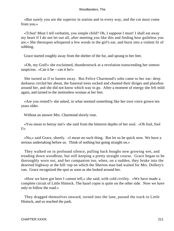«But surely you are the superior in station and in every way, and the cut must come from you.»

 «Tchut! Must I tell verbatim, you simple child? Oh, I suppose I must! I shall eat away my heart if I do not let out all, after meeting you like this and finding how guileless you are.» She thereupon whispered a few words in the girl's ear, and burst into a violent fit of sobbing.

Grace started roughly away from the shelter of the fur, and sprang to her feet.

 «Oh, my God!» she exclaimed, thunderstruck at a revelation transcending her utmost suspicion. «Can it be – can it be!»

 She turned as if to hasten away. But Felice Charmond's sobs came to her ear: deep darkness circled her about, the funereal trees rocked and chanted their diriges and placebos around her, and she did not know which way to go. After a moment of energy she felt mild again, and turned to the motionless woman at her feet.

 «Are you rested?» she asked, in what seemed something like her own voice grown ten years older.

Without an answer Mrs. Charmond slowly rose.

 «You mean to betray me!» she said from the bitterest depths of her soul. «Oh fool, fool I!»

 «No,» said Grace, shortly. «I mean no such thing. But let us be quick now. We have a serious undertaking before us. Think of nothing but going straight on.»

 They walked on in profound silence, pulling back boughs now growing wet, and treading down woodbine, but still keeping a pretty straight course. Grace began to be thoroughly worn out, and her companion too, when, on a sudden, they broke into the deserted highway at the hill−top on which the Sherton man had waited for Mrs. Dollery's van. Grace recognized the spot as soon as she looked around her.

 «How we have got here I cannot tell,» she said, with cold civility. «We have made a complete circuit of Little Hintock. The hazel copse is quite on the other side. Now we have only to follow the road.»

 They dragged themselves onward, turned into the lane, passed the track to Little Hintock, and so reached the park.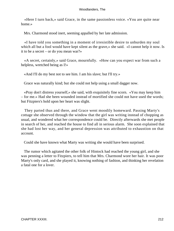«Here I turn back,» said Grace, in the same passionless voice. «You are quite near home.»

Mrs. Charmond stood inert, seeming appalled by her late admission.

 «I have told you something in a moment of irresistible desire to unburden my soul which all but a fool would have kept silent as the grave,» she said. «I cannot help it now. Is it to be a secret – or do you mean war?»

 «A secret, certainly,» said Grace, mournfully. «How can you expect war from such a helpless, wretched being as I!»

«And I'll do my best not to see him. I am his slave; but I'll try.»

Grace was naturally kind; but she could not help using a small dagger now.

 «Pray don't distress yourself,» she said, with exquisitely fine scorn. «You may keep him – for me.» Had she been wounded instead of mortified she could not have used the words; but Fitzpiers's hold upon her heart was slight.

 They parted thus and there, and Grace went moodily homeward. Passing Marty's cottage she observed through the window that the girl was writing instead of chopping as usual, and wondered what her correspondence could be. Directly afterwards she met people in search of her, and reached the house to find all in serious alarm. She soon explained that she had lost her way, and her general depression was attributed to exhaustion on that account.

Could she have known what Marty was writing she would have been surprised.

 The rumor which agitated the other folk of Hintock had reached the young girl, and she was penning a letter to Fitzpiers, to tell him that Mrs. Charmond wore her hair. It was poor Marty's only card, and she played it, knowing nothing of fashion, and thinking her revelation a fatal one for a lover.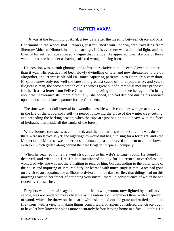## **[CHAPTER XXXIV.](#page-320-0)**

*I*t was at the beginning of April, a few days after the meeting between Grace and Mrs. Charmond in the wood, that Fitzpiers, just returned from London, was travelling from Sherton−Abbas to Hintock in a hired carriage. In his eye there was a doubtful light, and the lines of his refined face showed a vague disquietude. He appeared now like one of those who impress the beholder as having suffered wrong in being born.

 His position was in truth gloomy, and to his appreciative mind it seemed even gloomier than it was. His practice had been slowly dwindling of late, and now threatened to die out altogether, the irrepressible old Dr. Jones capturing patients up to Fitzpiers's very door. Fitzpiers knew only too well the latest and greatest cause of his unpopularity; and yet, so illogical is man, the second branch of his sadness grew out of a remedial measure proposed for the first – a letter from Felice Charmond imploring him not to see her again. To bring about their severance still more effectually, she added, she had decided during his absence upon almost immediate departure for the Continent.

 The time was that dull interval in a woodlander's life which coincides with great activity in the life of the woodland itself – a period following the close of the winter tree−cutting, and preceding the barking season, when the saps are just beginning to heave with the force of hydraulic lifts inside all the trunks of the forest.

 Winterborne's contract was completed, and the plantations were deserted. It was dusk; there were no leaves as yet; the nightingales would not begin to sing for a fortnight; and «the Mother of the Months» was in her most attenuated phase – starved and bent to a mere bowed skeleton, which glided along behind the bare twigs in Fitzpiers's company

 When he reached home he went straight up to his wife's sitting− room. He found it deserted, and without a fire. He had mentioned no day for his return; nevertheless, he wondered why she was not there waiting to receive him. On descending to the other wing of the house and inquiring of Mrs. Melbury, he learned with much surprise that Grace had gone on a visit to an acquaintance at Shottsford−Forum three days earlier; that tidings had on this morning reached her father of her being very unwell there, in consequence of which he had ridden over to see her.

 Fitzpiers went up−stairs again, and the little drawing−room, now lighted by a solitary candle, was not rendered more cheerful by the entrance of Grammer Oliver with an apronful of wood, which she threw on the hearth while she raked out the grate and rattled about the fire−irons, with a view to making things comfortable. Fitzpiers considered that Grace ought to have let him know her plans more accurately before leaving home in a freak like this. He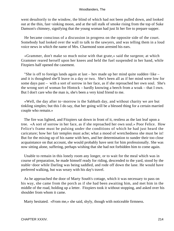went desultorily to the window, the blind of which had not been pulled down, and looked out at the thin, fast−sinking moon, and at the tall stalk of smoke rising from the top of Suke Damson's chimney, signifying that the young woman had just lit her fire to prepare supper.

 He became conscious of a discussion in progress on the opposite side of the court. Somebody had looked over the wall to talk to the sawyers, and was telling them in a loud voice news in which the name of Mrs. Charmond soon arrested his ears.

 «Grammer, don't make so much noise with that grate,» said the surgeon; at which Grammer reared herself upon her knees and held the fuel suspended in her hand, while Fitzpiers half opened the casement.

 "She is off to foreign lands again at last – hev made up her mind quite sudden−like – and it is thoughted she'll leave in a day or two. She's been all as if her mind were low for some days past – with a sort of sorrow in her face, as if she reproached her own soul. She's the wrong sort of woman for Hintock – hardly knowing a beech from a woak – that I own. But I don't care who the man is, she's been a very kind friend to me.

 «Well, the day after to−morrow is the Sabbath day, and without charity we are but tinkling simples; but this I do say, that her going will be a blessed thing for a certain married couple who remain.»

 The fire was lighted, and Fitzpiers sat down in front of it, restless as the last leaf upon a tree. «A sort of sorrow in her face, as if she reproached her own soul.» Poor Felice. How Felice's frame must be pulsing under the conditions of which he had just heard the caricature; how her fair temples must ache; what a mood of wretchedness she must be in! But for the mixing up of his name with hers, and her determination to sunder their too close acquaintance on that account, she would probably have sent for him professionally. She was now sitting alone, suffering, perhaps wishing that she had not forbidden him to come again.

 Unable to remain in this lonely room any longer, or to wait for the meal which was in course of preparation, he made himself ready for riding, descended to the yard, stood by the stable−door while Darling was being saddled, and rode off down the lane. He would have preferred walking, but was weary with his day's travel.

 As he approached the door of Marty South's cottage, which it was necessary to pass on his way, she came from the porch as if she had been awaiting him, and met him in the middle of the road, holding up a letter. Fitzpiers took it without stopping, and asked over his shoulder from whom it came.

Marty hesitated. «From me,» she said, shyly, though with noticeable firmness.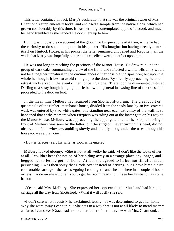This letter contained, in fact, Marty's declaration that she was the original owner of Mrs. Charmond's supplementary locks, and enclosed a sample from the native stock, which had grown considerably by this time. It was her long contemplated apple of discord, and much her hand trembled as she handed the document up to him.

 But it was impossible on account of the gloom for Fitzpiers to read it then, while he had the curiosity to do so, and he put it in his pocket. His imagination having already centred itself on Hintock House, in his pocket the letter remained unopened and forgotten, all the while that Marty was hopefully picturing its excellent weaning effect upon him.

 He was not long in reaching the precincts of the Manor House. He drew rein under a group of dark oaks commanding a view of the front, and reflected a while. His entry would not be altogether unnatural in the circumstances of her possible indisposition; but upon the whole he thought it best to avoid riding up to the door. By silently approaching he could retreat unobserved in the event of her not being alone. Thereupon he dismounted, hitched Darling to a stray bough hanging a little below the general browsing line of the trees, and proceeded to the door on foot.

 In the mean time Melbury had returned from Shottsford−Forum. The great court or quadrangle of the timber−merchant's house, divided from the shady lane by an ivy−covered wall, was entered by two white gates, one standing near each extremity of the wall. It so happened that at the moment when Fitzpiers was riding out at the lower gate on his way to the Manor House, Melbury was approaching the upper gate to enter it. Fitzpiers being in front of Melbury was seen by the latter, but the surgeon, never turning his head, did not observe his father−in−law, ambling slowly and silently along under the trees, though his horse too was a gray one.

«How is Grace?» said his wife, as soon as he entered.

 Melbury looked gloomy. «She is not at all well,» he said. «I don't like the looks of her at all. I couldn't bear the notion of her biding away in a strange place any longer, and I begged her to let me get her home. At last she agreed to it, but not till after much persuading. I was then sorry that I rode over instead of driving; but I have hired a nice comfortable carriage – the easiest−going I could get – and she'll be here in a couple of hours or less. I rode on ahead to tell you to get her room ready; but I see her husband has come back.»

 «Yes,» said Mrs. Melbury. She expressed her concern that her husband had hired a carriage all the way from Shottsford. «What it will cost!» she said.

 «I don't care what it costs!» he exclaimed, testily. «I was determined to get her home. Why she went away I can't think! She acts in a way that is not at all likely to mend matters as far as I can see.» (Grace had not told her father of her interview with Mrs. Charmond, and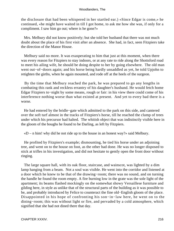the disclosure that had been whispered in her startled ear.) «Since Edgar is come,» he continued, «he might have waited in till I got home, to ask me how she was, if only for a compliment. I saw him go out; where is he gone?»

 Mrs. Melbury did not know positively; but she told her husband that there was not much doubt about the place of his first visit after an absence. She had, in fact, seen Fitzpiers take the direction of the Manor House.

 Melbury said no more. It was exasperating to him that just at this moment, when there was every reason for Fitzpiers to stay indoors, or at any rate to ride along the Shottsford road to meet his ailing wife, he should be doing despite to her by going elsewhere. The old man went out−of−doors again; and his horse being hardly unsaddled as yet, he told Upjohn to retighten the girths, when he again mounted, and rode off at the heels of the surgeon.

 By the time that Melbury reached the park, he was prepared to go any lengths in combating this rank and reckless errantry of his daughter's husband. He would fetch home Edgar Fitzpiers to−night by some means, rough or fair: in his view there could come of his interference nothing worse than what existed at present. And yet to every bad there is a worse.

 He had entered by the bridle−gate which admitted to the park on this side, and cantered over the soft turf almost in the tracks of Fitzpiers's horse, till he reached the clump of trees under which his precursor had halted. The whitish object that was indistinctly visible here in the gloom of the boughs he found to be Darling, as left by Fitzpiers.

 $\alpha$ W – n him! why did he not ride up to the house in an honest way?» said Melbury.

 He profited by Fitzpiers's example; dismounting, he tied his horse under an adjoining tree, and went on to the house on foot, as the other had done. He was no longer disposed to stick at trifles in his investigation, and did not hesitate to gently open the front door without ringing.

 The large square hall, with its oak floor, staircase, and wainscot, was lighted by a dim lamp hanging from a beam. Not a soul was visible. He went into the corridor and listened at a door which he knew to be that of the drawing−room; there was no sound, and on turning the handle he found the room empty. A fire burning low in the grate was the sole light of the apartment; its beams flashed mockingly on the somewhat showy Versaillese furniture and gilding here, in style as unlike that of the structural parts of the building as it was possible to be, and probably introduced by Felice to counteract the fine old−English gloom of the place. Disappointed in his hope of confronting his son−in−law here, he went on to the dining−room; this was without light or fire, and pervaded by a cold atmosphere, which signified that she had not dined there that day.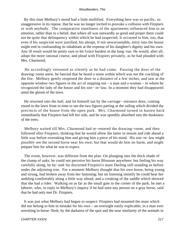By this time Melbury's mood had a little mollified. Everything here was so pacific, so unaggressive in its repose, that he was no longer incited to provoke a collision with Fitzpiers or with anybody. The comparative stateliness of the apartments influenced him to an emotion, rather than to a belief, that where all was outwardly so good and proper there could not be quite that delinquency within which he had suspected. It occurred to him, too, that even if his suspicion were justified, his abrupt, if not unwarrantable, entry into the house might end in confounding its inhabitant at the expense of his daughter's dignity and his own. Any ill result would be pretty sure to hit Grace hardest in the long−run. He would, after all, adopt the more rational course, and plead with Fitzpiers privately, as he had pleaded with Mrs. Charmond.

 He accordingly retreated as silently as he had come. Passing the door of the drawing−room anew, he fancied that he heard a noise within which was not the crackling of the fire. Melbury gently reopened the door to a distance of a few inches, and saw at the opposite window two figures in the act of stepping out – a man and a woman – in whom he recognized the lady of the house and his son− in−law. In a moment they had disappeared amid the gloom of the lawn.

 He returned into the hall, and let himself out by the carriage− entrance door, coming round to the lawn front in time to see the two figures parting at the railing which divided the precincts of the house from the open park. Mrs. Charmond turned to hasten back immediately that Fitzpiers had left her side, and he was speedily absorbed into the duskiness of the trees.

 Melbury waited till Mrs. Charmond had re−entered the drawing−room, and then followed after Fitzpiers, thinking that he would allow the latter to mount and ride ahead a little way before overtaking him and giving him a piece of his mind. His son−in−law might possibly see the second horse near his own; but that would do him no harm, and might prepare him for what he was to expect.

 The event, however, was different from the plan. On plunging into the thick shade of the clump of oaks, he could not perceive his horse Blossom anywhere; but feeling his way carefully along, he by−and−by discerned Fitzpiers's mare Darling still standing as before under the adjoining tree. For a moment Melbury thought that his own horse, being young and strong, had broken away from her fastening; but on listening intently he could hear her ambling comfortably along a little way ahead, and a creaking of the saddle which showed that she had a rider. Walking on as far as the small gate in the corner of the park, he met a laborer, who, in reply to Melbury's inquiry if he had seen any person on a gray horse, said that he had only met Dr. Fitzpiers.

 It was just what Melbury had begun to suspect: Fitzpiers had mounted the mare which did not belong to him in mistake for his own – an oversight easily explicable, in a man ever unwitting in horse−flesh, by the darkness of the spot and the near similarity of the animals in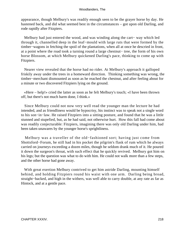appearance, though Melbury's was readily enough seen to be the grayer horse by day. He hastened back, and did what seemed best in the circumstances – got upon old Darling, and rode rapidly after Fitzpiers.

 Melbury had just entered the wood, and was winding along the cart− way which led through it, channelled deep in the leaf−mould with large ruts that were formed by the timber−wagons in fetching the spoil of the plantations, when all at once he descried in front, at a point where the road took a turning round a large chestnut− tree, the form of his own horse Blossom, at which Melbury quickened Darling's pace, thinking to come up with Fitzpiers.

 Nearer view revealed that the horse had no rider. At Melbury's approach it galloped friskily away under the trees in a homeward direction. Thinking something was wrong, the timber−merchant dismounted as soon as he reached the chestnut, and after feeling about for a minute or two discovered Fitzpiers lying on the ground.

 «Here – help!» cried the latter as soon as he felt Melbury's touch; «I have been thrown off, but there's not much harm done, I think.»

 Since Melbury could not now very well read the younger man the lecture he had intended, and as friendliness would be hypocrisy, his instinct was to speak not a single word to his son−in−law. He raised Fitzpiers into a sitting posture, and found that he was a little stunned and stupefied, but, as he had said, not otherwise hurt. How this fall had come about was readily conjecturable: Fitzpiers, imagining there was only old Darling under him, had been taken unawares by the younger horse's sprightliness.

 Melbury was a traveller of the old−fashioned sort; having just come from Shottsford−Forum, he still had in his pocket the pilgrim's flask of rum which he always carried on journeys exceeding a dozen miles, though he seldom drank much of it. He poured it down the surgeon's throat, with such effect that he quickly revived. Melbury got him on his legs; but the question was what to do with him. He could not walk more than a few steps, and the other horse had gone away.

 With great exertion Melbury contrived to get him astride Darling, mounting himself behind, and holding Fitzpiers round his waist with one arm. Darling being broad, straight−backed, and high in the withers, was well able to carry double, at any rate as far as Hintock, and at a gentle pace.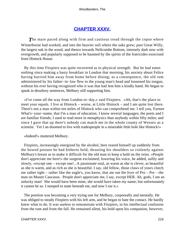# **[CHAPTER XXXV.](#page-320-0)**

**The mare paced along with firm and cautious tread through the copse where** Winterborne had worked, and into the heavier soil where the oaks grew; past Great Willy, the largest oak in the wood, and thence towards Nellcombe Bottom, intensely dark now with overgrowth, and popularly supposed to be haunted by the spirits of the fratricides exorcised from Hintock House.

 By this time Fitzpiers was quite recovered as to physical strength. But he had eaten nothing since making a hasty breakfast in London that morning, his anxiety about Felice having hurried him away from home before dining; as a consequence, the old rum administered by his father−in−law flew to the young man's head and loosened his tongue, without his ever having recognized who it was that had lent him a kindly hand. He began to speak in desultory sentences, Melbury still supporting him.

 «I've come all the way from London to−day,» said Fitzpiers. «Ah, that's the place to meet your equals. I live at Hintock – worse, at Little Hintock – and I am quite lost there. There's not a man within ten miles of Hintock who can comprehend me. I tell you, Farmer What's−your−name, that I'm a man of education. I know several languages; the poets and I are familiar friends; I used to read more in metaphysics than anybody within fifty miles; and since I gave that up there's nobody can match me in the whole county of Wessex as a scientist. Yet I an doomed to live with tradespeople in a miserable little hole like Hintock!»

«Indeed!» muttered Melbury.

 Fitzpiers, increasingly energized by the alcohol, here reared himself up suddenly from the bowed posture he had hitherto held, thrusting his shoulders so violently against Melbury's breast as to make it difficult for the old man to keep a hold on the reins. «People don't appreciate me here!» the surgeon exclaimed; lowering his voice, he added, softly and slowly, «except one – except one!...A passionate soul, as warm as she is clever, as beautiful as she is warm, and as rich as she is beautiful. I say, old fellow, those claws of yours clutch me rather tight – rather like the eagle's, you know, that ate out the liver of Pro – Pre – the man on Mount Caucasus. People don't appreciate me, I say, except HER. Ah, gods, I am an unlucky man! She would have been mine, she would have taken my name; but unfortunately it cannot be so. I stooped to mate beneath me, and now I rue it.»

 The position was becoming a very trying one for Melbury, corporeally and mentally. He was obliged to steady Fitzpiers with his left arm, and he began to hate the contact. He hardly knew what to do. It was useless to remonstrate with Fitzpiers, in his intellectual confusion from the rum and from the fall. He remained silent, his hold upon his companion, however,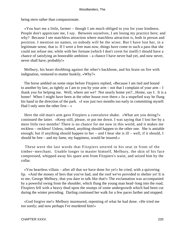being stern rather than compassionate.

 «You hurt me a little, farmer – though I am much obliged to you for your kindness. People don't appreciate me, I say. Between ourselves, I am losing my practice here; and why? Because I see matchless attraction where matchless attraction is, both in person and position. I mention no names, so nobody will be the wiser. But I have lost her, in a legitimate sense, that is. If I were a free man now, things have come to such a pass that she could not refuse me; while with her fortune (which I don't covet for itself) I should have a chance of satisfying an honorable ambition – a chance I have never had yet, and now never, never shall have, probably!»

 Melbury, his heart throbbing against the other's backbone, and his brain on fire with indignation, ventured to mutter huskily, «Why?»

 The horse ambled on some steps before Fitzpiers replied, «Because I am tied and bound to another by law, as tightly as I am to you by your arm – not that I complain of your arm – I thank you for helping me. Well, where are we? Not nearly home yet?...Home, say I. It is a home! When I might have been at the other house over there.» In a stupefied way he flung his hand in the direction of the park. «I was just two months too early in committing myself. Had I only seen the other first  $-\infty$ 

 Here the old man's arm gave Fitzpiers a convulsive shake. «What are you doing?» continued the latter. «Keep still, please, or put me down. I was saying that I lost her by a mere little two months! There is no chance for me now in this world, and it makes me reckless – reckless! Unless, indeed, anything should happen to the other one. She is amiable enough; but if anything should happen to her – and I hear she is ill – well, if it should, I should be free – and my fame, my happiness, would be insured.»

 These were the last words that Fitzpiers uttered in his seat in front of the timber−merchant. Unable longer to master himself, Melbury, the skin of his face compressed, whipped away his spare arm from Fitzpiers's waist, and seized him by the collar.

 «You heartless villain – after all that we have done for ye!» he cried, with a quivering lip. «And the money of hers that you've had, and the roof we've provided to shelter ye! It is to me, George Melbury, that you dare to talk like that!» The exclamation was accompanied by a powerful swing from the shoulder, which flung the young man head−long into the road, Fitzpiers fell with a heavy thud upon the stumps of some undergrowth which had been cut during the winter preceding. Darling continued her walk for a few paces farther and stopped.

 «God forgive me!» Melbury murmured, repenting of what he had done. «He tried me too sorely; and now perhaps I've murdered him!»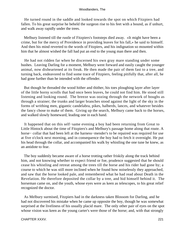He turned round in the saddle and looked towards the spot on which Fitzpiers had fallen. To his great surprise he beheld the surgeon rise to his feet with a bound, as if unhurt, and walk away rapidly under the trees.

 Melbury listened till the rustle of Fitzpiers's footsteps died away. «It might have been a crime, but for the mercy of Providence in providing leaves for his fall,» he said to himself. And then his mind reverted to the words of Fitzpiers, and his indignation so mounted within him that he almost wished the fall had put an end to the young man there and then.

 He had not ridden far when he discerned his own gray mare standing under some bushes. Leaving Darling for a moment, Melbury went forward and easily caught the younger animal, now disheartened at its freak. He then made the pair of them fast to a tree, and turning back, endeavored to find some trace of Fitzpiers, feeling pitifully that, after all, he had gone further than he intended with the offender.

 But though he threaded the wood hither and thither, his toes ploughing layer after layer of the little horny scrolls that had once been leaves, he could not find him. He stood still listening and looking round. The breeze was oozing through the network of boughs as through a strainer; the trunks and larger branches stood against the light of the sky in the forms of writhing men, gigantic candelabra, pikes, halberds, lances, and whatever besides the fancy chose to make of them. Giving up the search, Melbury came back to the horses, and walked slowly homeward, leading one in each hand.

 It happened that on this self−same evening a boy had been returning from Great to Little Hintock about the time of Fitzpiers's and Melbury's passage home along that route. A horse− collar that had been left at the harness−mender's to be repaired was required for use at five o'clock next morning, and in consequence the boy had to fetch it overnight. He put his head through the collar, and accompanied his walk by whistling the one tune he knew, as an antidote to fear.

 The boy suddenly became aware of a horse trotting rather friskily along the track behind him, and not knowing whether to expect friend or foe, prudence suggested that he should cease his whistling and retreat among the trees till the horse and his rider had gone by; a course to which he was still more inclined when he found how noiselessly they approached, and saw that the horse looked pale, and remembered what he had read about Death in the Revelation. He therefore deposited the collar by a tree, and hid himself behind it. The horseman came on, and the youth, whose eyes were as keen as telescopes, to his great relief recognized the doctor.

 As Melbury surmised, Fitzpiers had in the darkness taken Blossom for Darling, and he had not discovered his mistake when he came up opposite the boy, though he was somewhat surprised at the liveliness of his usually placid mare. The only other pair of eyes on the spot whose vision was keen as the young carter's were those of the horse; and, with that strongly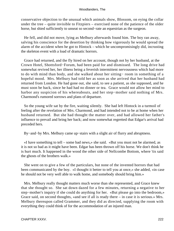conservative objection to the unusual which animals show, Blossom, on eying the collar under the tree – quite invisible to Fitzpiers – exercised none of the patience of the older horse, but shied sufficiently to unseat so second−rate an equestrian as the surgeon.

 He fell, and did not move, lying as Melbury afterwards found him. The boy ran away, salving his conscience for the desertion by thinking how vigorously he would spread the alarm of the accident when he got to Hintock – which he uncompromisingly did, incrusting the skeleton event with a load of dramatic horrors.

 Grace had returned, and the fly hired on her account, though not by her husband, at the Crown Hotel, Shottsford−Forum, had been paid for and dismissed. The long drive had somewhat revived her, her illness being a feverish intermittent nervousness which had more to do with mind than body, and she walked about her sitting− room in something of a hopeful mood. Mrs. Melbury had told her as soon as she arrived that her husband had returned from London. He had gone out, she said, to see a patient, as she supposed, and he must soon be back, since he had had no dinner or tea. Grace would not allow her mind to harbor any suspicion of his whereabouts, and her step−mother said nothing of Mrs. Charmond's rumored sorrows and plans of departure.

 So the young wife sat by the fire, waiting silently. She had left Hintock in a turmoil of feeling after the revelation of Mrs. Charmond, and had intended not to be at home when her husband returned. But she had thought the matter over, and had allowed her father's influence to prevail and bring her back; and now somewhat regretted that Edgar's arrival had preceded hers.

By−and−by Mrs. Melbury came up−stairs with a slight air of flurry and abruptness.

 «I have something to tell – some bad news,» she said. «But you must not be alarmed, as it is not so bad as it might have been. Edgar has been thrown off his horse. We don't think he is hurt much. It happened in the wood the other side of Nellcombe Bottom, where 'tis said the ghosts of the brothers walk.»

 She went on to give a few of the particulars, but none of the invented horrors that had been communicated by the boy. «I thought it better to tell you at once,» she added, «in case he should not be very well able to walk home, and somebody should bring him.»

 Mrs. Melbury really thought matters much worse than she represented, and Grace knew that she thought so. She sat down dazed for a few minutes, returning a negative to her step−mother's inquiry if she could do anything for her. «But please go into the bedroom,» Grace said, on second thoughts, «and see if all is ready there – in case it is serious.» Mrs. Melbury thereupon called Grammer, and they did as directed, supplying the room with everything they could think of for the accommodation of an injured man.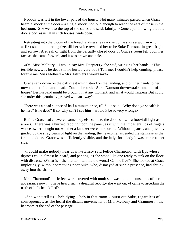Nobody was left in the lower part of the house. Not many minutes passed when Grace heard a knock at the door – a single knock, not loud enough to reach the ears of those in the bedroom. She went to the top of the stairs and said, faintly, «Come up,» knowing that the door stood, as usual in such houses, wide open.

 Retreating into the gloom of the broad landing she saw rise up the stairs a woman whom at first she did not recognize, till her voice revealed her to be Suke Damson, in great fright and sorrow. A streak of light from the partially closed door of Grace's room fell upon her face as she came forward, and it was drawn and pale.

 «Oh, Miss Melbury – I would say Mrs. Fitzpiers,» she said, wringing her hands. «This terrible news. Is he dead? Is he hurted very bad? Tell me; I couldn't help coming; please forgive me, Miss Melbury – Mrs. Fitzpiers I would say!»

 Grace sank down on the oak chest which stood on the landing, and put her hands to her now flushed face and head. Could she order Suke Damson down−stairs and out of the house? Her husband might be brought in at any moment, and what would happen? But could she order this genuinely grieved woman away?

 There was a dead silence of half a minute or so, till Suke said, «Why don't ye speak? Is he here? Is he dead? If so, why can't I see him – would it be so very wrong?»

 Before Grace had answered somebody else came to the door below – a foot−fall light as a roe's. There was a hurried tapping upon the panel, as if with the impatient tips of fingers whose owner thought not whether a knocker were there or no. Without a pause, and possibly guided by the stray beam of light on the landing, the newcomer ascended the staircase as the first had done. Grace was sufficiently visible, and the lady, for a lady it was, came to her side.

 «I could make nobody hear down−stairs,» said Felice Charmond, with lips whose dryness could almost be heard, and panting, as she stood like one ready to sink on the floor with distress. «What is – the matter – tell me the worst! Can he live?» She looked at Grace imploringly, without perceiving poor Suke, who, dismayed at such a presence, had shrunk away into the shade.

 Mrs. Charmond's little feet were covered with mud; she was quite unconscious of her appearance now. «I have heard such a dreadful report,» she went on; «I came to ascertain the truth of it. Is he – killed?»

 «She won't tell us – he's dying – he's in that room!» burst out Suke, regardless of consequences, as she heard the distant movements of Mrs. Melbury and Grammer in the bedroom at the end of the passage.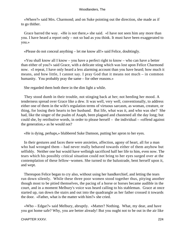«Where?» said Mrs. Charmond; and on Suke pointing out the direction, she made as if to go thither.

 Grace barred the way. «He is not there,» she said. «I have not seen him any more than you. I have heard a report only – not so bad as you think. It must have been exaggerated to you.»

«Please do not conceal anything – let me know all!» said Felice, doubtingly.

 «You shall know all I know – you have a perfect right to know – who can have a better than either of you?» said Grace, with a delicate sting which was lost upon Felice Charmond now. «I repeat, I have only heard a less alarming account than you have heard; how much it means, and how little, I cannot say. I pray God that it means not much – in common humanity. You probably pray the same – for other reasons.»

She regarded them both there in the dim light a while.

 They stood dumb in their trouble, not stinging back at her; not heeding her mood. A tenderness spread over Grace like a dew. It was well, very well, conventionally, to address either one of them in the wife's regulation terms of virtuous sarcasm, as woman, creature, or thing, for losing their hearts to her husband. But life, what was it, and who was she? She had, like the singer of the psalm of Asaph, been plagued and chastened all the day long; but could she, by retributive words, in order to please herself – the individual – «offend against the generation,» as he would not?

«He is dying, perhaps,» blubbered Suke Damson, putting her apron to her eyes.

 In their gestures and faces there were anxieties, affection, agony of heart, all for a man who had wronged them – had never really behaved towards either of them anyhow but selfishly. Neither one but would have wellnigh sacrificed half her life to him, even now. The tears which his possibly critical situation could not bring to her eyes surged over at the contemplation of these fellow−women. She turned to the balustrade, bent herself upon it, and wept.

 Thereupon Felice began to cry also, without using her handkerchief, and letting the tears run down silently. While these three poor women stood together thus, pitying another though most to be pitied themselves, the pacing of a horse or horses became audible in the court, and in a moment Melbury's voice was heard calling to his stableman. Grace at once started up, ran down the stairs and out into the quadrangle as her father crossed it towards the door. «Father, what is the matter with him?» she cried.

 «Who – Edgar?» said Melbury, abruptly. «Matter? Nothing. What, my dear, and have you got home safe? Why, you are better already! But you ought not to be out in the air like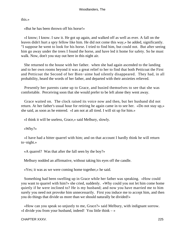this.»

«But he has been thrown off his horse!»

 «I know; I know. I saw it. He got up again, and walked off as well as ever. A fall on the leaves didn't hurt a spry fellow like him. He did not come this way,» he added, significantly. "I suppose he went to look for his horse. I tried to find him, but could not. But after seeing him go away under the trees I found the horse, and have led it home for safety. So he must walk. Now, don't you stay out here in this night air.

 She returned to the house with her father. when she had again ascended to the landing and to her own rooms beyond it was a great relief to her to find that both Petticoat the First and Petticoat the Second of her Bien−aime had silently disappeared. They had, in all probability, heard the words of her father, and departed with their anxieties relieved.

 Presently her parents came up to Grace, and busied themselves to see that she was comfortable. Perceiving soon that she would prefer to be left alone they went away.

 Grace waited on. The clock raised its voice now and then, but her husband did not return. At her father's usual hour for retiring he again came in to see her. «Do not stay up,» she said, as soon as he entered. «I am not at all tired. I will sit up for him.»

«I think it will be useless, Grace,» said Melbury, slowly.

«Why?»

 «I have had a bitter quarrel with him; and on that account I hardly think he will return to−night.»

«A quarrel? Was that after the fall seen by the boy?»

Melbury nodded an affirmative, without taking his eyes off the candle.

«Yes; it was as we were coming home together,» he said.

 Something had been swelling up in Grace while her father was speaking. «How could you want to quarrel with him?» she cried, suddenly. «Why could you not let him come home quietly if he were inclined to? He is my husband; and now you have married me to him surely you need not provoke him unnecessarily. First you induce me to accept him, and then you do things that divide us more than we should naturally be divided!»

 «How can you speak so unjustly to me, Grace?» said Melbury, with indignant sorrow. «I divide you from your husband, indeed! You little think  $-\infty$ 

CHAPTER XXXV. 225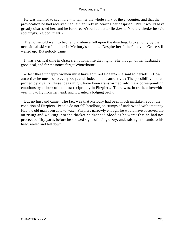He was inclined to say more – to tell her the whole story of the encounter, and that the provocation he had received had lain entirely in hearing her despised. But it would have greatly distressed her, and he forbore. «You had better lie down. You are tired,» he said, soothingly. «Good−night.»

 The household went to bed, and a silence fell upon the dwelling, broken only by the occasional skirr of a halter in Melbury's stables. Despite her father's advice Grace still waited up. But nobody came.

 It was a critical time in Grace's emotional life that night. She thought of her husband a good deal, and for the nonce forgot Winterborne.

 «How these unhappy women must have admired Edgar!» she said to herself. «How attractive he must be to everybody; and, indeed, he is attractive.» The possibility is that, piqued by rivalry, these ideas might have been transformed into their corresponding emotions by a show of the least reciprocity in Fitzpiers. There was, in truth, a love−bird yearning to fly from her heart; and it wanted a lodging badly.

 But no husband came. The fact was that Melbury had been much mistaken about the condition of Fitzpiers. People do not fall headlong on stumps of underwood with impunity. Had the old man been able to watch Fitzpiers narrowly enough, he would have observed that on rising and walking into the thicket he dropped blood as he went; that he had not proceeded fifty yards before he showed signs of being dizzy, and, raising his hands to his head, reeled and fell down.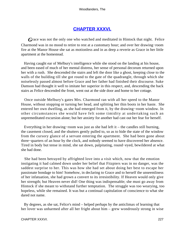## **[CHAPTER XXXVI.](#page-320-0)**

*G*race was not the only one who watched and meditated in Hintock that night. Felice Charmond was in no mood to retire to rest at a customary hour; and over her drawing−room fire at the Manor House she sat as motionless and in as deep a reverie as Grace in her little apartment at the homestead.

 Having caught ear of Melbury's intelligence while she stood on the landing at his house, and been eased of much of her mental distress, her sense of personal decorum returned upon her with a rush. She descended the stairs and left the door like a ghost, keeping close to the walls of the building till she got round to the gate of the quadrangle, through which she noiselessly passed almost before Grace and her father had finished their discourse. Suke Damson had thought it well to imitate her superior in this respect, and, descending the back stairs as Felice descended the front, went out at the side door and home to her cottage.

 Once outside Melbury's gates Mrs. Charmond ran with all her speed to the Manor House, without stopping or turning her head, and splitting her thin boots in her haste. She entered her own dwelling, as she had emerged from it, by the drawing−room window. In other circumstances she would have felt some timidity at undertaking such an unpremeditated excursion alone; but her anxiety for another had cast out her fear for herself.

 Everything in her drawing−room was just as she had left it – the candles still burning, the casement closed, and the shutters gently pulled to, so as to hide the state of the window from the cursory glance of a servant entering the apartment. She had been gone about three−quarters of an hour by the clock, and nobody seemed to have discovered her absence. Tired in body but tense in mind, she sat down, palpitating, round−eyed, bewildered at what she had done.

 She had been betrayed by affrighted love into a visit which, now that the emotion instigating it had calmed down under her belief that Fitzpiers was in no danger, was the saddest surprise to her. This was how she had set about doing her best to escape her passionate bondage to him! Somehow, in declaring to Grace and to herself the unseemliness of her infatuation, she had grown a convert to its irresistibility. If Heaven would only give her strength; but Heaven never did! One thing was indispensable; she must go away from Hintock if she meant to withstand further temptation. The struggle was too wearying, too hopeless, while she remained. It was but a continual capitulation of conscience to what she dared not name.

 By degrees, as she sat, Felice's mind – helped perhaps by the anticlimax of learning that her lover was unharmed after all her fright about him – grew wondrously strong in wise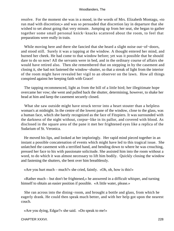resolve. For the moment she was in a mood, in the words of Mrs. Elizabeth Montagu, «to run mad with discretion;» and was so persuaded that discretion lay in departure that she wished to set about going that very minute. Jumping up from her seat, she began to gather together some small personal knick−knacks scattered about the room, to feel that preparations were really in train.

 While moving here and there she fancied that she heard a slight noise out−of−doors, and stood still. Surely it was a tapping at the window. A thought entered her mind, and burned her cheek. He had come to that window before; yet was it possible that he should dare to do so now! All the servants were in bed, and in the ordinary course of affairs she would have retired also. Then she remembered that on stepping in by the casement and closing it, she had not fastened the window−shutter, so that a streak of light from the interior of the room might have revealed her vigil to an observer on the lawn. How all things conspired against her keeping faith with Grace!

 The tapping recommenced, light as from the bill of a little bird; her illegitimate hope overcame her vow; she went and pulled back the shutter, determining, however, to shake her head at him and keep the casement securely closed.

What she saw outside might have struck terror into a heart stouter than a helpless woman's at midnight. In the centre of the lowest pane of the window, close to the glass, was a human face, which she barely recognized as the face of Fitzpiers. It was surrounded with the darkness of the night without, corpse−like in its pallor, and covered with blood. As disclosed in the square area of the pane it met her frightened eyes like a replica of the Sudarium of St. Veronica.

 He moved his lips, and looked at her imploringly. Her rapid mind pieced together in an instant a possible concatenation of events which might have led to this tragical issue. She unlatched the casement with a terrified hand, and bending down to where he was crouching, pressed her face to his with passionate solicitude. She assisted him into the room without a word, to do which it was almost necessary to lift him bodily. Quickly closing the window and fastening the shutters, she bent over him breathlessly.

«Are you hurt much – much?» she cried, faintly. «Oh, oh, how is this!»

 «Rather much – but don't be frightened,» he answered in a difficult whisper, and turning himself to obtain an easier position if possible. «A little water, please.»

 She ran across into the dining−room, and brought a bottle and glass, from which he eagerly drank. He could then speak much better, and with her help got upon the nearest couch.

«Are you dying, Edgar?» she said. «Do speak to me!»

CHAPTER XXXVI. 228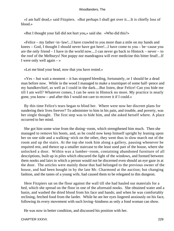«I am half dead,» said Fitzpiers. «But perhaps I shall get over it....It is chiefly loss of blood.»

«But I thought your fall did not hurt you,» said she. «Who did this?»

 «Felice – my father−in−law!...I have crawled to you more than a mile on my hands and knees – God, I thought I should never have got here!...I have come to you – be−cause you are the only friend – I have in the world now....I can never go back to Hintock – never – to the roof of the Melburys! Not poppy nor mandragora will ever medicine this bitter feud!...If I were only well again  $-\infty$ 

«Let me bind your head, now that you have rested.»

 $\langle Y \rangle$ es – but wait a moment – it has stopped bleeding, fortunately, or I should be a dead man before now. While in the wood I managed to make a tourniquet of some half−pence and my handkerchief, as well as I could in the dark....But listen, dear Felice! Can you hide me till I am well? Whatever comes, I can be seen in Hintock no more. My practice is nearly gone, you know – and after this I would not care to recover it if I could.»

 By this time Felice's tears began to blind her. Where were now her discreet plans for sundering their lives forever? To administer to him in his pain, and trouble, and poverty, was her single thought. The first step was to hide him, and she asked herself where. A place occurred to her mind.

 She got him some wine from the dining−room, which strengthened him much. Then she managed to remove his boots, and, as he could now keep himself upright by leaning upon her on one side and a walking−stick on the other, they went thus in slow march out of the room and up the stairs. At the top she took him along a gallery, pausing whenever he required rest, and thence up a smaller staircase to the least used part of the house, where she unlocked a door. Within was a lumber−room, containing abandoned furniture of all descriptions, built up in piles which obscured the light of the windows, and formed between them nooks and lairs in which a person would not be discerned even should an eye gaze in at the door. The articles were mainly those that had belonged to the previous owner of the house, and had been bought in by the late Mr. Charmond at the auction; but changing fashion, and the tastes of a young wife, had caused them to be relegated to this dungeon.

 Here Fitzpiers sat on the floor against the wall till she had hauled out materials for a bed, which she spread on the floor in one of the aforesaid nooks. She obtained water and a basin, and washed the dried blood from his face and hands; and when he was comfortably reclining, fetched food from the larder. While he ate her eyes lingered anxiously on his face, following its every movement with such loving−kindness as only a fond woman can show.

He was now in better condition, and discussed his position with her.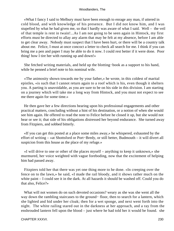«What I fancy I said to Melbury must have been enough to enrage any man, if uttered in cold blood, and with knowledge of his presence. But I did not know him, and I was stupefied by what he had given me, so that I hardly was aware of what I said. Well – the veil of that temple is rent in twain!...As I am not going to be seen again in Hintock, my first efforts must be directed to allay any alarm that may be felt at my absence, before I am able to get clear away. Nobody must suspect that I have been hurt, or there will be a country talk about me. Felice, I must at once concoct a letter to check all search for me. I think if you can bring me a pen and paper I may be able to do it now. I could rest better if it were done. Poor thing! how I tire her with running up and down!»

 She fetched writing materials, and held up the blotting−book as a support to his hand, while he penned a brief note to his nominal wife.

 «The animosity shown towards me by your father,» he wrote, in this coldest of marital epistles, «is such that I cannot return again to a roof which is his, even though it shelters you. A parting is unavoidable, as you are sure to be on his side in this division. I am starting on a journey which will take me a long way from Hintock, and you must not expect to see me there again for some time.»

 He then gave her a few directions bearing upon his professional engagements and other practical matters, concluding without a hint of his destination, or a notion of when she would see him again. He offered to read the note to Felice before he closed it up, but she would not hear or see it; that side of his obligations distressed her beyond endurance. She turned away from Fitzpiers, and sobbed bitterly.

 «If you can get this posted at a place some miles away,» he whispered, exhausted by the effort of writing – «at Shottsford or Port−Bredy, or still better, Budmouth – it will divert all suspicion from this house as the place of my refuge.»

 «I will drive to one or other of the places myself – anything to keep it unknown,» she murmured, her voice weighted with vague foreboding, now that the excitement of helping him had passed away.

 Fitzpiers told her that there was yet one thing more to he done. «In creeping over the fence on to the lawn,» he said, «I made the rail bloody, and it shows rather much on the white paint – I could see it in the dark. At all hazards it should be washed off. Could you do that also, Felice?»

 What will not women do on such devoted occasions? weary as she was she went all the way down the rambling staircases to the ground− floor, then to search for a lantern, which she lighted and hid under her cloak; then for a wet sponge, and next went forth into the night. The white railing stared out in the darkness at her approach, and a ray from the enshrouded lantern fell upon the blood – just where he had told her it would be found. she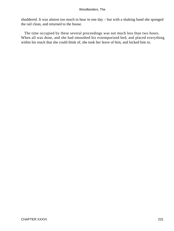shuddered. It was almost too much to bear in one day – but with a shaking hand she sponged the rail clean, and returned to the house.

 The time occupied by these several proceedings was not much less than two hours. When all was done, and she had smoothed his extemporized bed, and placed everything within his reach that she could think of, she took her leave of him, and locked him in.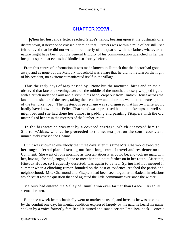## **[CHAPTER XXXVII.](#page-320-0)**

*W*hen her husband's letter reached Grace's hands, bearing upon it the postmark of a distant town, it never once crossed her mind that Fitzpiers was within a mile of her still. she felt relieved that he did not write more bitterly of the quarrel with her father, whatever its nature might have been; but the general frigidity of his communication quenched in her the incipient spark that events had kindled so shortly before.

 From this centre of information it was made known in Hintock that the doctor had gone away, and as none but the Melbury household was aware that he did not return on the night of his accident, no excitement manifested itself in the village.

 Thus the early days of May passed by. None but the nocturnal birds and animals observed that late one evening, towards the middle of the month, a closely wrapped figure, with a crutch under one arm and a stick in his hand, crept out from Hintock House across the lawn to the shelter of the trees, taking thence a slow and laborious walk to the nearest point of the turnpike−road. The mysterious personage was so disguised that his own wife would hardly have known him. Felice Charmond was a practised hand at make−ups, as well she might be; and she had done her utmost in padding and painting Fitzpiers with the old materials of her art in the recesses of the lumber−room.

 In the highway he was met by a covered carriage, which conveyed him to Sherton−Abbas, whence he proceeded to the nearest port on the south coast, and immediately crossed the Channel.

 But it was known to everybody that three days after this time Mrs. Charmond executed her long−deferred plan of setting out for a long term of travel and residence on the Continent. She went off one morning as unostentatiously as could be, and took no maid with her, having, she said, engaged one to meet her at a point farther on in her route. After that, Hintock House, so frequently deserted, was again to be let. Spring had not merged in summer when a clinching rumor, founded on the best of evidence, reached the parish and neighborhood. Mrs. Charmond and Fitzpiers had been seen together in Baden, in relations which set at rest the question that had agitated the little community ever since the winter.

 Melbury had entered the Valley of Humiliation even farther than Grace. His spirit seemed broken.

 But once a week he mechanically went to market as usual, and here, as he was passing by the conduit one day, his mental condition expressed largely by his gait, he heard his name spoken by a voice formerly familiar. He turned and saw a certain Fred Beaucock – once a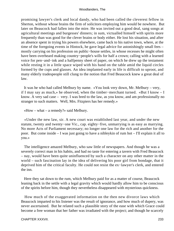promising lawyer's clerk and local dandy, who had been called the cleverest fellow in Sherton, without whose brains the firm of solicitors employing him would be nowhere. But later on Beaucock had fallen into the mire. He was invited out a good deal, sang songs at agricultural meetings and burgesses' dinners; in sum, victualled himself with spirits more frequently than was good for the clever brains or body either. He lost his situation, and after an absence spent in trying his powers elsewhere, came back to his native town, where, at the time of the foregoing events in Hintock, he gave legal advice for astonishingly small fees – mostly carrying on his profession on public−house settles, in whose recesses he might often have been overheard making country−people's wills for half a crown; calling with a learned voice for pen−and−ink and a halfpenny sheet of paper, on which he drew up the testament while resting it in a little space wiped with his hand on the table amid the liquid circles formed by the cups and glasses. An idea implanted early in life is difficult to uproot, and many elderly tradespeople still clung to the notion that Fred Beaucock knew a great deal of law.

 It was he who had called Melbury by name. «You look very down, Mr. Melbury – very, if I may say as much,» he observed, when the timber−merchant turned. «But I know – I know. A very sad case – very. I was bred to the law, as you know, and am professionally no stranger to such matters. Well, Mrs. Fitzpiers has her remedy.»

```
 «How – what – a remedy?» said Melbury.
```
 «Under the new law, sir. A new court was established last year, and under the new statute, twenty and twenty−one Vic., cap. eighty−five, unmarrying is as easy as marrying. No more Acts of Parliament necessary; no longer one law for the rich and another for the poor. But come inside – I was just going to have a nibleykin of rum hot – I'll explain it all to you.»

 The intelligence amazed Melbury, who saw little of newspapers. And though he was a severely correct man in his habits, and had no taste for entering a tavern with Fred Beaucock – nay, would have been quite uninfluenced by such a character on any other matter in the world – such fascination lay in the idea of delivering his poor girl from bondage, that it deprived him of the critical faculty. He could not resist the ex−lawyer's clerk, and entered the inn.

 Here they sat down to the rum, which Melbury paid for as a matter of course, Beaucock leaning back in the settle with a legal gravity which would hardly allow him to be conscious of the spirits before him, though they nevertheless disappeared with mysterious quickness.

 How much of the exaggerated information on the then new divorce laws which Beaucock imparted to his listener was the result of ignorance, and how much of dupery, was never ascertained. But he related such a plausible story of the ease with which Grace could become a free woman that her father was irradiated with the project; and though he scarcely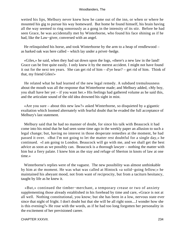wetted his lips, Melbury never knew how he came out of the inn, or when or where he mounted his gig to pursue his way homeward. But home he found himself, his brain having all the way seemed to ring sonorously as a gong in the intensity of its stir. Before he had seen Grace, he was accidentally met by Winterborne, who found his face shining as if he had, like the Law−giver, conversed with an angel.

 He relinquished his horse, and took Winterborne by the arm to a heap of rendlewood – as barked oak was here called – which lay under a privet−hedge.

 «Giles,» he said, when they had sat down upon the logs, «there's a new law in the land! Grace can be free quite easily. I only knew it by the merest accident. I might not have found it out for the next ten years. She can get rid of him – d'ye hear? – get rid of him. Think of that, my friend Giles!»

 He related what he had learned of the new legal remedy. A subdued tremulousness about the mouth was all the response that Winterborne made; and Melbury added, «My boy, you shall have her yet – if you want her.» His feelings had gathered volume as he said this, and the articulate sound of the old idea drowned his sight in mist.

 «Are you sure – about this new law?» asked Winterborne, so disquieted by a gigantic exultation which loomed alternately with fearful doubt that he evaded the full acceptance of Melbury's last statement.

 Melbury said that he had no manner of doubt, for since his talk with Beaucock it had come into his mind that he had seen some time ago in the weekly paper an allusion to such a legal change; but, having no interest in those desperate remedies at the moment, he had passed it over. «But I'm not going to let the matter rest doubtful for a single day,» he continued. «I am going to London. Beaucock will go with me, and we shall get the best advice as soon as we possibly can. Beaucock is a thorough lawyer – nothing the matter with him but a fiery palate. I knew him as the stay and refuge of Sherton in knots of law at one time.»

 Winterborne's replies were of the vaguest. The new possibility was almost unthinkable by him at the moment. He was what was called at Hintock «a solid−going fellow;» he maintained his abeyant mood, not from want of reciprocity, but from a taciturn hesitancy, taught by life as he knew it.

 «But,» continued the timber−merchant, a temporary crease or two of anxiety supplementing those already established in his forehead by time and care, «Grace is not at all well. Nothing constitutional, you know; but she has been in a low, nervous state ever since that night of fright. I don't doubt but that she will be all right soon....I wonder how she is this evening?» He rose with the words, as if he had too long forgotten her personality in the excitement of her previsioned career.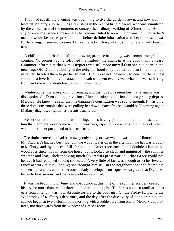They had sat till the evening was beginning to dye the garden brown, and now went towards Melbury's house, Giles a few steps in the rear of his old friend, who was stimulated by the enthusiasm of the moment to outstep the ordinary walking of Winterborne. He felt shy of entering Grace's presence as her reconstituted lover – which was how her father's manner would be sure to present him – before definite information as to her future state was forthcoming; it seemed too nearly like the act of those who rush in where angels fear to tread.

 A chill to counterbalance all the glowing promise of the day was prompt enough in coming. No sooner had he followed the timber− merchant in at the door than he heard Grammer inform him that Mrs. Fitzpiers was still more unwell than she had been in the morning. Old Dr. Jones being in the neighborhood they had called him in, and he had instantly directed them to get her to bed. They were not, however, to consider her illness serious – a feverish, nervous attack the result of recent events, was what she was suffering from, and she would doubtless be well in a few days.

 Winterborne, therefore, did not remain, and his hope of seeing her that evening was disappointed. Even this aggravation of her morning condition did not greatly depress Melbury. He knew, he said, that his daughter's constitution was sound enough. It was only these domestic troubles that were pulling her down. Once free she would be blooming again. Melbury diagnosed rightly, as parents usually do.

 He set out for London the next morning, Jones having paid another visit and assured him that he might leave home without uneasiness, especially on an errand of that sort, which would the sooner put an end to her suspense.

 The timber−merchant had been away only a day or two when it was told in Hintock that Mr. Fitzpiers's hat had been found in the wood. Later on in the afternoon the hat was brought to Melbury, and, by a piece of ill−fortune, into Grace's presence. It had doubtless lain in the wood ever since his fall from the horse, but it looked so clean and uninjured – the summer weather and leafy shelter having much favored its preservation – that Grace could not believe it had remained so long concealed. A very little of fact was enough to set her fevered fancy at work at this juncture; she thought him still in the neighborhood; she feared his sudden appearance; and her nervous malady developed consequences so grave that Dr. Jones began to look serious, and the household was alarmed.

 It was the beginning of June, and the cuckoo at this time of the summer scarcely ceased his cry for more than two or three hours during the night. The bird's note, so familiar to her ears from infancy, was now absolute torture to the poor girl. On the Friday following the Wednesday of Melbury's departure, and the day after the discovery of Fitzpiers's hat, the cuckoo began at two o'clock in the morning with a sudden cry from one of Melbury's apple− trees, not three yards from the window of Grace's room.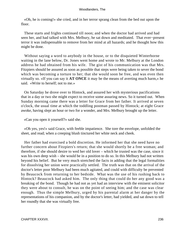«Oh, he is coming!» she cried, and in her terror sprang clean from the bed out upon the floor.

 These starts and frights continued till noon; and when the doctor had arrived and had seen her, and had talked with Mrs. Melbury, he sat down and meditated. That ever−present terror it was indispensable to remove from her mind at all hazards; and he thought how this might be done.

 Without saying a word to anybody in the house, or to the disquieted Winterborne waiting in the lane below, Dr. Jones went home and wrote to Mr. Melbury at the London address he had obtained from his wife. The gist of his communication was that Mrs. Fitzpiers should be assured as soon as possible that steps were being taken to sever the bond which was becoming a torture to her; that she would soon be free, and was even then virtually so. «If you can say it **AT ONCE** it may be the means of averting much harm,» he said. «Write to herself; not to me.»

 On Saturday he drove over to Hintock, and assured her with mysterious pacifications that in a day or two she might expect to receive some assuring news. So it turned out. When Sunday morning came there was a letter for Grace from her father. It arrived at seven o'clock, the usual time at which the toddling postman passed by Hintock; at eight Grace awoke, having slept an hour or two for a wonder, and Mrs. Melbury brought up the letter.

«Can you open it yourself?» said she.

 «Oh yes, yes!» said Grace, with feeble impatience. She tore the envelope, unfolded the sheet, and read; when a creeping blush tinctured her white neck and cheek.

 Her father had exercised a bold discretion. He informed her that she need have no further concern about Fitzpiers's return; that she would shortly be a free woman; and therefore, if she should desire to wed her old lover – which he trusted was the case, since it was his own deep wish – she would be in a position to do so. In this Melbury had not written beyond his belief. But he very much stretched the facts in adding that the legal formalities for dissolving her union were practically settled. The truth was that on the arrival of the doctor's letter poor Melbury had been much agitated, and could with difficulty be prevented by Beaucock from returning to her bedside. What was the use of his rushing back to Hintock? Beaucock had asked him. The only thing that could do her any good was a breaking of the bond. Though he had not as yet had an interview with the eminent solicitor they were about to consult, he was on the point of seeing him; and the case was clear enough. Thus the simple Melbury, urged by his parental alarm at her danger by the representations of his companion, and by the doctor's letter, had yielded, and sat down to tell her roundly that she was virtually free.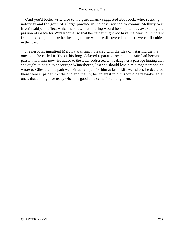«And you'd better write also to the gentleman,» suggested Beaucock, who, scenting notoriety and the germ of a large practice in the case, wished to commit Melbury to it irretrievably; to effect which he knew that nothing would be so potent as awakening the passion of Grace for Winterborne, so that her father might not have the heart to withdraw from his attempt to make her love legitimate when he discovered that there were difficulties in the way.

 The nervous, impatient Melbury was much pleased with the idea of «starting them at once,» as he called it. To put his long−delayed reparative scheme in train had become a passion with him now. He added to the letter addressed to his daughter a passage hinting that she ought to begin to encourage Winterborne, lest she should lose him altogether; and he wrote to Giles that the path was virtually open for him at last. Life was short, he declared; there were slips betwixt the cup and the lip; her interest in him should be reawakened at once, that all might be ready when the good time came for uniting them.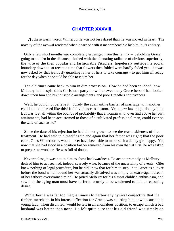## **[CHAPTER XXXVIII.](#page-320-0)**

*A*t these warm words Winterborne was not less dazed than he was moved in heart. The novelty of the avowal rendered what it carried with it inapprehensible by him in its entirety.

 Only a few short months ago completely estranged from this family – beholding Grace going to and fro in the distance, clothed with the alienating radiance of obvious superiority, the wife of the then popular and fashionable Fitzpiers, hopelessly outside his social boundary down to so recent a time that flowers then folded were hardly faded yet – he was now asked by that jealously guarding father of hers to take courage – to get himself ready for the day when he should be able to claim her.

 The old times came back to him in dim procession. How he had been snubbed; how Melbury had despised his Christmas party; how that sweet, coy Grace herself had looked down upon him and his household arrangements, and poor Creedle's contrivances!

 Well, he could not believe it. Surely the adamantine barrier of marriage with another could not be pierced like this! It did violence to custom. Yet a new law might do anything. But was it at all within the bounds of probability that a woman who, over and above her own attainments, had been accustomed to those of a cultivated professional man, could ever be the wife of such as he?

 Since the date of his rejection he had almost grown to see the reasonableness of that treatment. He had said to himself again and again that her father was right; that the poor ceorl, Giles Winterborne, would never have been able to make such a dainty girl happy. Yet, now that she had stood in a position farther removed from his own than at first, he was asked to prepare to woo her. He was full of doubt.

 Nevertheless, it was not in him to show backwardness. To act so promptly as Melbury desired him to act seemed, indeed, scarcely wise, because of the uncertainty of events. Giles knew nothing of legal procedure, but he did know that for him to step up to Grace as a lover before the bond which bound her was actually dissolved was simply an extravagant dream of her father's overstrained mind. He pitied Melbury for his almost childish enthusiasm, and saw that the aging man must have suffered acutely to be weakened to this unreasoning desire.

 Winterborne was far too magnanimous to harbor any cynical conjecture that the timber−merchant, in his intense affection for Grace, was courting him now because that young lady, when disunited, would be left in an anomalous position, to escape which a bad husband was better than none. He felt quite sure that his old friend was simply on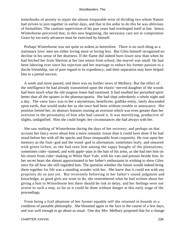tenterhooks of anxiety to repair the almost irreparable error of dividing two whom Nature had striven to join together in earlier days, and that in his ardor to do this he was oblivious of formalities. The cautious supervision of his past years had overleaped itself at last. hence, Winterborne perceived that, in this new beginning, the necessary care not to compromise Grace by too early advances must be exercised by himself.

 Perhaps Winterborne was not quite so ardent as heretofore. There is no such thing as a stationary love: men are either loving more or loving less. But Giles himself recognized no decline in his sense of her dearness. If the flame did indeed burn lower now than when he had fetched her from Sherton at her last return from school, the marvel was small. He had been laboring ever since his rejection and her marriage to reduce his former passion to a docile friendship, out of pure regard to its expediency; and their separation may have helped him to a partial success.

 A week and more passed, and there was no further news of Melbury. But the effect of the intelligence he had already transmitted upon the elastic−nerved daughter of the woods had been much what the old surgeon Jones had surmised. It had soothed her perturbed spirit better than all the opiates in the pharmacopoeia. She had slept unbrokenly a whole night and a day. The «new law» was to her a mysterious, beneficent, godlike entity, lately descended upon earth, that would make her as she once had been without trouble or annoyance. Her position fretted her, its abstract features rousing an aversion which was even greater than her aversion to the personality of him who had caused it. It was mortifying, productive of slights, undignified. Him she could forget; her circumstances she had always with her.

 She saw nothing of Winterborne during the days of her recovery; and perhaps on that account her fancy wove about him a more romantic tissue than it could have done if he had stood before her with all the specks and flaws inseparable from corporeity. He rose upon her memory as the fruit−god and the wood−god in alternation; sometimes leafy, and smeared with green lichen, as she had seen him among the sappy boughs of the plantations; sometimes cider−stained, and with apple−pips in the hair of his arms, as she had met him on his return from cider−making in White Hart Vale, with his vats and presses beside him. In her secret heart she almost approximated to her father's enthusiasm in wishing to show Giles once for all how she still regarded him. The question whether the future would indeed bring them together for life was a standing wonder with her. She knew that it could not with any propriety do so just yet. But reverently believing in her father's sound judgment and knowledge, as good girls are wont to do, she remembered what he had written about her giving a hint to Winterborne lest there should be risk in delay, and her feelings were not averse to such a step, so far as it could be done without danger at this early stage of the proceedings.

 From being a frail phantom of her former equable self she returned in bounds to a condition of passable philosophy. She bloomed again in the face in the course of a few days, and was well enough to go about as usual. One day Mrs. Melbury proposed that for a change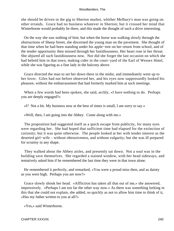she should be driven in the gig to Sherton market, whither Melbury's man was going on other errands. Grace had no business whatever in Sherton; but it crossed her mind that Winterborne would probably be there, and this made the thought of such a drive interesting.

 On the way she saw nothing of him; but when the horse was walking slowly through the obstructions of Sheep Street, she discerned the young man on the pavement. She thought of that time when he had been standing under his apple−tree on her return from school, and of the tender opportunity then missed through her fastidiousness. Her heart rose in her throat. She abjured all such fastidiousness now. Nor did she forget the last occasion on which she had beheld him in that town, making cider in the court−yard of the Earl of Wessex Hotel, while she was figuring as a fine lady in the balcony above.

 Grace directed the man to set her down there in the midst, and immediately went up to her lover. Giles had not before observed her, and his eyes now suppressedly looked his pleasure, without the embarrassment that had formerly marked him at such meetings.

 When a few words had been spoken, she said, archly, «I have nothing to do. Perhaps you are deeply engaged?»

«I? Not a bit. My business now at the best of times is small, I am sorry to say.»

«Well, then, I am going into the Abbey. Come along with me.»

 The proposition had suggested itself as a quick escape from publicity, for many eyes were regarding her. She had hoped that sufficient time had elapsed for the extinction of curiosity; but it was quite otherwise. The people looked at her with tender interest as the deserted girl−wife – without obtrusiveness, and without vulgarity; but she was ill prepared for scrutiny in any shape.

 They walked about the Abbey aisles, and presently sat down. Not a soul was in the building save themselves. She regarded a stained window, with her head sideways, and tentatively asked him if he remembered the last time they were in that town alone.

 He remembered it perfectly, and remarked, «You were a proud miss then, and as dainty as you were high. Perhaps you are now?»

 Grace slowly shook her head. «Affliction has taken all that out of me,» she answered, impressively. «Perhaps I am too far the other way now.» As there was something lurking in this that she could not explain, she added, so quickly as not to allow him time to think of it, «Has my father written to you at all?»

«Yes,» said Winterborne.

CHAPTER XXXVIII. 240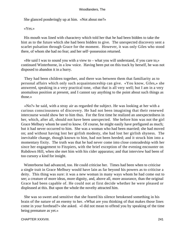She glanced ponderingly up at him. «Not about me?»

«Yes.»

 His mouth was lined with charactery which told her that he had been bidden to take the hint as to the future which she had been bidden to give. The unexpected discovery sent a scarlet pulsation through Grace for the moment. However, it was only Giles who stood there, of whom she had no fear; and her self−possession returned.

 «He said I was to sound you with a view to – what you will understand, if you care to,» continued Winterborne, in a low voice. Having been put on this track by herself, he was not disposed to abandon it in a hurry.

 They had been children together, and there was between them that familiarity as to personal affairs which only such acquaintanceship can give. «You know, Giles,» she answered, speaking in a very practical tone, «that that is all very well; but I am in a very anomalous position at present, and I cannot say anything to the point about such things as those.»

 «No?» he said, with a stray air as regarded the subject. He was looking at her with a curious consciousness of discovery. He had not been imagining that their renewed intercourse would show her to him thus. For the first time he realized an unexpectedness in her, which, after all, should not have been unexpected. She before him was not the girl Grace Melbury whom he used to know. Of course, he might easily have prefigured as much; but it had never occurred to him. She was a woman who had been married; she had moved on; and without having lost her girlish modesty, she had lost her girlish shyness. The inevitable change, though known to him, had not been heeded; and it struck him into a momentary fixity. The truth was that he had never come into close comradeship with her since her engagement to Fitzpiers, with the brief exception of the evening encounter on Rubdown Hill, when she met him with his cider apparatus; and that interview had been of too cursory a kind for insight.

 Winterborne had advanced, too. He could criticise her. Times had been when to criticise a single trait in Grace Melbury would have lain as far beyond his powers as to criticise a deity. This thing was sure: it was a new woman in many ways whom he had come out to see; a creature of more ideas, more dignity, and, above all, more assurance, than the original Grace had been capable of. He could not at first decide whether he were pleased or displeased at this. But upon the whole the novelty attracted him.

 She was so sweet and sensitive that she feared his silence betokened something in his brain of the nature of an enemy to her. «What are you thinking of that makes those lines come in your forehead?» she asked. «I did not mean to offend you by speaking of the time being premature as yet.»

#### CHAPTER XXXVIII. 241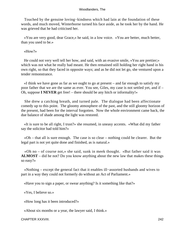Touched by the genuine loving−kindness which had lain at the foundation of these words, and much moved, Winterborne turned his face aside, as he took her by the hand. He was grieved that he had criticised her.

 «You are very good, dear Grace,» he said, in a low voice. «You are better, much better, than you used to be.»

«How?»

 He could not very well tell her how, and said, with an evasive smile, «You are prettier;» which was not what he really had meant. He then remained still holding her right hand in his own right, so that they faced in opposite ways; and as he did not let go, she ventured upon a tender remonstrance.

 «I think we have gone as far as we ought to go at present – and far enough to satisfy my poor father that we are the same as ever. You see, Giles, my case is not settled yet, and if – Oh, suppose **I NEVER** get free! – there should be any hitch or informality!»

 She drew a catching breath, and turned pale. The dialogue had been affectionate comedy up to this point. The gloomy atmosphere of the past, and the still gloomy horizon of the present, had been for the interval forgotten. Now the whole environment came back, the due balance of shade among the light was restored.

 «It is sure to be all right, I trust?» she resumed, in uneasy accents. «What did my father say the solicitor had told him?»

 «Oh – that all is sure enough. The case is so clear – nothing could be clearer. But the legal part is not yet quite done and finished, as is natural.»

 «Oh no – of course not,» she said, sunk in meek thought. «But father said it was **ALMOST** – did he not? Do you know anything about the new law that makes these things so easy?»

 «Nothing – except the general fact that it enables ill−assorted husbands and wives to part in a way they could not formerly do without an Act of Parliament.»

«Have you to sign a paper, or swear anything? Is it something like that?»

«Yes, I believe so.»

«How long has it been introduced?»

«About six months or a year, the lawyer said, I think.»

CHAPTER XXXVIII. 242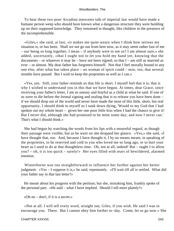To hear these two poor Arcadian innocents talk of imperial law would have made a humane person weep who should have known what a dangerous structure they were building up on their supposed knowledge. They remained in thought, like children in the presence of the incomprehensible.

 «Giles,» she said, at last, «it makes me quite weary when I think how serious my situation is, or has been. Shall we not go out from here now, as it may seem rather fast of me – our being so long together, I mean – if anybody were to see us? I am almost sure,» she added, uncertainly, «that I ought not to let you hold my hand yet, knowing that the documents – or whatever it may be – have not been signed; so that  $I$  – am still as married as ever – or almost. My dear father has forgotten himself. Not that I feel morally bound to any one else, after what has taken place – no woman of spirit could – now, too, that several months have passed. But I wish to keep the proprieties as well as I can.»

 «Yes, yes. Still, your father reminds us that life is short. I myself feel that it is; that is why I wished to understand you in this that we have begun. At times, dear Grace, since receiving your father's letter, I am as uneasy and fearful as a child at what he said. If one of us were to die before the formal signing and sealing that is to release you have been done – if we should drop out of the world and never have made the most of this little, short, but real opportunity, I should think to myself as I sunk down dying, 'Would to my God that I had spoken out my whole heart – given her one poor little kiss when I had the chance to give it! But I never did, although she had promised to be mine some day; and now I never can.' That's what I should think.»

 She had begun by watching the words from his lips with a mournful regard, as though their passage were visible; but as he went on she dropped her glance. «Yes,» she said, «I have thought that, too. And, because I have thought it, I by no means meant, in speaking of the proprieties, to be reserved and cold to you who loved me so long ago, or to hurt your heart as I used to do at that thoughtless time. Oh, not at all, indeed! But – ought I to allow you? – oh, it is too quick – surely!» Her eyes filled with tears of bewildered, alarmed emotion.

 Winterborne was too straightforward to influence her further against her better judgment. «Yes – I suppose it is,» he said, repentantly. «I'll wait till all is settled. What did your father say in that last letter?»

 He meant about his progress with the petition; but she, mistaking him, frankly spoke of the personal part. «He said – what I have implied. Should I tell more plainly?»

«Oh no – don't, if it is a secret.»

 «Not at all. I will tell every word, straight out, Giles, if you wish. He said I was to encourage you. There. But I cannot obey him further to−day. Come, let us go now.» She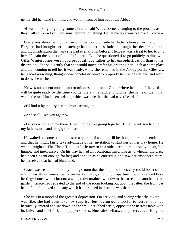gently slid her hand from his, and went in front of him out of the Abbey.

 «I was thinking of getting some dinner,» said Winterborne, changing to the prosaic, as they walked. «And you, too, must require something. Do let me take you to a place I know.»

 Grace was almost without a friend in the world outside her father's house; her life with Fitzpiers had brought her no society; had sometimes, indeed, brought her deeper solitude and inconsideration than any she had ever known before. Hence it was a treat to her to find herself again the object of thoughtful care. But she questioned if to go publicly to dine with Giles Winterborne were not a proposal, due rather to his unsophistication than to his discretion. She said gently that she would much prefer his ordering her lunch at some place and then coming to tell her it was ready, while she remained in the Abbey porch. Giles saw her secret reasoning, thought how hopelessly blind to propriety he was beside her, and went to do as she wished.

 He was not absent more than ten minutes, and found Grace where he had left her. «It will be quite ready by the time you get there,» he said, and told her the name of the inn at which the meal had been ordered, which was one that she had never heard of.

«I'll find it by inquiry,» said Grace, setting out.

«And shall I see you again?»

 «Oh yes – come to me there. It will not be like going together. I shall want you to find my father's man and the gig for me.»

 He waited on some ten minutes or a quarter of an hour, till he thought her lunch ended, and that he might fairly take advantage of her invitation to start her on her way home. He went straight to The Three Tuns – a little tavern in a side street, scrupulously clean, but humble and inexpensive. On his way he had an occasional misgiving as to whether the place had been elegant enough for her; and as soon as he entered it, and saw her ensconced there, he perceived that he had blundered.

 Grace was seated in the only dining−room that the simple old hostelry could boast of, which was also a general parlor on market−days; a long, low apartment, with a sanded floor herring− boned with a broom; a wide, red−curtained window to the street, and another to the garden. Grace had retreated to the end of the room looking out upon the latter, the front part being full of a mixed company which had dropped in since he was there.

 She was in a mood of the greatest depression. On arriving, and seeing what the tavern was like, she had been taken by surprise; but having gone too far to retreat, she had heroically entered and sat down on the well−scrubbed settle, opposite the narrow table with its knives and steel forks, tin pepper−boxes, blue salt− cellars, and posters advertising the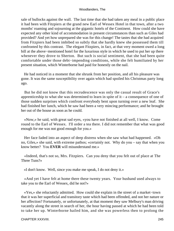sale of bullocks against the wall. The last time that she had taken any meal in a public place it had been with Fitzpiers at the grand new Earl of Wessex Hotel in that town, after a two months' roaming and sojourning at the gigantic hotels of the Continent. How could she have expected any other kind of accommodation in present circumstances than such as Giles had provided? And yet how unprepared she was for this change! The tastes that she had acquired from Fitzpiers had been imbibed so subtly that she hardly knew she possessed them till confronted by this contrast. The elegant Fitzpiers, in fact, at that very moment owed a long bill at the above−mentioned hotel for the luxurious style in which he used to put her up there whenever they drove to Sherton. But such is social sentiment, that she had been quite comfortable under those debt−impending conditions, while she felt humiliated by her present situation, which Winterborne had paid for honestly on the nail.

 He had noticed in a moment that she shrunk from her position, and all his pleasure was gone. It was the same susceptibility over again which had spoiled his Christmas party long ago.

 But he did not know that this recrudescence was only the casual result of Grace's apprenticeship to what she was determined to learn in spite of it – a consequence of one of those sudden surprises which confront everybody bent upon turning over a new leaf. She had finished her lunch, which he saw had been a very mincing performance; and he brought her out of the house as soon as he could.

 «Now,» he said, with great sad eyes, «you have not finished at all well, I know. Come round to the Earl of Wessex. I'll order a tea there. I did not remember that what was good enough for me was not good enough for you.»

 Her face faded into an aspect of deep distress when she saw what had happened. «Oh no, Giles,» she said, with extreme pathos; «certainly not. Why do you – say that when you know better? You **EVER** will misunderstand me.»

 «Indeed, that's not so, Mrs. Fitzpiers. Can you deny that you felt out of place at The Three Tuns?»

«I don't know. Well, since you make me speak, I do not deny it.»

 «And yet I have felt at home there these twenty years. Your husband used always to take you to the Earl of Wessex, did he not?»

 «Yes,» she reluctantly admitted. How could she explain in the street of a market−town that it was her superficial and transitory taste which had been offended, and not her nature or her affection? Fortunately, or unfortunately, at that moment they saw Melbury's man driving vacantly along the street in search of her, the hour having passed at which he had been told to take her up. Winterborne hailed him, and she was powerless then to prolong the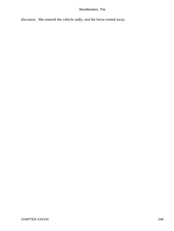discourse. She entered the vehicle sadly, and the horse trotted away.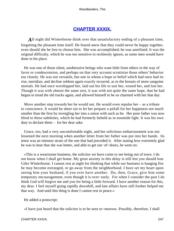## **[CHAPTER XXXIX.](#page-320-0)**

All night did Winterborne think over that unsatisfactory ending of a pleasant time, forgetting the pleasant time itself. He feared anew that they could never be happy together, even should she be free to choose him. She was accomplished; he was unrefined. It was the original difficulty, which he was too sensitive to recklessly ignore, as some men would have done in his place.

 He was one of those silent, unobtrusive beings who want little from others in the way of favor or condescension, and perhaps on that very account scrutinize those others' behavior too closely. He was not versatile, but one in whom a hope or belief which had once had its rise, meridian, and decline seldom again exactly recurred, as in the breasts of more sanguine mortals. He had once worshipped her, laid out his life to suit her, wooed her, and lost her. Though it was with almost the same zest, it was with not quite the same hope, that he had begun to tread the old tracks again, and allowed himself to be so charmed with her that day.

 Move another step towards her he would not. He would even repulse her – as a tribute to conscience. It would be sheer sin to let her prepare a pitfall for her happiness not much smaller than the first by inveigling her into a union with such as he. Her poor father was now blind to these subtleties, which he had formerly beheld as in noontide light. It was his own duty to declare them – for her dear sake.

 Grace, too, had a very uncomfortable night, and her solicitous embarrassment was not lessened the next morning when another letter from her father was put into her hands. Its tenor was an intenser strain of the one that had preceded it. After stating how extremely glad he was to hear that she was better, and able to get out−of−doors, he went on:

 «This is a wearisome business, the solicitor we have come to see being out of town. I do not know when I shall get home. My great anxiety in this delay is still lest you should lose Giles Winterborne. I cannot rest at night for thinking that while our business is hanging fire he may become estranged, or go away from the neighborhood. I have set my heart upon seeing him your husband, if you ever have another. Do, then, Grace, give him some temporary encouragement, even though it is over−early. For when I consider the past I do think God will forgive me and you for being a little forward. I have another reason for this, my dear. I feel myself going rapidly downhill, and late affairs have still further helped me that way. And until this thing is done I cannot rest in peace.»

He added a postscript:

«I have just heard that the solicitor is to be seen to−morrow. Possibly, therefore, I shall

## CHAPTER XXXIX. 247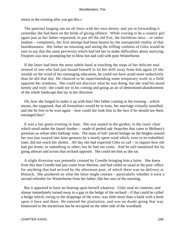return in the evening after you get this.»

 The paternal longing ran on all fours with her own desire; and yet in forwarding it yesterday she had been on the brink of giving offence. While craving to be a country girl again just as her father requested; to put off the old Eve, the fastidious miss – or rather madam – completely, her first attempt had been beaten by the unexpected vitality of that fastidiousness. Her father on returning and seeing the trifling coolness of Giles would be sure to say that the same perversity which had led her to make difficulties about marrying Fitzpiers was now prompting her to blow hot and cold with poor Winterborne.

 If the latter had been the most subtle hand at touching the stops of her delicate soul instead of one who had just bound himself to let her drift away from him again (if she would) on the wind of her estranging education, he could not have acted more seductively than he did that day. He chanced to be superintending some temporary work in a field opposite her windows. She could not discover what he was doing, but she read his mood keenly and truly: she could see in his coming and going an air of determined abandonment of the whole landscape that lay in her direction.

 Oh, how she longed to make it up with him! Her father coming in the evening – which meant, she supposed, that all formalities would be in train, her marriage virtually annulled, and she be free to be won again – how could she look him in the face if he should see them estranged thus?

 It was a fair green evening in June. She was seated in the garden, in the rustic chair which stood under the laurel−bushes – made of peeled oak−branches that came to Melbury's premises as refuse after barking−time. The mass of full−juiced leafage on the heights around her was just swayed into faint gestures by a nearly spent wind which, even in its enfeebled state, did not reach her shelter. All day she had expected Giles to call – to inquire how she had got home, or something or other; but he had not come. And he still tantalized her by going athwart and across that orchard opposite. She could see him as she sat.

 A slight diversion was presently created by Creedle bringing him a letter. She knew from this that Creedle had just come from Sherton, and had called as usual at the post−office for anything that had arrived by the afternoon post, of which there was no delivery at Hintock. She pondered on what the letter might contain – particularly whether it were a second refresher for Winterborne from her father, like her own of the morning.

 But it appeared to have no bearing upon herself whatever. Giles read its contents; and almost immediately turned away to a gap in the hedge of the orchard – if that could be called a hedge which, owing to the drippings of the trees, was little more than a bank with a bush upon it here and there. He entered the plantation, and was no doubt going that way homeward to the mysterious hut he occupied on the other side of the woodland.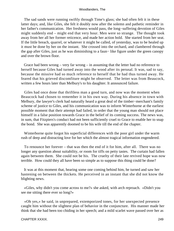The sad sands were running swiftly through Time's glass; she had often felt it in these latter days; and, like Giles, she felt it doubly now after the solemn and pathetic reminder in her father's communication. Her freshness would pass, the long−suffering devotion of Giles might suddenly end – might end that very hour. Men were so strange. The thought took away from her all her former reticence, and made her action bold. She started from her seat. If the little breach, quarrel, or whatever it might be called, of yesterday, was to be healed up it must be done by her on the instant. She crossed into the orchard, and clambered through the gap after Giles, just as he was diminishing to a faun− like figure under the green canopy and over the brown floor.

 Grace had been wrong – very far wrong – in assuming that the letter had no reference to herself because Giles had turned away into the wood after its perusal. It was, sad to say, because the missive had so much reference to herself that he had thus turned away. He feared that his grieved discomfiture might be observed. The letter was from Beaucock, written a few hours later than Melbury's to his daughter. It announced failure.

 Giles had once done that thriftless man a good turn, and now was the moment when Beaucock had chosen to remember it in his own way. During his absence in town with Melbury, the lawyer's clerk had naturally heard a great deal of the timber−merchant's family scheme of justice to Giles, and his communication was to inform Winterborne at the earliest possible moment that their attempt had failed, in order that the young man should not place himself in a false position towards Grace in the belief of its coming success. The news was, in sum, that Fitzpiers's conduct had not been sufficiently cruel to Grace to enable her to snap the bond. She was apparently doomed to be his wife till the end of the chapter.

 Winterborne quite forgot his superficial differences with the poor girl under the warm rush of deep and distracting love for her which the almost tragical information engendered.

 To renounce her forever – that was then the end of it for him, after all. There was no longer any question about suitability, or room for tiffs on petty tastes. The curtain had fallen again between them. She could not be his. The cruelty of their late revived hope was now terrible. How could they all have been so simple as to suppose this thing could be done?

 It was at this moment that, hearing some one coming behind him, he turned and saw her hastening on between the thickets. He perceived in an instant that she did not know the blighting news.

 «Giles, why didn't you come across to me?» she asked, with arch reproach. «Didn't you see me sitting there ever so long?»

 «Oh yes,» he said, in unprepared, extemporized tones, for her unexpected presence caught him without the slightest plan of behavior in the conjuncture. His manner made her think that she had been too chiding in her speech; and a mild scarlet wave passed over her as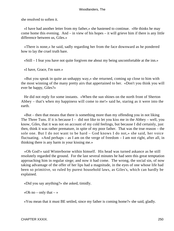she resolved to soften it.

 «I have had another letter from my father,» she hastened to continue. «He thinks he may come home this evening. And – in view of his hopes – it will grieve him if there is any little difference between us, Giles.»

 «There is none,» he said, sadly regarding her from the face downward as he pondered how to lay the cruel truth bare.

«Still – I fear you have not quite forgiven me about my being uncomfortable at the inn.»

«I have, Grace, I'm sure.»

 «But you speak in quite an unhappy way,» she returned, coming up close to him with the most winning of the many pretty airs that appertained to her. «Don't you think you will ever be happy, Giles?»

 He did not reply for some instants. «When the sun shines on the north front of Sherton Abbey – that's when my happiness will come to me!» said he, staring as it were into the earth.

 «But – then that means that there is something more than my offending you in not liking The Three Tuns. If it is because  $I -$  did not like to let you kiss me in the Abbey – well, you know, Giles, that it was not on account of my cold feelings, but because I did certainly, just then, think it was rather premature, in spite of my poor father. That was the true reason – the sole one. But I do not want to be hard – God knows I do not,» she said, her voice fluctuating. «And perhaps – as I am on the verge of freedom – I am not right, after all, in thinking there is any harm in your kissing me.»

 «Oh God!» said Winterborne within himself. His head was turned askance as he still resolutely regarded the ground. For the last several minutes he had seen this great temptation approaching him in regular siege; and now it had come. The wrong, the social sin, of now taking advantage of the offer of her lips had a magnitude, in the eyes of one whose life had been so primitive, so ruled by purest household laws, as Giles's, which can hardly be explained.

«Did you say anything?» she asked, timidly.

«Oh no – only that – »

«You mean that it must BE settled, since my father is coming home?» she said, gladly.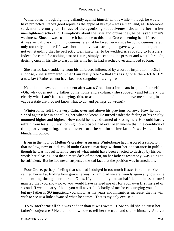Winterborne, though fighting valiantly against himself all this while – though he would have protected Grace's good repute as the apple of his eye – was a man; and, as Desdemona said, men are not gods. In face of the agonizing seductiveness shown by her, in her unenlightened school−girl simplicity about the laws and ordinances, he betrayed a man's weakness. Since it was so – since it had come to this, that Grace, deeming herself free to do it, was virtually asking him to demonstrate that he loved her – since he could demonstrate it only too truly – since life was short and love was strong – he gave way to the temptation, notwithstanding that he perfectly well knew her to be wedded irrevocably to Fitzpiers. Indeed, he cared for nothing past or future, simply accepting the present and what it brought, desiring once in his life to clasp in his arms her he had watched over and loved so long.

 She started back suddenly from his embrace, influenced by a sort of inspiration. «Oh, I suppose,» she stammered, «that I am really free? – that this is right? Is there **REALLY a** new law? Father cannot have been too sanguine in saying – »

 He did not answer, and a moment afterwards Grace burst into tears in spite of herself. «Oh, why does not my father come home and explain,» she sobbed, «and let me know clearly what I am? It is too trying, this, to ask me to – and then to leave me so long in so vague a state that I do not know what to do, and perhaps do wrong!»

 Winterborne felt like a very Cain, over and above his previous sorrow. How he had sinned against her in not telling her what he knew. He turned aside; the feeling of his cruelty mounted higher and higher. How could he have dreamed of kissing her? He could hardly refrain from tears. Surely nothing more pitiable had ever been known than the condition of this poor young thing, now as heretofore the victim of her father's well−meant but blundering policy.

 Even in the hour of Melbury's greatest assurance Winterborne had harbored a suspicion that no law, new or old, could undo Grace's marriage without her appearance in public; though he was not sufficiently sure of what might have been enacted to destroy by his own words her pleasing idea that a mere dash of the pen, on her father's testimony, was going to be sufficient. But he had never suspected the sad fact that the position was irremediable.

 Poor Grace, perhaps feeling that she had indulged in too much fluster for a mere kiss, calmed herself at finding how grave he was. «I am glad we are friends again anyhow,» she said, smiling through her tears. «Giles, if you had only shown half the boldness before I married that you show now, you would have carried me off for your own first instead of second. If we do marry, I hope you will never think badly of me for encouraging you a little, but my father is SO impatient, you know, as his years and infirmities increase, that he will wish to see us a little advanced when he comes. That is my only excuse.»

 To Winterborne all this was sadder than it was sweet. How could she so trust her father's conjectures? He did not know how to tell her the truth and shame himself. And yet

#### CHAPTER XXXIX. 251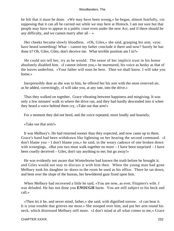he felt that it must be done. «We may have been wrong,» he began, almost fearfully, «in supposing that it can all be carried out while we stay here at Hintock. I am not sure but that people may have to appear in a public court even under the new Act; and if there should be any difficulty, and we cannot marry after all  $-\infty$ 

 Her cheeks became slowly bloodless. «Oh, Giles,» she said, grasping his arm, «you have heard something! What – cannot my father conclude it there and now? Surely he has done it? Oh, Giles, Giles, don't deceive me. What terrible position am I in?»

 He could not tell her, try as he would. The sense of her implicit trust in his honor absolutely disabled him. «I cannot inform you,» he murmured, his voice as husky as that of the leaves underfoot. «Your father will soon be here. Then we shall know. I will take you home.»

 Inexpressibly dear as she was to him, he offered her his arm with the most reserved air, as he added, correctingly, «I will take you, at any rate, into the drive.»

 Thus they walked on together. Grace vibrating between happiness and misgiving. It was only a few minutes' walk to where the drive ran, and they had hardly descended into it when they heard a voice behind them cry, «Take out that arm!»

For a moment they did not heed, and the voice repeated, more loudly and hoarsely,

«Take out that arm!»

 It was Melbury's. He had returned sooner than they expected, and now came up to them. Grace's hand had been withdrawn like lightning on her hearing the second command. «I don't blame you – I don't blame you,» he said, in the weary cadence of one broken down with scourgings. «But you two must walk together no more – I have been surprised – I have been cruelly deceived – Giles, don't say anything to me; but go away!»

 He was evidently not aware that Winterborne had known the truth before he brought it; and Giles would not stay to discuss it with him then. When the young man had gone Melbury took his daughter in−doors to the room he used as his office. There he sat down, and bent over the slope of the bureau, her bewildered gaze fixed upon him.

When Melbury had recovered a little he said, «You are now, as ever, Fitzpiers's wife. I was deluded. He has not done you **ENOUGH** harm. You are still subject to his beck and call.»

 «Then let it be, and never mind, father,» she said, with dignified sorrow. «I can bear it. It is your trouble that grieves me most.» She stooped over him, and put her arm round his neck, which distressed Melbury still more. «I don't mind at all what comes to me,» Grace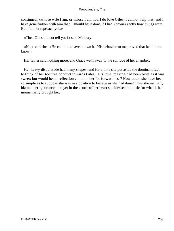continued; «whose wife I am, or whose I am not. I do love Giles; I cannot help that; and I have gone further with him than I should have done if I had known exactly how things were. But I do not reproach you.»

«Then Giles did not tell you?» said Melbury.

 «No,» said she. «He could not have known it. His behavior to me proved that he did not know.»

Her father said nothing more, and Grace went away to the solitude of her chamber.

 Her heavy disquietude had many shapes; and for a time she put aside the dominant fact to think of her too free conduct towards Giles. His love−making had been brief as it was sweet; but would he on reflection contemn her for forwardness? How could she have been so simple as to suppose she was in a position to behave as she had done! Thus she mentally blamed her ignorance; and yet in the centre of her heart she blessed it a little for what it had momentarily brought her.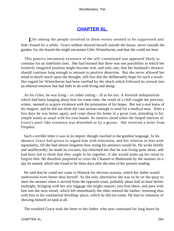# **[CHAPTER XL.](#page-320-0)**

*L*ife among the people involved in these events seemed to be suppressed and hide−bound for a while. Grace seldom showed herself outside the house, never outside the garden; for she feared she might encounter Giles Winterborne; and that she could not bear.

 This pensive intramural existence of the self−constituted nun appeared likely to continue for an indefinite time. She had learned that there was one possibility in which her formerly imagined position might become real, and only one; that her husband's absence should continue long enough to amount to positive desertion. But she never allowed her mind to dwell much upon the thought; still less did she deliberately hope for such a result. Her regard for Winterborne had been rarefied by the shock which followed its avowal into an ethereal emotion that had little to do with living and doing.

 As for Giles, he was lying – or rather sitting – ill at his hut. A feverish indisposition which had been hanging about him for some time, the result of a chill caught the previous winter, seemed to acquire virulence with the prostration of his hopes. But not a soul knew of his languor, and he did not think the case serious enough to send for a medical man. After a few days he was better again, and crept about his home in a great coat, attending to his simple wants as usual with his own hands. So matters stood when the limpid inertion of Grace's pool−like existence was disturbed as by a geyser. She received a letter from Fitzpiers.

 Such a terrible letter it was in its import, though couched in the gentlest language. In his absence Grace had grown to regard him with toleration, and her relation to him with equanimity, till she had almost forgotten how trying his presence would be. He wrote briefly and unaffectedly; he made no excuses, but informed her that he was living quite alone, and had been led to think that they ought to be together, if she would make up her mind to forgive him. He therefore purported to cross the Channel to Budmouth by the steamer on a day he named, which she found to be three days after the time of her present reading.

 He said that he could not come to Hintock for obvious reasons, which her father would understand even better than herself. As the only alternative she was to be on the quay to meet the steamer when it arrived from the opposite coast, probably about half an hour before midnight, bringing with her any luggage she might require; join him there, and pass with him into the twin vessel, which left immediately the other entered the harbor; returning thus with him to his continental dwelling−place, which he did not name. He had no intention of showing himself on land at all.

The troubled Grace took the letter to her father, who now continued for long hours by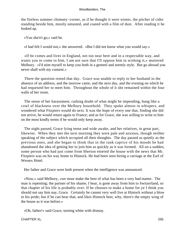the fireless summer chimney−corner, as if he thought it were winter, the pitcher of cider standing beside him, mostly untasted, and coated with a film of dust. After reading it he looked up.

«You sha'n't go,» said he.

«I had felt I would not,» she answered. «But I did not know what you would say.»

 «If he comes and lives in England, not too near here and in a respectable way, and wants you to come to him, I am not sure that I'll oppose him in wishing it,» muttered Melbury. «I'd stint myself to keep you both in a genteel and seemly style. But go abroad you never shall with my consent.»

 There the question rested that day. Grace was unable to reply to her husband in the absence of an address, and the morrow came, and the next day, and the evening on which he had requested her to meet him. Throughout the whole of it she remained within the four walls of her room.

 The sense of her harassment, carking doubt of what might be impending, hung like a cowl of blackness over the Melbury household. They spoke almost in whispers, and wondered what Fitzpiers would do next. It was the hope of every one that, finding she did not arrive, he would return again to France; and as for Grace, she was willing to write to him on the most kindly terms if he would only keep away.

 The night passed, Grace lying tense and wide awake, and her relatives, in great part, likewise. When they met the next morning they were pale and anxious, though neither speaking of the subject which occupied all their thoughts. The day passed as quietly as the previous ones, and she began to think that in the rank caprice of his moods he had abandoned the idea of getting her to join him as quickly as it was formed. All on a sudden, some person who had just come from Sherton entered the house with the news that Mr. Fitzpiers was on his way home to Hintock. He had been seen hiring a carriage at the Earl of Wessex Hotel.

Her father and Grace were both present when the intelligence was announced.

 «Now,» said Melbury, «we must make the best of what has been a very bad matter. The man is repenting; the partner of his shame, I hear, is gone away from him to Switzerland, so that chapter of his life is probably over. If he chooses to make a home for ye I think you should not say him nay, Grace. Certainly he cannot very well live at Hintock without a blow to his pride; but if he can bear that, and likes Hintock best, why, there's the empty wing of the house as it was before.»

«Oh, father!» said Grace, turning white with dismay.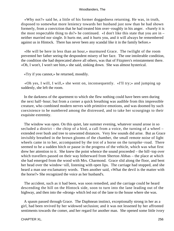«Why not?» said he, a little of his former doggedness returning. He was, in truth, disposed to somewhat more leniency towards her husband just now than he had shown formerly, from a conviction that he had treated him over−roughly in his anger. «Surely it is the most respectable thing to do?» he continued. «I don't like this state that you are in – neither married nor single. It hurts me, and it hurts you, and it will always be remembered against us in Hintock. There has never been any scandal like it in the family before.»

 «He will be here in less than an hour,» murmured Grace. The twilight of the room prevented her father seeing the despondent misery of her face. The one intolerable condition, the condition she had deprecated above all others, was that of Fitzpiers's reinstatement there. «Oh, I won't, I won't see him,» she said, sinking down. She was almost hysterical.

«Try if you cannot,» he returned, moodily.

 «Oh yes, I will, I will,» she went on, inconsequently. «I'll try;» and jumping up suddenly, she left the room.

 In the darkness of the apartment to which she flew nothing could have been seen during the next half−hour; but from a corner a quick breathing was audible from this impressible creature, who combined modern nerves with primitive emotions, and was doomed by such coexistence to be numbered among the distressed, and to take her scourgings to their exquisite extremity.

 The window was open. On this quiet, late summer evening, whatever sound arose in so secluded a district – the chirp of a bird, a call from a voice, the turning of a wheel – extended over bush and tree to unwonted distances. Very few sounds did arise. But as Grace invisibly breathed in the brown glooms of the chamber, the small remote noise of light wheels came in to her, accompanied by the trot of a horse on the turnpike−road. There seemed to be a sudden hitch or pause in the progress of the vehicle, which was what first drew her attention to it. She knew the point whence the sound proceeded – the hill−top over which travellers passed on their way hitherward from Sherton Abbas – the place at which she had emerged from the wood with Mrs. Charmond. Grace slid along the floor, and bent her head over the window−sill, listening with open lips. The carriage had stopped, and she heard a man use exclamatory words. Then another said, «What the devil is the matter with the horse?» She recognized the voice as her husband's.

 The accident, such as it had been, was soon remedied, and the carriage could be heard descending the hill on the Hintock side, soon to turn into the lane leading out of the highway, and then into the «drong» which led out of the lane to the house where she was.

 A spasm passed through Grace. The Daphnean instinct, exceptionally strong in her as a girl, had been revived by her widowed seclusion; and it was not lessened by her affronted sentiments towards the comer, and her regard for another man. She opened some little ivory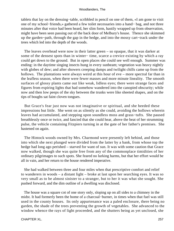tablets that lay on the dressing−table, scribbled in pencil on one of them, «I am gone to visit one of my school−friends,» gathered a few toilet necessaries into a hand− bag, and not three minutes after that voice had been heard, her slim form, hastily wrapped up from observation, might have been seen passing out of the back door of Melbury's house. Thence she skimmed up the garden−path, through the gap in the hedge, and into the mossy cart−track under the trees which led into the depth of the woods.

 The leaves overhead were now in their latter green – so opaque, that it was darker at some of the densest spots than in winter− time, scarce a crevice existing by which a ray could get down to the ground. But in open places she could see well enough. Summer was ending: in the daytime singing insects hung in every sunbeam; vegetation was heavy nightly with globes of dew; and after showers creeping damps and twilight chills came up from the hollows. The plantations were always weird at this hour of eve – more spectral far than in the leafless season, when there were fewer masses and more minute lineality. The smooth surfaces of glossy plants came out like weak, lidless eyes; there were strange faces and figures from expiring lights that had somehow wandered into the canopied obscurity; while now and then low peeps of the sky between the trunks were like sheeted shapes, and on the tips of boughs sat faint cloven tongues.

 But Grace's fear just now was not imaginative or spiritual, and she heeded these impressions but little. She went on as silently as she could, avoiding the hollows wherein leaves had accumulated, and stepping upon soundless moss and grass−tufts. She paused breathlessly once or twice, and fancied that she could hear, above the beat of her strumming pulse, the vehicle containing Fitzpiers turning in at the gate of her father's premises. She hastened on again.

 The Hintock woods owned by Mrs. Charmond were presently left behind, and those into which she next plunged were divided from the latter by a bank, from whose top the hedge had long ago perished – starved for want of sun. It was with some caution that Grace now walked, though she was quite free from any of the commonplace timidities of her ordinary pilgrimages to such spots. She feared no lurking harms, but that her effort would be all in vain, and her return to the house rendered imperative.

 She had walked between three and four miles when that prescriptive comfort and relief to wanderers in woods – a distant light – broke at last upon her searching eyes. It was so very small as to be almost sinister to a stranger, but to her it was what she sought. She pushed forward, and the dim outline of a dwelling was disclosed.

 The house was a square cot of one story only, sloping up on all sides to a chimney in the midst. It had formerly been the home of a charcoal−burner, in times when that fuel was still used in the county houses. Its only appurtenance was a paled enclosure, there being no garden, the shade of the trees preventing the growth of vegetables. She advanced to the window whence the rays of light proceeded, and the shutters being as yet unclosed, she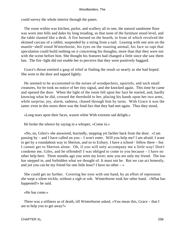could survey the whole interior through the panes.

 The room within was kitchen, parlor, and scullery all in one; the natural sandstone floor was worn into hills and dales by long treading, so that none of the furniture stood level, and the table slanted like a desk. A fire burned on the hearth, in front of which revolved the skinned carcass of a rabbit, suspended by a string from a nail. Leaning with one arm on the mantle−shelf stood Winterborne, his eyes on the roasting animal, his face so rapt that speculation could build nothing on it concerning his thoughts, more than that they were not with the scene before him. She thought his features had changed a little since she saw them last. The fire−light did not enable her to perceive that they were positively haggard.

 Grace's throat emitted a gasp of relief at finding the result so nearly as she had hoped. She went to the door and tapped lightly.

 He seemed to be accustomed to the noises of woodpeckers, squirrels, and such small creatures, for he took no notice of her tiny signal, and she knocked again. This time he came and opened the door. When the light of the room fell upon her face he started, and, hardly knowing what he did, crossed the threshold to her, placing his hands upon her two arms, while surprise, joy, alarm, sadness, chased through him by turns. With Grace it was the same: even in this stress there was the fond fact that they had met again. Thus they stood,

«Long tears upon their faces, waxen white With extreme sad delight.»

He broke the silence by saying in a whisper, «Come in.»

 «No, no, Giles!» she answered, hurriedly, stepping yet farther back from the door. «I am passing by – and I have called on you – I won't enter. Will you help me? I am afraid. I want to get by a roundabout way to Sherton, and so to Exbury. I have a school− fellow there – but I cannot get to Sherton alone. Oh, if you will only accompany me a little way! Don't condemn me, Giles, and be offended! I was obliged to come to you because – I have no other help here. Three months ago you were my lover; now you are only my friend. The law has stepped in, and forbidden what we thought of. It must not be. But we can act honestly, and yet you can be my friend for one little hour? I have no other  $-\infty$ 

 She could get no further. Covering her eyes with one hand, by an effort of repression she wept a silent trickle, without a sigh or sob. Winterborne took her other hand. «What has happened?» he said.

«He has come.»

 There was a stillness as of death, till Winterborne asked, «You mean this, Grace – that I am to help you to get away?»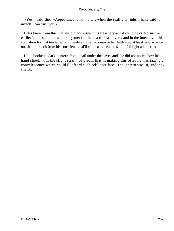«Yes,» said she. «Appearance is no matter, when the reality is right. I have said to myself I can trust you.»

 Giles knew from this that she did not suspect his treachery – if it could be called such – earlier in the summer, when they met for the last time as lovers; and in the intensity of his contrition for that tender wrong, he determined to deserve her faith now at least, and so wipe out that reproach from his conscience. «I'll come at once,» he said. «I'll light a lantern.»

 He unhooked a dark−lantern from a nail under the eaves and she did not notice how his hand shook with the slight strain, or dream that in making this offer he was taxing a convalescence which could ill afford such self−sacrifice. The lantern was lit, and they started.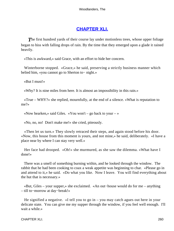# **[CHAPTER XLI.](#page-320-0)**

**The first hundred yards of their course lay under motionless trees, whose upper foliage** began to hiss with falling drops of rain. By the time that they emerged upon a glade it rained heavily.

«This is awkward,» said Grace, with an effort to hide her concern.

 Winterborne stopped. «Grace,» he said, preserving a strictly business manner which belied him, «you cannot go to Sherton to− night.»

«But I must!»

«Why? It is nine miles from here. It is almost an impossibility in this rain.»

«True –  $WHY$ ?» she replied, mournfully, at the end of a silence. «What is reputation to me?»

«Now hearken,» said Giles. «You won't – go back to your – »

«No, no, no! Don't make me!» she cried, piteously.

 «Then let us turn.» They slowly retraced their steps, and again stood before his door. «Now, this house from this moment is yours, and not mine,» he said, deliberately. «I have a place near by where I can stay very well.»

 Her face had drooped. «Oh!» she murmured, as she saw the dilemma. «What have I done!»

 There was a smell of something burning within, and he looked through the window. The rabbit that he had been cooking to coax a weak appetite was beginning to char. «Please go in and attend to it,» he said. «Do what you like. Now I leave. You will find everything about the hut that is necessary.»

 «But, Giles – your supper,» she exclaimed. «An out−house would do for me – anything – till to−morrow at day−break!»

 He signified a negative. «I tell you to go in – you may catch agues out here in your delicate state. You can give me my supper through the window, if you feel well enough. I'll wait a while.»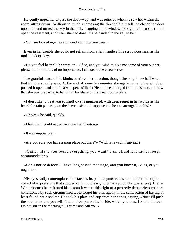He gently urged her to pass the door−way, and was relieved when he saw her within the room sitting down. Without so much as crossing the threshold himself, he closed the door upon her, and turned the key in the lock. Tapping at the window, he signified that she should open the casement, and when she had done this he handed in the key to her.

«You are locked in,» he said; «and your own mistress.»

 Even in her trouble she could not refrain from a faint smile at his scrupulousness, as she took the door−key.

 «Do you feel better?» he went on. «If so, and you wish to give me some of your supper, please do. If not, it is of no importance. I can get some elsewhere.»

 The grateful sense of his kindness stirred her to action, though she only knew half what that kindness really was. At the end of some ten minutes she again came to the window, pushed it open, and said in a whisper, «Giles!» He at once emerged from the shade, and saw that she was preparing to hand him his share of the meal upon a plate.

 «I don't like to treat you so hardly,» she murmured, with deep regret in her words as she heard the rain pattering on the leaves. «But – I suppose it is best to arrange like this?»

«Oh yes,» he said, quickly.

«I feel that I could never have reached Sherton.»

«It was impossible.»

«Are you sure you have a snug place out there?» (With renewed misgiving.)

 «Quite. Have you found everything you want? I am afraid it is rather rough accommodation.»

 «Can I notice defects? I have long passed that stage, and you know it, Giles, or you ought to.»

 His eyes sadly contemplated her face as its pale responsiveness modulated through a crowd of expressions that showed only too clearly to what a pitch she was strung. If ever Winterborne's heart fretted his bosom it was at this sight of a perfectly defenceless creature conditioned by such circumstances. He forgot his own agony in the satisfaction of having at least found her a shelter. He took his plate and cup from her hands, saying, «Now I'll push the shutter to, and you will find an iron pin on the inside, which you must fix into the bolt. Do not stir in the morning till I come and call you.»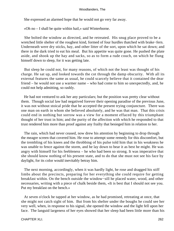She expressed an alarmed hope that he would not go very far away.

«Oh no – I shall be quite within hail,» said Winterborne.

 She bolted the window as directed, and he retreated. His snug place proved to be a wretched little shelter of the roughest kind, formed of four hurdles thatched with brake−fern. Underneath were dry sticks, hay, and other litter of the sort, upon which he sat down; and there in the dark tried to eat his meal. But his appetite was quite gone. He pushed the plate aside, and shook up the hay and sacks, so as to form a rude couch, on which he flung himself down to sleep, for it was getting late.

 But sleep he could not, for many reasons, of which not the least was thought of his charge. He sat up, and looked towards the cot through the damp obscurity. With all its external features the same as usual, he could scarcely believe that it contained the dear friend – he would not use a warmer name – who had come to him so unexpectedly, and, he could not help admitting, so rashly.

 He had not ventured to ask her any particulars; but the position was pretty clear without them. Though social law had negatived forever their opening paradise of the previous June, it was not without stoical pride that he accepted the present trying conjuncture. There was one man on earth in whom she believed absolutely, and he was that man. That this crisis could end in nothing but sorrow was a view for a moment effaced by this triumphant thought of her trust in him; and the purity of the affection with which he responded to that trust rendered him more than proof against any frailty that besieged him in relation to her.

 The rain, which had never ceased, now drew his attention by beginning to drop through the meagre screen that covered him. He rose to attempt some remedy for this discomfort, but the trembling of his knees and the throbbing of his pulse told him that in his weakness he was unable to fence against the storm, and he lay down to bear it as best he might. He was angry with himself for his feebleness – he who had been so strong. It was imperative that she should know nothing of his present state, and to do that she must not see his face by daylight, for its color would inevitably betray him.

 The next morning, accordingly, when it was hardly light, he rose and dragged his stiff limbs about the precincts, preparing for her everything she could require for getting breakfast within. On the bench outside the window−sill he placed water, wood, and other necessaries, writing with a piece of chalk beside them, «It is best that I should not see you. Put my breakfast on the bench.»

 At seven o'clock he tapped at her window, as he had promised, retreating at once, that she might not catch sight of him. But from his shelter under the boughs he could see her very well, when, in response to his signal, she opened the window and the light fell upon her face. The languid largeness of her eyes showed that her sleep had been little more than his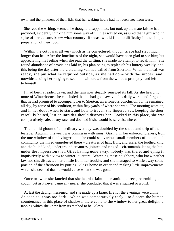own, and the pinkness of their lids, that her waking hours had not been free from tears.

 She read the writing, seemed, he thought, disappointed, but took up the materials he had provided, evidently thinking him some way off. Giles waited on, assured that a girl who, in spite of her culture, knew what country life was, would find no difficulty in the simple preparation of their food.

Within the cot it was all very much as he conjectured, though Grace had slept much longer than he. After the loneliness of the night, she would have been glad to see him; but appreciating his feeling when she read the writing, she made no attempt to recall him. She found abundance of provisions laid in, his plan being to replenish his buttery weekly, and this being the day after the victualling van had called from Sherton. When the meal was ready, she put what he required outside, as she had done with the supper; and, notwithstanding her longing to see him, withdrew from the window promptly, and left him to himself.

 It had been a leaden dawn, and the rain now steadily renewed its fall. As she heard no more of Winterborne, she concluded that he had gone away to his daily work, and forgotten that he had promised to accompany her to Sherton; an erroneous conclusion, for he remained all day, by force of his condition, within fifty yards of where she was. The morning wore on; and in her doubt when to start, and how to travel, she lingered yet, keeping the door carefully bolted, lest an intruder should discover her. Locked in this place, she was comparatively safe, at any rate, and doubted if she would be safe elsewhere.

 The humid gloom of an ordinary wet day was doubled by the shade and drip of the leafage. Autumn, this year, was coming in with rains. Gazing, in her enforced idleness, from the one window of the living−room, she could see various small members of the animal community that lived unmolested there – creatures of hair, fluff, and scale, the toothed kind and the billed kind; underground creatures, jointed and ringed – circumambulating the hut, under the impression that, Giles having gone away, nobody was there; and eying it inquisitively with a view to winter−quarters. Watching these neighbors, who knew neither law nor sin, distracted her a little from her trouble; and she managed to while away some portion of the afternoon by putting Giles's home in order and making little improvements which she deemed that he would value when she was gone.

 Once or twice she fancied that she heard a faint noise amid the trees, resembling a cough; but as it never came any nearer she concluded that it was a squirrel or a bird.

 At last the daylight lessened, and she made up a larger fire for the evenings were chilly. As soon as it was too dark – which was comparatively early – to discern the human countenance in this place of shadows, there came to the window to her great delight, a tapping which she knew from its method to be Giles's.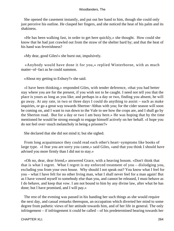She opened the casement instantly, and put out her hand to him, though she could only just perceive his outline. He clasped her fingers, and she noticed the heat of his palm and its shakiness.

 «He has been walking fast, in order to get here quickly,» she thought. How could she know that he had just crawled out from the straw of the shelter hard by; and that the heat of his hand was feverishness?

«My dear, good Giles!» she burst out, impulsively.

 «Anybody would have done it for you,» replied Winterborne, with as much matter−of−fact as he could summon.

«About my getting to Exbury?» she said.

 «I have been thinking,» responded Giles, with tender deference, «that you had better stay where you are for the present, if you wish not to be caught. I need not tell you that the place is yours as long as you like; and perhaps in a day or two, finding you absent, he will go away. At any rate, in two or three days I could do anything to assist – such as make inquiries, or go a great way towards Sherton−Abbas with you; for the cider season will soon be coming on, and I want to run down to the Vale to see how the crops are, and I shall go by the Sherton road. But for a day or two I am busy here.» He was hoping that by the time mentioned he would be strong enough to engage himself actively on her behalf. «I hope you do not feel over−much melancholy in being a prisoner?»

She declared that she did not mind it; but she sighed.

 From long acquaintance they could read each other's heart−symptoms like books of large type. «I fear you are sorry you came,» said Giles, «and that you think I should have advised you more firmly than I did not to stay.»

 «Oh no, dear, dear friend,» answered Grace, with a heaving bosom. «Don't think that that is what I regret. What I regret is my enforced treatment of you – dislodging you, excluding you from your own house. Why should I not speak out? You know what I feel for you – what I have felt for no other living man, what I shall never feel for a man again! But as I have vowed myself to somebody else than you, and cannot be released, I must behave as I do behave, and keep that vow. I am not bound to him by any divine law, after what he has done; but I have promised, and I will pay.»

 The rest of the evening was passed in his handing her such things as she would require the next day, and casual remarks thereupon, an occupation which diverted her mind to some degree from pathetic views of her attitude towards him, and of her life in general. The only infringement – if infringement it could be called – of his predetermined bearing towards her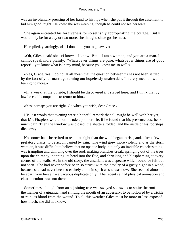was an involuntary pressing of her hand to his lips when she put it through the casement to bid him good−night. He knew she was weeping, though he could not see her tears.

 She again entreated his forgiveness for so selfishly appropriating the cottage. But it would only be for a day or two more, she thought, since go she must.

He replied, yearningly,  $\alpha I - I$  don't like you to go away.»

 «Oh, Giles,» said she, «I know – I know! But – I am a woman, and you are a man. I cannot speak more plainly. 'Whatsoever things are pure, whatsoever things are of good report' – you know what is in my mind, because you know me so well.»

 «Yes, Grace, yes. I do not at all mean that the question between us has not been settled by the fact of your marriage turning out hopelessly unalterable. I merely meant – well, a feeling no more.»

 «In a week, at the outside, I should be discovered if I stayed here: and I think that by law he could compel me to return to him.»

«Yes; perhaps you are right. Go when you wish, dear Grace.»

 His last words that evening were a hopeful remark that all might be well with her yet; that Mr. Fitzpiers would not intrude upon her life, if he found that his presence cost her so much pain. Then the window was closed, the shutters folded, and the rustle of his footsteps died away.

 No sooner had she retired to rest that night than the wind began to rise, and, after a few prefatory blasts, to be accompanied by rain. The wind grew more violent, and as the storm went on, it was difficult to believe that no opaque body, but only an invisible colorless thing, was trampling and climbing over the roof, making branches creak, springing out of the trees upon the chimney, popping its head into the flue, and shrieking and blaspheming at every corner of the walls. As in the old story, the assailant was a spectre which could be felt but not seen. She had never before been so struck with the devilry of a gusty night in a wood, because she had never been so entirely alone in spirit as she was now. She seemed almost to be apart from herself – a vacuous duplicate only. The recent self of physical animation and clear intentions was not there.

 Sometimes a bough from an adjoining tree was swayed so low as to smite the roof in the manner of a gigantic hand smiting the mouth of an adversary, to be followed by a trickle of rain, as blood from the wound. To all this weather Giles must be more or less exposed; how much, she did not know.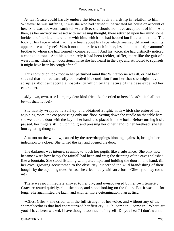At last Grace could hardly endure the idea of such a hardship in relation to him. Whatever he was suffering, it was she who had caused it; he vacated his house on account of her. She was not worth such self−sacrifice; she should not have accepted it of him. And then, as her anxiety increased with increasing thought, there returned upon her mind some incidents of her late intercourse with him, which she had heeded but little at the time. The look of his face – what had there been about his face which seemed different from its appearance as of yore? Was it not thinner, less rich in hue, less like that of ripe autumn's brother to whom she had formerly compared him? And his voice; she had distinctly noticed a change in tone. And his gait; surely it had been feebler, stiffer, more like the gait of a weary man. That slight occasional noise she had heard in the day, and attributed to squirrels, it might have been his cough after all.

 Thus conviction took root in her perturbed mind that Winterborne was ill, or had been so, and that he had carefully concealed his condition from her that she might have no scruples about accepting a hospitality which by the nature of the case expelled her entertainer.

 «My own, own, true l – −, my dear kind friend!» she cried to herself. «Oh, it shall not be – it shall not be!»

 She hastily wrapped herself up, and obtained a light, with which she entered the adjoining room, the cot possessing only one floor. Setting down the candle on the table here, she went to the door with the key in her hand, and placed it in the lock. Before turning it she paused, her fingers still clutching it; and pressing her other hand to her forehead, she fell into agitating thought.

 A tattoo on the window, caused by the tree−droppings blowing against it, brought her indecision to a close. She turned the key and opened the door.

 The darkness was intense, seeming to touch her pupils like a substance. She only now became aware how heavy the rainfall had been and was; the dripping of the eaves splashed like a fountain. She stood listening with parted lips, and holding the door in one hand, till her eyes, growing accustomed to the obscurity, discerned the wild brandishing of their boughs by the adjoining trees. At last she cried loudly with an effort, «Giles! you may come in!»

 There was no immediate answer to her cry, and overpowered by her own temerity, Grace retreated quickly, shut the door, and stood looking on the floor. But it was not for long. She again lifted the latch, and with far more determination than at first.

 «Giles, Giles!» she cried, with the full strength of her voice, and without any of the shamefacedness that had characterized her first cry. «Oh, come in – come in! Where are you? I have been wicked. I have thought too much of myself! Do you hear? I don't want to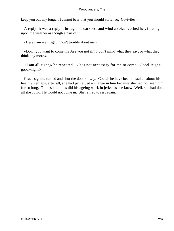keep you out any longer. I cannot bear that you should suffer so. Gi−i−iles!»

 A reply! It was a reply! Through the darkness and wind a voice reached her, floating upon the weather as though a part of it.

«Here I am – all right. Don't trouble about me.»

 «Don't you want to come in? Are you not ill? I don't mind what they say, or what they think any more.»

 «I am all right,» he repeated. «It is not necessary for me to come. Good−night! good−night!»

 Grace sighed, turned and shut the door slowly. Could she have been mistaken about his health? Perhaps, after all, she had perceived a change in him because she had not seen him for so long. Time sometimes did his ageing work in jerks, as she knew. Well, she had done all she could. He would not come in. She retired to rest again.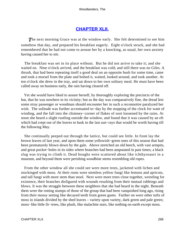# **[CHAPTER XLII.](#page-320-0)**

**The next morning Grace was at the window early. She felt determined to see him** somehow that day, and prepared his breakfast eagerly. Eight o'clock struck, and she had remembered that he had not come to arouse her by a knocking, as usual, her own anxiety having caused her to stir.

 The breakfast was set in its place without. But he did not arrive to take it; and she waited on. Nine o'clock arrived, and the breakfast was cold; and still there was no Giles. A thrush, that had been repeating itself a good deal on an opposite bush for some time, came and took a morsel from the plate and bolted it, waited, looked around, and took another. At ten o'clock she drew in the tray, and sat down to her own solitary meal. He must have been called away on business early, the rain having cleared off.

 Yet she would have liked to assure herself, by thoroughly exploring the precincts of the hut, that he was nowhere in its vicinity; but as the day was comparatively fine, the dread lest some stray passenger or woodman should encounter her in such a reconnoitre paralyzed her wish. The solitude was further accentuated to−day by the stopping of the clock for want of winding, and the fall into the chimney−corner of flakes of soot loosened by the rains. At noon she heard a slight rustling outside the window, and found that it was caused by an eft which had crept out of the leaves to bask in the last sun−rays that would be worth having till the following May.

 She continually peeped out through the lattice, but could see little. In front lay the brown leaves of last year, and upon them some yellowish−green ones of this season that had been prematurely blown down by the gale. Above stretched an old beech, with vast armpits, and great pocket−holes in its sides where branches had been amputated in past times; a black slug was trying to climb it. Dead boughs were scattered about like ichthyosauri in a museum, and beyond them were perishing woodbine stems resembling old ropes.

 From the other window all she could see were more trees, jacketed with lichen and stockinged with moss. At their roots were stemless yellow fungi like lemons and apricots, and tall fungi with more stem than stool. Next were more trees close together, wrestling for existence, their branches disfigured with wounds resulting from their mutual rubbings and blows. It was the struggle between these neighbors that she had heard in the night. Beneath them were the rotting stumps of those of the group that had been vanquished long ago, rising from their mossy setting like decayed teeth from green gums. Farther on were other tufts of moss in islands divided by the shed leaves – variety upon variety, dark green and pale green; moss−like little fir−trees, like plush, like malachite stars, like nothing on earth except moss.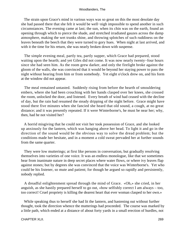The strain upon Grace's mind in various ways was so great on this the most desolate day she had passed there that she felt it would be well−nigh impossible to spend another in such circumstances. The evening came at last; the sun, when its chin was on the earth, found an opening through which to pierce the shade, and stretched irradiated gauzes across the damp atmosphere, making the wet trunks shine, and throwing splotches of such ruddiness on the leaves beneath the beech that they were turned to gory hues. When night at last arrived, and with it the time for his return, she was nearly broken down with suspense.

 The simple evening meal, partly tea, partly supper, which Grace had prepared, stood waiting upon the hearth; and yet Giles did not come. It was now nearly twenty−four hours since she had seen him. As the room grew darker, and only the firelight broke against the gloom of the walls, she was convinced that it would be beyond her staying power to pass the night without hearing from him or from somebody. Yet eight o'clock drew on, and his form at the window did not appear.

 The meal remained untasted. Suddenly rising from before the hearth of smouldering embers, where she had been crouching with her hands clasped over her knees, she crossed the room, unlocked the door, and listened. Every breath of wind had ceased with the decline of day, but the rain had resumed the steady dripping of the night before. Grace might have stood there five minutes when she fancied she heard that old sound, a cough, at no great distance; and it was presently repeated. If it were Winterborne's, he must be near her; why, then, had he not visited her?

 A horrid misgiving that he could not visit her took possession of Grace, and she looked up anxiously for the lantern, which was hanging above her head. To light it and go in the direction of the sound would be the obvious way to solve the dread problem; but the conditions made her hesitate, and in a moment a cold sweat pervaded her at further sounds from the same quarter.

 They were low mutterings; at first like persons in conversation, but gradually resolving themselves into varieties of one voice. It was an endless monologue, like that we sometimes hear from inanimate nature in deep secret places where water flows, or where ivy leaves flap against stones; but by degrees she was convinced that the voice was Winterborne's. Yet who could be his listener, so mute and patient; for though he argued so rapidly and persistently, nobody replied.

 A dreadful enlightenment spread through the mind of Grace. «Oh,» she cried, in her anguish, as she hastily prepared herself to go out, «how selfishly correct I am always – too, too correct! Cruel propriety is killing the dearest heart that ever woman clasped to her own.»

 While speaking thus to herself she had lit the lantern, and hastening out without further thought, took the direction whence the mutterings had proceeded. The course was marked by a little path, which ended at a distance of about forty yards in a small erection of hurdles, not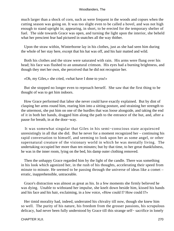much larger than a shock of corn, such as were frequent in the woods and copses when the cutting season was going on. It was too slight even to be called a hovel, and was not high enough to stand upright in; appearing, in short, to be erected for the temporary shelter of fuel. The side towards Grace was open, and turning the light upon the interior, she beheld what her prescient fear had pictured in snatches all the way thither.

 Upon the straw within, Winterborne lay in his clothes, just as she had seen him during the whole of her stay here, except that his hat was off, and his hair matted and wild.

 Both his clothes and the straw were saturated with rain. His arms were flung over his head; his face was flushed to an unnatural crimson. His eyes had a burning brightness, and though they met her own, she perceived that he did not recognize her.

«Oh, my Giles,» she cried, «what have I done to you!»

 But she stopped no longer even to reproach herself. She saw that the first thing to be thought of was to get him indoors.

 How Grace performed that labor she never could have exactly explained. But by dint of clasping her arms round him, rearing him into a sitting posture, and straining her strength to the uttermost, she put him on one of the hurdles that was loose alongside, and taking the end of it in both her hands, dragged him along the path to the entrance of the hut, and, after a pause for breath, in at the door−way.

 It was somewhat singular that Giles in his semi−conscious state acquiesced unresistingly in all that she did. But he never for a moment recognized her – continuing his rapid conversation to himself, and seeming to look upon her as some angel, or other supernatural creature of the visionary world in which he was mentally living. The undertaking occupied her more than ten minutes; but by that time, to her great thankfulness, he was in the inner room, lying on the bed, his damp outer clothing removed.

 Then the unhappy Grace regarded him by the light of the candle. There was something in his look which agonized her, in the rush of his thoughts, accelerating their speed from minute to minute. He seemed to be passing through the universe of ideas like a comet – erratic, inapprehensible, untraceable.

 Grace's distraction was almost as great as his. In a few moments she firmly believed he was dying. Unable to withstand her impulse, she knelt down beside him, kissed his hands and his face and his hair, exclaiming, in a low voice, «How could I? How could I?»

 Her timid morality had, indeed, underrated his chivalry till now, though she knew him so well. The purity of his nature, his freedom from the grosser passions, his scrupulous delicacy, had never been fully understood by Grace till this strange self− sacrifice in lonely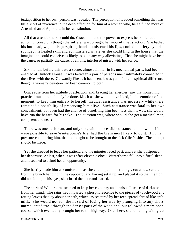juxtaposition to her own person was revealed. The perception of it added something that was little short of reverence to the deep affection for him of a woman who, herself, had more of Artemis than of Aphrodite in her constitution.

 All that a tender nurse could do, Grace did; and the power to express her solicitude in action, unconscious though the sufferer was, brought her mournful satisfaction. She bathed his hot head, wiped his perspiring hands, moistened his lips, cooled his fiery eyelids, sponged his heated skin, and administered whatever she could find in the house that the imagination could conceive as likely to be in any way alleviating. That she might have been the cause, or partially the cause, of all this, interfused misery with her sorrow.

 Six months before this date a scene, almost similar in its mechanical parts, had been enacted at Hintock House. It was between a pair of persons most intimately connected in their lives with these. Outwardly like as it had been, it was yet infinite in spiritual difference, though a woman's devotion had been common to both.

 Grace rose from her attitude of affection, and, bracing her energies, saw that something practical must immediately be done. Much as she would have liked, in the emotion of the moment, to keep him entirely to herself, medical assistance was necessary while there remained a possibility of preserving him alive. Such assistance was fatal to her own concealment; but even had the chance of benefiting him been less than it was, she would have run the hazard for his sake. The question was, where should she get a medical man, competent and near?

 There was one such man, and only one, within accessible distance; a man who, if it were possible to save Winterborne's life, had the brain most likely to do it. If human pressure could bring him, that man ought to be brought to the sick Giles's side. The attempt should be made.

 Yet she dreaded to leave her patient, and the minutes raced past, and yet she postponed her departure. At last, when it was after eleven o'clock, Winterborne fell into a fitful sleep, and it seemed to afford her an opportunity.

 She hastily made him as comfortable as she could, put on her things, cut a new candle from the bunch hanging in the cupboard, and having set it up, and placed it so that the light did not fall upon his eyes, she closed the door and started.

 The spirit of Winterborne seemed to keep her company and banish all sense of darkness from her mind. The rains had imparted a phosphorescence to the pieces of touchwood and rotting leaves that lay about her path, which, as scattered by her feet, spread abroad like spilt milk. She would not run the hazard of losing her way by plunging into any short, unfrequented track through the denser parts of the woodland, but followed a more open course, which eventually brought her to the highway. Once here, she ran along with great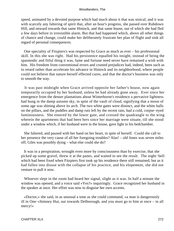speed, animated by a devoted purpose which had much about it that was stoical; and it was with scarcely any faltering of spirit that, after an hour's progress, she passed over Rubdown Hill, and onward towards that same Hintock, and that same house, out of which she had fled a few days before in irresistible alarm. But that had happened which, above all other things of chance and change, could make her deliberately frustrate her plan of flight and sink all regard of personal consequences.

 One speciality of Fitzpiers's was respected by Grace as much as ever – his professional skill. In this she was right. Had his persistence equalled his insight, instead of being the spasmodic and fitful thing it was, fame and fortune need never have remained a wish with him. His freedom from conventional errors and crusted prejudices had, indeed, been such as to retard rather than accelerate his advance in Hintock and its neighborhood, where people could not believe that nature herself effected cures, and that the doctor's business was only to smooth the way.

 It was past midnight when Grace arrived opposite her father's house, now again temporarily occupied by her husband, unless he had already gone away. Ever since her emergence from the denser plantations about Winterborne's residence a pervasive lightness had hung in the damp autumn sky, in spite of the vault of cloud, signifying that a moon of some age was shining above its arch. The two white gates were distinct, and the white balls on the pillars, and the puddles and damp ruts left by the recent rain, had a cold, corpse−eyed luminousness. She entered by the lower gate, and crossed the quadrangle to the wing wherein the apartments that had been hers since her marriage were situate, till she stood under a window which, if her husband were in the house, gave light to his bedchamber.

 She faltered, and paused with her hand on her heart, in spite of herself. Could she call to her presence the very cause of all her foregoing troubles? Alas! – old Jones was seven miles off; Giles was possibly dying – what else could she do?

 It was in a perspiration, wrought even more by consciousness than by exercise, that she picked up some gravel, threw it at the panes, and waited to see the result. The night−bell which had been fixed when Fitzpiers first took up his residence there still remained; but as it had fallen into disuse with the collapse of his practice, and his elopement, she did not venture to pull it now.

 Whoever slept in the room had heard her signal, slight as it was. In half a minute the window was opened, and a voice said «Yes?» inquiringly. Grace recognized her husband in the speaker at once. Her effort was now to disguise her own accents.

 «Doctor,» she said, in as unusual a tone as she could command, «a man is dangerously ill in One−chimney Hut, out towards Delborough, and you must go to him at once – in all mercy!»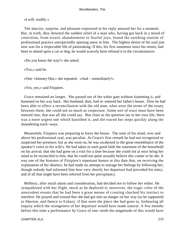«I will, readily.»

 The alacrity, surprise, and pleasure expressed in his reply amazed her for a moment. But, in truth, they denoted the sudden relief of a man who, having got back in a mood of contrition, from erratic abandonment to fearful joys, found the soothing routine of professional practice unexpectedly opening anew to him. The highest desire of his soul just now was for a respectable life of painstaking. If this, his first summons since his return, had been to attend upon a cat or dog, he would scarcely have refused it in the circumstances.

«Do you know the way?» she asked.

«Yes,» said he.

«One−chimney Hut,» she repeated. «And – immediately!»

«Yes, yes,» said Fitzpiers.

 Grace remained no longer. She passed out of the white gate without slamming it, and hastened on her way back. Her husband, then, had re−entered her father's house. How he had been able to effect a reconciliation with the old man, what were the terms of the treaty between them, she could not so much as conjecture. Some sort of truce must have been entered into, that was all she could say. But close as the question lay to her own life, there was a more urgent one which banished it; and she traced her steps quickly along the meandering track−ways.

 Meanwhile, Fitzpiers was preparing to leave the house. The state of his mind, over and above his professional zeal, was peculiar. At Grace's first remark he had not recognized or suspected her presence; but as she went on, he was awakened to the great resemblance of the speaker's voice to his wife's. He had taken in such good faith the statement of the household on his arrival, that she had gone on a visit for a time because she could not at once bring her mind to be reconciled to him, that he could not quite actually believe this comer to be she. It was one of the features of Fitzpiers's repentant humor at this date that, on receiving the explanation of her absence, he had made no attempt to outrage her feelings by following her; though nobody had informed him how very shortly her departure had preceded his entry, and of all that might have been inferred from her precipitancy.

 Melbury, after much alarm and consideration, had decided not to follow her either. He sympathized with her flight, much as he deplored it; moreover, the tragic color of the antecedent events that he had been a great means of creating checked his instinct to interfere. He prayed and trusted that she had got into no danger on her way (as he supposed) to Sherton, and thence to Exbury, if that were the place she had gone to, forbearing all inquiry which the strangeness of her departure would have made natural. A few months before this time a performance by Grace of one−tenth the magnitude of this would have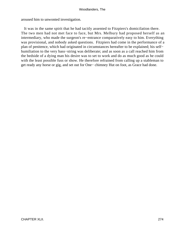aroused him to unwonted investigation.

 It was in the same spirit that he had tacitly assented to Fitzpiers's domicilation there. The two men had not met face to face, but Mrs. Melbury had proposed herself as an intermediary, who made the surgeon's re−entrance comparatively easy to him. Everything was provisional, and nobody asked questions. Fitzpiers had come in the performance of a plan of penitence, which had originated in circumstances hereafter to be explained; his self− humiliation to the very bass−string was deliberate; and as soon as a call reached him from the bedside of a dying man his desire was to set to work and do as much good as he could with the least possible fuss or show. He therefore refrained from calling up a stableman to get ready any horse or gig, and set out for One− chimney Hut on foot, as Grace had done.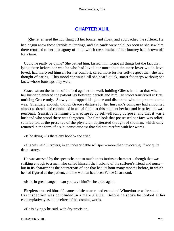# **[CHAPTER XLIII.](#page-321-0)**

*S*he re−entered the hut, flung off her bonnet and cloak, and approached the sufferer. He had begun anew those terrible mutterings, and his hands were cold. As soon as she saw him there returned to her that agony of mind which the stimulus of her journey had thrown off for a time.

 Could he really be dying? She bathed him, kissed him, forgot all things but the fact that lying there before her was he who had loved her more than the mere lover would have loved; had martyred himself for her comfort, cared more for her self−respect than she had thought of caring. This mood continued till she heard quick, smart footsteps without; she knew whose footsteps they were.

 Grace sat on the inside of the bed against the wall, holding Giles's hand, so that when her husband entered the patient lay between herself and him. He stood transfixed at first, noticing Grace only. Slowly he dropped his glance and discerned who the prostrate man was. Strangely enough, though Grace's distaste for her husband's company had amounted almost to dread, and culminated in actual flight, at this moment her last and least feeling was personal. Sensitive femininity was eclipsed by self−effacing purpose, and that it was a husband who stood there was forgotten. The first look that possessed her face was relief; satisfaction at the presence of the physician obliterated thought of the man, which only returned in the form of a sub−consciousness that did not interfere with her words.

«Is he dying  $-$  is there any hope?» she cried.

 «Grace!» said Fitzpiers, in an indescribable whisper – more than invocating, if not quite deprecatory.

 He was arrested by the spectacle, not so much in its intrinsic character – though that was striking enough to a man who called himself the husband of the sufferer's friend and nurse – but in its character as the counterpart of one that had its hour many months before, in which he had figured as the patient, and the woman had been Felice Charmond.

«Is he in great danger – can you save him?» she cried again.

 Fitzpiers aroused himself, came a little nearer, and examined Winterborne as he stood. His inspection was concluded in a mere glance. Before he spoke he looked at her contemplatively as to the effect of his coming words.

«He is dying,» he said, with dry precision.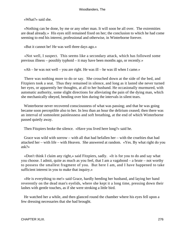«What?» said she.

 «Nothing can be done, by me or any other man. It will soon be all over. The extremities are dead already.» His eyes still remained fixed on her; the conclusion to which he had come seeming to end his interest, professional and otherwise, in Winterborne forever.

«But it cannot be! He was well three days ago.»

 «Not well, I suspect. This seems like a secondary attack, which has followed some previous illness – possibly typhoid – it may have been months ago, or recently.»

 $\kappa$ Ah – he was not well – you are right. He was ill – he was ill when I came.»

 There was nothing more to do or say. She crouched down at the side of the bed, and Fitzpiers took a seat. Thus they remained in silence, and long as it lasted she never turned her eyes, or apparently her thoughts, at all to her husband. He occasionally murmured, with automatic authority, some slight directions for alleviating the pain of the dying man, which she mechanically obeyed, bending over him during the intervals in silent tears.

 Winterborne never recovered consciousness of what was passing; and that he was going became soon perceptible also to her. In less than an hour the delirium ceased; then there was an interval of somnolent painlessness and soft breathing, at the end of which Winterborne passed quietly away.

Then Fitzpiers broke the silence. «Have you lived here long?» said he.

 Grace was wild with sorrow – with all that had befallen her – with the cruelties that had attacked her – with life – with Heaven. She answered at random. «Yes. By what right do you ask?»

 «Don't think I claim any right,» said Fitzpiers, sadly. «It is for you to do and say what you choose. I admit, quite as much as you feel, that I am a vagabond – a brute – not worthy to possess the smallest fragment of you. But here I am, and I have happened to take sufficient interest in you to make that inquiry.»

 «He is everything to me!» said Grace, hardly heeding her husband, and laying her hand reverently on the dead man's eyelids, where she kept it a long time, pressing down their lashes with gentle touches, as if she were stroking a little bird.

 He watched her a while, and then glanced round the chamber where his eyes fell upon a few dressing necessaries that she had brought.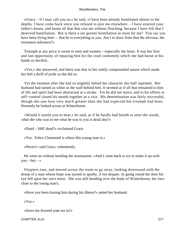«Grace – if I may call you so,» he said, «I have been already humiliated almost to the depths. I have come back since you refused to join me elsewhere – I have entered your father's house, and borne all that that cost me without flinching, because I have felt that I deserved humiliation. But is there a yet greater humiliation in store for me? You say you have been living here – that he is everything to you. Am I to draw from that the obvious, the extremest inference?»

 Triumph at any price is sweet to men and women – especially the latter. It was her first and last opportunity of repaying him for the cruel contumely which she had borne at his hands so docilely.

 «Yes,» she answered; and there was that in her subtly compounded nature which made her feel a thrill of pride as she did so.

 Yet the moment after she had so mightily belied her character she half repented. Her husband had turned as white as the wall behind him. It seemed as if all that remained to him of life and spirit had been abstracted at a stroke. Yet he did not move, and in his efforts at self−control closed his mouth together as a vice. His determination was fairly successful, though she saw how very much greater than she had expected her triumph had been. Presently he looked across at Winterborne.

 «Would it startle you to hear,» he said, as if he hardly had breath to utter the words, «that she who was to me what he was to you is dead also?»

«Dead – SHE dead?» exclaimed Grace.

«Yes. Felice Charmond is where this young man is.»

«Never!» said Grace, vehemently.

 He went on without heeding the insinuation: «And I came back to try to make it up with  $you - but - \infty$ 

 Fitzpiers rose, and moved across the room to go away, looking downward with the droop of a man whose hope was turned to apathy, if not despair. In going round the door his eye fell upon her once more. She was still bending over the body of Winterborne, her face close to the young man's.

«Have you been kissing him during his illness?» asked her husband.

«Yes.»

«Since his fevered state set in?»

CHAPTER XLIII. 277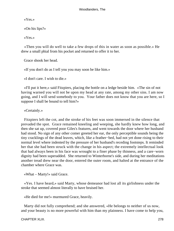«Yes.»

«On his lips?»

«Yes.»

 «Then you will do well to take a few drops of this in water as soon as possible.» He drew a small phial from his pocket and returned to offer it to her.

Grace shook her head.

«If you don't do as I tell you you may soon be like him.»

«I don't care. I wish to die.»

 «I'll put it here,» said Fitzpiers, placing the bottle on a ledge beside him. «The sin of not having warned you will not be upon my head at any rate, among my other sins. I am now going, and I will send somebody to you. Your father does not know that you are here, so I suppose I shall be bound to tell him?»

«Certainly.»

 Fitzpiers left the cot, and the stroke of his feet was soon immersed in the silence that prevaded the spot. Grace remained kneeling and weeping, she hardly knew how long, and then she sat up, covered poor Giles's features, and went towards the door where her husband had stood. No sign of any other comer greeted her ear, the only perceptible sounds being the tiny cracklings of the dead leaves, which, like a feather−bed, had not yet done rising to their normal level where indented by the pressure of her husband's receding footsteps. It reminded her that she had been struck with the change in his aspect; the extremely intellectual look that had always been in his face was wrought to a finer phase by thinness, and a care−worn dignity had been superadded. She returned to Winterborne's side, and during her meditations another tread drew near the door, entered the outer room, and halted at the entrance of the chamber where Grace was.

«What – Marty!» said Grace.

 «Yes. I have heard,» said Marty, whose demeanor had lost all its girlishness under the stroke that seemed almost literally to have bruised her.

«He died for me!» murmured Grace, heavily.

 Marty did not fully comprehend; and she answered, «He belongs to neither of us now, and your beauty is no more powerful with him than my plainness. I have come to help you,

CHAPTER XLIII. 278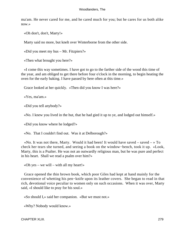ma'am. He never cared for me, and he cared much for you; but he cares for us both alike now.»

«Oh don't, don't, Marty!»

Marty said no more, but knelt over Winterborne from the other side.

«Did you meet my hus – Mr. Fitzpiers?»

«Then what brought you here?»

 «I come this way sometimes. I have got to go to the farther side of the wood this time of the year, and am obliged to get there before four o'clock in the morning, to begin heating the oven for the early baking. I have passed by here often at this time.»

Grace looked at her quickly. «Then did you know I was here?»

«Yes, ma'am.»

«Did you tell anybody?»

«No. I knew you lived in the hut, that he had gied it up to ye, and lodged out himself.»

«Did you know where he lodged?»

«No. That I couldn't find out. Was it at Delborough?»

«No. It was not there, Marty. Would it had been! It would have saved – saved  $-$  » To check her tears she turned, and seeing a book on the window−bench, took it up. «Look, Marty, this is a Psalter. He was not an outwardly religious man, but he was pure and perfect in his heart. Shall we read a psalm over him?»

«Oh yes – we will – with all my heart!»

 Grace opened the thin brown book, which poor Giles had kept at hand mainly for the convenience of whetting his pen−knife upon its leather covers. She began to read in that rich, devotional voice peculiar to women only on such occasions. When it was over, Marty said, «I should like to pray for his soul.»

«So should I,» said her companion. «But we must not.»

«Why? Nobody would know.»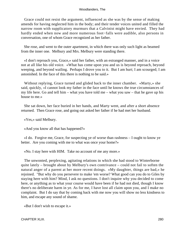Grace could not resist the argument, influenced as she was by the sense of making amends for having neglected him in the body; and their tender voices united and filled the narrow room with supplicatory murmurs that a Calvinist might have envied. They had hardly ended when now and more numerous foot−falls were audible, also persons in conversation, one of whom Grace recognized as her father.

 She rose, and went to the outer apartment, in which there was only such light as beamed from the inner one. Melbury and Mrs. Melbury were standing there.

 «I don't reproach you, Grace,» said her father, with an estranged manner, and in a voice not at all like his old voice. «What has come upon you and us is beyond reproach, beyond weeping, and beyond wailing. Perhaps I drove you to it. But I am hurt; I am scourged; I am astonished. In the face of this there is nothing to be said.»

 Without replying, Grace turned and glided back to the inner chamber. «Marty,» she said, quickly, «I cannot look my father in the face until he knows the true circumstances of my life here. Go and tell him – what you have told me – what you saw – that he gave up his house to me.»

 She sat down, her face buried in her hands, and Marty went, and after a short absence returned. Then Grace rose, and going out asked her father if he had met her husband.

«Yes,» said Melbury.

«And you know all that has happened?»

 «I do. Forgive me, Grace, for suspecting ye of worse than rashness – I ought to know ye better. Are you coming with me to what was once your home?»

«No. I stay here with HIM. Take no account of me any more.»

 The unwonted, perplexing, agitating relations in which she had stood to Winterborne quite lately – brought about by Melbury's own contrivance – could not fail to soften the natural anger of a parent at her more recent doings. «My daughter, things are bad,» he rejoined. "But why do you persevere to make 'em worse? What good can you do to Giles by staying here with him? Mind, I ask no questions. I don't inquire why you decided to come here, or anything as to what your course would have been if he had not died, though I know there's no deliberate harm in ye. As for me, I have lost all claim upon you, and I make no complaint. But I do say that by coming back with me now you will show no less kindness to him, and escape any sound of shame.

«But I don't wish to escape it.»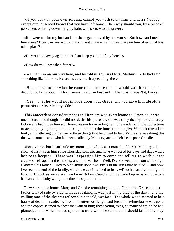«If you don't on your own account, cannot you wish to on mine and hers? Nobody except our household knows that you have left home. Then why should you, by a piece of perverseness, bring down my gray hairs with sorrow to the grave?»

 $\ll$ If it were not for my husband – » she began, moved by his words. «But how can I meet him there? How can any woman who is not a mere man's creature join him after what has taken place?»

«He would go away again rather than keep you out of my house.»

«How do you know that, father?»

 «We met him on our way here, and he told us so,» said Mrs. Melbury. «He had said something like it before. He seems very much upset altogether.»

 «He declared to her when he came to our house that he would wait for time and devotion to bring about his forgiveness,» said her husband. «That was it, wasn't it, Lucy?»

 «Yes. That he would not intrude upon you, Grace, till you gave him absolute permission,» Mrs. Melbury added.

 This antecedent considerateness in Fitzpiers was as welcome to Grace as it was unexpected; and though she did not desire his presence, she was sorry that by her retaliatory fiction she had given him a different reason for avoiding her. She made no further objections to accompanying her parents, taking them into the inner room to give Winterborne a last look, and gathering up the two or three things that belonged to her. While she was doing this the two women came who had been called by Melbury, and at their heels poor Creedle.

 «Forgive me, but I can't rule my mourning nohow as a man should, Mr. Melbury,» he said. «I ha'n't seen him since Thursday se'night, and have wondered for days and days where he's been keeping. There was I expecting him to come and tell me to wash out the cider−barrels against the making, and here was he – Well, I've knowed him from table−high; I knowed his father – used to bide about upon two sticks in the sun afore he died! – and now I've seen the end of the family, which we can ill afford to lose, wi' such a scanty lot of good folk in Hintock as we've got. And now Robert Creedle will be nailed up in parish boards 'a b'lieve; and noboby will glutch down a sigh for he!»

 They started for home, Marty and Creedle remaining behind. For a time Grace and her father walked side by side without speaking. It was just in the blue of the dawn, and the chilling tone of the sky was reflected in her cold, wet face. The whole wood seemed to be a house of death, pervaded by loss to its uttermost length and breadth. Winterborne was gone, and the copses seemed to show the want of him; those young trees, so many of which he had planted, and of which he had spoken so truly when he said that he should fall before they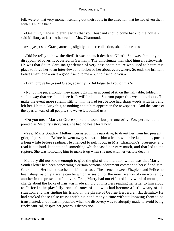fell, were at that very moment sending out their roots in the direction that he had given them with his subtle hand.

 «One thing made it tolerable to us that your husband should come back to the house,» said Melbury at last – «the death of Mrs. Charmond.»

«Ah, yes,» said Grace, arousing slightly to the recollection, «he told me so.»

 «Did he tell you how she died? It was no such death as Giles's. She was shot – by a disappointed lover. It occurred in Germany. The unfortunate man shot himself afterwards. He was that South Carolina gentleman of very passionate nature who used to haunt this place to force her to an interview, and followed her about everywhere. So ends the brilliant Felice Charmond – once a good friend to me – but no friend to you.»

«I can forgive her,» said Grace, absently. «Did Edgar tell you of this?»

 «No; but he put a London newspaper, giving an account of it, on the hall table, folded in such a way that we should see it. It will be in the Sherton paper this week, no doubt. To make the event more solemn still to him, he had just before had sharp words with her, and left her. He told Lucy this, as nothing about him appears in the newspaper. And the cause of the quarrel was, of all people, she we've left behind us.»

 «Do you mean Marty?» Grace spoke the words but perfunctorily. For, pertinent and pointed as Melbury's story was, she had no heart for it now.

 «Yes. Marty South.» Melbury persisted in his narrative, to divert her from her present grief, if possible. «Before he went away she wrote him a letter, which he kept in his, pocket a long while before reading. He chanced to pull it out in Mrs. Charmond's, presence, and read it out loud. It contained something which teased her very much, and that led to the rupture. She was following him to make it up when she met with her terrible death.»

 Melbury did not know enough to give the gist of the incident, which was that Marty South's letter had been concerning a certain personal adornment common to herself and Mrs. Charmond. Her bullet reached its billet at last. The scene between Fitzpiers and Felice had been sharp, as only a scene can be which arises out of the mortification of one woman by another in the presence of a lover. True, Marty had not effected it by word of mouth; the charge about the locks of hair was made simply by Fitzpiers reading her letter to him aloud to Felice in the playfully ironical tones of one who had become a little weary of his situation, and was finding his friend, in the phrase of George Herbert, a «flat delight.» He had stroked those false tresses with his hand many a time without knowing them to be transplanted, and it was impossible when the discovery was so abruptly made to avoid being finely satirical, despite her generous disposition.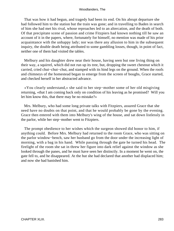That was how it had begun, and tragedy had been its end. On his abrupt departure she had followed him to the station but the train was gone; and in travelling to Baden in search of him she had met his rival, whose reproaches led to an altercation, and the death of both. Of that precipitate scene of passion and crime Fitzpiers had known nothing till he saw an account of it in the papers, where, fortunately for himself, no mention was made of his prior acquaintance with the unhappy lady; nor was there any allusion to him in the subsequent inquiry, the double death being attributed to some gambling losses, though, in point of fact, neither one of them had visited the tables.

 Melbury and his daughter drew near their house, having seen but one living thing on their way, a squirrel, which did not run up its tree, but, dropping the sweet chestnut which it carried, cried chut−chut−chut, and stamped with its hind legs on the ground. When the roofs and chimneys of the homestead began to emerge from the screen of boughs, Grace started, and checked herself in her abstracted advance.

 «You clearly understand,» she said to her step−mother some of her old misgiving returning, «that I am coming back only on condition of his leaving as he promised? Will you let him know this, that there may be no mistake?»

 Mrs. Melbury, who had some long private talks with Fitzpiers, assured Grace that she need have no doubts on that point, and that he would probably be gone by the evening. Grace then entered with them into Melbury's wing of the house, and sat down listlessly in the parlor, while her step−mother went to Fitzpiers.

 The prompt obedience to her wishes which the surgeon showed did honor to him, if anything could. Before Mrs. Melbury had returned to the room Grace, who was sitting on the parlor window−bench, saw her husband go from the door under the increasing light of morning, with a bag in his hand. While passing through the gate he turned his head. The firelight of the room she sat in threw her figure into dark relief against the window as she looked through the panes, and he must have seen her distinctly. In a moment he went on, the gate fell to, and he disappeared. At the hut she had declared that another had displaced him; and now she had banished him.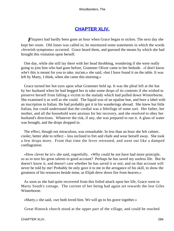# **[CHAPTER XLIV.](#page-321-0)**

*F*itzpiers had hardly been gone an hour when Grace began to sicken. The next day she kept her room. Old Jones was called in; he murmured some statements in which the words «feverish symptoms» occurred. Grace heard them, and guessed the means by which she had brought this visitation upon herself.

 One day, while she still lay there with her head throbbing, wondering if she were really going to join him who had gone before, Grammer Oliver came to her bedside. «I don't know whe'r this is meant for you to take, ma'am,» she said, «but I have found it on the table. It was left by Marty, I think, when she came this morning.»

 Grace turned her hot eyes upon what Grammer held up. It was the phial left at the hut by her husband when he had begged her to take some drops of its contents if she wished to preserve herself from falling a victim to the malady which had pulled down Winterborne. She examined it as well as she could. The liquid was of an opaline hue, and bore a label with an inscription in Italian. He had probably got it in his wanderings abroad. She knew but little Italian, but could understand that the cordial was a febrifuge of some sort. Her father, her mother, and all the household were anxious for her recovery, and she resolved to obey her husband's directions. Whatever the risk, if any, she was prepared to run it. A glass of water was brought, and the drops dropped in.

 The effect, though not miraculous, was remarkable. In less than an hour she felt calmer, cooler, better able to reflect – less inclined to fret and chafe and wear herself away. She took a few drops more. From that time the fever retreated, and went out like a damped conflagration.

 «How clever he is!» she said, regretfully. «Why could he not have had more principle, so as to turn his great talents to good account? Perhaps he has saved my useless life. But he doesn't know it, and doesn't care whether he has saved it or not; and on that account will never be told by me! Probably he only gave it to me in the arrogance of his skill, to show the greatness of his resources beside mine, as Elijah drew down fire from heaven.»

 As soon as she had quite recovered from this foiled attack upon her life, Grace went to Marty South's cottage. The current of her being had again set towards the lost Giles Winterborne.

«Marty,» she said, «we both loved him. We will go to his grave together.»

Great Hintock church stood at the upper part of the village, and could be reached

CHAPTER XLIV. 284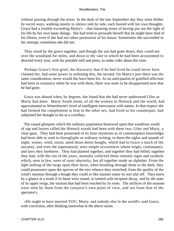without passing through the street. In the dusk of the late September day they went thither by secret ways, walking mostly in silence side by side, each busied with her own thoughts. Grace had a trouble exceeding Marty's – that haunting sense of having put out the light of his life by her own hasty doings. She had tried to persuade herself that he might have died of his illness, even if she had not taken possession of his house. Sometimes she succeeded in her attempt; sometimes she did not.

 They stood by the grave together, and though the sun had gone down, they could see over the woodland for miles, and down to the vale in which he had been accustomed to descend every year, with his portable mill and press, to make cider about this time.

 Perhaps Grace's first grief, the discovery that if he had lived he could never have claimed her, had some power in softening this, the second. On Marty's part there was the same consideration; never would she have been his. As no anticipation of gratified affection had been in existence while he was with them, there was none to be disappointed now that he had gone.

 Grace was abased when, by degrees, she found that she had never understood Giles as Marty had done. Marty South alone, of all the women in Hintock and the world, had approximated to Winterborne's level of intelligent intercourse with nature. In that respect she had formed the complement to him in the other sex, had lived as his counterpart, had subjoined her thought to his as a corollary.

 The casual glimpses which the ordinary population bestowed upon that wondrous world of sap and leaves called the Hintock woods had been with these two, Giles and Marty, a clear gaze. They had been possessed of its finer mysteries as of commonplace knowledge; had been able to read its hieroglyphs as ordinary writing; to them the sights and sounds of night, winter, wind, storm, amid those dense boughs, which had to Grace a touch of the uncanny, and even the supernatural, were simple occurrences whose origin, continuance, and laws they foreknew. They had planted together, and together they had felled; together they had, with the run of the years, mentally collected those remoter signs and symbols which, seen in few, were of runic obscurity, but all together made an alphabet. From the light lashing of the twigs upon their faces, when brushing through them in the dark, they could pronounce upon the species of the tree whence they stretched; from the quality of the wind's murmur through a bough they could in like manner name its sort afar off. They knew by a glance at a trunk if its heart were sound, or tainted with incipient decay, and by the state of its upper twigs, the stratum that had been reached by its roots. The artifices of the seasons were seen by them from the conjuror's own point of view, and not from that of the spectator's.

 «He ought to have married YOU, Marty, and nobody else in the world!» said Grace, with conviction, after thinking somewhat in the above strain.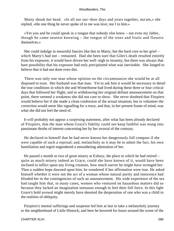Marty shook her head. «In all our out−door days and years together, ma'am,» she replied, «the one thing he never spoke of to me was love; nor I to him.»

 «Yet you and he could speak in a tongue that nobody else knew – not even my father, though he came nearest knowing – the tongue of the trees and fruits and flowers themselves.»

 She could indulge in mournful fancies like this to Marty; but the hard core to her grief – which Marty's had not – remained. Had she been sure that Giles's death resulted entirely from his exposure, it would have driven her well−nigh to insanity; but there was always that bare possibility that his exposure had only precipitated what was inevitable. She longed to believe that it had not done even this.

 There was only one man whose opinion on the circumstances she would be at all disposed to trust. Her husband was that man. Yet to ask him it would be necessary to detail the true conditions in which she and Winterborne had lived during these three or four critical days that followed her flight; and in withdrawing her original defiant announcement on that point, there seemed a weakness she did not care to show. She never doubted that Fitzpiers would believe her if she made a clean confession of the actual situation; but to volunteer the correction would seem like signalling for a truce, and that, in her present frame of mind, was what she did not feel the need of.

 It will probably not appear a surprising statement, after what has been already declared of Fitzpiers, that the man whom Grace's fidelity could not keep faithful was stung into passionate throbs of interest concerning her by her avowal of the contrary.

 He declared to himself that he had never known her dangerously full compass if she were capable of such a reprisal; and, melancholy as it may be to admit the fact, his own humiliation and regret engendered a smouldering admiration of her.

 He passed a month or two of great misery at Exbury, the place to which he had retired – quite as much misery indeed as Grace, could she have known of it, would have been inclined to inflict upon any living creature, how much soever he might have wronged her. Then a sudden hope dawned upon him; he wondered if her affirmation were true. He asked himself whether it were not the act of a woman whose natural purity and innocence had blinded her to the contingencies of such an announcement. His wide experience of the sex had taught him that, in many cases, women who ventured on hazardous matters did so because they lacked an imagination sensuous enough to feel their full force. In this light Grace's bold avowal might merely have denoted the desperation of one who was a child to the realities of obliquity.

 Fitzpiers's mental sufferings and suspense led him at last to take a melancholy journey to the neighborhood of Little Hintock; and here he hovered for hours around the scene of the

#### CHAPTER XLIV. 286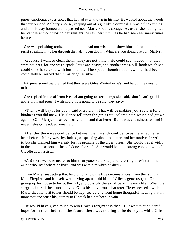purest emotional experiences that he had ever known in his life. He walked about the woods that surrounded Melbury's house, keeping out of sight like a criminal. It was a fine evening, and on his way homeward he passed near Marty South's cottage. As usual she had lighted her candle without closing her shutters; he saw her within as he had seen her many times before.

 She was polishing tools, and though he had not wished to show himself, he could not resist speaking in to her through the half− open door. «What are you doing that for, Marty?»

 «Because I want to clean them. They are not mine.» He could see, indeed, that they were not hers, for one was a spade, large and heavy, and another was a bill−hook which she could only have used with both hands. The spade, though not a new one, had been so completely burnished that it was bright as silver.

 Fitzpiers somehow divined that they were Giles Winterborne's, and he put the question to her.

 She replied in the affirmative. «I am going to keep 'em,» she said, «but I can't get his apple−mill and press. I wish could; it is going to be sold, they say.»

 «Then I will buy it for you,» said Fitzpiers. «That will be making you a return for a kindness you did me.» His glance fell upon the girl's rare−colored hair, which had grown again. «Oh, Marty, those locks of yours – and that letter! But it was a kindness to send it, nevertheless,» he added, musingly.

 After this there was confidence between them – such confidence as there had never been before. Marty was shy, indeed, of speaking about the letter, and her motives in writing it; but she thanked him warmly for his promise of the cider−press. She would travel with it in the autumn season, as he had done, she said. She would be quite strong enough, with old Creedle as an assistant.

 «Ah! there was one nearer to him than you,» said Fitzpiers, referring to Winterborne. «One who lived where he lived, and was with him when he died.»

 Then Marty, suspecting that he did not know the true circumstances, from the fact that Mrs. Fitzpiers and himself were living apart, told him of Giles's generosity to Grace in giving up his house to her at the risk, and possibly the sacrifice, of his own life. When the surgeon heard it he almost envied Giles his chivalrous character. He expressed a wish to Marty that his visit to her should be kept secret, and went home thoughtful, feeling that in more that one sense his journey to Hintock had not been in vain.

 He would have given much to win Grace's forgiveness then. But whatever he dared hope for in that kind from the future, there was nothing to be done yet, while Giles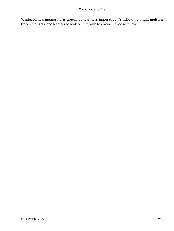Winterborne's memory was green. To wait was imperative. A little time might melt her frozen thoughts, and lead her to look on him with toleration, if not with love.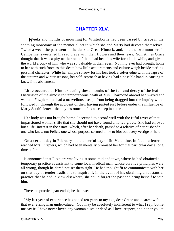## **[CHAPTER XLV.](#page-321-0)**

<span id="page-289-0"></span>*W*eeks and months of mourning for Winterborne had been passed by Grace in the soothing monotony of the memorial act to which she and Marty had devoted themselves. Twice a week the pair went in the dusk to Great Hintock, and, like the two mourners in Cymbeline, sweetened his sad grave with their flowers and their tears. Sometimes Grace thought that it was a pity neither one of them had been his wife for a little while, and given the world a copy of him who was so valuable in their eyes. Nothing ever had brought home to her with such force as this death how little acquirements and culture weigh beside sterling personal character. While her simple sorrow for his loss took a softer edge with the lapse of the autumn and winter seasons, her self−reproach at having had a possible hand in causing it knew little abatement.

 Little occurred at Hintock during these months of the fall and decay of the leaf. Discussion of the almost contemporaneous death of Mrs. Charmond abroad had waxed and waned. Fitzpiers had had a marvellous escape from being dragged into the inquiry which followed it, through the accident of their having parted just before under the influence of Marty South's letter – the tiny instrument of a cause deep in nature.

 Her body was not brought home. It seemed to accord well with the fitful fever of that impassioned woman's life that she should not have found a native grave. She had enjoyed but a life−interest in the estate, which, after her death, passed to a relative of her husband's – one who knew not Felice, one whose purpose seemed to be to blot out every vestige of her.

 On a certain day in February – the cheerful day of St. Valentine, in fact – a letter reached Mrs. Fitzpiers, which had been mentally promised her for that particular day a long time before.

 It announced that Fitzpiers was living at some midland town, where he had obtained a temporary practice as assistant to some local medical man, whose curative principles were all wrong, though he dared not set them right. He had thought fit to communicate with her on that day of tender traditions to inquire if, in the event of his obtaining a substantial practice that he had in view elsewhere, she could forget the past and bring herself to join him.

There the practical part ended; he then went on –

 "My last year of experience has added ten years to my age, dear Grace and dearest wife that ever erring man undervalued. You may be absolutely indifferent to what I say, but let me say it: I have never loved any woman alive or dead as I love, respect, and honor you at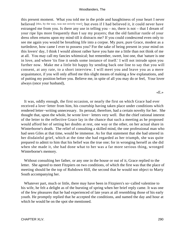this present moment. What you told me in the pride and haughtiness of your heart I never believed [this, by the way, was not strictly true]; but even if I had believed it, it could never have estranged me from you. Is there any use in telling you – no, there is not – that I dream of your ripe lips more frequently than I say my prayers; that the old familiar rustle of your dress often returns upon my mind till it distracts me? If you could condescend even only to see me again you would be breathing life into a corpse. My pure, pure Grace, modest as a turtledove, how came I ever to possess you? For the sake of being present in your mind on this lovers' day, I think I would almost rather have you hate me a little than not think of me at all. You may call my fancies whimsical; but remember, sweet, lost one, that 'nature is one in love, and where 'tis fine it sends some instance of itself.' I will not intrude upon you further now. Make me a little bit happy by sending back one line to say that you will consent, at any rate, to a short interview. I will meet you and leave you as a mere acquaintance, if you will only afford me this slight means of making a few explanations, and of putting my position before you. Believe me, in spite of all you may do or feel, Your lover always (once your husband),

«E.»

 It was, oddly enough, the first occasion, or nearly the first on which Grace had ever received a love−letter from him, his courtship having taken place under conditions which rendered letter−writing unnecessary. Its perusal, therefore, had a certain novelty for her. She thought that, upon the whole, he wrote love− letters very well. But the chief rational interest of the letter to the reflective Grace lay in the chance that such a meeting as he proposed would afford her of setting her doubts at rest, one way or the other, on her actual share in Winterborne's death. The relief of consulting a skilled mind, the one professional man who had seen Giles at that time, would be immense. As for that statement that she had uttered in her disdainful grief, which at the time she had regarded as her triumph, she was quite prepared to admit to him that his belief was the true one; for in wronging herself as she did when she made it, she had done what to her was a far more serious thing, wronged Winterborne's memory.

 Without consulting her father, or any one in the house or out of it, Grace replied to the letter. She agreed to meet Fitzpiers on two conditions, of which the first was that the place of meeting should be the top of Rubdown Hill, the second that he would not object to Marty South accompanying her.

 Whatever part, much or little, there may have been in Fitzpiers's so−called valentine to his wife, he felt a delight as of the bursting of spring when her brief reply came. It was one of the few pleasures that he had experienced of late years at all resembling those of his early youth. He promptly replied that he accepted the conditions, and named the day and hour at which he would be on the spot she mentioned.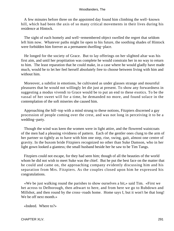A few minutes before three on the appointed day found him climbing the well−known hill, which had been the axis of so many critical movements in their lives during his residence at Hintock.

 The sight of each homely and well−remembered object swelled the regret that seldom left him now. Whatever paths might lie open to his future, the soothing shades of Hintock were forbidden him forever as a permanent dwelling−place.

 He longed for the society of Grace. But to lay offerings on her slighted altar was his first aim, and until her propitiation was complete he would constrain her in no way to return to him. The least reparation that he could make, in a case where he would gladly have made much, would be to let her feel herself absolutely free to choose between living with him and without him.

 Moreover, a subtlist in emotions, he cultivated as under glasses strange and mournful pleasures that he would not willingly let die just at present. To show any forwardness in suggesting a modus vivendi to Grace would be to put an end to these exotics. To be the vassal of her sweet will for a time, he demanded no more, and found solace in the contemplation of the soft miseries she caused him.

 Approaching the hill−top with a mind strung to these notions, Fitzpiers discerned a gay procession of people coming over the crest, and was not long in perceiving it to be a wedding−party.

 Though the wind was keen the women were in light attire, and the flowered waistcoats of the men had a pleasing vividness of pattern. Each of the gentler ones clung to the arm of her partner so tightly as to have with him one step, rise, swing, gait, almost one centre of gravity. In the buxom bride Fitzpiers recognized no other than Suke Damson, who in her light gown looked a giantess; the small husband beside her he saw to be Tim Tangs.

 Fitzpiers could not escape, for they had seen him; though of all the beauties of the world whom he did not wish to meet Suke was the chief. But he put the best face on the matter that he could and came on, the approaching company evidently discussing him and his separation from Mrs. Fitzpiers. As the couples closed upon him he expressed his congratulations.

 «We be just walking round the parishes to show ourselves a bit,» said Tim. «First we het across to Delborough, then athwart to here, and from here we go to Rubdown and Millshot, and then round by the cross−roads home. Home says I, but it won't be that long! We be off next month.»

«Indeed. Where to?»

CHAPTER XLV. 291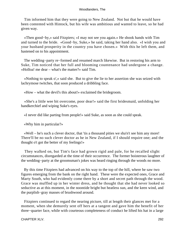Tim informed him that they were going to New Zealand. Not but that he would have been contented with Hintock, but his wife was ambitious and wanted to leave, so he had given way.

 «Then good−by,» said Fitzpiers; «I may not see you again.» He shook hands with Tim and turned to the bride. «Good−by, Suke,» he said, taking her hand also. «I wish you and your husband prosperity in the country you have chosen.» With this he left them, and hastened on to his appointment.

 The wedding−party re−formed and resumed march likewise. But in restoring his arm to Suke, Tim noticed that her full and blooming countenance had undergone a change. «Holloa! me dear – what's the matter?» said Tim.

 «Nothing to speak o',» said she. But to give the lie to her assertion she was seized with lachrymose twitches, that soon produced a dribbling face.

«How – what the devil's this about!» exclaimed the bridegroom.

 «She's a little wee bit overcome, poor dear!» said the first bridesmaid, unfolding her handkerchief and wiping Suke's eyes.

«I never did like parting from people!» said Suke, as soon as she could speak.

«Why him in particular?»

 «Well – he's such a clever doctor, that 'tis a thousand pities we sha'n't see him any more! There'll be no such clever doctor as he in New Zealand, if I should require one; and the thought o't got the better of my feelings!»

 They walked on, but Tim's face had grown rigid and pale, for he recalled slight circumstances, disregarded at the time of their occurrence. The former boisterous laughter of the wedding−party at the groomsman's jokes was heard ringing through the woods no more.

 By this time Fitzpiers had advanced on his way to the top of the hill, where he saw two figures emerging from the bank on the right hand. These were the expected ones, Grace and Marty South, who had evidently come there by a short and secret path through the wood. Grace was muffled up in her winter dress, and he thought that she had never looked so seductive as at this moment, in the noontide bright but heatless sun, and the keen wind, and the purplish−gray masses of brushwood around.

 Fitzpiers continued to regard the nearing picture, till at length their glances met for a moment, when she demurely sent off hers at a tangent and gave him the benefit of her three−quarter face, while with courteous completeness of conduct he lifted his hat in a large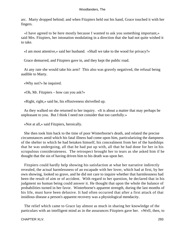arc. Marty dropped behind; and when Fitzpiers held out his hand, Grace touched it with her fingers.

 «I have agreed to be here mostly because I wanted to ask you something important,» said Mrs. Fitzpiers, her intonation modulating in a direction that she had not quite wished it to take.

«I am most attentive,» said her husband. «Shall we take to the wood for privacy?»

Grace demurred, and Fitzpiers gave in, and they kept the public road.

 At any rate she would take his arm? This also was gravely negatived, the refusal being audible to Marty.

«Why not?» he inquired.

«Oh, Mr. Fitzpiers – how can you ask?»

«Right, right,» said he, his effusiveness shrivelled up.

 As they walked on she returned to her inquiry. «It is about a matter that may perhaps be unpleasant to you. But I think I need not consider that too carefully.»

«Not at all,» said Fitzpiers, heroically.

 She then took him back to the time of poor Winterborne's death, and related the precise circumstances amid which his fatal illness had come upon him, particularizing the dampness of the shelter to which he had betaken himself, his concealment from her of the hardships that he was undergoing, all that he had put up with, all that he had done for her in his scrupulous considerateness. The retrospect brought her to tears as she asked him if he thought that the sin of having driven him to his death was upon her.

 Fitzpiers could hardly help showing his satisfaction at what her narrative indirectly revealed, the actual harmlessness of an escapade with her lover, which had at first, by her own showing, looked so grave, and he did not care to inquire whether that harmlessness had been the result of aim or of accident. With regard to her question, he declared that in his judgment no human being could answer it. He thought that upon the whole the balance of probabilities turned in her favor. Winterborne's apparent strength, during the last months of his life, must have been delusive. It had often occurred that after a first attack of that insidious disease a person's apparent recovery was a physiological mendacity.

 The relief which came to Grace lay almost as much in sharing her knowledge of the particulars with an intelligent mind as in the assurances Fitzpiers gave her. «Well, then, to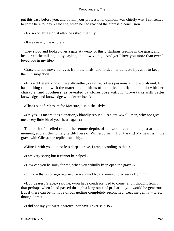put this case before you, and obtain your professional opinion, was chiefly why I consented to come here to−day,» said she, when he had reached the aforesaid conclusion.

«For no other reason at all?» he asked, ruefully.

«It was nearly the whole.»

 They stood and looked over a gate at twenty or thirty starlings feeding in the grass, and he started the talk again by saying, in a low voice, «And yet I love you more than ever I loved you in my life.»

 Grace did not move her eyes from the birds, and folded her delicate lips as if to keep them in subjection.

 «It is a different kind of love altogether,» said he. «Less passionate; more profound. It has nothing to do with the material conditions of the object at all; much to do with her character and goodness, as revealed by closer observation. 'Love talks with better knowledge, and knowledge with dearer love.'»

«That's out of 'Measure for Measure,'» said she, slyly.

 «Oh yes – I meant it as a citation,» blandly replied Fitzpiers. «Well, then, why not give me a very little bit of your heart again?»

 The crash of a felled tree in the remote depths of the wood recalled the past at that moment, and all the homely faithfulness of Winterborne. «Don't ask it! My heart is in the grave with Giles,» she replied, stanchly.

«Mine is with you – in no less deep a grave, I fear, according to that.»

«I am very sorry; but it cannot be helped.»

«How can you be sorry for me, when you wilfully keep open the grave?»

«Oh no – that's not so,» returned Grace, quickly, and moved to go away from him.

 «But, dearest Grace,» said he, «you have condescended to come; and I thought from it that perhaps when I had passed through a long state of probation you would be generous. But if there can be no hope of our getting completely reconciled, treat me gently – wretch though I am.»

«I did not say you were a wretch, nor have I ever said so.»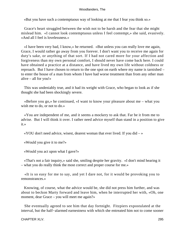«But you have such a contemptuous way of looking at me that I fear you think so.»

 Grace's heart struggled between the wish not to be harsh and the fear that she might mislead him. «I cannot look contemptuous unless I feel contempt,» she said, evasively. «And all I feel is lovelessness.»

 «I have been very bad, I know,» he returned. «But unless you can really love me again, Grace, I would rather go away from you forever. I don't want you to receive me again for duty's sake, or anything of that sort. If I had not cared more for your affection and forgiveness than my own personal comfort, I should never have come back here. I could have obtained a practice at a distance, and have lived my own life without coldness or reproach. But I have chosen to return to the one spot on earth where my name is tarnished – to enter the house of a man from whom I have had worse treatment than from any other man alive – all for you!»

 This was undeniably true, and it had its weight with Grace, who began to look as if she thought she had been shockingly severe.

 «Before you go,» he continued, «I want to know your pleasure about me – what you wish me to do, or not to do.»

 «You are independent of me, and it seems a mockery to ask that. Far be it from me to advise. But I will think it over. I rather need advice myself than stand in a position to give it.»

 $\alpha$  YOU don't need advice, wisest, dearest woman that ever lived. If you did  $-\infty$ 

«Would you give it to me?»

«Would you act upon what I gave?»

 «That's not a fair inquiry,» said she, smiling despite her gravity. «I don't mind hearing it – what you do really think the most correct and proper course for me.»

 «It is so easy for me to say, and yet I dare not, for it would be provoking you to remonstrances.»

 Knowing, of course, what the advice would be, she did not press him further, and was about to beckon Marty forward and leave him, when he interrupted her with, «Oh, one moment, dear Grace – you will meet me again?»

 She eventually agreed to see him that day fortnight. Fitzpiers expostulated at the interval, but the half−alarmed earnestness with which she entreated him not to come sooner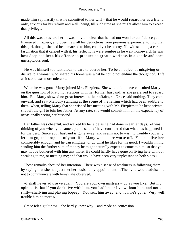made him say hastily that he submitted to her will – that he would regard her as a friend only, anxious for his reform and well−being, till such time as she might allow him to exceed that privilege.

 All this was to assure her; it was only too clear that he had not won her confidence yet. It amazed Fitzpiers, and overthrew all his deductions from previous experience, to find that this girl, though she had been married to him, could yet be so coy. Notwithstanding a certain fascination that it carried with it, his reflections were sombre as he went homeward; he saw how deep had been his offence to produce so great a wariness in a gentle and once unsuspicious soul.

 He was himself too fastidious to care to coerce her. To be an object of misgiving or dislike to a woman who shared his home was what he could not endure the thought of. Life as it stood was more tolerable.

 When he was gone, Marty joined Mrs. Fitzpiers. She would fain have consulted Marty on the question of Platonic relations with her former husband, as she preferred to regard him. But Marty showed no great interest in their affairs, so Grace said nothing. They came onward, and saw Melbury standing at the scene of the felling which had been audible to them, when, telling Marty that she wished her meeting with Mr. Fitzpiers to be kept private, she left the girl to join her father. At any rate, she would consult him on the expediency of occasionally seeing her husband.

 Her father was cheerful, and walked by her side as he had done in earlier days. «I was thinking of you when you came up,» he said. «I have considered that what has happened is for the best. Since your husband is gone away, and seems not to wish to trouble you, why, let him go, and drop out of your life. Many women are worse off. You can live here comfortably enough, and he can emigrate, or do what he likes for his good. I wouldn't mind sending him the further sum of money he might naturally expect to come to him, so that you may not be bothered with him any more. He could hardly have gone on living here without speaking to me, or meeting me; and that would have been very unpleasant on both sides.»

 These remarks checked her intention. There was a sense of weakness in following them by saying that she had just met her husband by appointment. «Then you would advise me not to communicate with him?» she observed.

 «I shall never advise ye again. You are your own mistress – do as you like. But my opinion is that if you don't live with him, you had better live without him, and not go shilly−shallying and playing bopeep. You sent him away; and now he's gone. Very well; trouble him no more.»

Grace felt a guiltiness – she hardly knew why – and made no confession.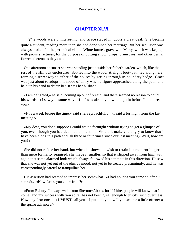## **[CHAPTER XLVI.](#page-321-0)**

<span id="page-297-0"></span>*T*he woods were uninteresting, and Grace stayed in−doors a great deal. She became quite a student, reading more than she had done since her marriage But her seclusion was always broken for the periodical visit to Winterborne's grave with Marty, which was kept up with pious strictness, for the purpose of putting snow−drops, primroses, and other vernal flowers thereon as they came.

 One afternoon at sunset she was standing just outside her father's garden, which, like the rest of the Hintock enclosures, abutted into the wood. A slight foot−path led along here, forming a secret way to either of the houses by getting through its boundary hedge. Grace was just about to adopt this mode of entry when a figure approached along the path, and held up his hand to detain her. It was her husband.

 «I am delighted,» he said, coming up out of breath; and there seemed no reason to doubt his words. «I saw you some way off – I was afraid you would go in before I could reach you.»

 «It is a week before the time,» said she, reproachfully. «I said a fortnight from the last meeting.»

 «My dear, you don't suppose I could wait a fortnight without trying to get a glimpse of you, even though you had declined to meet me! Would it make you angry to know that I have been along this path at dusk three or four times since our last meeting? Well, how are you?»

 She did not refuse her hand, but when he showed a wish to retain it a moment longer than mere formality required, she made it smaller, so that it slipped away from him, with again that same alarmed look which always followed his attempts in this direction. He saw that she was not yet out of the elusive mood; not yet to be treated presumingly; and he was correspondingly careful to tranquillize her.

 His assertion had seemed to impress her somewhat. «I had no idea you came so often,» she said. «How far do you come from?»

 «From Exbury. I always walk from Sherton−Abbas, for if I hire, people will know that I come; and my success with you so far has not been great enough to justify such overtness. Now, my dear one – as **I MUST** call you – I put it to you: will you see me a little oftener as the spring advances?»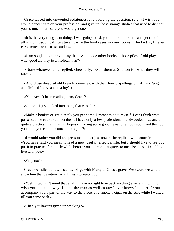Grace lapsed into unwonted sedateness, and avoiding the question, said, «I wish you would concentrate on your profession, and give up those strange studies that used to distract you so much. I am sure you would get on.»

«It is the very thing I am doing. I was going to ask you to burn – or, at least, get rid of  $$ all my philosophical literature. It is in the bookcases in your rooms. The fact is, I never cared much for abstruse studies.»

 «I am so glad to hear you say that. And those other books – those piles of old plays – what good are they to a medical man?»

 «None whatever!» he replied, cheerfully. «Sell them at Sherton for what they will fetch.»

 «And those dreadful old French romances, with their horrid spellings of 'filz' and 'ung' and 'ilz' and 'mary' and 'ma foy?'»

«You haven't been reading them, Grace?»

«Oh no – I just looked into them, that was all.»

 «Make a bonfire of 'em directly you get home. I meant to do it myself. I can't think what possessed me ever to collect them. I have only a few professional hand−books now, and am quite a practical man. I am in hopes of having some good news to tell you soon, and then do you think you could – come to me again?»

 «I would rather you did not press me on that just now,» she replied, with some feeling. «You have said you mean to lead a new, useful, effectual life; but I should like to see you put it in practice for a little while before you address that query to me. Besides – I could not live with you.»

«Why not?»

 Grace was silent a few instants. «I go with Marty to Giles's grave. We swore we would show him that devotion. And I mean to keep it up.»

 «Well, I wouldn't mind that at all. I have no right to expect anything else, and I will not wish you to keep away. I liked the man as well as any I ever knew. In short, I would accompany you a part of the way to the place, and smoke a cigar on the stile while I waited till you came back.»

«Then you haven't given up smoking?»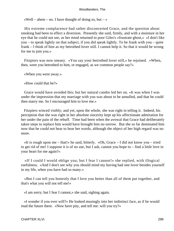«Well – ahem – no. I have thought of doing so, but – »

 His extreme complacence had rather disconcerted Grace, and the question about smoking had been to effect a diversion. Presently she said, firmly, and with a moisture in her eye that he could not see, as her mind returned to poor Giles's «frustrate ghost,» «I don't like you – to speak lightly on that subject, if you did speak lightly. To be frank with you – quite frank – I think of him as my betrothed lover still. I cannot help it. So that it would be wrong for me to join you.»

 Fitzpiers was now uneasy. «You say your betrothed lover still,» he rejoined. «When, then, were you betrothed to him, or engaged, as we common people say?»

«When you were away.»

«How could that be?»

 Grace would have avoided this; but her natural candor led her on. «It was when I was under the impression that my marriage with you was about to be annulled, and that he could then marry me. So I encouraged him to love me.»

 Fitzpiers winced visibly; and yet, upon the whole, she was right in telling it. Indeed, his perception that she was right in her absolute sincerity kept up his affectionate admiration for her under the pain of the rebuff. Time had been when the avowal that Grace had deliberately taken steps to replace him would have brought him no sorrow. But she so far dominated him now that he could not bear to hear her words, although the object of her high regard was no more.

 «It is rough upon me – that!» he said, bitterly. «Oh, Grace – I did not know you – tried to get rid of me! I suppose it is of no use, but I ask, cannot you hope to – find a little love in your heart for me again?»

 «If I could I would oblige you; but I fear I cannot!» she replied, with illogical ruefulness. «And I don't see why you should mind my having had one lover besides yourself in my life, when you have had so many.»

 «But I can tell you honestly that I love you better than all of them put together, and that's what you will not tell me!»

«I am sorry; but I fear I cannot,» she said, sighing again.

 «I wonder if you ever will?» He looked musingly into her indistinct face, as if he would read the future there. «Now have pity, and tell me: will you try?»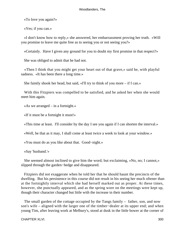«To love you again?»

«Yes; if you can.»

 «I don't know how to reply,» she answered, her embarrassment proving her truth. «Will you promise to leave me quite free as to seeing you or not seeing you?»

«Certainly. Have I given any ground for you to doubt my first promise in that respect?»

She was obliged to admit that he had not.

 «Then I think that you might get your heart out of that grave,» said he, with playful sadness. «It has been there a long time.»

She faintly shook her head, but said, «I'll try to think of you more – if I can.»

 With this Fitzpiers was compelled to be satisfied, and he asked her when she would meet him again.

«As we arranged – in a fortnight.»

«If it must be a fortnight it must!»

«This time at least. I'll consider by the day I see you again if I can shorten the interval.»

«Well, be that as it may, I shall come at least twice a week to look at your window.»

«You must do as you like about that. Good−night.»

«Say 'husband.'»

 She seemed almost inclined to give him the word; but exclaiming, «No, no; I cannot,» slipped through the garden−hedge and disappeared.

 Fitzpiers did not exaggerate when he told her that he should haunt the precincts of the dwelling. But his persistence in this course did not result in his seeing her much oftener than at the fortnightly interval which she had herself marked out as proper. At these times, however, she punctually appeared, and as the spring wore on the meetings were kept up, though their character changed but little with the increase in their number.

 The small garden of the cottage occupied by the Tangs family – father, son, and now son's wife – aligned with the larger one of the timber−dealer at its upper end; and when young Tim, after leaving work at Melbury's, stood at dusk in the little bower at the corner of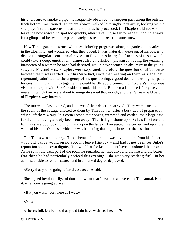his enclosure to smoke a pipe, he frequently observed the surgeon pass along the outside track before− mentioned. Fitzpiers always walked loiteringly, pensively, looking with a sharp eye into the gardens one after another as he proceeded; for Fitzpiers did not wish to leave the now absorbing spot too quickly, after travelling so far to reach it; hoping always for a glimpse of her whom he passionately desired to take to his arms anew.

 Now Tim began to be struck with these loitering progresses along the garden boundaries in the gloaming, and wondered what they boded. It was, naturally, quite out of his power to divine the singular, sentimental revival in Fitzpiers's heart; the fineness of tissue which could take a deep, emotional – almost also an artistic – pleasure in being the yearning inamorato of a woman he once had deserted, would have seemed an absurdity to the young sawyer. Mr. and Mrs. Fitzpiers were separated; therefore the question of affection as between them was settled. But his Suke had, since that meeting on their marriage−day, repentantly admitted, to the urgency of his questioning, a good deal concerning her past levities. Putting all things together, he could hardly avoid connecting Fitzpiers's mysterious visits to this spot with Suke's residence under his roof. But he made himself fairly easy: the vessel in which they were about to emigrate sailed that month; and then Suke would be out of Fitzpiers's way forever.

 The interval at last expired, and the eve of their departure arrived. They were pausing in the room of the cottage allotted to them by Tim's father, after a busy day of preparation, which left them weary. In a corner stood their boxes, crammed and corded, their large case for the hold having already been sent away. The firelight shone upon Suke's fine face and form as she stood looking into it, and upon the face of Tim seated in a corner, and upon the walls of his father's house, which he was beholding that night almost for the last time.

 Tim Tangs was not happy. This scheme of emigration was dividing him from his father – for old Tangs would on no account leave Hintock – and had it not been for Suke's reputation and his own dignity, Tim would at the last moment have abandoned the project. As he sat in the back part of the room he regarded her moodily, and the fire and the boxes. One thing he had particularly noticed this evening – she was very restless; fitful in her actions, unable to remain seated, and in a marked degree depressed.

«Sorry that you be going, after all, Suke?» he said.

 She sighed involuntarily. «I don't know but that I be,» she answered. «'Tis natural, isn't it, when one is going away?»

«But you wasn't born here as I was.»

«No.»

«There's folk left behind that you'd fain have with 'ee, I reckon?»

CHAPTER XLVI. 301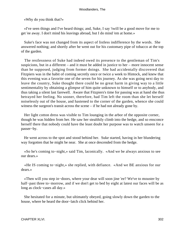«Why do you think that?»

 «I've seen things and I've heard things; and, Suke, I say 'twill be a good move for me to get 'ee away. I don't mind his leavings abroad, but I do mind 'em at home.»

 Suke's face was not changed from its aspect of listless indifference by the words. She answered nothing; and shortly after he went out for his customary pipe of tobacco at the top of the garden.

 The restlessness of Suke had indeed owed its presence to the gentleman of Tim's suspicions, but in a different – and it must be added in justice to her – more innocent sense than he supposed, judging from former doings. She had accidentally discovered that Fitzpiers was in the habit of coming secretly once or twice a week to Hintock, and knew that this evening was a favorite one of the seven for his journey. As she was going next day to leave the country, Suke thought there could be no great harm in giving way to a little sentimentality by obtaining a glimpse of him quite unknown to himself or to anybody, and thus taking a silent last farewell. Aware that Fitzpiers's time for passing was at hand she thus betrayed her feeling. No sooner, therefore, had Tim left the room than she let herself noiselessly out of the house, and hastened to the corner of the garden, whence she could witness the surgeon's transit across the scene – if he had not already gone by.

 Her light cotton dress was visible to Tim lounging in the arbor of the opposite corner, though he was hidden from her. He saw her stealthily climb into the hedge, and so ensconce herself there that nobody could have the least doubt her purpose was to watch unseen for a passer−by.

 He went across to the spot and stood behind her. Suke started, having in her blundering way forgotten that he might be near. She at once descended from the hedge.

 «So he's coming to−night,» said Tim, laconically. «And we be always anxious to see our dears.»

 «He IS coming to−night,» she replied, with defiance. «And we BE anxious for our dears.»

 «Then will you step in−doors, where your dear will soon jine 'ee? We've to mouster by half−past three to−morrow, and if we don't get to bed by eight at latest our faces will be as long as clock−cases all day.»

 She hesitated for a minute, but ultimately obeyed, going slowly down the garden to the house, where he heard the door−latch click behind her.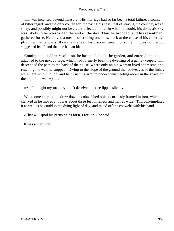Tim was incensed beyond measure. His marriage had so far been a total failure, a source of bitter regret; and the only course for improving his case, that of leaving the country, was a sorry, and possibly might not be a very effectual one. Do what he would, his domestic sky was likely to be overcast to the end of the day. Thus he brooded, and his resentment gathered force. He craved a means of striking one blow back at the cause of his cheerless plight, while he was still on the scene of his discomfiture. For some minutes no method suggested itself, and then he had an idea.

 Coming to a sudden resolution, he hastened along the garden, and entered the one attached to the next cottage, which had formerly been the dwelling of a game−keeper. Tim descended the path to the back of the house, where only an old woman lived at present, and reaching the wall he stopped. Owing to the slope of the ground the roof−eaves of the linhay were here within touch, and he thrust his arm up under them, feeling about in the space on the top of the wall−plate.

«Ah, I thought my memory didn't deceive me!» he lipped silently.

With some exertion he drew down a cobwebbed object curiously framed in iron, which clanked as he moved it. It was about three feet in length and half as wide. Tim contemplated it as well as he could in the dying light of day, and raked off the cobwebs with his hand.

«That will spoil his pretty shins for'n, I reckon!» he said.

It was a man−trap.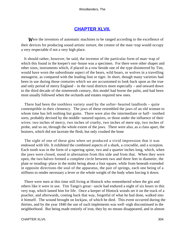## **[CHAPTER XLVII.](#page-321-0)**

<span id="page-304-0"></span>**W**ere the inventors of automatic machines to be ranged according to the excellence of their devices for producing sound artistic torture, the creator of the man−trap would occupy a very respectable if not a very high place.

 It should rather, however, be said, the inventor of the particular form of man−trap of which this found in the keeper's out−house was a specimen. For there were other shapes and other sizes, instruments which, if placed in a row beside one of the type disinterred by Tim, would have worn the subordinate aspect of the bears, wild boars, or wolves in a travelling menagerie, as compared with the leading lion or tiger. In short, though many varieties had been in use during those centuries which we are accustomed to look back upon as the true and only period of merry England – in the rural districts more especially – and onward down to the third decade of the nineteenth century, this model had borne the palm, and had been most usually followed when the orchards and estates required new ones.

 There had been the toothless variety used by the softer−hearted landlords – quite contemptible in their clemency. The jaws of these resembled the jaws of an old woman to whom time has left nothing but gums. There were also the intermediate or half− toothed sorts, probably devised by the middle−natured squires, or those under the influence of their wives: two inches of mercy, two inches of cruelty, two inches of mere nip, two inches of probe, and so on, through the whole extent of the jaws. There were also, as a class apart, the bruisers, which did not lacerate the flesh, but only crushed the bone

 The sight of one of these gins when set produced a vivid impression that it was endowed with life. It exhibited the combined aspects of a shark, a crocodile, and a scorpion. Each tooth was in the form of a tapering spine, two and a quarter inches long, which, when the jaws were closed, stood in alternation from this side and from that. When they were open, the two halves formed a complete circle between two and three feet in diameter, the plate or treading−place in the midst being about a foot square, while from beneath extended in opposite directions the soul of the apparatus, the pair of springs, each one being of a stiffness to render necessary a lever or the whole weight of the body when forcing it down.

 There were men at this time still living at Hintock who remembered when the gin and others like it were in use. Tim Tangs's great− uncle had endured a night of six hours in this very trap, which lamed him for life. Once a keeper of Hintock woods set it on the track of a poacher, and afterwards, coming back that way, forgetful of what he had done, walked into it himself. The wound brought on lockjaw, of which he died. This event occurred during the thirties, and by the year 1840 the use of such implements was well−nigh discontinued in the neighborhood. But being made entirely of iron, they by no means disappeared, and in almost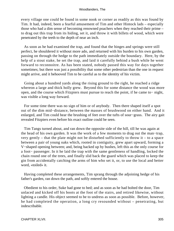every village one could be found in some nook or corner as readily as this was found by Tim. It had, indeed, been a fearful amusement of Tim and other Hintock lads – especially those who had a dim sense of becoming renowned poachers when they reached their prime – to drag out this trap from its hiding, set it, and throw it with billets of wood, which were penetrated by the teeth to the depth of near an inch.

 As soon as he had examined the trap, and found that the hinges and springs were still perfect, he shouldered it without more ado, and returned with his burden to his own garden, passing on through the hedge to the path immediately outside the boundary. Here, by the help of a stout stake, he set the trap, and laid it carefully behind a bush while he went forward to reconnoitre. As has been stated, nobody passed this way for days together sometimes; but there was just a possibility that some other pedestrian than the one in request might arrive, and it behooved Tim to be careful as to the identity of his victim.

 Going about a hundred yards along the rising ground to the right, he reached a ridge whereon a large and thick holly grew. Beyond this for some distance the wood was more open, and the course which Fitzpiers must pursue to reach the point, if he came to− night, was visible a long way forward.

 For some time there was no sign of him or of anybody. Then there shaped itself a spot out of the dim mid−distance, between the masses of brushwood on either hand. And it enlarged, and Tim could hear the brushing of feet over the tufts of sour−grass. The airy gait revealed Fitzpiers even before his exact outline could be seen.

 Tim Tangs turned about, and ran down the opposite side of the hill, till he was again at the head of his own garden. It was the work of a few moments to drag out the man−trap, very gently – that the plate might not be disturbed sufficiently to throw it – to a space between a pair of young oaks which, rooted in contiguity, grew apart upward, forming a V−shaped opening between; and, being backed up by bushes, left this as the only course for a foot− passenger. In it he laid the trap with the same gentleness of handling, locked the chain round one of the trees, and finally slid back the guard which was placed to keep the gin from accidentally catching the arms of him who set it, or, to use the local and better word, «toiled» it.

 Having completed these arrangements, Tim sprang through the adjoining hedge of his father's garden, ran down the path, and softly entered the house.

 Obedient to his order, Suke had gone to bed; and as soon as he had bolted the door, Tim unlaced and kicked off his boots at the foot of the stairs, and retired likewise, without lighting a candle. His object seemed to be to undress as soon as possible. Before, however, he had completed the operation, a long cry resounded without – penetrating, but indescribable.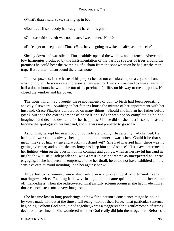«What's that?» said Suke, starting up in bed.

«Sounds as if somebody had caught a hare in his gin.»

«Oh no,» said she. «It was not a hare, 'twas louder. Hark!»

«Do 'ee get to sleep,» said Tim. «How be you going to wake at half−past three else?»

 She lay down and was silent. Tim stealthily opened the window and listened. Above the low harmonies produced by the instrumentation of the various species of trees around the premises he could hear the twitching of a chain from the spot whereon he had set the man− trap. But further human sound there was none.

 Tim was puzzled. In the haste of his project he had not calculated upon a cry; but if one, why not more? He soon ceased to essay an answer, for Hintock was dead to him already. In half a dozen hours he would be out of its precincts for life, on his way to the antipodes. He closed the window and lay down.

 The hour which had brought these movements of Tim to birth had been operating actively elsewhere. Awaiting in her father's house the minute of her appointment with her husband, Grace Fitzpiers deliberated on many things. Should she inform her father before going out that the estrangement of herself and Edgar was not so complete as he had imagined, and deemed desirable for her happiness? If she did so she must in some measure become the apologist of her husband, and she was not prepared to go so far.

 As for him, he kept her in a mood of considerate gravity. He certainly had changed. He had at his worst times always been gentle in his manner towards her. Could it be that she might make of him a true and worthy husband yet? She had married him; there was no getting over that; and ought she any longer to keep him at a distance? His suave deference to her lightest whim on the question of his comings and goings, when as her lawful husband he might show a little independence, was a trait in his character as unexpected as it was engaging. If she had been his empress, and he her thrall, he could not have exhibited a more sensitive care to avoid intruding upon her against her will.

 Impelled by a remembrance she took down a prayer−book and turned to the marriage−service. Reading it slowly through, she became quite appalled at her recent off−handedness, when she rediscovered what awfully solemn promises she had made him at those chancel steps not so very long ago.

 She became lost in long ponderings on how far a person's conscience might be bound by vows made without at the time a full recognition of their force. That particular sentence, beginning «Whom God hath joined together,» was a staggerer for a gentlewoman of strong devotional sentiment. She wondered whether God really did join them together. Before she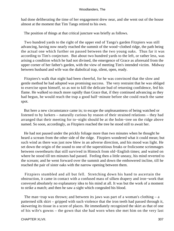had done deliberating the time of her engagement drew near, and she went out of the house almost at the moment that Tim Tangs retired to his own.

The position of things at that critical juncture was briefly as follows.

 Two hundred yards to the right of the upper end of Tangs's garden Fitzpiers was still advancing, having now nearly reached the summit of the wood−clothed ridge, the path being the actual one which further on passed between the two young oaks. Thus far it was according to Tim's conjecture. But about two hundred yards to the left, or rather less, was arising a condition which he had not divined, the emergence of Grace as aforesaid from the upper corner of her father's garden, with the view of meeting Tim's intended victim. Midway between husband and wife was the diabolical trap, silent, open, ready.

 Fitzpiers's walk that night had been cheerful, for he was convinced that the slow and gentle method he had adopted was promising success. The very restraint that he was obliged to exercise upon himself, so as not to kill the delicate bud of returning confidence, fed his flame. He walked so much more rapidly than Grace that, if they continued advancing as they had begun, he would reach the trap a good half−minute before she could reach the same spot.

 But here a new circumstance came in; to escape the unpleasantness of being watched or listened to by lurkers – naturally curious by reason of their strained relations – they had arranged that their meeting for to−night should be at the holm−tree on the ridge above named. So soon, accordingly, as Fitzpiers reached the tree he stood still to await her.

 He had not paused under the prickly foliage more than two minutes when he thought he heard a scream from the other side of the ridge. Fitzpiers wondered what it could mean; but such wind as there was just now blew in an adverse direction, and his mood was light. He set down the origin of the sound to one of the superstitious freaks or frolicsome scrimmages between sweethearts that still survived in Hintock from old−English times; and waited on where he stood till ten minutes had passed. Feeling then a little uneasy, his mind reverted to the scream; and he went forward over the summit and down the embowered incline, till he reached the pair of sister oaks with the narrow opening between them.

 Fitzpiers stumbled and all but fell. Stretching down his hand to ascertain the obstruction, it came in contact with a confused mass of silken drapery and iron−work that conveyed absolutely no explanatory idea to his mind at all. It was but the work of a moment to strike a match; and then he saw a sight which congealed his blood.

 The man−trap was thrown; and between its jaws was part of a woman's clothing – a patterned silk skirt – gripped with such violence that the iron teeth had passed through it, skewering its tissue in a score of places. He immediately recognized the skirt as that of one of his wife's gowns – the gown that she had worn when she met him on the very last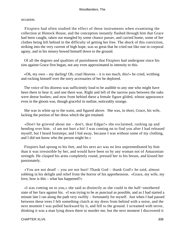occasion.

 Fitzpiers had often studied the effect of these instruments when examining the collection at Hintock House, and the conception instantly flashed through him that Grace had been caught, taken out mangled by some chance passer, and carried home, some of her clothes being left behind in the difficulty of getting her free. The shock of this conviction, striking into the very current of high hope, was so great that he cried out like one in corporal agony, and in his misery bowed himself down to the ground.

 Of all the degrees and qualities of punishment that Fitzpiers had undergone since his sins against Grace first began, not any even approximated in intensity to this.

«Oh, my own – my darling! Oh, cruel Heaven – it is too much, this!» he cried, writhing and rocking himself over the sorry accessaries of her he deplored.

 The voice of his distress was sufficiently loud to be audible to any one who might have been there to hear it; and one there was. Right and left of the narrow pass between the oaks were dense bushes; and now from behind these a female figure glided, whose appearance even in the gloom was, though graceful in outline, noticeably strange.

 She was in white up to the waist, and figured above. She was, in short, Grace, his wife, lacking the portion of her dress which the gin retained.

 «Don't be grieved about me – don't, dear Edgar!» she exclaimed, rushing up and bending over him. «I am not hurt a bit! I was coming on to find you after I had released myself, but I heard footsteps; and I hid away, because I was without some of my clothing, and I did not know who the person might be.»

 Fitzpiers had sprung to his feet, and his next act was no less unpremeditated by him than it was irresistible by her, and would have been so by any woman not of Amazonian strength. He clasped his arms completely round, pressed her to his breast, and kissed her passionately.

 «You are not dead! – you are not hurt! Thank God – thank God!» he said, almost sobbing in his delight and relief from the horror of his apprehension. «Grace, my wife, my love, how is this – what has happened?»

 «I was coming on to you,» she said as distinctly as she could in the half−smothered state of her face against his. «I was trying to be as punctual as possible, and as I had started a minute late I ran along the path very swiftly – fortunately for myself. Just when I had passed between these trees I felt something clutch at my dress from behind with a noise, and the next moment I was pulled backward by it, and fell to the ground. I screamed with terror, thinking it was a man lying down there to murder me, but the next moment I discovered it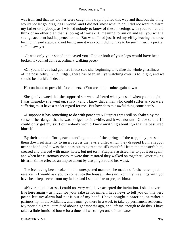was iron, and that my clothes were caught in a trap. I pulled this way and that, but the thing would not let go, drag it as I would, and I did not know what to do. I did not want to alarm my father or anybody, as I wished nobody to know of these meetings with you; so I could think of no other plan than slipping off my skirt, meaning to run on and tell you what a strange accident had happened to me. But when I had just freed myself by leaving the dress behind, I heard steps, and not being sure it was you, I did not like to be seen in such a pickle, so I hid away.»

 «It was only your speed that saved you! One or both of your legs would have been broken if you had come at ordinary walking pace.»

 «Or yours, if you had got here first,» said she, beginning to realize the whole ghastliness of the possibility. «Oh, Edgar, there has been an Eye watching over us to−night, and we should be thankful indeed!»

He continued to press his face to hers. «You are mine – mine again now.»

 She gently owned that she supposed she was. «I heard what you said when you thought I was injured,» she went on, shyly, «and I know that a man who could suffer as you were suffering must have a tender regard for me. But how does this awful thing come here?»

 «I suppose it has something to do with poachers.» Fitzpiers was still so shaken by the sense of her danger that he was obliged to sit awhile, and it was not until Grace said, «If I could only get my skirt out nobody would know anything about it,» that he bestirred himself.

 By their united efforts, each standing on one of the springs of the trap, they pressed them down sufficiently to insert across the jaws a billet which they dragged from a faggot near at hand; and it was then possible to extract the silk mouthful from the monster's bite, creased and pierced with many holes, but not torn. Fitzpiers assisted her to put it on again; and when her customary contours were thus restored they walked on together, Grace taking his arm, till he effected an improvement by clasping it round her waist.

 The ice having been broken in this unexpected manner, she made no further attempt at reserve. «I would ask you to come into the house,» she said, «but my meetings with you have been kept secret from my father, and I should like to prepare him.»

 «Never mind, dearest. I could not very well have accepted the invitation. I shall never live here again – as much for your sake as for mine. I have news to tell you on this very point, but my alarm had put it out of my head. I have bought a practice, or rather a partnership, in the Midlands, and I must go there in a week to take up permanent residence. My poor old great−aunt died about eight months ago, and left me enough to do this. I have taken a little furnished house for a time, till we can get one of our own.»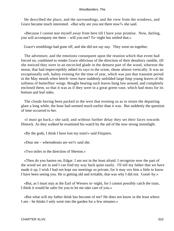He described the place, and the surroundings, and the view from the windows, and Grace became much interested. «But why are you not there now?» she said.

 «Because I cannot tear myself away from here till I have your promise. Now, darling, you will accompany me there – will you not? To−night has settled that.»

Grace's tremblings had gone off, and she did not say nay. They went on together.

 The adventure, and the emotions consequent upon the reunion which that event had forced on, combined to render Grace oblivious of the direction of their desultory ramble, till she noticed they were in an encircled glade in the densest part of the wood, whereon the moon, that had imperceptibly added its rays to the scene, shone almost vertically. It was an exceptionally soft, balmy evening for the time of year, which was just that transient period in the May month when beech−trees have suddenly unfolded large limp young leaves of the softness of butterflies' wings. Boughs bearing such leaves hung low around, and completely enclosed them, so that it was as if they were in a great green vase, which had moss for its bottom and leaf sides.

 The clouds having been packed in the west that evening so as to retain the departing glare a long while, the hour had seemed much earlier than it was. But suddenly the question of time occurred to her.

 «I must go back,» she said; and without further delay they set their faces towards Hintock. As they walked he examined his watch by the aid of the now strong moonlight.

«By the gods, I think I have lost my train!» said Fitzpiers.

«Dear me – whereabouts are we?» said she.

«Two miles in the direction of Sherton.»

 «Then do you hasten on, Edgar. I am not in the least afraid. I recognize now the part of the wood we are in and I can find my way back quite easily. I'll tell my father that we have made it up. I wish I had not kept our meetings so private, for it may vex him a little to know I have been seeing you. He is getting old and irritable, that was why I did not. Good−by.»

 «But, as I must stay at the Earl of Wessex to−night, for I cannot possibly catch the train, I think it would be safer for you to let me take care of you.»

 «But what will my father think has become of me? He does not know in the least where I am – he thinks I only went into the garden for a few minutes.»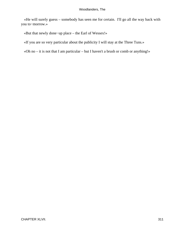«He will surely guess – somebody has seen me for certain. I'll go all the way back with you to−morrow.»

«But that newly done−up place – the Earl of Wessex!»

«If you are so very particular about the publicity I will stay at the Three Tuns.»

«Oh no – it is not that I am particular – but I haven't a brush or comb or anything!»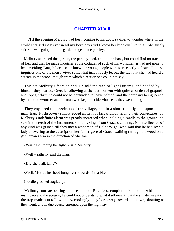## **[CHAPTER XLVIII](#page-321-0)**

<span id="page-312-0"></span>*A*ll the evening Melbury had been coming to his door, saying, «I wonder where in the world that girl is! Never in all my born days did I know her bide out like this! She surely said she was going into the garden to get some parsley.»

 Melbury searched the garden, the parsley−bed, and the orchard, but could find no trace of her, and then he made inquiries at the cottages of such of his workmen as had not gone to bed, avoiding Tangs's because he knew the young people were to rise early to leave. In these inquiries one of the men's wives somewhat incautiously let out the fact that she had heard a scream in the wood, though from which direction she could not say.

 This set Melbury's fears on end. He told the men to light lanterns, and headed by himself they started, Creedle following at the last moment with quite a burden of grapnels and ropes, which he could not be persuaded to leave behind, and the company being joined by the hollow−turner and the man who kept the cider−house as they went along.

 They explored the precincts of the village, and in a short time lighted upon the man−trap. Its discovery simply added an item of fact without helping their conjectures; but Melbury's indefinite alarm was greatly increased when, holding a candle to the ground, he saw in the teeth of the instrument some frayings from Grace's clothing. No intelligence of any kind was gained till they met a woodman of Delborough, who said that he had seen a lady answering to the description her father gave of Grace, walking through the wood on a gentleman's arm in the direction of Sherton.

«Was he clutching her tight?» said Melbury.

«Well – rather,» said the man.

«Did she walk lame?»

«Well, 'tis true her head hung over towards him a bit.»

Creedle groaned tragically.

 Melbury, not suspecting the presence of Fitzpiers, coupled this account with the man–trap and the scream; he could not understand what it all meant; but the sinister event of the trap made him follow on. Accordingly, they bore away towards the town, shouting as they went, and in due course emerged upon the highway.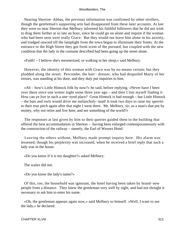Nearing Sherton−Abbas, the previous information was confirmed by other strollers, though the gentleman's supporting arm had disappeared from these later accounts. At last they were so near Sherton that Melbury informed his faithful followers that he did not wish to drag them farther at so late an hour, since he could go on alone and inquire if the woman who had been seen were really Grace. But they would not leave him alone in his anxiety, and trudged onward till the lamplight from the town began to illuminate their fronts. At the entrance to the High Street they got fresh scent of the pursued, but coupled with the new condition that the lady in the costume described had been going up the street alone.

«Faith! – I believe she's mesmerized, or walking in her sleep,» said Melbury.

 However, the identity of this woman with Grace was by no means certain; but they plodded along the street. Percombe, the hair− dresser, who had despoiled Marty of her tresses, was standing at his door, and they duly put inquiries to him.

 «Ah – how's Little Hintock folk by now?» he said, before replying. «Never have I been over there since one winter night some three year ago – and then I lost myself finding it. How can ye live in such a one−eyed place? Great Hintock is bad enough – hut Little Hintock – the bats and owls would drive me melancholy−mad! It took two days to raise my sperrits to their true pitch again after that night I went there. Mr. Melbury, sir, as a man's that put by money, why not retire and live here, and see something of the world?»

 The responses at last given by him to their queries guided them to the building that offered the best accommodation in Sherton – having been enlarged contemporaneously with the construction of the railway – namely, the Earl of Wessex Hotel.

 Leaving the others without, Melbury made prompt inquiry here. His alarm was lessened, though his perplexity was increased, when he received a brief reply that such a lady was in the house.

«Do you know if it is my daughter?» asked Melbury.

The waiter did not.

«Do you know the lady's name?»

 Of this, too, the household was ignorant, the hotel having been taken by brand−new people from a distance. They knew the gentleman very well by sight, and had not thought it necessary to ask him to enter his name.

 «Oh, the gentleman appears again now,» said Melbury to himself. «Well, I want to see the lady,» he declared.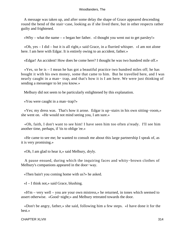A message was taken up, and after some delay the shape of Grace appeared descending round the bend of the stair−case, looking as if she lived there, but in other respects rather guilty and frightened.

«Why – what the name – » began her father. «I thought you went out to get parsley!»

 «Oh, yes – I did – but it is all right,» said Grace, in a flurried whisper. «I am not alone here. I am here with Edgar. It is entirely owing to an accident, father.»

«Edgar! An accident! How does he come here? I thought he was two hundred mile off.»

 «Yes, so he is – I mean he has got a beautiful practice two hundred miles off; he has bought it with his own money, some that came to him. But he travelled here, and I was nearly caught in a man− trap, and that's how it is I am here. We were just thinking of sending a messenger to let you know.»

Melbury did not seem to be particularly enlightened by this explanation.

«You were caught in a man−trap?»

 «Yes; my dress was. That's how it arose. Edgar is up−stairs in his own sitting−room,» she went on. «He would not mind seeing you, I am sure.»

 «Oh, faith, I don't want to see him! I have seen him too often a'ready. I'll see him another time, perhaps, if 'tis to oblige 'ee.»

 «He came to see me; he wanted to consult me about this large partnership I speak of, as it is very promising.»

«Oh, I am glad to hear it,» said Melbury, dryly.

 A pause ensued, during which the inquiring faces and whity−brown clothes of Melbury's companions appeared in the door−way.

«Then bain't you coming home with us?» he asked.

 $\ll$ I – I think not,» said Grace, blushing.

 «H'm – very well – you are your own mistress,» he returned, in tones which seemed to assert otherwise. «Good−night;» and Melbury retreated towards the door.

 «Don't be angry, father,» she said, following him a few steps. «I have done it for the best.»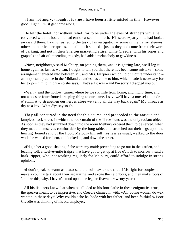«I am not angry, though it is true I have been a little misled in this. However, good−night. I must get home along.»

 He left the hotel, not without relief, for to be under the eyes of strangers while he conversed with his lost child had embarrassed him much. His search−party, too, had looked awkward there, having rushed to the task of investigation – some in their shirt sleeves, others in their leather aprons, and all much stained – just as they had come from their work of barking, and not in their Sherton marketing attire; while Creedle, with his ropes and grapnels and air of impending tragedy, had added melancholy to gawkiness.

 «Now, neighbors,» said Melbury, on joining them, «as it is getting late, we'll leg it home again as fast as we can. I ought to tell you that there has been some mistake – some arrangement entered into between Mr. and Mrs. Fitzpiers which I didn't quite understand – an important practice in the Midland counties has come to him, which made it necessary for her to join him to−night – so she says. That's all it was – and I'm sorry I dragged you out.»

 «Well,» said the hollow−turner, «here be we six mile from home, and night−time, and not a hoss or four−footed creeping thing to our name. I say, we'll have a mossel and a drop o' summat to strengthen our nerves afore we vamp all the way back again? My throat's as dry as a kex. What d'ye say so's?»

 They all concurred in the need for this course, and proceeded to the antique and lampless back street, in which the red curtain of the Three Tuns was the only radiant object. As soon as they had stumbled down into the room Melbury ordered them to be served, when they made themselves comfortable by the long table, and stretched out their legs upon the herring−boned sand of the floor. Melbury himself, restless as usual, walked to the door while he waited for them, and looked up and down the street.

 «I'd gie her a good shaking if she were my maid; pretending to go out in the garden, and leading folk a twelve−mile traipse that have got to get up at five o'clock to morrow,» said a bark−ripper; who, not working regularly for Melbury, could afford to indulge in strong opinions.

 «I don't speak so warm as that,» said the hollow−turner, «but if 'tis right for couples to make a country talk about their separating, and excite the neighbors, and then make fools of 'em like this, why, I haven't stood upon one leg for five−and−twenty year.»

 All his listeners knew that when he alluded to his foot−lathe in these enigmatic terms, the speaker meant to be impressive; and Creedle chimed in with, «Ah, young women do wax wanton in these days! Why couldn't she ha' bode with her father, and been faithful?» Poor Creedle was thinking of his old employer.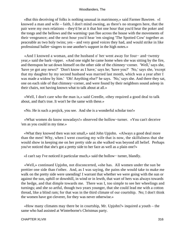«But this deceiving of folks is nothing unusual in matrimony,» said Farmer Bawtree. «I knowed a man and wife – faith, I don't mind owning, as there's no strangers here, that the pair were my own relations – they'd be at it that hot one hour that you'd hear the poker and the tongs and the bellows and the warming−pan flee across the house with the movements of their vengeance; and the next hour you'd hear 'em singing 'The Spotted Cow' together as peaceable as two holy twins; yes – and very good voices they had, and would strike in like professional ballet−singers to one another's support in the high notes.»

 «And I knowed a woman, and the husband o' her went away for four− and−twenty year,» said the bark−ripper. «And one night he came home when she was sitting by the fire, and thereupon he sat down himself on the other side of the chimney−corner. 'Well,' says she, 'have ye got any news?' 'Don't know as I have,' says he; 'have you?' 'No,' says she, 'except that my daughter by my second husband was married last month, which was a year after I was made a widow by him.' 'Oh! Anything else?' he says. 'No,' says she. And there they sat, one on each side of that chimney−corner, and were found by their neighbors sound asleep in their chairs, not having known what to talk about at all.»

 «Well, I don't care who the man is,» said Creedle, «they required a good deal to talk about, and that's true. It won't be the same with these.»

«No. He is such a projick, you see. And she is a wonderful scholar too!»

 «What women do know nowadays!» observed the hollow−turner. «You can't deceive 'em as you could in my time.»

 «What they knowed then was not small,» said John Upjohn. «Always a good deal more than the men! Why, when I went courting my wife that is now, the skilfulness that she would show in keeping me on her pretty side as she walked was beyond all belief. Perhaps you've noticed that she's got a pretty side to her face as well as a plain one?»

«I can't say I've noticed it particular much,» said the hollow− turner, blandly.

 «Well,» continued Upjohn, not disconcerted, «she has. All women under the sun be prettier one side than t'other. And, as I was saying, the pains she would take to make me walk on the pretty side were unending! I warrant that whether we were going with the sun or against the sun, uphill or downhill, in wind or in lewth, that wart of hers was always towards the hedge, and that dimple towards me. There was I, too simple to see her wheelings and turnings; and she so artful, though two years younger, that she could lead me with a cotton thread, like a blind ram; for that was in the third climate of our courtship. No; I don't think the women have got cleverer, for they was never otherwise.»

 «How many climates may there be in courtship, Mr. Upjohn?» inquired a youth – the same who had assisted at Winterborne's Christmas party.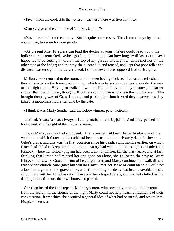«Five – from the coolest to the hottest – leastwise there was five in mine.»

«Can ye give us the chronicle of 'em, Mr. Upjohn?»

 «Yes – I could. I could certainly. But 'tis quite unnecessary. They'll come to ye by nater, young man, too soon for your good.»

 «At present Mrs. Fitzpiers can lead the doctor as your mis'ess could lead you,» the hollow−turner remarked. «She's got him quite tame. But how long 'twill last I can't say. I happened to be setting a wire on the top of my garden one night when he met her on the other side of the hedge; and the way she queened it, and fenced, and kept that poor feller at a distance, was enough to freeze yer blood. I should never have supposed it of such a girl.»

 Melbury now returned to the room, and the men having declared themselves refreshed, they all started on the homeward journey, which was by no means cheerless under the rays of the high moon. Having to walk the whole distance they came by a foot−path rather shorter than the highway, though difficult except to those who knew the country well. This brought them by way of Great Hintock; and passing the church−yard they observed, as they talked, a motionless figure standing by the gate.

«I think it was Marty South,» said the hollow−turner, parenthetically.

 «I think 'twas; 'a was always a lonely maid,» said Upjohn. And they passed on homeward, and thought of the matter no more.

 It was Marty, as they had supposed. That evening had been the particular one of the week upon which Grace and herself had been accustomed to privately deposit flowers on Giles's grave, and this was the first occasion since his death, eight months earlier, on which Grace had failed to keep her appointment. Marty had waited in the road just outside Little Hintock, where her fellow−pilgrim had been wont to join her, till she was weary; and at last, thinking that Grace had missed her and gone on alone, she followed the way to Great Hintock, but saw no Grace in front of her. It got later, and Marty continued her walk till she reached the church−yard gate; but still no Grace. Yet her sense of comradeship would not allow her to go on to the grave alone, and still thinking the delay had been unavoidable, she stood there with her little basket of flowers in her clasped hands, and her feet chilled by the damp ground, till more than two hours had passed.

 She then heard the footsteps of Melbury's men, who presently passed on their return from the search. In the silence of the night Marty could not help hearing fragments of their conversation, from which she acquired a general idea of what had occurred, and where Mrs. Fitzpiers then was.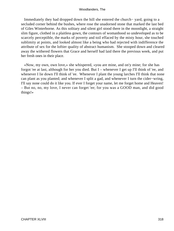Immediately they had dropped down the hill she entered the church− yard, going to a secluded corner behind the bushes, where rose the unadorned stone that marked the last bed of Giles Winterborne. As this solitary and silent girl stood there in the moonlight, a straight slim figure, clothed in a plaitless gown, the contours of womanhood so undeveloped as to be scarcely perceptible, the marks of poverty and toil effaced by the misty hour, she touched sublimity at points, and looked almost like a being who had rejected with indifference the attribute of sex for the loftier quality of abstract humanism. She stooped down and cleared away the withered flowers that Grace and herself had laid there the previous week, and put her fresh ones in their place.

 «Now, my own, own love,» she whispered, «you are mine, and on'y mine; for she has forgot 'ee at last, although for her you died. But I – whenever I get up I'll think of 'ee, and whenever I lie down I'll think of 'ee. Whenever I plant the young larches I'll think that none can plant as you planted; and whenever I split a gad, and whenever I turn the cider−wring, I'll say none could do it like you. If ever I forget your name, let me forget home and Heaven! – But no, no, my love, I never can forget 'ee; for you was a GOOD man, and did good things!»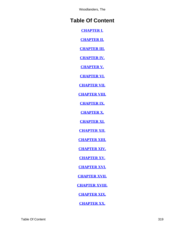# **Table Of Content**

**[CHAPTER I.](#page-3-0)**

**[CHAPTER II.](#page-7-0)**

**[CHAPTER III.](#page-12-0)**

**[CHAPTER IV.](#page-19-0)**

**[CHAPTER V.](#page-28-0)**

**[CHAPTER VI.](#page-35-0)**

**[CHAPTER VII.](#page-44-0)**

**[CHAPTER VIII.](#page-49-0)**

**[CHAPTER IX.](#page-57-0)**

**[CHAPTER X.](#page-64-0)**

**[CHAPTER XI.](#page-69-0)**

**[CHAPTER XII.](#page-74-0)**

**[CHAPTER XIII.](#page-79-0)**

**[CHAPTER XIV.](#page-86-0)**

**[CHAPTER XV.](#page-91-0)**

**[CHAPTER XVI.](#page-98-0)**

**[CHAPTER XVII.](#page-104-0)**

**[CHAPTER XVIII.](#page-110-0)**

**[CHAPTER XIX.](#page-116-0)**

**[CHAPTER XX.](#page-125-0)**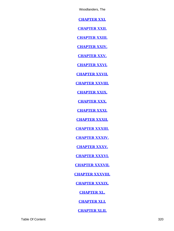**[CHAPTER XXI.](#page-131-0)**

**[CHAPTER XXII.](#page-134-0)**

**[CHAPTER XXIII.](#page-140-0)**

**[CHAPTER XXIV.](#page-145-0)**

**[CHAPTER XXV.](#page-151-0)**

**[CHAPTER XXVI.](#page-160-0)**

**[CHAPTER XXVII.](#page-167-0)**

**[CHAPTER XXVIII.](#page-174-0)**

**[CHAPTER XXIX.](#page-180-0)**

**[CHAPTER XXX.](#page-187-0)**

**[CHAPTER XXXI.](#page-194-0)**

**[CHAPTER XXXII.](#page-199-0)**

**[CHAPTER XXXIII.](#page-204-0)**

**[CHAPTER XXXIV.](#page-213-0)**

**[CHAPTER XXXV.](#page-219-0)**

**[CHAPTER XXXVI.](#page-227-0)**

**[CHAPTER XXXVII.](#page-232-0)**

**[CHAPTER XXXVIII.](#page-238-0)**

**[CHAPTER XXXIX.](#page-247-0)**

**[CHAPTER XL.](#page-254-0)**

**[CHAPTER XLI.](#page-260-0)**

**[CHAPTER XLII.](#page-268-0)**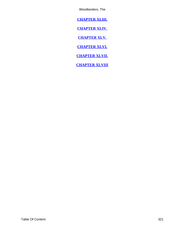<span id="page-321-0"></span>**[CHAPTER XLIII.](#page-275-0)**

**[CHAPTER XLIV.](#page-284-0)**

**[CHAPTER XLV.](#page-289-0)**

**[CHAPTER XLVI.](#page-297-0)**

**[CHAPTER XLVII.](#page-304-0)**

**[CHAPTER XLVIII](#page-312-0)**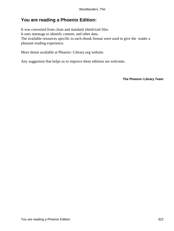## **You are reading a Phoenix Edition:**

It was converted from clean and standard xhtml/xml files. It uses metatags to identify content, and other data. The available resources specific to each ebook format were used to give the reader a pleasant reading experience.

More detais available at Phoenix−Library.org website.

Any suggestion that helps us to improve these editions are welcome.

**The Phoenix−Library Team**